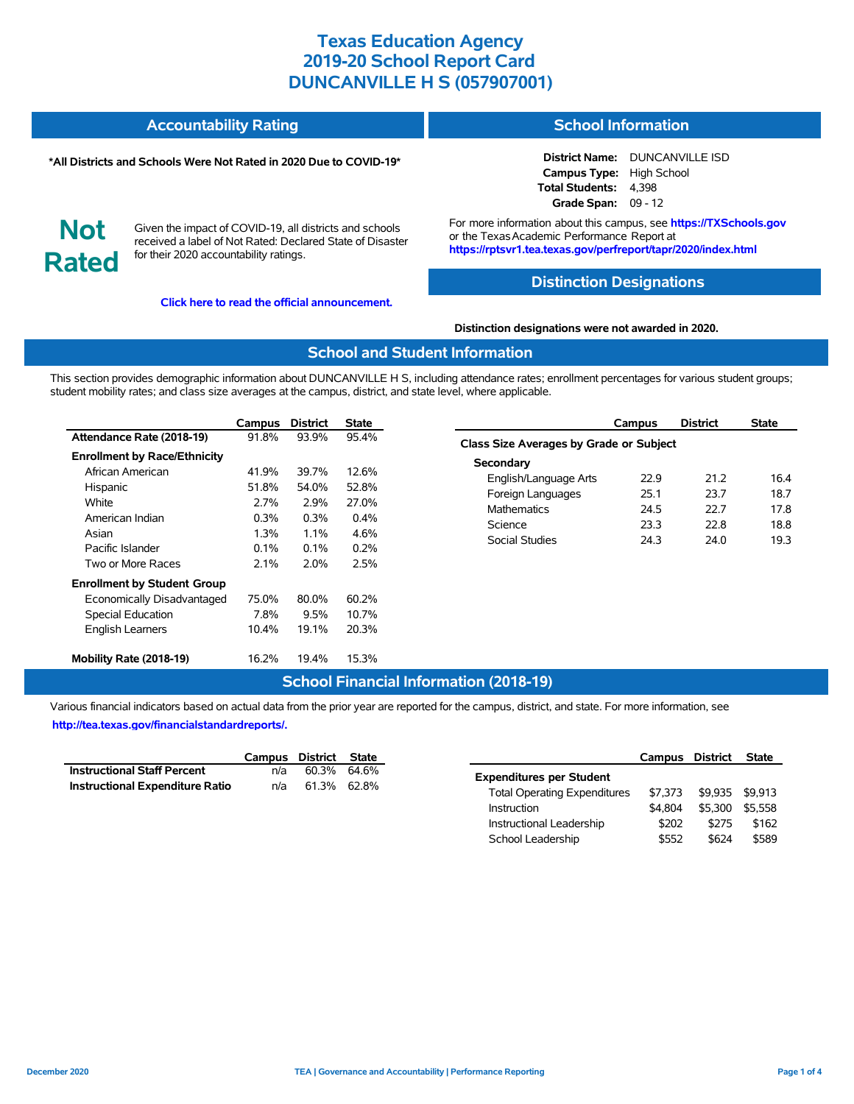#### **Accountability Rating School Information**

#### **\*All Districts and Schools Were Not Rated in 2020 Due to COVID-19\***

# **District Name:** DUNCANVILLE ISD

**Campus Type:** High School **Total Students:** 4,398 **Grade Span:** 09 - 12

**Not Rated**

Given the impact of COVID-19, all districts and schools received a label of Not Rated: Declared State of Disaster for their 2020 accountability ratings.

**[Click here to read the official announcement.](https://tea.texas.gov/about-tea/news-and-multimedia/correspondence/taa-letters/every-student-succeeds-act-essa-waiver-approval-2020-state-academic-accountability)**

For more information about this campus, see **https://TXSchools.gov** or the Texas Academic Performance Report at **https://rptsvr1.tea.texas.gov/perfreport/tapr/2020/index.html**

# **Distinction Designations**

#### **Distinction designations were not awarded in 2020.**

#### **School and Student Information**

This section provides demographic information about DUNCANVILLE H S, including attendance rates; enrollment percentages for various student groups; student mobility rates; and class size averages at the campus, district, and state level, where applicable.

|                                     | Campus  | <b>District</b> | State   |
|-------------------------------------|---------|-----------------|---------|
| Attendance Rate (2018-19)           | 91.8%   | 93.9%           | 95.4%   |
| <b>Enrollment by Race/Ethnicity</b> |         |                 |         |
| African American                    | 41.9%   | 39.7%           | 12.6%   |
| Hispanic                            | 51.8%   | 54.0%           | 52.8%   |
| White                               | 2.7%    | 2.9%            | 27.0%   |
| American Indian                     | $0.3\%$ | 0.3%            | $0.4\%$ |
| Asian                               | 1.3%    | $1.1\%$         | 4.6%    |
| Pacific Islander                    | $0.1\%$ | $0.1\%$         | 0.2%    |
| Two or More Races                   | 2.1%    | 2.0%            | 2.5%    |
| <b>Enrollment by Student Group</b>  |         |                 |         |
| Economically Disadvantaged          | 75.0%   | 80.0%           | 60.2%   |
| Special Education                   | 7.8%    | 9.5%            | 10.7%   |
| <b>English Learners</b>             | 10.4%   | 19.1%           | 20.3%   |
| Mobility Rate (2018-19)             | 16.2%   | 19.4%           | 15.3%   |

|                                         | Campus | <b>District</b> | <b>State</b> |  |  |  |  |  |  |  |
|-----------------------------------------|--------|-----------------|--------------|--|--|--|--|--|--|--|
| Class Size Averages by Grade or Subject |        |                 |              |  |  |  |  |  |  |  |
| Secondary                               |        |                 |              |  |  |  |  |  |  |  |
| English/Language Arts                   | 22 9   | 21.2            | 16.4         |  |  |  |  |  |  |  |
| Foreign Languages                       | 25.1   | 23.7            | 18.7         |  |  |  |  |  |  |  |
| <b>Mathematics</b>                      | 24.5   | 22.7            | 17.8         |  |  |  |  |  |  |  |
| Science                                 | 23.3   | 22 B            | 18.8         |  |  |  |  |  |  |  |
| Social Studies                          | 24.3   | 24.0            | 19.3         |  |  |  |  |  |  |  |
|                                         |        |                 |              |  |  |  |  |  |  |  |

# **School Financial Information (2018-19)**

Various financial indicators based on actual data from the prior year are reported for the campus, district, and state. For more information, see **[http://tea.texas.gov/financialstandardreports/.](http://tea.texas.gov/financialstandardreports/)**

|                                        | Campus District State |             |  |
|----------------------------------------|-----------------------|-------------|--|
| <b>Instructional Staff Percent</b>     | n/a                   | 60.3% 64.6% |  |
| <b>Instructional Expenditure Ratio</b> | n/a                   | 61.3% 62.8% |  |

|                                     | Campus District |         | <b>State</b> |
|-------------------------------------|-----------------|---------|--------------|
| <b>Expenditures per Student</b>     |                 |         |              |
| <b>Total Operating Expenditures</b> | \$7.373         | \$9.935 | \$9.913      |
| Instruction                         | \$4.804         | \$5.300 | \$5.558      |
| Instructional Leadership            | \$202           | \$275   | \$162        |
| School Leadership                   | \$552           | \$624   | \$589        |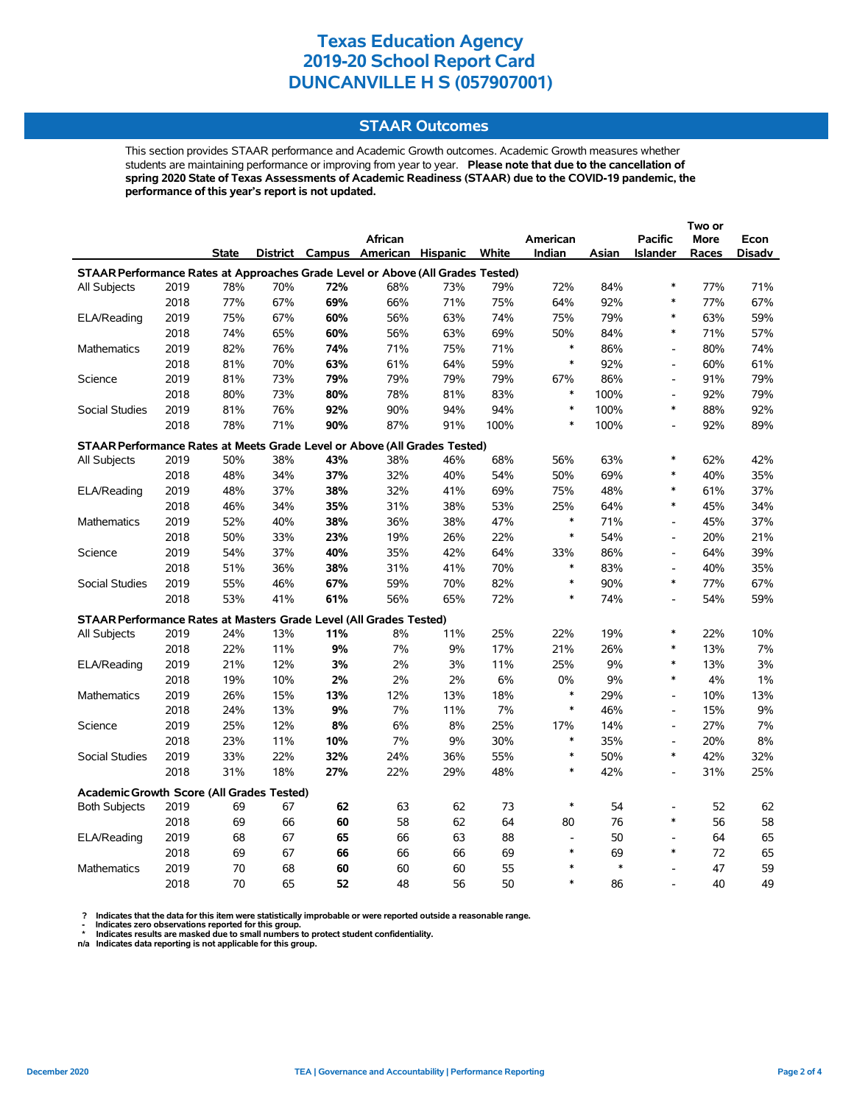# **STAAR Outcomes**

This section provides STAAR performance and Academic Growth outcomes. Academic Growth measures whether students are maintaining performance or improving from year to year. **Please note that due to the cancellation of spring 2020 State of Texas Assessments of Academic Readiness (STAAR) due to the COVID-19 pandemic, the performance of this year's report is not updated.**

|                                                                                |      |              |     |     |                                   |     |       |                |        |                              | Two or |               |
|--------------------------------------------------------------------------------|------|--------------|-----|-----|-----------------------------------|-----|-------|----------------|--------|------------------------------|--------|---------------|
|                                                                                |      |              |     |     | African                           |     |       | American       |        | <b>Pacific</b>               | More   | Econ          |
|                                                                                |      | <b>State</b> |     |     | District Campus American Hispanic |     | White | Indian         | Asian  | <b>Islander</b>              | Races  | <b>Disadv</b> |
| STAAR Performance Rates at Approaches Grade Level or Above (All Grades Tested) |      |              |     |     |                                   |     |       |                |        |                              |        |               |
| All Subjects                                                                   | 2019 | 78%          | 70% | 72% | 68%                               | 73% | 79%   | 72%            | 84%    | $\ast$                       | 77%    | 71%           |
|                                                                                | 2018 | 77%          | 67% | 69% | 66%                               | 71% | 75%   | 64%            | 92%    | $\ast$                       | 77%    | 67%           |
| ELA/Reading                                                                    | 2019 | 75%          | 67% | 60% | 56%                               | 63% | 74%   | 75%            | 79%    | *                            | 63%    | 59%           |
|                                                                                | 2018 | 74%          | 65% | 60% | 56%                               | 63% | 69%   | 50%            | 84%    | $\ast$                       | 71%    | 57%           |
| <b>Mathematics</b>                                                             | 2019 | 82%          | 76% | 74% | 71%                               | 75% | 71%   | $\ast$         | 86%    | $\qquad \qquad \blacksquare$ | 80%    | 74%           |
|                                                                                | 2018 | 81%          | 70% | 63% | 61%                               | 64% | 59%   | $\ast$         | 92%    | $\qquad \qquad \blacksquare$ | 60%    | 61%           |
| Science                                                                        | 2019 | 81%          | 73% | 79% | 79%                               | 79% | 79%   | 67%            | 86%    | $\overline{a}$               | 91%    | 79%           |
|                                                                                | 2018 | 80%          | 73% | 80% | 78%                               | 81% | 83%   | $\ast$         | 100%   | $\overline{a}$               | 92%    | 79%           |
| Social Studies                                                                 | 2019 | 81%          | 76% | 92% | 90%                               | 94% | 94%   | $\ast$         | 100%   | $\ast$                       | 88%    | 92%           |
|                                                                                | 2018 | 78%          | 71% | 90% | 87%                               | 91% | 100%  | $\ast$         | 100%   | $\overline{a}$               | 92%    | 89%           |
| STAAR Performance Rates at Meets Grade Level or Above (All Grades Tested)      |      |              |     |     |                                   |     |       |                |        |                              |        |               |
| All Subjects                                                                   | 2019 | 50%          | 38% | 43% | 38%                               | 46% | 68%   | 56%            | 63%    | $\ast$                       | 62%    | 42%           |
|                                                                                | 2018 | 48%          | 34% | 37% | 32%                               | 40% | 54%   | 50%            | 69%    | $\ast$                       | 40%    | 35%           |
| ELA/Reading                                                                    | 2019 | 48%          | 37% | 38% | 32%                               | 41% | 69%   | 75%            | 48%    | $\ast$                       | 61%    | 37%           |
|                                                                                | 2018 | 46%          | 34% | 35% | 31%                               | 38% | 53%   | 25%            | 64%    | $\ast$                       | 45%    | 34%           |
| Mathematics                                                                    | 2019 | 52%          | 40% | 38% | 36%                               | 38% | 47%   | $\ast$         | 71%    | $\overline{a}$               | 45%    | 37%           |
|                                                                                | 2018 | 50%          | 33% | 23% | 19%                               | 26% | 22%   | $\ast$         | 54%    | $\overline{\phantom{a}}$     | 20%    | 21%           |
| Science                                                                        | 2019 | 54%          | 37% | 40% | 35%                               | 42% | 64%   | 33%            | 86%    | $\overline{a}$               | 64%    | 39%           |
|                                                                                | 2018 | 51%          | 36% | 38% | 31%                               | 41% | 70%   | $\ast$         | 83%    | $\overline{\phantom{a}}$     | 40%    | 35%           |
| <b>Social Studies</b>                                                          | 2019 | 55%          | 46% | 67% | 59%                               | 70% | 82%   | $\ast$         | 90%    | $\ast$                       | 77%    | 67%           |
|                                                                                | 2018 | 53%          | 41% | 61% | 56%                               | 65% | 72%   | $\ast$         | 74%    | $\overline{a}$               | 54%    | 59%           |
| STAAR Performance Rates at Masters Grade Level (All Grades Tested)             |      |              |     |     |                                   |     |       |                |        |                              |        |               |
| All Subjects                                                                   | 2019 | 24%          | 13% | 11% | 8%                                | 11% | 25%   | 22%            | 19%    | $\ast$                       | 22%    | 10%           |
|                                                                                | 2018 | 22%          | 11% | 9%  | 7%                                | 9%  | 17%   | 21%            | 26%    | *                            | 13%    | 7%            |
| ELA/Reading                                                                    | 2019 | 21%          | 12% | 3%  | 2%                                | 3%  | 11%   | 25%            | 9%     | $\ast$                       | 13%    | 3%            |
|                                                                                | 2018 | 19%          | 10% | 2%  | 2%                                | 2%  | 6%    | 0%             | 9%     | $\ast$                       | 4%     | $1\%$         |
| <b>Mathematics</b>                                                             | 2019 | 26%          | 15% | 13% | 12%                               | 13% | 18%   | $\ast$         | 29%    | $\overline{a}$               | 10%    | 13%           |
|                                                                                | 2018 | 24%          | 13% | 9%  | 7%                                | 11% | 7%    | $\ast$         | 46%    | $\overline{a}$               | 15%    | 9%            |
| Science                                                                        | 2019 | 25%          | 12% | 8%  | 6%                                | 8%  | 25%   | 17%            | 14%    | $\qquad \qquad \blacksquare$ | 27%    | 7%            |
|                                                                                | 2018 | 23%          | 11% | 10% | 7%                                | 9%  | 30%   | $\ast$         | 35%    | $\qquad \qquad \blacksquare$ | 20%    | 8%            |
| Social Studies                                                                 | 2019 | 33%          | 22% | 32% | 24%                               | 36% | 55%   | $\ast$         | 50%    | *                            | 42%    | 32%           |
|                                                                                | 2018 | 31%          | 18% | 27% | 22%                               | 29% | 48%   | $\ast$         | 42%    | $\overline{a}$               | 31%    | 25%           |
| <b>Academic Growth Score (All Grades Tested)</b>                               |      |              |     |     |                                   |     |       |                |        |                              |        |               |
| <b>Both Subjects</b>                                                           | 2019 | 69           | 67  | 62  | 63                                | 62  | 73    | $\ast$         | 54     | $\overline{a}$               | 52     | 62            |
|                                                                                | 2018 | 69           | 66  | 60  | 58                                | 62  | 64    | 80             | 76     | $\ast$                       | 56     | 58            |
| ELA/Reading                                                                    | 2019 | 68           | 67  | 65  | 66                                | 63  | 88    | $\blacksquare$ | 50     | $\overline{a}$               | 64     | 65            |
|                                                                                | 2018 | 69           | 67  | 66  | 66                                | 66  | 69    | $\ast$         | 69     | $\ast$                       | 72     | 65            |
| <b>Mathematics</b>                                                             | 2019 | 70           | 68  | 60  | 60                                | 60  | 55    | $\ast$         | $\ast$ | $\overline{a}$               | 47     | 59            |
|                                                                                | 2018 | 70           | 65  | 52  | 48                                | 56  | 50    | $\ast$         | 86     |                              | 40     | 49            |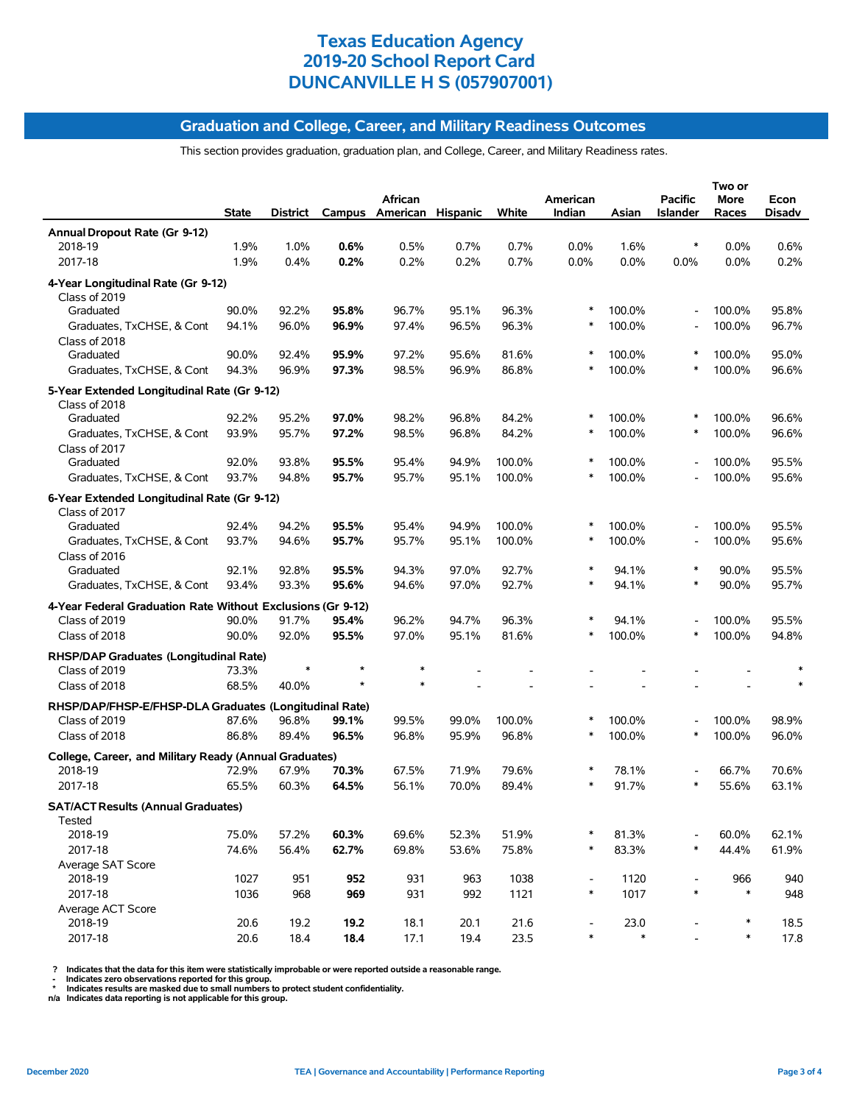#### **Graduation and College, Career, and Military Readiness Outcomes**

This section provides graduation, graduation plan, and College, Career, and Military Readiness rates.

|                                                                   | <b>State</b> | District |       | African<br>Campus American Hispanic |       | White  | American<br>Indian       | Asian  | <b>Pacific</b><br><b>Islander</b> | Two or<br>More<br>Races | Econ<br><b>Disadv</b> |
|-------------------------------------------------------------------|--------------|----------|-------|-------------------------------------|-------|--------|--------------------------|--------|-----------------------------------|-------------------------|-----------------------|
| Annual Dropout Rate (Gr 9-12)                                     |              |          |       |                                     |       |        |                          |        |                                   |                         |                       |
| 2018-19                                                           | 1.9%         | 1.0%     | 0.6%  | 0.5%                                | 0.7%  | 0.7%   | $0.0\%$                  | 1.6%   | $\ast$                            | 0.0%                    | 0.6%                  |
| 2017-18                                                           | 1.9%         | 0.4%     | 0.2%  | 0.2%                                | 0.2%  | 0.7%   | 0.0%                     | 0.0%   | 0.0%                              | 0.0%                    | 0.2%                  |
| 4-Year Longitudinal Rate (Gr 9-12)<br>Class of 2019               |              |          |       |                                     |       |        |                          |        |                                   |                         |                       |
| Graduated                                                         | 90.0%        | 92.2%    | 95.8% | 96.7%                               | 95.1% | 96.3%  | $\ast$                   | 100.0% | $\overline{a}$                    | 100.0%                  | 95.8%                 |
| Graduates, TxCHSE, & Cont<br>Class of 2018                        | 94.1%        | 96.0%    | 96.9% | 97.4%                               | 96.5% | 96.3%  | ∗                        | 100.0% |                                   | 100.0%                  | 96.7%                 |
| Graduated                                                         | 90.0%        | 92.4%    | 95.9% | 97.2%                               | 95.6% | 81.6%  |                          | 100.0% | $\ast$                            | 100.0%                  | 95.0%                 |
| Graduates, TxCHSE, & Cont                                         | 94.3%        | 96.9%    | 97.3% | 98.5%                               | 96.9% | 86.8%  | $\ast$                   | 100.0% | $\ast$                            | 100.0%                  | 96.6%                 |
| 5-Year Extended Longitudinal Rate (Gr 9-12)<br>Class of 2018      |              |          |       |                                     |       |        |                          |        |                                   |                         |                       |
| Graduated                                                         | 92.2%        | 95.2%    | 97.0% | 98.2%                               | 96.8% | 84.2%  |                          | 100.0% |                                   | 100.0%                  | 96.6%                 |
| Graduates, TxCHSE, & Cont                                         | 93.9%        | 95.7%    | 97.2% | 98.5%                               | 96.8% | 84.2%  | ∗                        | 100.0% | $\ast$                            | 100.0%                  | 96.6%                 |
| Class of 2017                                                     |              |          |       |                                     |       |        |                          |        |                                   |                         |                       |
| Graduated                                                         | 92.0%        | 93.8%    | 95.5% | 95.4%                               | 94.9% | 100.0% | ∗<br>∗                   | 100.0% |                                   | 100.0%                  | 95.5%                 |
| Graduates, TxCHSE, & Cont                                         | 93.7%        | 94.8%    | 95.7% | 95.7%                               | 95.1% | 100.0% |                          | 100.0% |                                   | 100.0%                  | 95.6%                 |
| 6-Year Extended Longitudinal Rate (Gr 9-12)<br>Class of 2017      |              |          |       |                                     |       |        |                          |        |                                   |                         |                       |
| Graduated                                                         | 92.4%        | 94.2%    | 95.5% | 95.4%                               | 94.9% | 100.0% | $\ast$                   | 100.0% |                                   | 100.0%                  | 95.5%                 |
| Graduates, TxCHSE, & Cont<br>Class of 2016                        | 93.7%        | 94.6%    | 95.7% | 95.7%                               | 95.1% | 100.0% | $\ast$                   | 100.0% |                                   | 100.0%                  | 95.6%                 |
| Graduated                                                         | 92.1%        | 92.8%    | 95.5% | 94.3%                               | 97.0% | 92.7%  | $\ast$                   | 94.1%  | $\ast$                            | 90.0%                   | 95.5%                 |
| Graduates, TxCHSE, & Cont                                         | 93.4%        | 93.3%    | 95.6% | 94.6%                               | 97.0% | 92.7%  | $\ast$                   | 94.1%  | ∗                                 | 90.0%                   | 95.7%                 |
| 4-Year Federal Graduation Rate Without Exclusions (Gr 9-12)       |              |          |       |                                     |       |        |                          |        |                                   |                         |                       |
| Class of 2019                                                     | 90.0%        | 91.7%    | 95.4% | 96.2%                               | 94.7% | 96.3%  | ∗                        | 94.1%  |                                   | 100.0%                  | 95.5%                 |
| Class of 2018                                                     | 90.0%        | 92.0%    | 95.5% | 97.0%                               | 95.1% | 81.6%  | ∗                        | 100.0% | *                                 | 100.0%                  | 94.8%                 |
| RHSP/DAP Graduates (Longitudinal Rate)<br>Class of 2019           | 73.3%        |          |       | *                                   |       |        |                          |        |                                   |                         |                       |
| Class of 2018                                                     | 68.5%        | 40.0%    | A     |                                     |       |        |                          |        |                                   |                         |                       |
| RHSP/DAP/FHSP-E/FHSP-DLA Graduates (Longitudinal Rate)            |              |          |       |                                     |       |        |                          |        |                                   |                         |                       |
| Class of 2019                                                     | 87.6%        | 96.8%    | 99.1% | 99.5%                               | 99.0% | 100.0% | $\ast$                   | 100.0% |                                   | 100.0%                  | 98.9%                 |
| Class of 2018                                                     | 86.8%        | 89.4%    | 96.5% | 96.8%                               | 95.9% | 96.8%  | ∗                        | 100.0% | *                                 | 100.0%                  | 96.0%                 |
| College, Career, and Military Ready (Annual Graduates)<br>2018-19 | 72.9%        | 67.9%    | 70.3% | 67.5%                               | 71.9% | 79.6%  | $\ast$                   | 78.1%  |                                   | 66.7%                   | 70.6%                 |
| 2017-18                                                           | 65.5%        | 60.3%    | 64.5% | 56.1%                               | 70.0% | 89.4%  |                          | 91.7%  |                                   | 55.6%                   | 63.1%                 |
|                                                                   |              |          |       |                                     |       |        |                          |        |                                   |                         |                       |
| <b>SAT/ACT Results (Annual Graduates)</b><br>Tested               |              |          |       |                                     |       |        |                          |        |                                   |                         |                       |
| 2018-19                                                           | 75.0%        | 57.2%    | 60.3% | 69.6%                               | 52.3% | 51.9%  |                          | 81.3%  |                                   | 60.0%                   | 62.1%                 |
| 2017-18                                                           | 74.6%        | 56.4%    | 62.7% | 69.8%                               | 53.6% | 75.8%  | $\ast$                   | 83.3%  | $\ast$                            | 44.4%                   | 61.9%                 |
| Average SAT Score<br>2018-19                                      | 1027         | 951      | 952   | 931                                 | 963   | 1038   | $\overline{\phantom{a}}$ | 1120   |                                   | 966                     | 940                   |
| 2017-18                                                           | 1036         | 968      | 969   | 931                                 | 992   | 1121   | $\ast$                   | 1017   | $\ast$                            | $\ast$                  | 948                   |
| Average ACT Score                                                 |              |          |       |                                     |       |        |                          |        |                                   |                         |                       |
| 2018-19                                                           | 20.6         | 19.2     | 19.2  | 18.1                                | 20.1  | 21.6   |                          | 23.0   |                                   | $\ast$                  | 18.5                  |
| 2017-18                                                           | 20.6         | 18.4     | 18.4  | 17.1                                | 19.4  | 23.5   | $\ast$                   | $\ast$ |                                   | $\ast$                  | 17.8                  |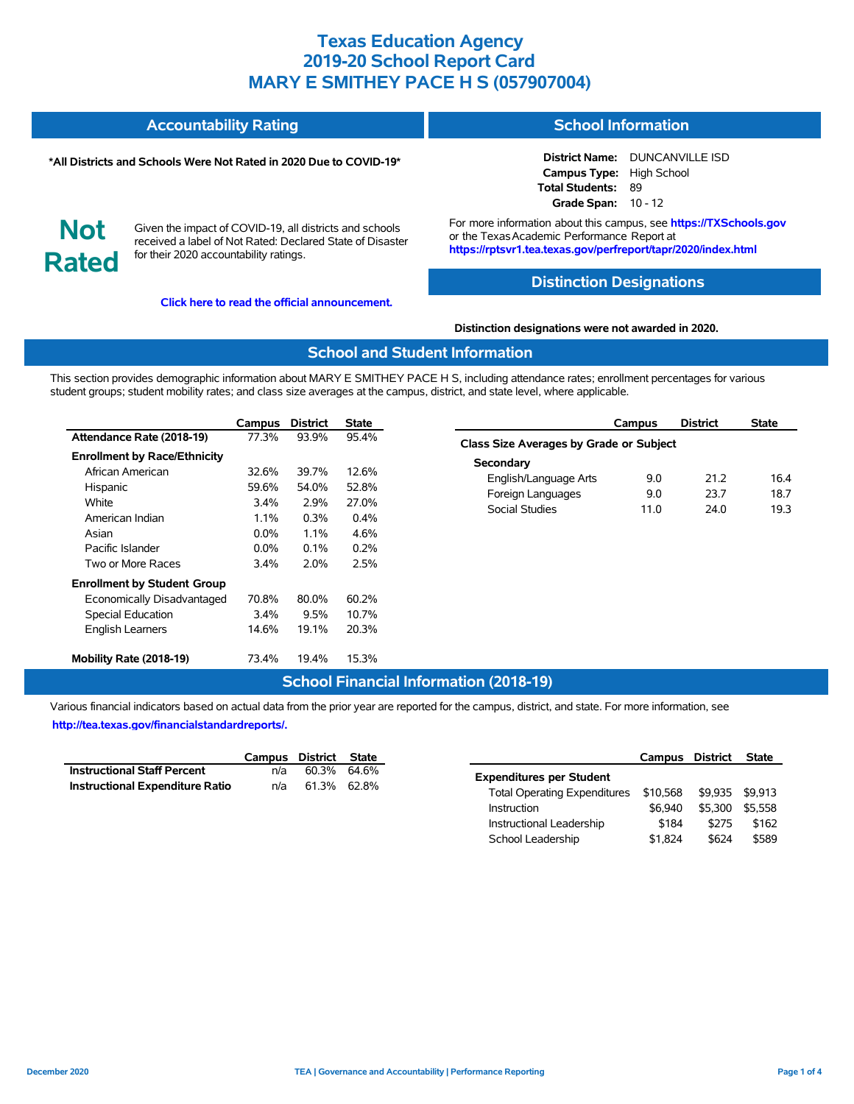| <b>Accountability Rating</b> | <b>School Information</b> |
|------------------------------|---------------------------|
|                              |                           |

#### **\*All Districts and Schools Were Not Rated in 2020 Due to COVID-19\***

**District Name:** DUNCANVILLE ISD **Campus Type:** High School **Total Students:** 89 **Grade Span:** 10 - 12

**Not Rated**

Given the impact of COVID-19, all districts and schools received a label of Not Rated: Declared State of Disaster for their 2020 accountability ratings.

**[Click here to read the official announcement.](https://tea.texas.gov/about-tea/news-and-multimedia/correspondence/taa-letters/every-student-succeeds-act-essa-waiver-approval-2020-state-academic-accountability)**

For more information about this campus, see **https://TXSchools.gov** or the Texas Academic Performance Report at **https://rptsvr1.tea.texas.gov/perfreport/tapr/2020/index.html**

#### **Distinction Designations**

**Distinction designations were not awarded in 2020.**

#### **School and Student Information**

This section provides demographic information about MARY E SMITHEY PACE H S, including attendance rates; enrollment percentages for various student groups; student mobility rates; and class size averages at the campus, district, and state level, where applicable.

|                                     | Campus  | <b>District</b> | <b>State</b> |
|-------------------------------------|---------|-----------------|--------------|
| Attendance Rate (2018-19)           | 77.3%   | 93.9%           | 95.4%        |
| <b>Enrollment by Race/Ethnicity</b> |         |                 |              |
| African American                    | 32.6%   | 39.7%           | 12.6%        |
| Hispanic                            | 59.6%   | 54.0%           | 52.8%        |
| White                               | $3.4\%$ | 2.9%            | 27.0%        |
| American Indian                     | $1.1\%$ | $0.3\%$         | $0.4\%$      |
| Asian                               | $0.0\%$ | $1.1\%$         | 4.6%         |
| Pacific Islander                    | $0.0\%$ | $0.1\%$         | 0.2%         |
| Two or More Races                   | 3.4%    | 2.0%            | 2.5%         |
| <b>Enrollment by Student Group</b>  |         |                 |              |
| Economically Disadvantaged          | 70.8%   | 80.0%           | 60.2%        |
| <b>Special Education</b>            | $3.4\%$ | 9.5%            | 10.7%        |
| <b>English Learners</b>             | 14.6%   | 19.1%           | 20.3%        |
| Mobility Rate (2018-19)             | 73.4%   | 19.4%           | 15.3%        |

|                                         | Campus | <b>District</b> | <b>State</b> |
|-----------------------------------------|--------|-----------------|--------------|
| Class Size Averages by Grade or Subject |        |                 |              |
| Secondary                               |        |                 |              |
| English/Language Arts                   | 9.0    | 21 2            | 164          |
| Foreign Languages                       | 9.0    | 23.7            | 18.7         |
| Social Studies                          | 11.0   | 24 O            | 193          |
|                                         |        |                 |              |

# **School Financial Information (2018-19)**

Various financial indicators based on actual data from the prior year are reported for the campus, district, and state. For more information, see **[http://tea.texas.gov/financialstandardreports/.](http://tea.texas.gov/financialstandardreports/)**

|                                        | Campus District State |             |  |
|----------------------------------------|-----------------------|-------------|--|
| <b>Instructional Staff Percent</b>     | n/a                   | 60.3% 64.6% |  |
| <b>Instructional Expenditure Ratio</b> | n/a                   | 61.3% 62.8% |  |

|                                     | Campus District |         | <b>State</b> |
|-------------------------------------|-----------------|---------|--------------|
| <b>Expenditures per Student</b>     |                 |         |              |
| <b>Total Operating Expenditures</b> | \$10,568        | \$9.935 | \$9.913      |
| Instruction                         | \$6.940         | \$5.300 | \$5.558      |
| Instructional Leadership            | \$184           | \$275   | \$162        |
| School Leadership                   | \$1,824         | \$624   | \$589        |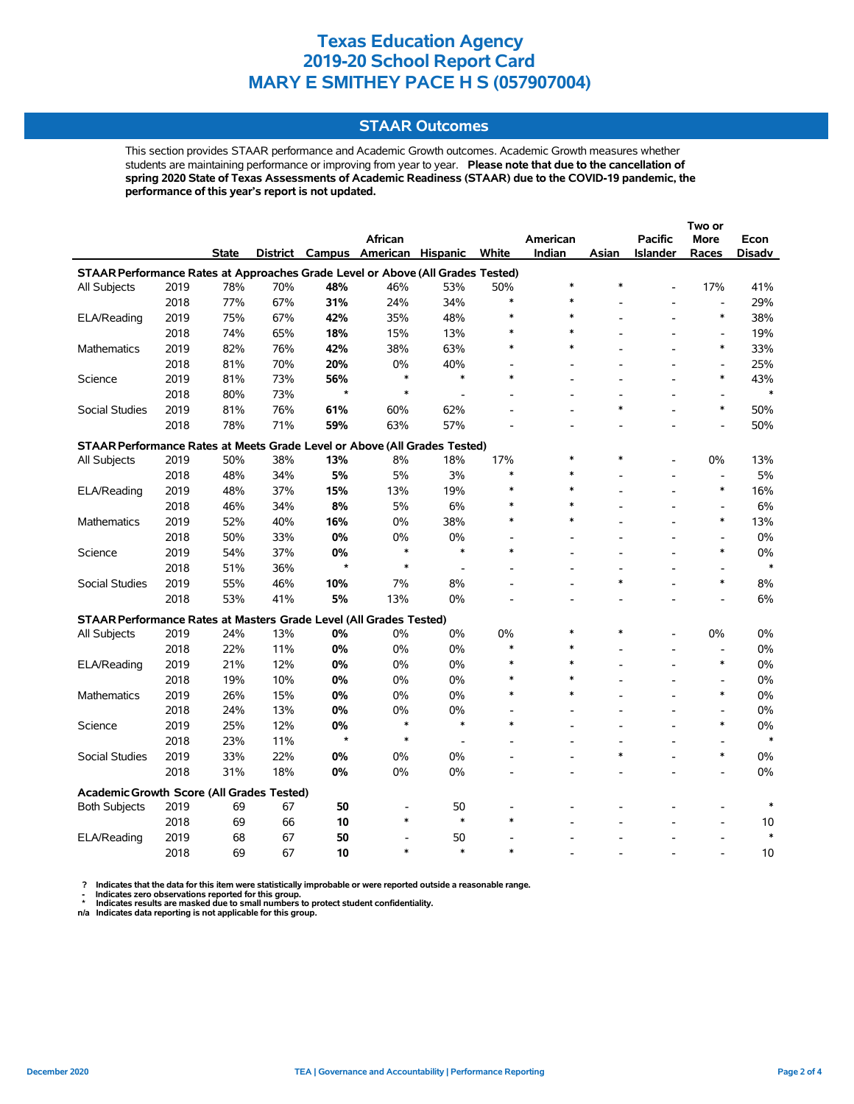# **STAAR Outcomes**

This section provides STAAR performance and Academic Growth outcomes. Academic Growth measures whether students are maintaining performance or improving from year to year. **Please note that due to the cancellation of spring 2020 State of Texas Assessments of Academic Readiness (STAAR) due to the COVID-19 pandemic, the performance of this year's report is not updated.**

|                                                                                |      |              |     |         |                                   |                          |        |          |        |                          | Two or                   |        |
|--------------------------------------------------------------------------------|------|--------------|-----|---------|-----------------------------------|--------------------------|--------|----------|--------|--------------------------|--------------------------|--------|
|                                                                                |      |              |     |         | African                           |                          |        | American |        | <b>Pacific</b>           | <b>More</b>              | Econ   |
|                                                                                |      | <b>State</b> |     |         | District Campus American Hispanic |                          | White  | Indian   | Asian  | Islander                 | Races                    | Disadv |
| STAAR Performance Rates at Approaches Grade Level or Above (All Grades Tested) |      |              |     |         |                                   |                          |        |          |        |                          |                          |        |
| All Subjects                                                                   | 2019 | 78%          | 70% | 48%     | 46%                               | 53%                      | 50%    | $\ast$   | $\ast$ |                          | 17%                      | 41%    |
|                                                                                | 2018 | 77%          | 67% | 31%     | 24%                               | 34%                      | $\ast$ | $\ast$   |        |                          | $\overline{\phantom{a}}$ | 29%    |
| ELA/Reading                                                                    | 2019 | 75%          | 67% | 42%     | 35%                               | 48%                      | $\ast$ | $\ast$   |        |                          | $\ast$                   | 38%    |
|                                                                                | 2018 | 74%          | 65% | 18%     | 15%                               | 13%                      |        | $\ast$   |        |                          | $\overline{\phantom{a}}$ | 19%    |
| Mathematics                                                                    | 2019 | 82%          | 76% | 42%     | 38%                               | 63%                      | $\ast$ | $\ast$   |        |                          | $\ast$                   | 33%    |
|                                                                                | 2018 | 81%          | 70% | 20%     | 0%                                | 40%                      |        |          |        |                          | $\overline{\phantom{a}}$ | 25%    |
| Science                                                                        | 2019 | 81%          | 73% | 56%     | $\ast$                            | $\ast$                   | $\ast$ |          |        |                          | $\ast$                   | 43%    |
|                                                                                | 2018 | 80%          | 73% | $\star$ | $\ast$                            | $\overline{\phantom{a}}$ |        |          |        |                          | $\overline{a}$           | $\ast$ |
| <b>Social Studies</b>                                                          | 2019 | 81%          | 76% | 61%     | 60%                               | 62%                      |        |          | *      |                          | $\ast$                   | 50%    |
|                                                                                | 2018 | 78%          | 71% | 59%     | 63%                               | 57%                      |        |          |        |                          | L.                       | 50%    |
| STAAR Performance Rates at Meets Grade Level or Above (All Grades Tested)      |      |              |     |         |                                   |                          |        |          |        |                          |                          |        |
| All Subjects                                                                   | 2019 | 50%          | 38% | 13%     | 8%                                | 18%                      | 17%    | $\ast$   | $\ast$ |                          | 0%                       | 13%    |
|                                                                                | 2018 | 48%          | 34% | 5%      | 5%                                | 3%                       | $\ast$ | $\ast$   |        | $\overline{\phantom{a}}$ | $\overline{\phantom{a}}$ | 5%     |
| ELA/Reading                                                                    | 2019 | 48%          | 37% | 15%     | 13%                               | 19%                      | $\ast$ | $\ast$   |        |                          | $\ast$                   | 16%    |
|                                                                                | 2018 | 46%          | 34% | 8%      | 5%                                | 6%                       | $\ast$ | $\ast$   |        |                          | $\overline{\phantom{a}}$ | 6%     |
| <b>Mathematics</b>                                                             | 2019 | 52%          | 40% | 16%     | 0%                                | 38%                      |        | $\ast$   |        |                          | $\ast$                   | 13%    |
|                                                                                | 2018 | 50%          | 33% | $0\%$   | 0%                                | 0%                       |        |          |        |                          | Ĭ.                       | $0\%$  |
| Science                                                                        | 2019 | 54%          | 37% | 0%      | $\ast$                            | $\ast$                   | $\ast$ |          |        |                          | $\ast$                   | 0%     |
|                                                                                | 2018 | 51%          | 36% | $\star$ | $\ast$                            | $\overline{\phantom{a}}$ |        |          |        |                          |                          | $\ast$ |
| Social Studies                                                                 | 2019 | 55%          | 46% | 10%     | 7%                                | 8%                       |        |          | $\ast$ |                          | $\ast$                   | 8%     |
|                                                                                | 2018 | 53%          | 41% | 5%      | 13%                               | 0%                       |        |          |        |                          |                          | 6%     |
| STAAR Performance Rates at Masters Grade Level (All Grades Tested)             |      |              |     |         |                                   |                          |        |          |        |                          |                          |        |
| <b>All Subjects</b>                                                            | 2019 | 24%          | 13% | 0%      | 0%                                | 0%                       | 0%     | $\ast$   | $\ast$ |                          | 0%                       | 0%     |
|                                                                                | 2018 | 22%          | 11% | 0%      | 0%                                | 0%                       | $\ast$ | $\ast$   |        |                          | $\overline{a}$           | 0%     |
| ELA/Reading                                                                    | 2019 | 21%          | 12% | 0%      | 0%                                | 0%                       | *      | $\ast$   |        |                          | $\ast$                   | 0%     |
|                                                                                | 2018 | 19%          | 10% | 0%      | 0%                                | 0%                       | $\ast$ | $\star$  |        |                          | $\overline{a}$           | 0%     |
| <b>Mathematics</b>                                                             | 2019 | 26%          | 15% | 0%      | 0%                                | 0%                       | $\ast$ | $\ast$   |        |                          | $\ast$                   | 0%     |
|                                                                                | 2018 | 24%          | 13% | 0%      | 0%                                | 0%                       |        |          |        |                          | Ĭ.                       | 0%     |
| Science                                                                        | 2019 | 25%          | 12% | 0%      | $\ast$                            | $\ast$                   | $\ast$ |          |        |                          | $\ast$                   | 0%     |
|                                                                                | 2018 | 23%          | 11% | $\star$ | $\ast$                            | $\overline{\phantom{a}}$ |        |          |        |                          |                          | $\ast$ |
| Social Studies                                                                 | 2019 | 33%          | 22% | 0%      | 0%                                | 0%                       |        |          | $\ast$ |                          | $\ast$                   | 0%     |
|                                                                                | 2018 | 31%          | 18% | 0%      | 0%                                | 0%                       |        |          |        |                          |                          | 0%     |
| Academic Growth Score (All Grades Tested)                                      |      |              |     |         |                                   |                          |        |          |        |                          |                          |        |
| <b>Both Subjects</b>                                                           | 2019 | 69           | 67  | 50      | $\overline{\phantom{a}}$          | 50                       |        |          |        |                          |                          |        |
|                                                                                | 2018 | 69           | 66  | 10      | $\ast$                            | $\ast$                   |        |          |        |                          | $\blacksquare$           | 10     |
| ELA/Reading                                                                    | 2019 | 68           | 67  | 50      |                                   | 50                       |        |          |        |                          |                          | $\ast$ |
|                                                                                | 2018 | 69           | 67  | 10      | $\ast$                            | $\ast$                   | *      |          |        |                          |                          | 10     |

 **? Indicates that the data for this item were statistically improbable or were reported outside a reasonable range.**

- Indicates zero observations reported for this group.<br>\* Indicates results are masked due to small numbers to protect student confidentiality.<br>n/a Indicates data reporting is not applicable for this group.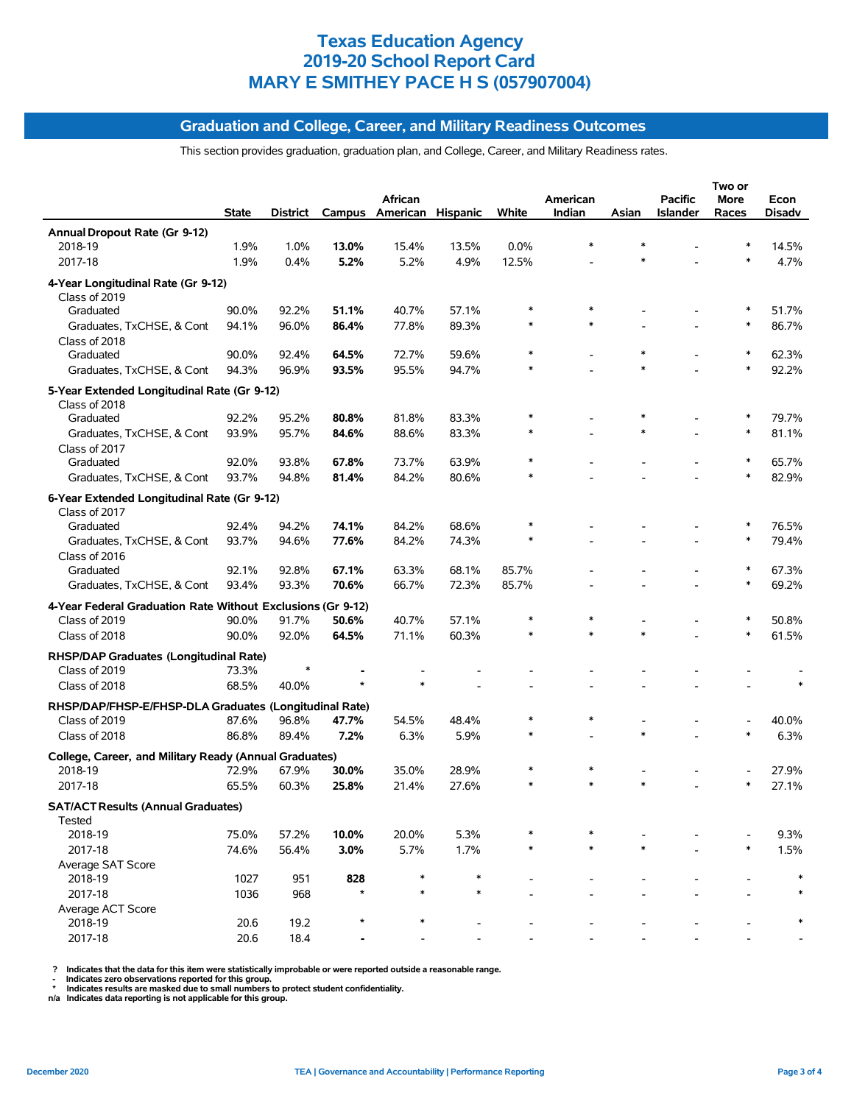# **Graduation and College, Career, and Military Readiness Outcomes**

This section provides graduation, graduation plan, and College, Career, and Military Readiness rates.

|                                                                              |              |          |         |                          |        |         |          |        |          | Two or |        |
|------------------------------------------------------------------------------|--------------|----------|---------|--------------------------|--------|---------|----------|--------|----------|--------|--------|
|                                                                              |              |          |         | African                  |        |         | American |        | Pacific  | More   | Econ   |
|                                                                              | <b>State</b> | District |         | Campus American Hispanic |        | White   | Indian   | Asian  | Islander | Races  | Disadv |
| Annual Dropout Rate (Gr 9-12)                                                |              |          |         |                          |        |         |          |        |          |        |        |
| 2018-19                                                                      | 1.9%         | 1.0%     | 13.0%   | 15.4%                    | 13.5%  | $0.0\%$ |          | $\ast$ |          |        | 14.5%  |
| 2017-18                                                                      | 1.9%         | 0.4%     | 5.2%    | 5.2%                     | 4.9%   | 12.5%   |          | $\ast$ |          | $\ast$ | 4.7%   |
| 4-Year Longitudinal Rate (Gr 9-12)                                           |              |          |         |                          |        |         |          |        |          |        |        |
| Class of 2019                                                                |              |          |         |                          |        |         |          |        |          |        |        |
| Graduated                                                                    | 90.0%        | 92.2%    | 51.1%   | 40.7%                    | 57.1%  |         |          |        |          |        | 51.7%  |
| Graduates, TxCHSE, & Cont                                                    | 94.1%        | 96.0%    | 86.4%   | 77.8%                    | 89.3%  | $\ast$  |          |        |          | $\ast$ | 86.7%  |
| Class of 2018                                                                |              |          |         |                          |        |         |          |        |          |        |        |
| Graduated                                                                    | 90.0%        | 92.4%    | 64.5%   | 72.7%                    | 59.6%  | $\ast$  |          | $\ast$ |          | $\ast$ | 62.3%  |
| Graduates, TxCHSE, & Cont                                                    | 94.3%        | 96.9%    | 93.5%   | 95.5%                    | 94.7%  |         |          | $\ast$ |          | $\ast$ | 92.2%  |
| 5-Year Extended Longitudinal Rate (Gr 9-12)                                  |              |          |         |                          |        |         |          |        |          |        |        |
| Class of 2018                                                                |              |          |         |                          |        |         |          |        |          |        |        |
| Graduated                                                                    | 92.2%        | 95.2%    | 80.8%   | 81.8%                    | 83.3%  |         |          |        |          |        | 79.7%  |
| Graduates, TxCHSE, & Cont                                                    | 93.9%        | 95.7%    | 84.6%   | 88.6%                    | 83.3%  |         |          | $\ast$ |          | $\ast$ | 81.1%  |
| Class of 2017                                                                |              |          |         |                          |        |         |          |        |          |        |        |
| Graduated                                                                    | 92.0%        | 93.8%    | 67.8%   | 73.7%                    | 63.9%  | $\ast$  |          |        |          | ∗      | 65.7%  |
| Graduates, TxCHSE, & Cont                                                    | 93.7%        | 94.8%    | 81.4%   | 84.2%                    | 80.6%  |         |          |        |          | $\ast$ | 82.9%  |
| 6-Year Extended Longitudinal Rate (Gr 9-12)                                  |              |          |         |                          |        |         |          |        |          |        |        |
| Class of 2017                                                                |              |          |         |                          |        |         |          |        |          |        |        |
| Graduated                                                                    | 92.4%        | 94.2%    | 74.1%   | 84.2%                    | 68.6%  |         |          |        |          | $\ast$ | 76.5%  |
| Graduates, TxCHSE, & Cont                                                    | 93.7%        | 94.6%    | 77.6%   | 84.2%                    | 74.3%  | $\ast$  |          |        |          | $\ast$ | 79.4%  |
| Class of 2016                                                                |              |          |         |                          |        |         |          |        |          |        |        |
| Graduated                                                                    | 92.1%        | 92.8%    | 67.1%   | 63.3%                    | 68.1%  | 85.7%   |          |        |          |        | 67.3%  |
| Graduates, TxCHSE, & Cont                                                    | 93.4%        | 93.3%    | 70.6%   | 66.7%                    | 72.3%  | 85.7%   |          |        |          |        | 69.2%  |
|                                                                              |              |          |         |                          |        |         |          |        |          |        |        |
| 4-Year Federal Graduation Rate Without Exclusions (Gr 9-12)<br>Class of 2019 | 90.0%        | 91.7%    | 50.6%   | 40.7%                    | 57.1%  |         |          |        |          |        | 50.8%  |
|                                                                              |              |          |         | 71.1%                    | 60.3%  | $\ast$  |          | $\ast$ |          | $\ast$ | 61.5%  |
| Class of 2018                                                                | 90.0%        | 92.0%    | 64.5%   |                          |        |         |          |        |          |        |        |
| RHSP/DAP Graduates (Longitudinal Rate)                                       |              |          |         |                          |        |         |          |        |          |        |        |
| Class of 2019                                                                | 73.3%        |          |         |                          |        |         |          |        |          |        |        |
| Class of 2018                                                                | 68.5%        | 40.0%    |         |                          |        |         |          |        |          |        |        |
| RHSP/DAP/FHSP-E/FHSP-DLA Graduates (Longitudinal Rate)                       |              |          |         |                          |        |         |          |        |          |        |        |
| Class of 2019                                                                | 87.6%        | 96.8%    | 47.7%   | 54.5%                    | 48.4%  |         |          |        |          |        | 40.0%  |
| Class of 2018                                                                | 86.8%        | 89.4%    | 7.2%    | 6.3%                     | 5.9%   | $\ast$  |          | $\ast$ |          |        | 6.3%   |
| College, Career, and Military Ready (Annual Graduates)                       |              |          |         |                          |        |         |          |        |          |        |        |
| 2018-19                                                                      | 72.9%        | 67.9%    | 30.0%   | 35.0%                    | 28.9%  |         |          |        |          |        | 27.9%  |
| 2017-18                                                                      | 65.5%        | 60.3%    | 25.8%   | 21.4%                    | 27.6%  |         |          | $\ast$ |          | $\ast$ | 27.1%  |
|                                                                              |              |          |         |                          |        |         |          |        |          |        |        |
| <b>SAT/ACT Results (Annual Graduates)</b>                                    |              |          |         |                          |        |         |          |        |          |        |        |
| Tested                                                                       |              |          |         |                          |        |         |          |        |          |        |        |
| 2018-19                                                                      | 75.0%        | 57.2%    | 10.0%   | 20.0%                    | 5.3%   | $\ast$  |          | $\ast$ |          | $\ast$ | 9.3%   |
| 2017-18                                                                      | 74.6%        | 56.4%    | 3.0%    | 5.7%                     | 1.7%   |         |          |        |          |        | 1.5%   |
| Average SAT Score<br>2018-19                                                 | 1027         | 951      | 828     |                          | $\ast$ |         |          |        |          |        | $\ast$ |
|                                                                              |              |          | $\star$ | $\ast$                   | $\ast$ |         |          |        |          |        | $\ast$ |
| 2017-18                                                                      | 1036         | 968      |         |                          |        |         |          |        |          |        |        |
| Average ACT Score<br>2018-19                                                 | 20.6         | 19.2     |         |                          |        |         |          |        |          |        |        |
| 2017-18                                                                      | 20.6         | 18.4     |         |                          |        |         |          |        |          |        |        |
|                                                                              |              |          |         |                          |        |         |          |        |          |        |        |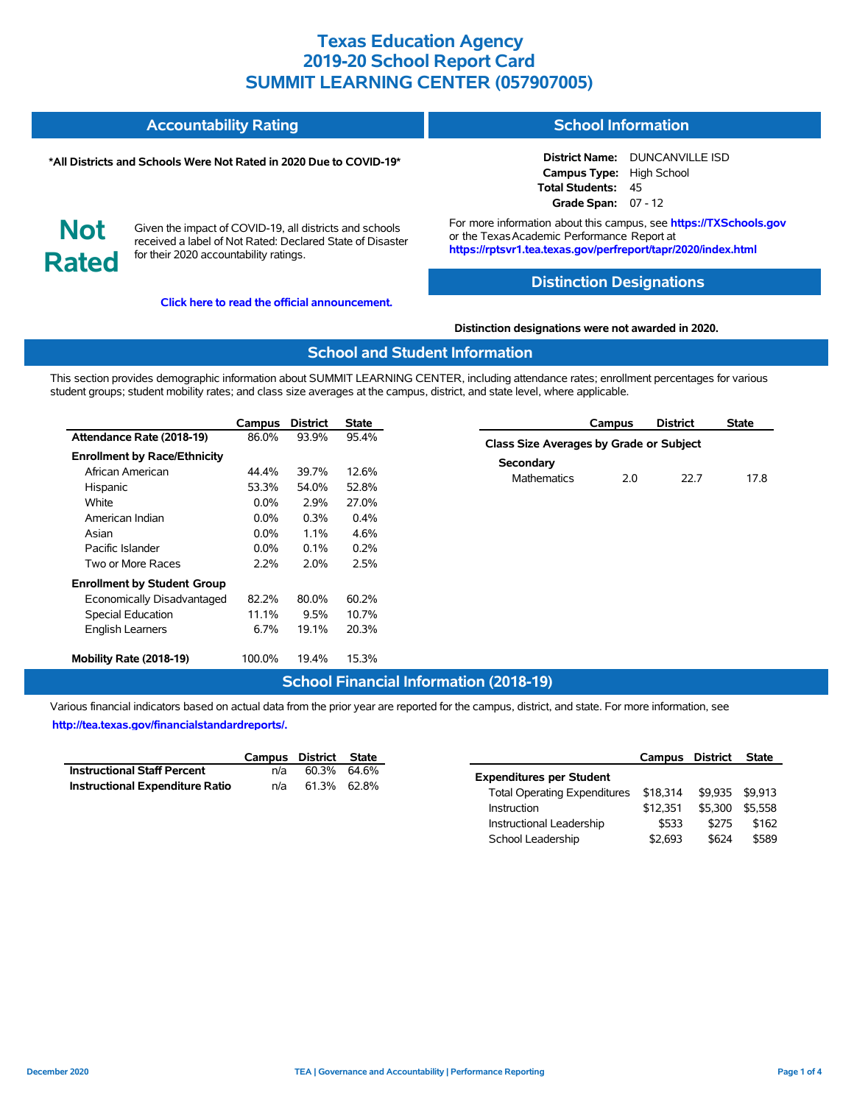| <b>Accountability Rating</b> | <b>School Information</b> |
|------------------------------|---------------------------|
|                              |                           |

#### **\*All Districts and Schools Were Not Rated in 2020 Due to COVID-19\***

**District Name:** DUNCANVILLE ISD **Campus Type:** High School **Total Students:** 45 **Grade Span:** 07 - 12

**Not Rated**

Given the impact of COVID-19, all districts and schools received a label of Not Rated: Declared State of Disaster for their 2020 accountability ratings.

**[Click here to read the official announcement.](https://tea.texas.gov/about-tea/news-and-multimedia/correspondence/taa-letters/every-student-succeeds-act-essa-waiver-approval-2020-state-academic-accountability)**

For more information about this campus, see **https://TXSchools.gov** or the TexasAcademic Performance Report at **https://rptsvr1.tea.texas.gov/perfreport/tapr/2020/index.html**

#### **Distinction Designations**

#### **Distinction designations were not awarded in 2020.**

#### **School and Student Information**

This section provides demographic information about SUMMIT LEARNING CENTER, including attendance rates; enrollment percentages for various student groups; student mobility rates; and class size averages at the campus, district, and state level, where applicable.

|                                     | Campus  | <b>District</b> | <b>State</b> | <b>District</b><br>Campus               | <b>State</b> |
|-------------------------------------|---------|-----------------|--------------|-----------------------------------------|--------------|
| Attendance Rate (2018-19)           | 86.0%   | 93.9%           | 95.4%        | Class Size Averages by Grade or Subject |              |
| <b>Enrollment by Race/Ethnicity</b> |         |                 |              |                                         |              |
| African American                    | 44.4%   | 39.7%           | 12.6%        | Secondary                               |              |
| Hispanic                            | 53.3%   | 54.0%           | 52.8%        | 22.7<br>2.0<br><b>Mathematics</b>       | 17.8         |
| White                               | $0.0\%$ | 2.9%            | 27.0%        |                                         |              |
| American Indian                     | $0.0\%$ | 0.3%            | 0.4%         |                                         |              |
| Asian                               | $0.0\%$ | 1.1%            | 4.6%         |                                         |              |
| Pacific Islander                    | $0.0\%$ | 0.1%            | 0.2%         |                                         |              |
| Two or More Races                   | 2.2%    | 2.0%            | 2.5%         |                                         |              |
| <b>Enrollment by Student Group</b>  |         |                 |              |                                         |              |
| Economically Disadvantaged          | 82.2%   | 80.0%           | 60.2%        |                                         |              |
| Special Education                   | 11.1%   | 9.5%            | 10.7%        |                                         |              |
| <b>English Learners</b>             | 6.7%    | 19.1%           | 20.3%        |                                         |              |
| Mobility Rate (2018-19)             | 100.0%  | 19.4%           | 15.3%        |                                         |              |

## **School Financial Information (2018-19)**

Various financial indicators based on actual data from the prior year are reported for the campus, district, and state. For more information, see **[http://tea.texas.gov/financialstandardreports/.](http://tea.texas.gov/financialstandardreports/)**

|                                        | Campus District State |             |  |
|----------------------------------------|-----------------------|-------------|--|
| <b>Instructional Staff Percent</b>     | n/a                   | 60.3% 64.6% |  |
| <b>Instructional Expenditure Ratio</b> | n/a                   | 61.3% 62.8% |  |

|                                     | Campus District |         | <b>State</b> |
|-------------------------------------|-----------------|---------|--------------|
| <b>Expenditures per Student</b>     |                 |         |              |
| <b>Total Operating Expenditures</b> | \$18,314        | \$9.935 | \$9.913      |
| <b>Instruction</b>                  | \$12.351        | \$5.300 | \$5.558      |
| Instructional Leadership            | \$533           | \$275   | \$162        |
| School Leadership                   | \$2,693         | \$624   | \$589        |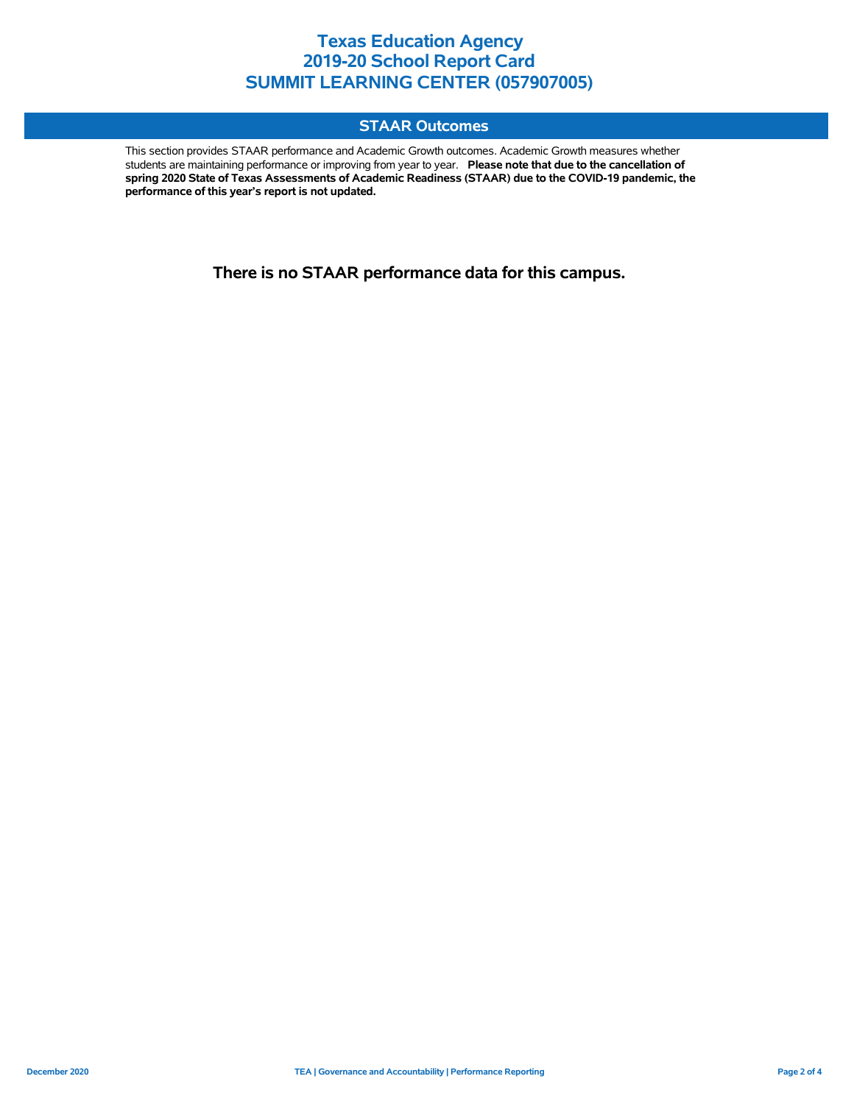# **STAAR Outcomes**

This section provides STAAR performance and Academic Growth outcomes. Academic Growth measures whether students are maintaining performance or improving from year to year. **Please note that due to the cancellation of spring 2020 State of Texas Assessments of Academic Readiness (STAAR) due to the COVID-19 pandemic, the performance of this year's report is not updated.**

**There is no STAAR performance data for this campus.**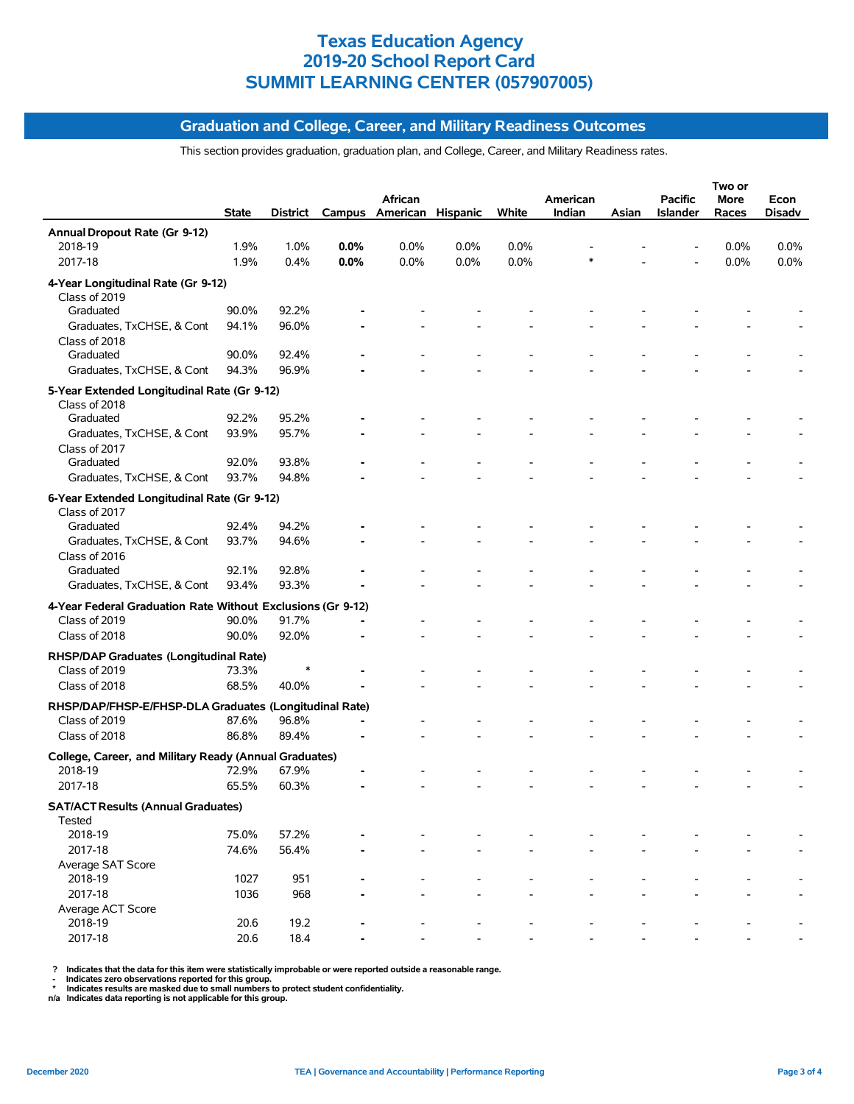# **Graduation and College, Career, and Military Readiness Outcomes**

This section provides graduation, graduation plan, and College, Career, and Military Readiness rates.

|                                                             |       |          |                |                   |      |       |          |       |                 | Two or  |        |
|-------------------------------------------------------------|-------|----------|----------------|-------------------|------|-------|----------|-------|-----------------|---------|--------|
|                                                             |       |          |                | African           |      |       | American |       | <b>Pacific</b>  | More    | Econ   |
|                                                             | State | District | Campus         | American Hispanic |      | White | Indian   | Asian | <b>Islander</b> | Races   | Disadv |
| Annual Dropout Rate (Gr 9-12)                               |       |          |                |                   |      |       |          |       |                 |         |        |
| 2018-19                                                     | 1.9%  | 1.0%     | 0.0%           | 0.0%              | 0.0% | 0.0%  |          |       |                 | $0.0\%$ | 0.0%   |
| 2017-18                                                     | 1.9%  | 0.4%     | 0.0%           | 0.0%              | 0.0% | 0.0%  |          |       |                 | 0.0%    | 0.0%   |
| 4-Year Longitudinal Rate (Gr 9-12)                          |       |          |                |                   |      |       |          |       |                 |         |        |
| Class of 2019                                               |       |          |                |                   |      |       |          |       |                 |         |        |
| Graduated                                                   | 90.0% | 92.2%    |                |                   |      |       |          |       |                 |         |        |
| Graduates, TxCHSE, & Cont                                   | 94.1% | 96.0%    |                |                   |      |       |          |       |                 |         |        |
| Class of 2018                                               |       |          |                |                   |      |       |          |       |                 |         |        |
| Graduated                                                   | 90.0% | 92.4%    |                |                   |      |       |          |       |                 |         |        |
| Graduates, TxCHSE, & Cont                                   | 94.3% | 96.9%    |                |                   |      |       |          |       |                 |         |        |
| 5-Year Extended Longitudinal Rate (Gr 9-12)                 |       |          |                |                   |      |       |          |       |                 |         |        |
| Class of 2018                                               |       |          |                |                   |      |       |          |       |                 |         |        |
| Graduated                                                   | 92.2% | 95.2%    |                |                   |      |       |          |       |                 |         |        |
| Graduates, TxCHSE, & Cont                                   | 93.9% | 95.7%    |                |                   |      |       |          |       |                 |         |        |
| Class of 2017                                               |       |          |                |                   |      |       |          |       |                 |         |        |
| Graduated                                                   | 92.0% | 93.8%    |                |                   |      |       |          |       |                 |         |        |
| Graduates, TxCHSE, & Cont                                   | 93.7% | 94.8%    |                |                   |      |       |          |       |                 |         |        |
|                                                             |       |          |                |                   |      |       |          |       |                 |         |        |
| 6-Year Extended Longitudinal Rate (Gr 9-12)                 |       |          |                |                   |      |       |          |       |                 |         |        |
| Class of 2017<br>Graduated                                  | 92.4% | 94.2%    |                |                   |      |       |          |       |                 |         |        |
| Graduates, TxCHSE, & Cont                                   | 93.7% | 94.6%    |                |                   |      |       |          |       |                 |         |        |
| Class of 2016                                               |       |          |                |                   |      |       |          |       |                 |         |        |
| Graduated                                                   | 92.1% | 92.8%    |                |                   |      |       |          |       |                 |         |        |
| Graduates, TxCHSE, & Cont                                   | 93.4% | 93.3%    |                |                   |      |       |          |       |                 |         |        |
|                                                             |       |          |                |                   |      |       |          |       |                 |         |        |
| 4-Year Federal Graduation Rate Without Exclusions (Gr 9-12) |       |          |                |                   |      |       |          |       |                 |         |        |
| Class of 2019                                               | 90.0% | 91.7%    |                |                   |      |       |          |       |                 |         |        |
| Class of 2018                                               | 90.0% | 92.0%    |                |                   |      |       |          |       |                 |         |        |
| RHSP/DAP Graduates (Longitudinal Rate)                      |       |          |                |                   |      |       |          |       |                 |         |        |
| Class of 2019                                               | 73.3% |          |                |                   |      |       |          |       |                 |         |        |
| Class of 2018                                               | 68.5% | 40.0%    |                |                   |      |       |          |       |                 |         |        |
| RHSP/DAP/FHSP-E/FHSP-DLA Graduates (Longitudinal Rate)      |       |          |                |                   |      |       |          |       |                 |         |        |
| Class of 2019                                               | 87.6% | 96.8%    | $\blacksquare$ |                   |      |       |          |       |                 |         |        |
| Class of 2018                                               | 86.8% | 89.4%    |                |                   |      |       |          |       |                 |         |        |
|                                                             |       |          |                |                   |      |       |          |       |                 |         |        |
| College, Career, and Military Ready (Annual Graduates)      |       |          |                |                   |      |       |          |       |                 |         |        |
| 2018-19                                                     | 72.9% | 67.9%    |                |                   |      |       |          |       |                 |         |        |
| 2017-18                                                     | 65.5% | 60.3%    |                |                   |      |       |          |       |                 |         |        |
| <b>SAT/ACT Results (Annual Graduates)</b>                   |       |          |                |                   |      |       |          |       |                 |         |        |
| Tested                                                      |       |          |                |                   |      |       |          |       |                 |         |        |
| 2018-19                                                     | 75.0% | 57.2%    |                |                   |      |       |          |       |                 |         |        |
| 2017-18                                                     | 74.6% | 56.4%    |                |                   |      |       |          |       |                 |         |        |
| Average SAT Score                                           |       |          |                |                   |      |       |          |       |                 |         |        |
| 2018-19                                                     | 1027  | 951      |                |                   |      |       |          |       |                 |         |        |
| 2017-18                                                     | 1036  | 968      |                |                   |      |       |          |       |                 |         |        |
| Average ACT Score                                           |       |          |                |                   |      |       |          |       |                 |         |        |
| 2018-19                                                     | 20.6  | 19.2     |                |                   |      |       |          |       |                 |         |        |
| 2017-18                                                     | 20.6  | 18.4     |                |                   |      |       |          |       |                 |         |        |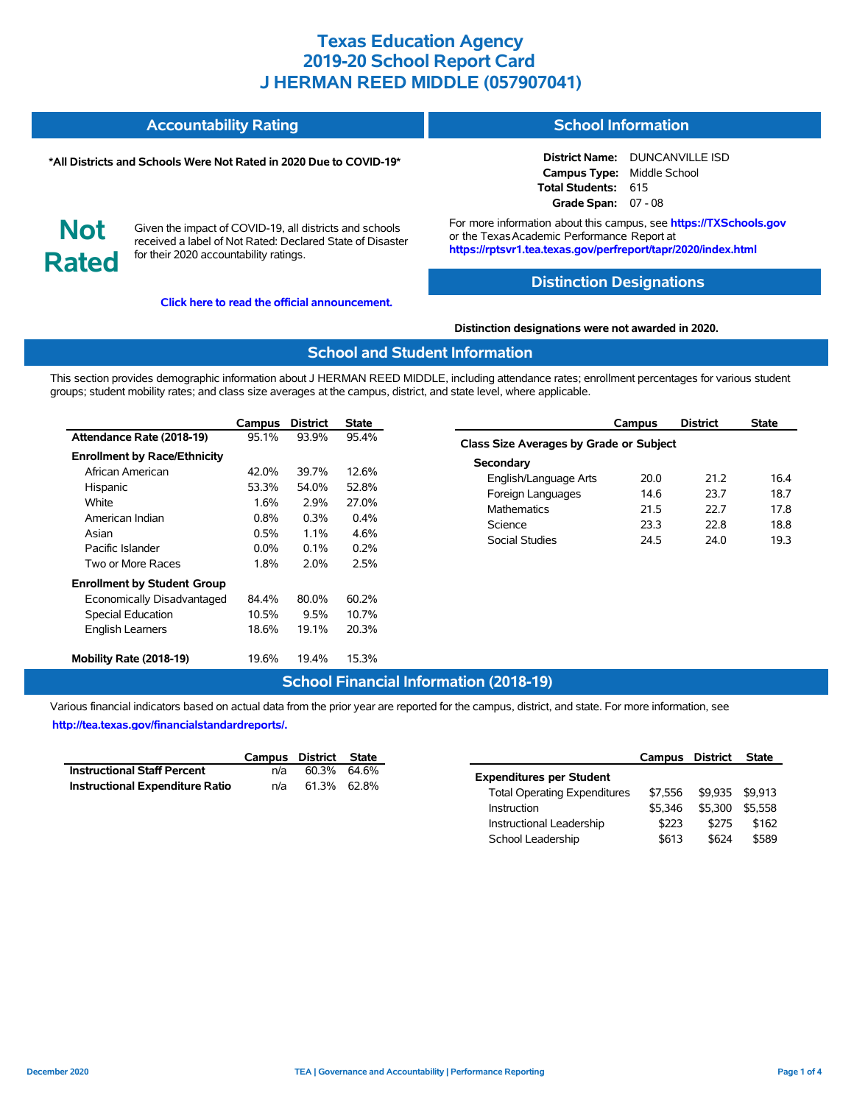#### **Accountability Rating School Information**

#### **\*All Districts and Schools Were Not Rated in 2020 Due to COVID-19\***

**District Name:** DUNCANVILLE ISD **Campus Type:** Middle School **Total Students:** 615 **Grade Span:** 07 - 08

**Not Rated**

Given the impact of COVID-19, all districts and schools received a label of Not Rated: Declared State of Disaster for their 2020 accountability ratings.

**[Click here to read the official announcement.](https://tea.texas.gov/about-tea/news-and-multimedia/correspondence/taa-letters/every-student-succeeds-act-essa-waiver-approval-2020-state-academic-accountability)**

For more information about this campus, see **https://TXSchools.gov** or the Texas Academic Performance Report at **https://rptsvr1.tea.texas.gov/perfreport/tapr/2020/index.html**

## **Distinction Designations**

#### **Distinction designations were not awarded in 2020.**

#### **School and Student Information**

This section provides demographic information about J HERMAN REED MIDDLE, including attendance rates; enrollment percentages for various student groups; student mobility rates; and class size averages at the campus, district, and state level, where applicable.

|                                     | Campus  | <b>District</b> | State   |
|-------------------------------------|---------|-----------------|---------|
| Attendance Rate (2018-19)           | 95.1%   | 93.9%           | 95.4%   |
| <b>Enrollment by Race/Ethnicity</b> |         |                 |         |
| African American                    | 42.0%   | 39.7%           | 12.6%   |
| Hispanic                            | 53.3%   | 54.0%           | 52.8%   |
| White                               | 1.6%    | 2.9%            | 27.0%   |
| American Indian                     | $0.8\%$ | $0.3\%$         | $0.4\%$ |
| Asian                               | $0.5\%$ | $1.1\%$         | 4.6%    |
| Pacific Islander                    | $0.0\%$ | $0.1\%$         | $0.2\%$ |
| Two or More Races                   | 1.8%    | 2.0%            | 2.5%    |
| <b>Enrollment by Student Group</b>  |         |                 |         |
| Economically Disadvantaged          | 84.4%   | 80.0%           | 60.2%   |
| <b>Special Education</b>            | 10.5%   | 9.5%            | 10.7%   |
| <b>English Learners</b>             | 18.6%   | 19.1%           | 20.3%   |
| Mobility Rate (2018-19)             | 19.6%   | 19.4%           | 15.3%   |

|                                         | Campus | <b>District</b> | <b>State</b> |  |  |  |  |  |  |
|-----------------------------------------|--------|-----------------|--------------|--|--|--|--|--|--|
| Class Size Averages by Grade or Subject |        |                 |              |  |  |  |  |  |  |
| Secondary                               |        |                 |              |  |  |  |  |  |  |
| English/Language Arts                   | 20.0   | 21 2            | 16.4         |  |  |  |  |  |  |
| Foreign Languages                       | 14.6   | 23.7            | 18.7         |  |  |  |  |  |  |
| <b>Mathematics</b>                      | 21.5   | 22 Z            | 17.8         |  |  |  |  |  |  |
| Science                                 | 23.3   | 22 B            | 18.8         |  |  |  |  |  |  |
| Social Studies                          | 24.5   | 24.0            | 19.3         |  |  |  |  |  |  |
|                                         |        |                 |              |  |  |  |  |  |  |

# **School Financial Information (2018-19)**

Various financial indicators based on actual data from the prior year are reported for the campus, district, and state. For more information, see **[http://tea.texas.gov/financialstandardreports/.](http://tea.texas.gov/financialstandardreports/)**

|                                        | Campus District State |             |  |
|----------------------------------------|-----------------------|-------------|--|
| <b>Instructional Staff Percent</b>     | n/a                   | 60.3% 64.6% |  |
| <b>Instructional Expenditure Ratio</b> | n/a                   | 61.3% 62.8% |  |

|                                     | Campus District |         | <b>State</b> |
|-------------------------------------|-----------------|---------|--------------|
| <b>Expenditures per Student</b>     |                 |         |              |
| <b>Total Operating Expenditures</b> | \$7.556         | \$9.935 | \$9.913      |
| Instruction                         | \$5.346         | \$5.300 | \$5.558      |
| Instructional Leadership            | \$223           | \$275   | \$162        |
| School Leadership                   | \$613           | \$624   | \$589        |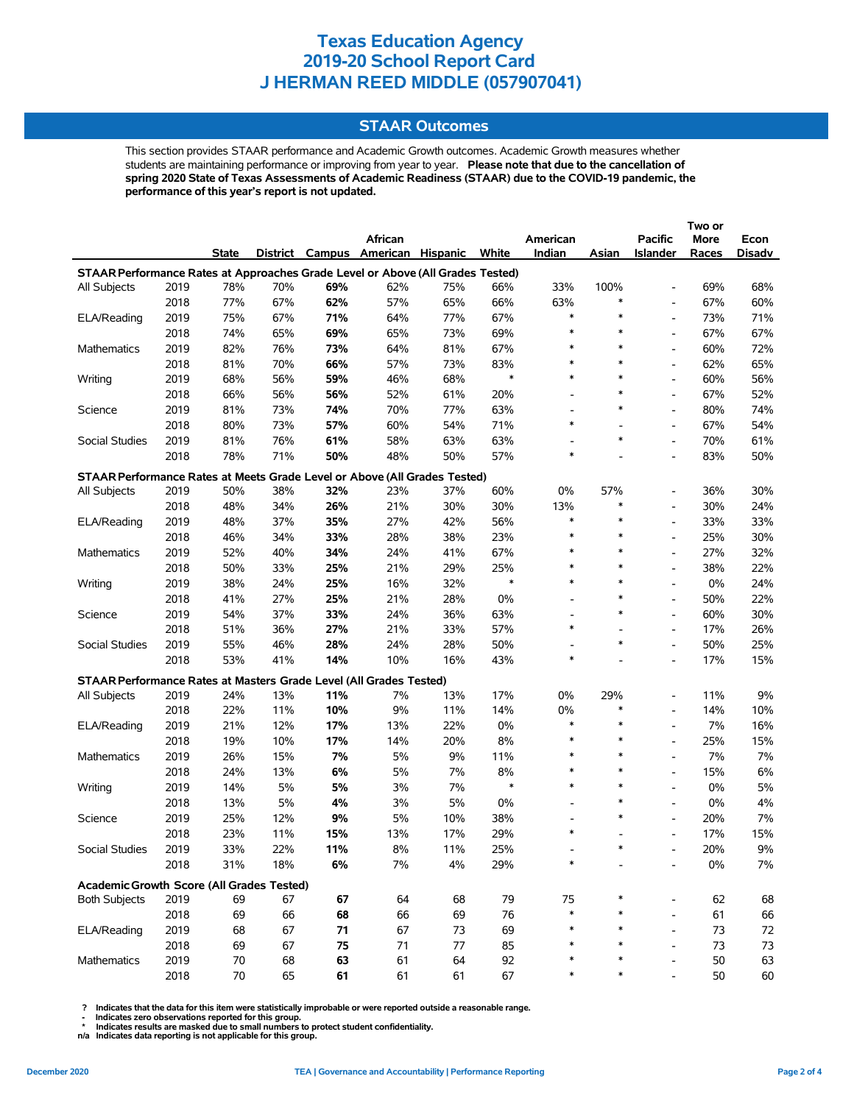## **STAAR Outcomes**

This section provides STAAR performance and Academic Growth outcomes. Academic Growth measures whether students are maintaining performance or improving from year to year. **Please note that due to the cancellation of spring 2020 State of Texas Assessments of Academic Readiness (STAAR) due to the COVID-19 pandemic, the performance of this year's report is not updated.**

|                                                                                |              |        |     |     |                                   |     |        |                                    |        |                          | Two or |        |
|--------------------------------------------------------------------------------|--------------|--------|-----|-----|-----------------------------------|-----|--------|------------------------------------|--------|--------------------------|--------|--------|
|                                                                                |              |        |     |     | African                           |     |        | American                           |        | <b>Pacific</b>           | More   | Econ   |
|                                                                                |              | State  |     |     | District Campus American Hispanic |     | White  | Indian                             | Asian  | <b>Islander</b>          | Races  | Disadv |
| STAAR Performance Rates at Approaches Grade Level or Above (All Grades Tested) |              |        |     |     |                                   |     |        |                                    |        |                          |        |        |
| All Subjects                                                                   | 2019         | 78%    | 70% | 69% | 62%                               | 75% | 66%    | 33%                                | 100%   | $\overline{a}$           | 69%    | 68%    |
|                                                                                | 2018         | 77%    | 67% | 62% | 57%                               | 65% | 66%    | 63%                                | *      | $\overline{\phantom{a}}$ | 67%    | 60%    |
| ELA/Reading                                                                    | 2019         | 75%    | 67% | 71% | 64%                               | 77% | 67%    | $\ast$                             | $\ast$ | $\overline{\phantom{0}}$ | 73%    | 71%    |
|                                                                                | 2018         | 74%    | 65% | 69% | 65%                               | 73% | 69%    | $\ast$                             | $\ast$ | $\overline{\phantom{0}}$ | 67%    | 67%    |
| Mathematics                                                                    | 2019         | 82%    | 76% | 73% | 64%                               | 81% | 67%    | $\ast$                             | $\ast$ | $\overline{\phantom{0}}$ | 60%    | 72%    |
|                                                                                | 2018         | 81%    | 70% | 66% | 57%                               | 73% | 83%    | $\ast$                             | $\ast$ | $\overline{\phantom{0}}$ | 62%    | 65%    |
| Writing                                                                        | 2019         | 68%    | 56% | 59% | 46%                               | 68% | $\ast$ | $\ast$                             | $\ast$ | $\overline{\phantom{a}}$ | 60%    | 56%    |
|                                                                                | 2018         | 66%    | 56% | 56% | 52%                               | 61% | 20%    |                                    | *      | $\overline{a}$           | 67%    | 52%    |
| Science                                                                        | 2019         | 81%    | 73% | 74% | 70%                               | 77% | 63%    | $\overline{a}$                     | $\ast$ | $\overline{a}$           | 80%    | 74%    |
|                                                                                | 2018         | 80%    | 73% | 57% | 60%                               | 54% | 71%    | $\ast$                             |        | $\overline{\phantom{0}}$ | 67%    | 54%    |
| Social Studies                                                                 | 2019         | 81%    | 76% | 61% | 58%                               | 63% | 63%    |                                    | $\ast$ | $\overline{\phantom{0}}$ | 70%    | 61%    |
|                                                                                | 2018         | 78%    | 71% | 50% | 48%                               | 50% | 57%    | $\ast$                             |        | $\overline{\phantom{a}}$ | 83%    | 50%    |
| STAAR Performance Rates at Meets Grade Level or Above (All Grades Tested)      |              |        |     |     |                                   |     |        |                                    |        |                          |        |        |
| <b>All Subjects</b>                                                            | 2019         | 50%    | 38% | 32% | 23%                               | 37% | 60%    | 0%                                 | 57%    | $\overline{\phantom{a}}$ | 36%    | 30%    |
|                                                                                | 2018         | 48%    | 34% | 26% | 21%                               | 30% | 30%    | 13%                                | *      | $\overline{\phantom{0}}$ | 30%    | 24%    |
| ELA/Reading                                                                    | 2019         | 48%    | 37% | 35% | 27%                               | 42% | 56%    | $\ast$                             | $\ast$ | $\overline{\phantom{0}}$ | 33%    | 33%    |
|                                                                                | 2018         | 46%    | 34% | 33% | 28%                               | 38% | 23%    | $\ast$                             | $\ast$ | $\overline{a}$           | 25%    | 30%    |
| Mathematics                                                                    | 2019         | 52%    | 40% | 34% | 24%                               | 41% | 67%    | $\ast$                             | $\ast$ | $\overline{\phantom{0}}$ | 27%    | 32%    |
|                                                                                | 2018         | 50%    | 33% | 25% | 21%                               | 29% | 25%    | $\ast$                             | $\ast$ | $\overline{\phantom{0}}$ | 38%    | 22%    |
| Writing                                                                        | 2019         | 38%    | 24% | 25% | 16%                               | 32% | $\ast$ | $\ast$                             | $\ast$ | $\frac{1}{2}$            | 0%     | 24%    |
|                                                                                | 2018         | 41%    | 27% | 25% | 21%                               | 28% | 0%     | $\overline{\phantom{a}}$           | $\ast$ | $\overline{\phantom{0}}$ | 50%    | 22%    |
|                                                                                | 2019         | 54%    | 37% | 33% | 24%                               | 36% | 63%    | $\overline{\phantom{a}}$           | $\ast$ | $\overline{\phantom{a}}$ | 60%    | 30%    |
| Science                                                                        | 2018         | 51%    | 36% | 27% | 21%                               | 33% | 57%    | $\ast$                             |        | $\overline{\phantom{a}}$ | 17%    | 26%    |
|                                                                                |              |        |     |     |                                   |     |        |                                    | $\ast$ | $\overline{a}$           |        |        |
| Social Studies                                                                 | 2019<br>2018 | 55%    | 46% | 28% | 24%                               | 28% | 50%    | $\overline{\phantom{a}}$<br>$\ast$ |        |                          | 50%    | 25%    |
|                                                                                |              | 53%    | 41% | 14% | 10%                               | 16% | 43%    |                                    |        | $\overline{a}$           | 17%    | 15%    |
| STAAR Performance Rates at Masters Grade Level (All Grades Tested)             |              |        |     |     |                                   |     |        |                                    |        |                          |        |        |
| All Subjects                                                                   | 2019         | 24%    | 13% | 11% | 7%                                | 13% | 17%    | 0%                                 | 29%    | $\overline{\phantom{a}}$ | 11%    | 9%     |
|                                                                                | 2018         | 22%    | 11% | 10% | 9%                                | 11% | 14%    | 0%                                 | *      | $\overline{\phantom{0}}$ | 14%    | 10%    |
| ELA/Reading                                                                    | 2019         | 21%    | 12% | 17% | 13%                               | 22% | $0\%$  | $\ast$                             | $\ast$ | $\overline{\phantom{0}}$ | 7%     | 16%    |
|                                                                                | 2018         | 19%    | 10% | 17% | 14%                               | 20% | 8%     | $\ast$                             | $\ast$ | $\overline{\phantom{0}}$ | 25%    | 15%    |
| Mathematics                                                                    | 2019         | 26%    | 15% | 7%  | 5%                                | 9%  | 11%    | $\ast$                             | $\ast$ | $\overline{\phantom{0}}$ | 7%     | 7%     |
|                                                                                | 2018         | 24%    | 13% | 6%  | 5%                                | 7%  | 8%     | $\ast$                             | $\ast$ | $\overline{\phantom{0}}$ | 15%    | 6%     |
| Writing                                                                        | 2019         | 14%    | 5%  | 5%  | 3%                                | 7%  | $\ast$ | $\ast$                             | $\ast$ | $\overline{\phantom{0}}$ | 0%     | 5%     |
|                                                                                | 2018         | 13%    | 5%  | 4%  | 3%                                | 5%  | 0%     | $\overline{\phantom{a}}$           | $\ast$ | $\overline{\phantom{0}}$ | 0%     | 4%     |
| Science                                                                        | 2019         | 25%    | 12% | 9%  | 5%                                | 10% | 38%    | $\overline{\phantom{a}}$           | $\ast$ | $\overline{a}$           | 20%    | 7%     |
|                                                                                | 2018         | 23%    | 11% | 15% | 13%                               | 17% | 29%    | $\ast$                             |        | $\overline{\phantom{0}}$ | 17%    | 15%    |
| Social Studies                                                                 | 2019         | 33%    | 22% | 11% | 8%                                | 11% | 25%    |                                    |        |                          | 20%    | $9\%$  |
|                                                                                | 2018         | 31%    | 18% | 6%  | 7%                                | 4%  | 29%    | $\ast$                             |        |                          | $0\%$  | 7%     |
| Academic Growth Score (All Grades Tested)                                      |              |        |     |     |                                   |     |        |                                    |        |                          |        |        |
| <b>Both Subjects</b>                                                           | 2019         | 69     | 67  | 67  | 64                                | 68  | 79     | 75                                 |        | $\overline{\phantom{0}}$ | 62     | 68     |
|                                                                                | 2018         | 69     | 66  | 68  | 66                                | 69  | 76     | $\ast$                             |        | $\overline{a}$           | 61     | 66     |
| ELA/Reading                                                                    | 2019         | 68     | 67  | 71  | 67                                | 73  | 69     | *                                  |        | $\overline{a}$           | 73     | 72     |
|                                                                                | 2018         | 69     | 67  | 75  | 71                                | 77  | 85     | *                                  |        | $\overline{a}$           | 73     | 73     |
| Mathematics                                                                    | 2019         | 70     | 68  | 63  | 61                                | 64  | 92     |                                    |        |                          | 50     | 63     |
|                                                                                | 2018         | $70\,$ | 65  | 61  | 61                                | 61  | 67     | ∗                                  | ∗      |                          | 50     | 60     |

 **? Indicates that the data for this item were statistically improbable or were reported outside a reasonable range.**

 **- Indicates zero observations reported for this group. \* Indicates results are masked due to small numbers to protect student confidentiality.**

**n/a Indicates data reporting is not applicable for this group.**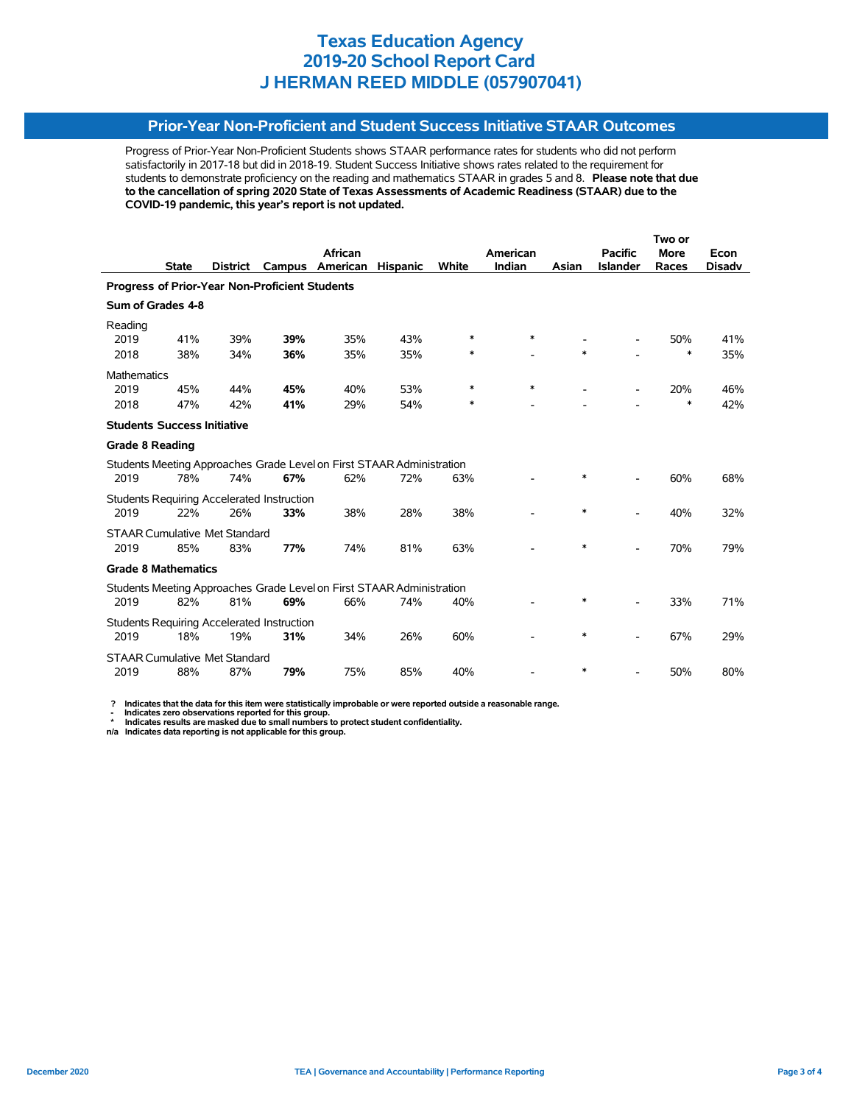## **Prior-Year Non-Proficient and Student Success Initiative STAAR Outcomes**

Progress of Prior-Year Non-Proficient Students shows STAAR performance rates for students who did not perform satisfactorily in 2017-18 but did in 2018-19. Student Success Initiative shows rates related to the requirement for students to demonstrate proficiency on the reading and mathematics STAAR in grades 5 and 8. **Please note that due to the cancellation of spring 2020 State of Texas Assessments of Academic Readiness (STAAR) due to the COVID-19 pandemic, this year's report is not updated.**

|                                                |              |                 |                                                   |                                                                       |                 |        |          | Two or |                          |        |               |  |
|------------------------------------------------|--------------|-----------------|---------------------------------------------------|-----------------------------------------------------------------------|-----------------|--------|----------|--------|--------------------------|--------|---------------|--|
|                                                |              |                 |                                                   | African                                                               |                 |        | American |        | <b>Pacific</b>           | More   | Econ          |  |
|                                                | <b>State</b> | <b>District</b> | Campus                                            | American                                                              | <b>Hispanic</b> | White  | Indian   | Asian  | <b>Islander</b>          | Races  | <b>Disadv</b> |  |
| Progress of Prior-Year Non-Proficient Students |              |                 |                                                   |                                                                       |                 |        |          |        |                          |        |               |  |
| Sum of Grades 4-8                              |              |                 |                                                   |                                                                       |                 |        |          |        |                          |        |               |  |
| Reading                                        |              |                 |                                                   |                                                                       |                 |        |          |        |                          |        |               |  |
| 2019                                           | 41%          | 39%             | 39%                                               | 35%                                                                   | 43%             | ∗      | $\ast$   |        |                          | 50%    | 41%           |  |
| 2018                                           | 38%          | 34%             | 36%                                               | 35%                                                                   | 35%             | ∗      |          | $\ast$ |                          | *      | 35%           |  |
| <b>Mathematics</b>                             |              |                 |                                                   |                                                                       |                 |        |          |        |                          |        |               |  |
| 2019                                           | 45%          | 44%             | 45%                                               | 40%                                                                   | 53%             | *      | *        |        |                          | 20%    | 46%           |  |
| 2018                                           | 47%          | 42%             | 41%                                               | 29%                                                                   | 54%             | $\ast$ |          |        |                          | $\ast$ | 42%           |  |
| <b>Students Success Initiative</b>             |              |                 |                                                   |                                                                       |                 |        |          |        |                          |        |               |  |
| <b>Grade 8 Reading</b>                         |              |                 |                                                   |                                                                       |                 |        |          |        |                          |        |               |  |
|                                                |              |                 |                                                   | Students Meeting Approaches Grade Level on First STAAR Administration |                 |        |          |        |                          |        |               |  |
| 2019                                           | 78%          | 74%             | 67%                                               | 62%                                                                   | 72%             | 63%    |          | $\ast$ |                          | 60%    | 68%           |  |
|                                                |              |                 | <b>Students Requiring Accelerated Instruction</b> |                                                                       |                 |        |          |        |                          |        |               |  |
| 2019                                           | 22%          | 26%             | 33%                                               | 38%                                                                   | 28%             | 38%    |          | $\ast$ |                          | 40%    | 32%           |  |
| <b>STAAR Cumulative Met Standard</b>           |              |                 |                                                   |                                                                       |                 |        |          |        |                          |        |               |  |
| 2019                                           | 85%          | 83%             | 77%                                               | 74%                                                                   | 81%             | 63%    |          | $\ast$ | $\overline{\phantom{0}}$ | 70%    | 79%           |  |
| <b>Grade 8 Mathematics</b>                     |              |                 |                                                   |                                                                       |                 |        |          |        |                          |        |               |  |
|                                                |              |                 |                                                   | Students Meeting Approaches Grade Level on First STAAR Administration |                 |        |          |        |                          |        |               |  |
| 2019                                           | 82%          | 81%             | 69%                                               | 66%                                                                   | 74%             | 40%    |          | $\ast$ |                          | 33%    | 71%           |  |
|                                                |              |                 | <b>Students Requiring Accelerated Instruction</b> |                                                                       |                 |        |          |        |                          |        |               |  |
| 2019                                           | 18%          | 19%             | 31%                                               | 34%                                                                   | 26%             | 60%    |          | $\ast$ |                          | 67%    | 29%           |  |
| <b>STAAR Cumulative Met Standard</b>           |              |                 |                                                   |                                                                       |                 |        |          |        |                          |        |               |  |
| 2019                                           | 88%          | 87%             | 79%                                               | 75%                                                                   | 85%             | 40%    |          | *      |                          | 50%    | 80%           |  |

 **? Indicates that the data for this item were statistically improbable or were reported outside a reasonable range.**

 **- Indicates zero observations reported for this group. \* Indicates results are masked due to small numbers to protect student confidentiality.**

**n/a Indicates data reporting is not applicable for this group.**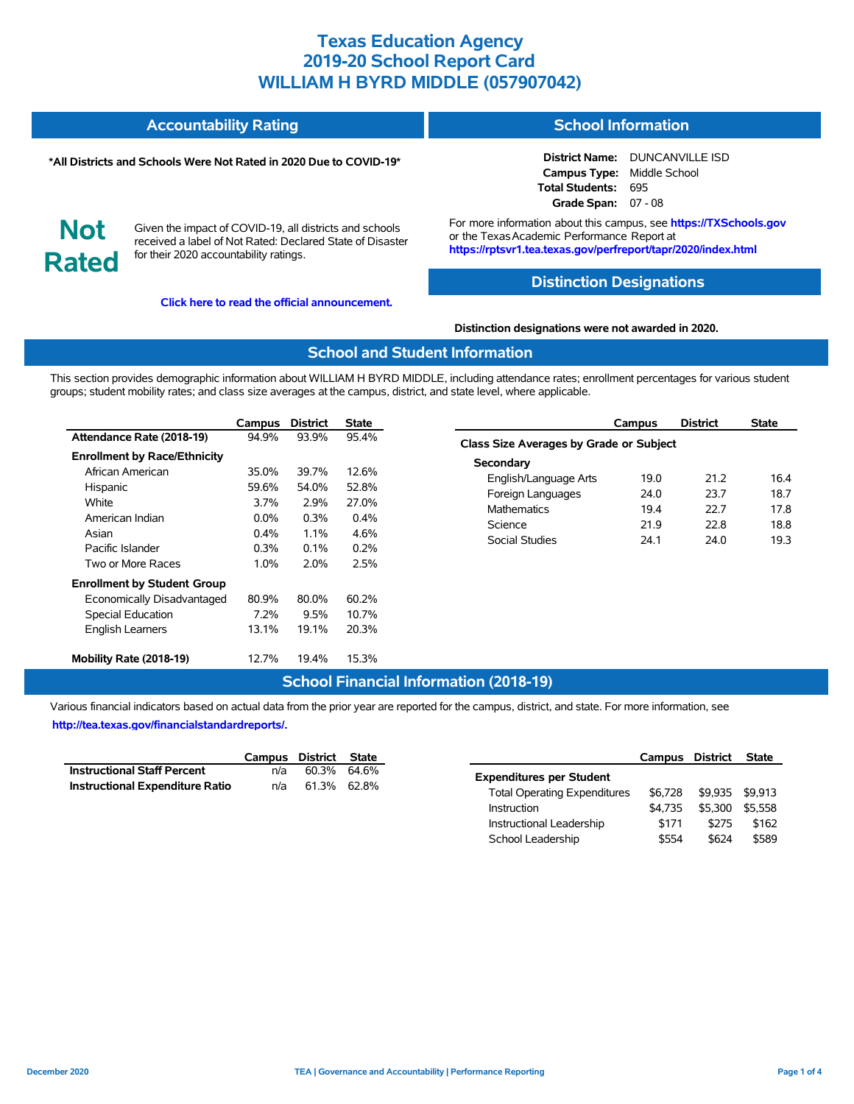#### **Accountability Rating School Information**

#### **\*All Districts and Schools Were Not Rated in 2020 Due to COVID-19\***

**District Name:** DUNCANVILLE ISD **Campus Type:** Middle School **Total Students:** 695 **Grade Span:** 07 - 08

**Not Rated**

Given the impact of COVID-19, all districts and schools received a label of Not Rated: Declared State of Disaster for their 2020 accountability ratings.

**[Click here to read the official announcement.](https://tea.texas.gov/about-tea/news-and-multimedia/correspondence/taa-letters/every-student-succeeds-act-essa-waiver-approval-2020-state-academic-accountability)**

For more information about this campus, see **https://TXSchools.gov** or the TexasAcademic Performance Report at **https://rptsvr1.tea.texas.gov/perfreport/tapr/2020/index.html**

#### **Distinction Designations**

#### **Distinction designations were not awarded in 2020.**

#### **School and Student Information**

This section provides demographic information about WILLIAM H BYRD MIDDLE, including attendance rates; enrollment percentages for various student groups; student mobility rates; and class size averages at the campus, district, and state level, where applicable.

|                                     | Campus  | <b>District</b> | State   |
|-------------------------------------|---------|-----------------|---------|
| Attendance Rate (2018-19)           | 94.9%   | 93.9%           | 95.4%   |
| <b>Enrollment by Race/Ethnicity</b> |         |                 |         |
| African American                    | 35.0%   | 39.7%           | 12.6%   |
| Hispanic                            | 59.6%   | 54.0%           | 52.8%   |
| White                               | 3.7%    | 2.9%            | 27.0%   |
| American Indian                     | $0.0\%$ | $0.3\%$         | $0.4\%$ |
| Asian                               | $0.4\%$ | $1.1\%$         | 4.6%    |
| Pacific Islander                    | 0.3%    | $0.1\%$         | $0.2\%$ |
| Two or More Races                   | 1.0%    | 2.0%            | 2.5%    |
| <b>Enrollment by Student Group</b>  |         |                 |         |
| Economically Disadvantaged          | 80.9%   | 80.0%           | 60.2%   |
| <b>Special Education</b>            | 7.2%    | 9.5%            | 10.7%   |
| <b>English Learners</b>             | 13.1%   | 19.1%           | 20.3%   |
| Mobility Rate (2018-19)             | 12.7%   | 19.4%           | 15.3%   |

|                                         | Campus | <b>District</b> | <b>State</b> |  |  |  |  |  |  |
|-----------------------------------------|--------|-----------------|--------------|--|--|--|--|--|--|
| Class Size Averages by Grade or Subject |        |                 |              |  |  |  |  |  |  |
| Secondary                               |        |                 |              |  |  |  |  |  |  |
| English/Language Arts                   | 19.0   | 21 2            | 16.4         |  |  |  |  |  |  |
| Foreign Languages                       | 24.0   | 23.7            | 18.7         |  |  |  |  |  |  |
| <b>Mathematics</b>                      | 19.4   | 22 Z            | 17.8         |  |  |  |  |  |  |
| Science                                 | 21.9   | 22.8            | 18.8         |  |  |  |  |  |  |
| Social Studies                          | 24.1   | 24.0            | 19.3         |  |  |  |  |  |  |
|                                         |        |                 |              |  |  |  |  |  |  |

#### **School Financial Information (2018-19)**

Various financial indicators based on actual data from the prior year are reported for the campus, district, and state. For more information, see **[http://tea.texas.gov/financialstandardreports/.](http://tea.texas.gov/financialstandardreports/)**

|                                        | Campus District State |             |  |
|----------------------------------------|-----------------------|-------------|--|
| <b>Instructional Staff Percent</b>     | n/a                   | 60.3% 64.6% |  |
| <b>Instructional Expenditure Ratio</b> | n/a                   | 61.3% 62.8% |  |

|                                     | Campus District |         | <b>State</b> |
|-------------------------------------|-----------------|---------|--------------|
| <b>Expenditures per Student</b>     |                 |         |              |
| <b>Total Operating Expenditures</b> | \$6.728         | \$9.935 | \$9.913      |
| <b>Instruction</b>                  | \$4.735         | \$5.300 | \$5.558      |
| Instructional Leadership            | \$171           | \$275   | \$162        |
| School Leadership                   | \$554           | \$624   | \$589        |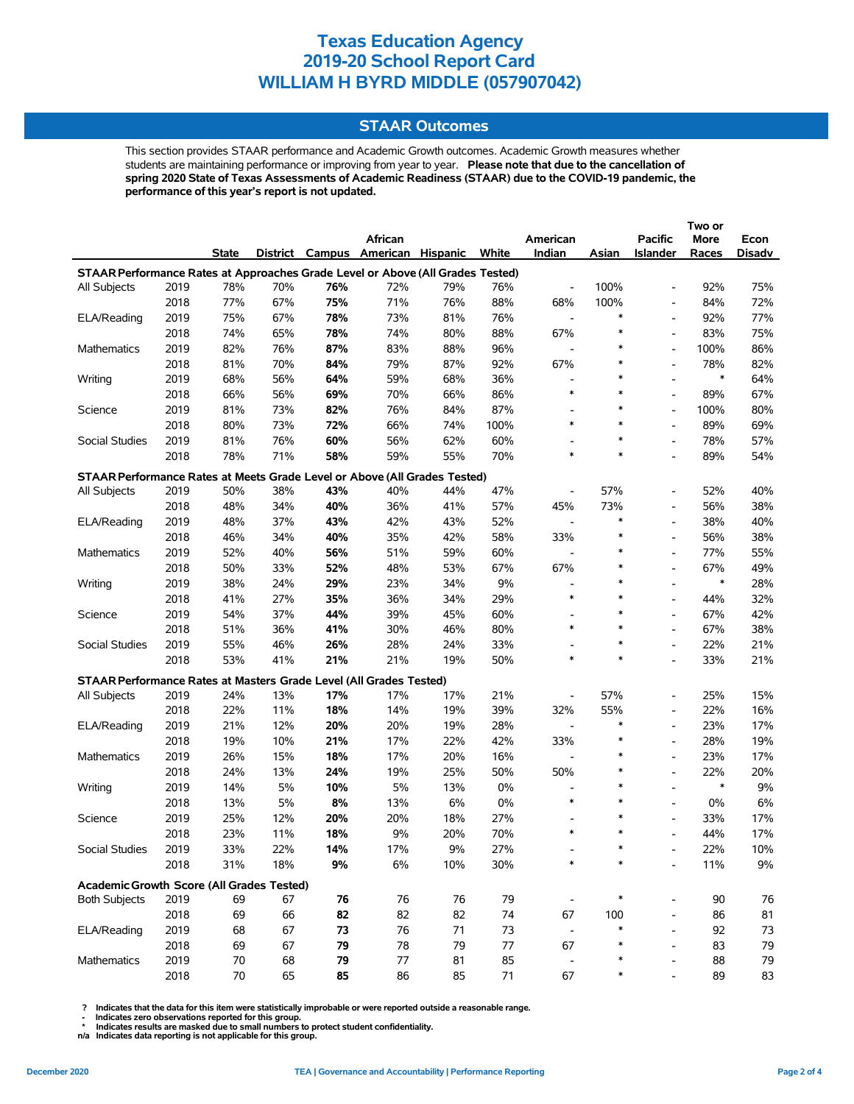## **STAAR Outcomes**

This section provides STAAR performance and Academic Growth outcomes. Academic Growth measures whether students are maintaining performance or improving from year to year. **Please note that due to the cancellation of spring 2020 State of Texas Assessments of Academic Readiness (STAAR) due to the COVID-19 pandemic, the performance of this year's report is not updated.**

|                                                                                |              |              |          |          |                                   |          |            |                          |          |                          | Two or   |          |
|--------------------------------------------------------------------------------|--------------|--------------|----------|----------|-----------------------------------|----------|------------|--------------------------|----------|--------------------------|----------|----------|
|                                                                                |              |              |          |          | African                           |          |            | American                 |          | <b>Pacific</b>           | More     | Econ     |
|                                                                                |              | State        |          |          | District Campus American Hispanic |          | White      | Indian                   | Asian    | <b>Islander</b>          | Races    | Disadv   |
| STAAR Performance Rates at Approaches Grade Level or Above (All Grades Tested) |              |              |          |          |                                   |          |            |                          |          |                          |          |          |
| All Subjects                                                                   | 2019         | 78%          | 70%      | 76%      | 72%                               | 79%      | 76%        | $\overline{\phantom{a}}$ | 100%     | $\overline{\phantom{0}}$ | 92%      | 75%      |
|                                                                                | 2018         | 77%          | 67%      | 75%      | 71%                               | 76%      | 88%        | 68%                      | 100%     | $\overline{\phantom{a}}$ | 84%      | 72%      |
| ELA/Reading                                                                    | 2019         | 75%          | 67%      | 78%      | 73%                               | 81%      | 76%        | $\overline{\phantom{a}}$ | $\ast$   | $\overline{\phantom{0}}$ | 92%      | 77%      |
|                                                                                | 2018         | 74%          | 65%      | 78%      | 74%                               | 80%      | 88%        | 67%                      | $\ast$   | $\overline{\phantom{0}}$ | 83%      | 75%      |
| Mathematics                                                                    | 2019         | 82%          | 76%      | 87%      | 83%                               | 88%      | 96%        |                          | *        | $\overline{\phantom{0}}$ | 100%     | 86%      |
|                                                                                | 2018         | 81%          | 70%      | 84%      | 79%                               | 87%      | 92%        | 67%                      | $\ast$   | $\overline{\phantom{0}}$ | 78%      | 82%      |
| Writing                                                                        | 2019         | 68%          | 56%      | 64%      | 59%                               | 68%      | 36%        | $\overline{\phantom{a}}$ | $\ast$   | $\overline{a}$           | $\ast$   | 64%      |
|                                                                                | 2018         | 66%          | 56%      | 69%      | 70%                               | 66%      | 86%        | $\ast$                   | $\ast$   | $\overline{a}$           | 89%      | 67%      |
| Science                                                                        | 2019         | 81%          | 73%      | 82%      | 76%                               | 84%      | 87%        | $\overline{\phantom{a}}$ | $\ast$   | $\overline{a}$           | 100%     | 80%      |
|                                                                                | 2018         | 80%          | 73%      | 72%      | 66%                               | 74%      | 100%       | $\ast$                   | $\ast$   | $\overline{a}$           | 89%      | 69%      |
| Social Studies                                                                 | 2019         | 81%          | 76%      | 60%      | 56%                               | 62%      | 60%        | $\overline{a}$           | $\ast$   | $\overline{\phantom{0}}$ | 78%      | 57%      |
|                                                                                | 2018         | 78%          | 71%      | 58%      | 59%                               | 55%      | 70%        | $\ast$                   | $\ast$   | $\overline{\phantom{0}}$ | 89%      | 54%      |
| STAAR Performance Rates at Meets Grade Level or Above (All Grades Tested)      |              |              |          |          |                                   |          |            |                          |          |                          |          |          |
| <b>All Subjects</b>                                                            | 2019         | 50%          | 38%      | 43%      | 40%                               | 44%      | 47%        | $\overline{\phantom{a}}$ | 57%      | $\overline{\phantom{a}}$ | 52%      | 40%      |
|                                                                                | 2018         | 48%          | 34%      | 40%      | 36%                               | 41%      | 57%        | 45%                      | 73%      | $\overline{\phantom{0}}$ | 56%      | 38%      |
| ELA/Reading                                                                    | 2019         | 48%          | 37%      | 43%      | 42%                               | 43%      | 52%        | $\overline{\phantom{a}}$ | *        | $\overline{\phantom{0}}$ | 38%      | 40%      |
|                                                                                | 2018         | 46%          | 34%      | 40%      | 35%                               | 42%      | 58%        | 33%                      | *        | $\overline{a}$           | 56%      | 38%      |
| Mathematics                                                                    | 2019         | 52%          | 40%      | 56%      | 51%                               | 59%      | 60%        | $\overline{\phantom{a}}$ | $\ast$   | $\overline{a}$           | 77%      | 55%      |
|                                                                                | 2018         | 50%          | 33%      | 52%      | 48%                               | 53%      | 67%        | 67%                      | $\ast$   | $\overline{\phantom{0}}$ | 67%      | 49%      |
| Writing                                                                        | 2019         | 38%          | 24%      | 29%      | 23%                               | 34%      | 9%         | $\overline{a}$           | $\ast$   | $\overline{a}$           | $\ast$   | 28%      |
|                                                                                | 2018         | 41%          | 27%      | 35%      | 36%                               | 34%      | 29%        | $\ast$                   | $\ast$   | $\overline{\phantom{0}}$ | 44%      | 32%      |
| Science                                                                        | 2019         | 54%          | 37%      | 44%      | 39%                               | 45%      | 60%        | $\overline{\phantom{a}}$ | $\ast$   | $\overline{\phantom{a}}$ | 67%      | 42%      |
|                                                                                | 2018         | 51%          | 36%      | 41%      | 30%                               | 46%      | 80%        | $\ast$                   | $\ast$   | $\overline{\phantom{a}}$ | 67%      | 38%      |
| Social Studies                                                                 | 2019         | 55%          | 46%      | 26%      | 28%                               | 24%      | 33%        | $\overline{\phantom{a}}$ | ∗        | $\overline{a}$           | 22%      | 21%      |
|                                                                                | 2018         | 53%          | 41%      | 21%      | 21%                               | 19%      | 50%        | $\ast$                   | $\ast$   | $\overline{a}$           | 33%      | 21%      |
| STAAR Performance Rates at Masters Grade Level (All Grades Tested)             |              |              |          |          |                                   |          |            |                          |          |                          |          |          |
| All Subjects                                                                   | 2019         | 24%          | 13%      | 17%      | 17%                               | 17%      | 21%        | $\overline{\phantom{a}}$ | 57%      | $\overline{\phantom{a}}$ | 25%      | 15%      |
|                                                                                | 2018         | 22%          | 11%      | 18%      | 14%                               | 19%      | 39%        | 32%                      | 55%      | $\overline{\phantom{0}}$ | 22%      | 16%      |
| ELA/Reading                                                                    | 2019         | 21%          | 12%      | 20%      | 20%                               | 19%      | 28%        | $\overline{\phantom{a}}$ | $\ast$   | $\overline{\phantom{0}}$ | 23%      | 17%      |
|                                                                                | 2018         | 19%          | 10%      | 21%      | 17%                               | 22%      | 42%        | 33%                      | ∗        | $\overline{\phantom{0}}$ | 28%      | 19%      |
| <b>Mathematics</b>                                                             | 2019         | 26%          | 15%      | 18%      | 17%                               | 20%      | 16%        | $\overline{a}$           | $\ast$   | $\overline{\phantom{0}}$ | 23%      | 17%      |
|                                                                                | 2018         | 24%          | 13%      | 24%      | 19%                               | 25%      | 50%        | 50%                      | $\ast$   | $\overline{\phantom{0}}$ | 22%      | 20%      |
| Writing                                                                        | 2019         | 14%          | 5%       | 10%      | 5%                                | 13%      | 0%         | $\overline{\phantom{a}}$ | $\ast$   | $\overline{\phantom{0}}$ | $\ast$   | 9%       |
|                                                                                | 2018         | 13%          | 5%       | 8%       | 13%                               | 6%       | 0%         | $\ast$                   | $\ast$   | $\overline{a}$           | 0%       | 6%       |
| Science                                                                        | 2019         | 25%          | 12%      | 20%      | 20%                               | 18%      | 27%        | ٠                        | $\ast$   | $\overline{a}$           | 33%      | 17%      |
|                                                                                | 2018         | 23%          | 11%      | 18%      | 9%                                | 20%      | 70%        | $\ast$                   | $\ast$   | $\overline{a}$           | 44%      | 17%      |
| Social Studies                                                                 | 2019         | 33%          | 22%      | 14%      | 17%                               | 9%       | 27%        |                          |          |                          | 22%      | 10%      |
|                                                                                | 2018         | 31%          | 18%      | 9%       | $6\%$                             | 10%      | 30%        | $\ast$                   |          |                          | 11%      | $9\%$    |
|                                                                                |              |              |          |          |                                   |          |            |                          |          |                          |          |          |
| Academic Growth Score (All Grades Tested)                                      |              |              |          |          |                                   |          |            |                          |          |                          |          |          |
| <b>Both Subjects</b>                                                           | 2019         | 69           | 67       | 76       | 76                                | 76       | 79         |                          |          | $\overline{\phantom{0}}$ | 90       | 76       |
|                                                                                | 2018         | 69           | 66       | 82       | 82                                | 82       | 74         | 67                       | 100<br>* | $\overline{\phantom{0}}$ | 86       | 81       |
| ELA/Reading                                                                    | 2019         | 68           | 67       | 73       | 76                                | 71       | 73         | $\overline{\phantom{a}}$ | *        | $\overline{a}$           | 92       | 73       |
|                                                                                | 2018         | 69           | 67       | 79       | 78                                | 79       | 77         | 67                       |          | $\overline{\phantom{a}}$ | 83       | 79       |
| Mathematics                                                                    | 2019<br>2018 | 70<br>$70\,$ | 68<br>65 | 79<br>85 | 77<br>86                          | 81<br>85 | 85<br>$71$ | 67                       | *        |                          | 88<br>89 | 79<br>83 |
|                                                                                |              |              |          |          |                                   |          |            |                          |          |                          |          |          |

 **? Indicates that the data for this item were statistically improbable or were reported outside a reasonable range.**

 **- Indicates zero observations reported for this group. \* Indicates results are masked due to small numbers to protect student confidentiality.**

**n/a Indicates data reporting is not applicable for this group.**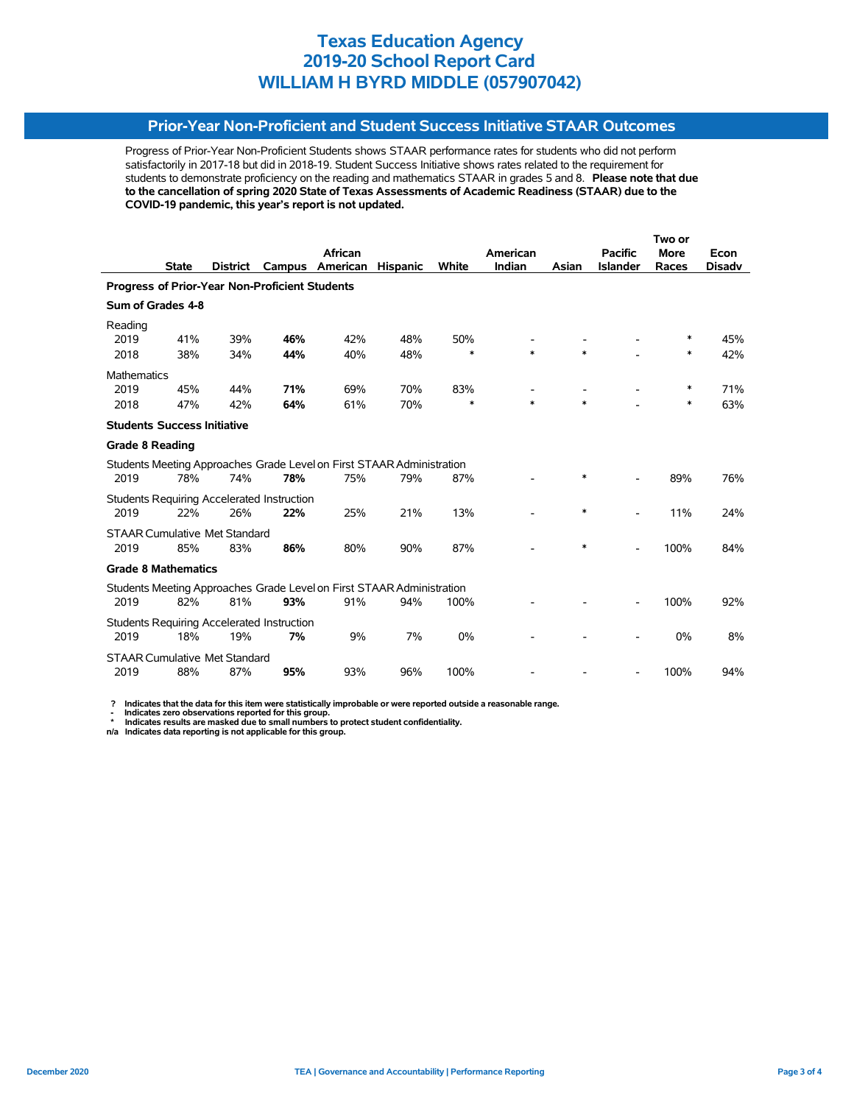# **Prior-Year Non-Proficient and Student Success Initiative STAAR Outcomes**

Progress of Prior-Year Non-Proficient Students shows STAAR performance rates for students who did not perform satisfactorily in 2017-18 but did in 2018-19. Student Success Initiative shows rates related to the requirement for students to demonstrate proficiency on the reading and mathematics STAAR in grades 5 and 8. **Please note that due to the cancellation of spring 2020 State of Texas Assessments of Academic Readiness (STAAR) due to the COVID-19 pandemic, this year's report is not updated.**

|                                                       |              |                                      |                                                   |                                                                       |                 |        | Two or   |        |                          |             |               |
|-------------------------------------------------------|--------------|--------------------------------------|---------------------------------------------------|-----------------------------------------------------------------------|-----------------|--------|----------|--------|--------------------------|-------------|---------------|
|                                                       |              |                                      |                                                   | <b>African</b>                                                        |                 |        | American |        | <b>Pacific</b>           | <b>More</b> | Econ          |
|                                                       | <b>State</b> | <b>District</b>                      | Campus                                            | American                                                              | <b>Hispanic</b> | White  | Indian   | Asian  | <b>Islander</b>          | Races       | <b>Disady</b> |
| <b>Progress of Prior-Year Non-Proficient Students</b> |              |                                      |                                                   |                                                                       |                 |        |          |        |                          |             |               |
| Sum of Grades 4-8                                     |              |                                      |                                                   |                                                                       |                 |        |          |        |                          |             |               |
| Reading                                               |              |                                      |                                                   |                                                                       |                 |        |          |        |                          |             |               |
| 2019                                                  | 41%          | 39%                                  | 46%                                               | 42%                                                                   | 48%             | 50%    |          |        |                          | ∗           | 45%           |
| 2018                                                  | 38%          | 34%                                  | 44%                                               | 40%                                                                   | 48%             | $\ast$ | $\ast$   | $\ast$ |                          | $\ast$      | 42%           |
| <b>Mathematics</b>                                    |              |                                      |                                                   |                                                                       |                 |        |          |        |                          |             |               |
| 2019                                                  | 45%          | 44%                                  | 71%                                               | 69%                                                                   | 70%             | 83%    |          |        |                          | ∗           | 71%           |
| 2018                                                  | 47%          | 42%                                  | 64%                                               | 61%                                                                   | 70%             | $\ast$ | $\ast$   | $\ast$ |                          | $\ast$      | 63%           |
| <b>Students Success Initiative</b>                    |              |                                      |                                                   |                                                                       |                 |        |          |        |                          |             |               |
| <b>Grade 8 Reading</b>                                |              |                                      |                                                   |                                                                       |                 |        |          |        |                          |             |               |
|                                                       |              |                                      |                                                   | Students Meeting Approaches Grade Level on First STAAR Administration |                 |        |          |        |                          |             |               |
| 2019                                                  | 78%          | 74%                                  | 78%                                               | 75%                                                                   | 79%             | 87%    |          | *      |                          | 89%         | 76%           |
|                                                       |              |                                      | <b>Students Requiring Accelerated Instruction</b> |                                                                       |                 |        |          |        |                          |             |               |
| 2019                                                  | 22%          | 26%                                  | 22%                                               | 25%                                                                   | 21%             | 13%    |          | *      | $\overline{\phantom{0}}$ | 11%         | 24%           |
|                                                       |              | <b>STAAR Cumulative Met Standard</b> |                                                   |                                                                       |                 |        |          |        |                          |             |               |
| 2019                                                  | 85%          | 83%                                  | 86%                                               | 80%                                                                   | 90%             | 87%    |          | $\ast$ | $\overline{\phantom{a}}$ | 100%        | 84%           |
| <b>Grade 8 Mathematics</b>                            |              |                                      |                                                   |                                                                       |                 |        |          |        |                          |             |               |
|                                                       |              |                                      |                                                   | Students Meeting Approaches Grade Level on First STAAR Administration |                 |        |          |        |                          |             |               |
| 2019                                                  | 82%          | 81%                                  | 93%                                               | 91%                                                                   | 94%             | 100%   |          |        |                          | 100%        | 92%           |
|                                                       |              |                                      | Students Requiring Accelerated Instruction        |                                                                       |                 |        |          |        |                          |             |               |
| 2019                                                  | 18%          | 19%                                  | 7%                                                | 9%                                                                    | 7%              | 0%     |          |        |                          | 0%          | 8%            |
|                                                       |              | <b>STAAR Cumulative Met Standard</b> |                                                   |                                                                       |                 |        |          |        |                          |             |               |
| 2019                                                  | 88%          | 87%                                  | 95%                                               | 93%                                                                   | 96%             | 100%   |          |        |                          | 100%        | 94%           |

 **? Indicates that the data for this item were statistically improbable or were reported outside a reasonable range.**

 **- Indicates zero observations reported for this group. \* Indicates results are masked due to small numbers to protect student confidentiality.**

**n/a Indicates data reporting is not applicable for this group.**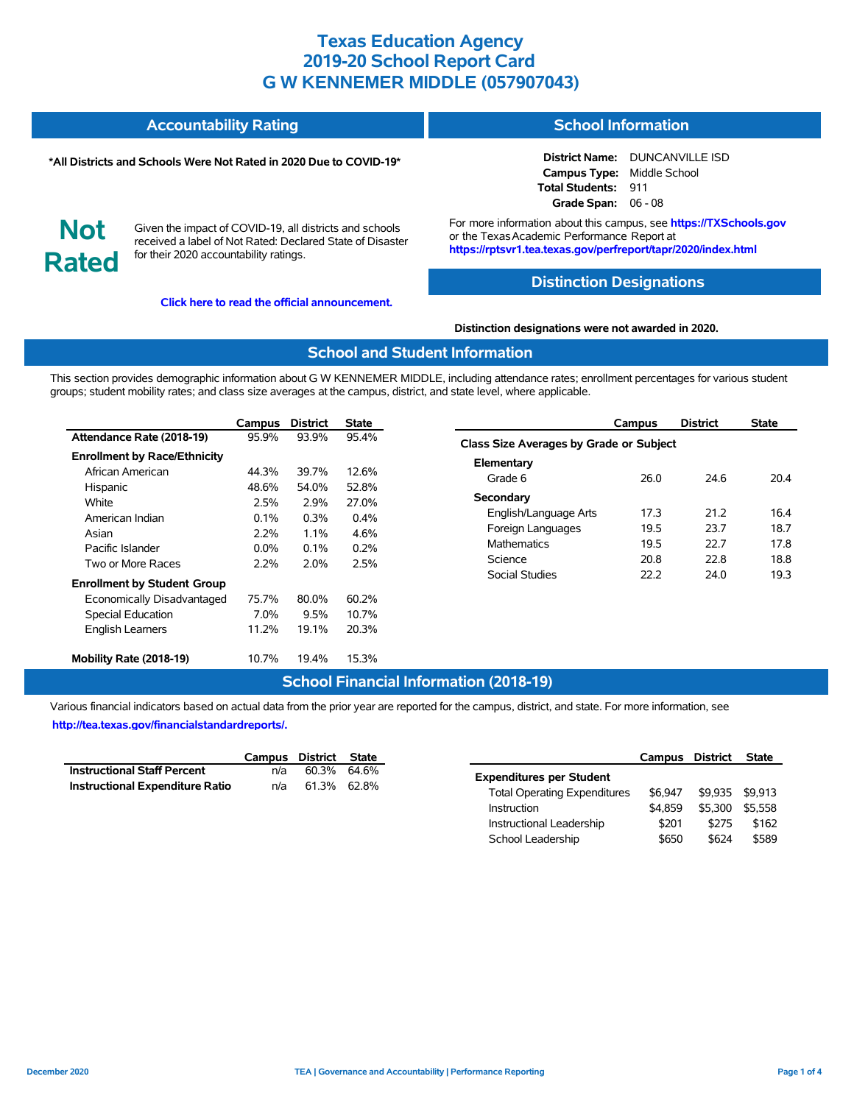#### **Accountability Rating School Information**

#### **\*All Districts and Schools Were Not Rated in 2020 Due to COVID-19\***

**District Name:** DUNCANVILLE ISD **Campus Type:** Middle School **Total Students:** 911 **Grade Span:** 06 - 08

**Not Rated**

Given the impact of COVID-19, all districts and schools received a label of Not Rated: Declared State of Disaster for their 2020 accountability ratings.

**[Click here to read the official announcement.](https://tea.texas.gov/about-tea/news-and-multimedia/correspondence/taa-letters/every-student-succeeds-act-essa-waiver-approval-2020-state-academic-accountability)**

For more information about this campus, see **https://TXSchools.gov** or the Texas Academic Performance Report at **https://rptsvr1.tea.texas.gov/perfreport/tapr/2020/index.html**

#### **Distinction Designations**

#### **Distinction designations were not awarded in 2020.**

#### **School and Student Information**

This section provides demographic information about G W KENNEMER MIDDLE, including attendance rates; enrollment percentages for various student groups; student mobility rates; and class size averages at the campus, district, and state level, where applicable.

|                                     | Campus  | <b>District</b> | State   |
|-------------------------------------|---------|-----------------|---------|
| Attendance Rate (2018-19)           | 95.9%   | 93.9%           | 95.4%   |
| <b>Enrollment by Race/Ethnicity</b> |         |                 |         |
| African American                    | 44.3%   | 39.7%           | 12.6%   |
| Hispanic                            | 48.6%   | 54.0%           | 52.8%   |
| White                               | 2.5%    | 2.9%            | 27.0%   |
| American Indian                     | $0.1\%$ | $0.3\%$         | $0.4\%$ |
| Asian                               | 2.2%    | $11\%$          | 4.6%    |
| Pacific Islander                    | $0.0\%$ | 0.1%            | $0.2\%$ |
| Two or More Races                   | 2.2%    | 2.0%            | 2.5%    |
| <b>Enrollment by Student Group</b>  |         |                 |         |
| Economically Disadvantaged          | 75.7%   | 80.0%           | 60.2%   |
| <b>Special Education</b>            | 7.0%    | 9.5%            | 10.7%   |
| <b>English Learners</b>             | 11.2%   | 19.1%           | 20.3%   |
| Mobility Rate (2018-19)             | 10.7%   | 19.4%           | 15.3%   |

|                                                | Campus | <b>District</b> | <b>State</b> |  |  |  |  |  |  |  |
|------------------------------------------------|--------|-----------------|--------------|--|--|--|--|--|--|--|
| <b>Class Size Averages by Grade or Subject</b> |        |                 |              |  |  |  |  |  |  |  |
| Elementary                                     |        |                 |              |  |  |  |  |  |  |  |
| Grade 6                                        | 26.0   | 24 6            | 204          |  |  |  |  |  |  |  |
| Secondary                                      |        |                 |              |  |  |  |  |  |  |  |
| English/Language Arts                          | 17.3   | 21.2            | 16.4         |  |  |  |  |  |  |  |
| Foreign Languages                              | 19.5   | 23.7            | 18.7         |  |  |  |  |  |  |  |
| <b>Mathematics</b>                             | 19.5   | 22.7            | 17.8         |  |  |  |  |  |  |  |
| Science                                        | 20.8   | 22.8            | 18.8         |  |  |  |  |  |  |  |
| Social Studies                                 | 22 Z   | 24.0            | 19.3         |  |  |  |  |  |  |  |

# **School Financial Information (2018-19)**

Various financial indicators based on actual data from the prior year are reported for the campus, district, and state. For more information, see **[http://tea.texas.gov/financialstandardreports/.](http://tea.texas.gov/financialstandardreports/)**

|                                        | Campus District State |             |  |
|----------------------------------------|-----------------------|-------------|--|
| <b>Instructional Staff Percent</b>     | n/a                   | 60.3% 64.6% |  |
| <b>Instructional Expenditure Ratio</b> | n/a                   | 61.3% 62.8% |  |

|                                     | Campus District |         | <b>State</b> |
|-------------------------------------|-----------------|---------|--------------|
| <b>Expenditures per Student</b>     |                 |         |              |
| <b>Total Operating Expenditures</b> | \$6.947         | \$9.935 | \$9.913      |
| Instruction                         | \$4.859         | \$5.300 | \$5.558      |
| Instructional Leadership            | \$201           | \$275   | \$162        |
| School Leadership                   | \$650           | \$624   | \$589        |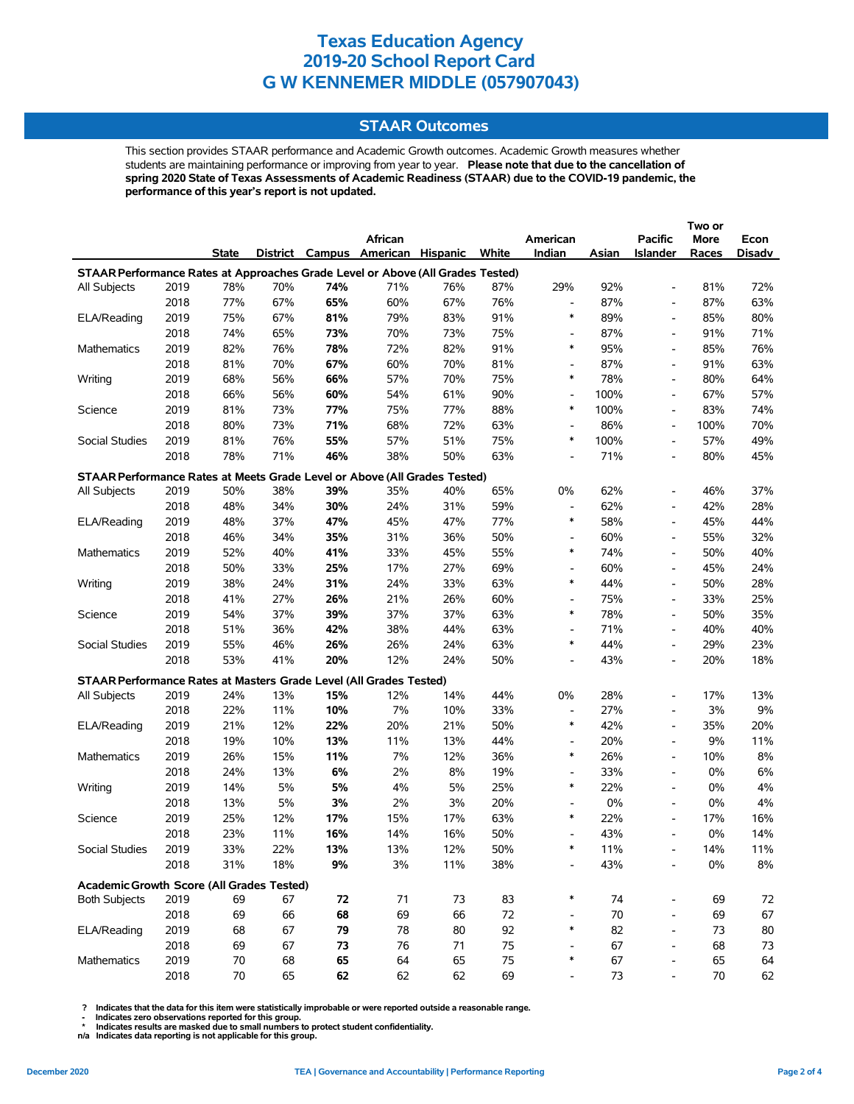## **STAAR Outcomes**

This section provides STAAR performance and Academic Growth outcomes. Academic Growth measures whether students are maintaining performance or improving from year to year. **Please note that due to the cancellation of spring 2020 State of Texas Assessments of Academic Readiness (STAAR) due to the COVID-19 pandemic, the performance of this year's report is not updated.**

|                                                                                |              |              |          |          |                                   |     |          |                                    |          |                          | Two or       |          |
|--------------------------------------------------------------------------------|--------------|--------------|----------|----------|-----------------------------------|-----|----------|------------------------------------|----------|--------------------------|--------------|----------|
|                                                                                |              |              |          |          | African                           |     |          | American                           |          | <b>Pacific</b>           | More         | Econ     |
|                                                                                |              | State        |          |          | District Campus American Hispanic |     | White    | Indian                             | Asian    | <b>Islander</b>          | Races        | Disadv   |
| STAAR Performance Rates at Approaches Grade Level or Above (All Grades Tested) |              |              |          |          |                                   |     |          |                                    |          |                          |              |          |
| All Subjects                                                                   | 2019         | 78%          | 70%      | 74%      | 71%                               | 76% | 87%      | 29%                                | 92%      | $\overline{\phantom{0}}$ | 81%          | 72%      |
|                                                                                | 2018         | 77%          | 67%      | 65%      | 60%                               | 67% | 76%      | $\overline{\phantom{a}}$           | 87%      | $\overline{\phantom{0}}$ | 87%          | 63%      |
| ELA/Reading                                                                    | 2019         | 75%          | 67%      | 81%      | 79%                               | 83% | 91%      | $\ast$                             | 89%      | $\overline{\phantom{0}}$ | 85%          | 80%      |
|                                                                                | 2018         | 74%          | 65%      | 73%      | 70%                               | 73% | 75%      | $\overline{\phantom{a}}$           | 87%      | $\overline{\phantom{0}}$ | 91%          | 71%      |
| Mathematics                                                                    | 2019         | 82%          | 76%      | 78%      | 72%                               | 82% | 91%      | $\ast$                             | 95%      | $\overline{\phantom{0}}$ | 85%          | 76%      |
|                                                                                | 2018         | 81%          | 70%      | 67%      | 60%                               | 70% | 81%      | $\overline{\phantom{a}}$           | 87%      | $\overline{\phantom{a}}$ | 91%          | 63%      |
| Writing                                                                        | 2019         | 68%          | 56%      | 66%      | 57%                               | 70% | 75%      | $\ast$                             | 78%      | $\overline{\phantom{a}}$ | 80%          | 64%      |
|                                                                                | 2018         | 66%          | 56%      | 60%      | 54%                               | 61% | 90%      | $\overline{\phantom{a}}$           | 100%     | $\overline{\phantom{a}}$ | 67%          | 57%      |
| Science                                                                        | 2019         | 81%          | 73%      | 77%      | 75%                               | 77% | 88%      | $\ast$                             | 100%     | $\overline{a}$           | 83%          | 74%      |
|                                                                                | 2018         | 80%          | 73%      | 71%      | 68%                               | 72% | 63%      | $\overline{\phantom{a}}$           | 86%      | $\overline{\phantom{0}}$ | 100%         | 70%      |
| Social Studies                                                                 | 2019         | 81%          | 76%      | 55%      | 57%                               | 51% | 75%      | $\ast$                             | 100%     | $\overline{\phantom{0}}$ | 57%          | 49%      |
|                                                                                | 2018         | 78%          | 71%      | 46%      | 38%                               | 50% | 63%      | $\overline{\phantom{a}}$           | 71%      | $\overline{\phantom{a}}$ | 80%          | 45%      |
| STAAR Performance Rates at Meets Grade Level or Above (All Grades Tested)      |              |              |          |          |                                   |     |          |                                    |          |                          |              |          |
| All Subjects                                                                   | 2019         | 50%          | 38%      | 39%      | 35%                               | 40% | 65%      | 0%                                 | 62%      | $\overline{a}$           | 46%          | 37%      |
|                                                                                | 2018         | 48%          | 34%      | 30%      | 24%                               | 31% | 59%      | $\overline{\phantom{a}}$           | 62%      | $\overline{\phantom{0}}$ | 42%          | 28%      |
| ELA/Reading                                                                    | 2019         | 48%          | 37%      | 47%      | 45%                               | 47% | 77%      | $\ast$                             | 58%      | $\overline{\phantom{0}}$ | 45%          | 44%      |
|                                                                                | 2018         | 46%          | 34%      | 35%      | 31%                               | 36% | 50%      | $\overline{\phantom{a}}$           | 60%      | $\overline{a}$           | 55%          | 32%      |
| Mathematics                                                                    | 2019         | 52%          | 40%      | 41%      | 33%                               | 45% | 55%      | $\ast$                             | 74%      | $\overline{a}$           | 50%          | 40%      |
|                                                                                | 2018         | 50%          | 33%      | 25%      | 17%                               | 27% | 69%      | $\overline{\phantom{a}}$           | 60%      | $\overline{\phantom{0}}$ | 45%          | 24%      |
| Writing                                                                        | 2019         | 38%          | 24%      | 31%      | 24%                               | 33% | 63%      | $\ast$                             | 44%      | $\overline{\phantom{0}}$ | 50%          | 28%      |
|                                                                                | 2018         | 41%          | 27%      | 26%      | 21%                               | 26% | 60%      | $\overline{\phantom{a}}$           | 75%      | $\overline{\phantom{0}}$ | 33%          | 25%      |
| Science                                                                        | 2019         | 54%          | 37%      | 39%      | 37%                               | 37% | 63%      | $\ast$                             | 78%      | $\overline{\phantom{a}}$ | 50%          | 35%      |
|                                                                                | 2018         | 51%          | 36%      | 42%      | 38%                               | 44% | 63%      | $\overline{\phantom{a}}$           | 71%      | $\overline{a}$           | 40%          | 40%      |
| Social Studies                                                                 | 2019         | 55%          | 46%      | 26%      | 26%                               | 24% | 63%      | $\ast$                             | 44%      | $\overline{\phantom{a}}$ | 29%          | 23%      |
|                                                                                | 2018         | 53%          | 41%      | 20%      | 12%                               | 24% | 50%      |                                    | 43%      | $\overline{a}$           | 20%          | 18%      |
| STAAR Performance Rates at Masters Grade Level (All Grades Tested)             |              |              |          |          |                                   |     |          |                                    |          |                          |              |          |
| All Subjects                                                                   | 2019         | 24%          | 13%      | 15%      | 12%                               | 14% | 44%      | 0%                                 | 28%      | $\overline{\phantom{a}}$ | 17%          | 13%      |
|                                                                                | 2018         | 22%          | 11%      | 10%      | 7%                                | 10% | 33%      | $\overline{\phantom{a}}$           | 27%      | $\overline{a}$           | 3%           | 9%       |
| ELA/Reading                                                                    | 2019         | 21%          | 12%      | 22%      | 20%                               | 21% | 50%      | $\ast$                             | 42%      | $\overline{\phantom{0}}$ | 35%          | 20%      |
|                                                                                | 2018         | 19%          | 10%      | 13%      | 11%                               | 13% | 44%      | $\overline{\phantom{a}}$           | 20%      | $\overline{\phantom{0}}$ | 9%           | 11%      |
| <b>Mathematics</b>                                                             | 2019         | 26%          | 15%      | 11%      | 7%                                | 12% | 36%      | $\ast$                             | 26%      | $\overline{\phantom{0}}$ | 10%          | 8%       |
|                                                                                | 2018         | 24%          | 13%      | 6%       | 2%                                | 8%  | 19%      | $\overline{\phantom{a}}$           | 33%      | $\overline{\phantom{a}}$ | 0%           | 6%       |
| Writing                                                                        | 2019         | 14%          | 5%       | 5%       | 4%                                | 5%  | 25%      | $\ast$                             | 22%      | $\overline{\phantom{a}}$ | 0%           | 4%       |
|                                                                                | 2018         | 13%          | 5%       | 3%       | 2%                                | 3%  | 20%      | $\overline{\phantom{a}}$           | 0%       | $\overline{\phantom{0}}$ | 0%           | 4%       |
| Science                                                                        | 2019         | 25%          | 12%      | 17%      | 15%                               | 17% | 63%      | $\ast$                             | 22%      | $\overline{\phantom{0}}$ | 17%          | 16%      |
|                                                                                | 2018         | 23%          | 11%      | 16%      | 14%                               | 16% | 50%      | $\overline{\phantom{a}}$           | 43%      | $\overline{\phantom{0}}$ | 0%           | 14%      |
| Social Studies                                                                 | 2019         | 33%          | 22%      | 13%      | 13%                               | 12% | 50%      |                                    | 11%      |                          | 14%          | 11%      |
|                                                                                | 2018         | 31%          | 18%      | 9%       | 3%                                | 11% | 38%      |                                    | 43%      |                          | $0\%$        | $8\%$    |
|                                                                                |              |              |          |          |                                   |     |          |                                    |          |                          |              |          |
| Academic Growth Score (All Grades Tested)                                      |              |              |          |          |                                   |     |          | $\ast$                             |          |                          |              |          |
| <b>Both Subjects</b>                                                           | 2019         | 69           | 67       | 72       | 71                                | 73  | 83       |                                    | 74       | $\overline{\phantom{0}}$ | 69           | 72       |
|                                                                                | 2018         | 69           | 66       | 68       | 69                                | 66  | 72       | $\ast$                             | 70       | $\overline{\phantom{0}}$ | 69           | 67       |
| ELA/Reading                                                                    | 2019         | 68           | 67       | 79       | 78                                | 80  | 92       |                                    | 82       | $\overline{\phantom{0}}$ | 73           | 80       |
|                                                                                | 2018         | 69           | 67       | 73       | 76                                | 71  | 75       | $\overline{\phantom{a}}$<br>$\ast$ | 67       | $\frac{1}{2}$            | 68           | 73       |
| Mathematics                                                                    | 2019<br>2018 | 70<br>$70\,$ | 68<br>65 | 65<br>62 | 64                                | 65  | 75<br>69 |                                    | 67<br>73 | $\overline{\phantom{0}}$ | 65<br>$70\,$ | 64<br>62 |
|                                                                                |              |              |          |          | 62                                | 62  |          |                                    |          |                          |              |          |

 **? Indicates that the data for this item were statistically improbable or were reported outside a reasonable range.**

 **- Indicates zero observations reported for this group. \* Indicates results are masked due to small numbers to protect student confidentiality.**

**n/a Indicates data reporting is not applicable for this group.**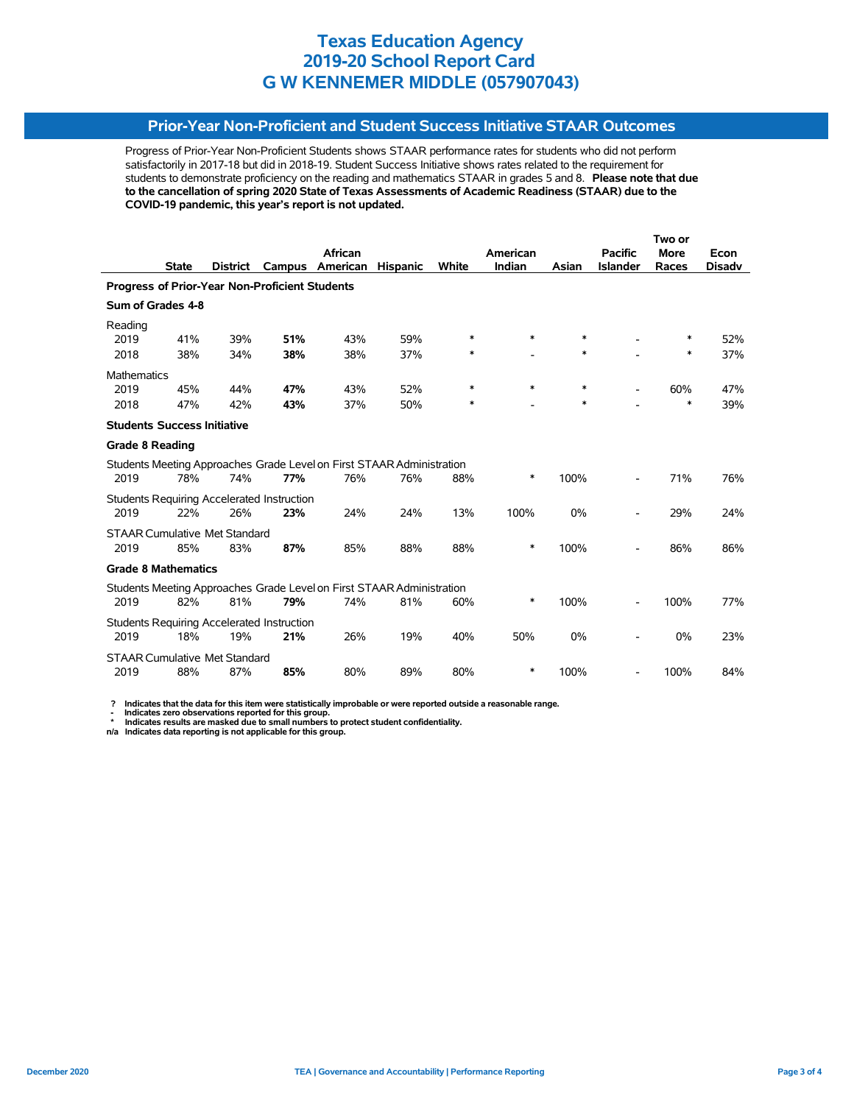# **Prior-Year Non-Proficient and Student Success Initiative STAAR Outcomes**

Progress of Prior-Year Non-Proficient Students shows STAAR performance rates for students who did not perform satisfactorily in 2017-18 but did in 2018-19. Student Success Initiative shows rates related to the requirement for students to demonstrate proficiency on the reading and mathematics STAAR in grades 5 and 8. **Please note that due to the cancellation of spring 2020 State of Texas Assessments of Academic Readiness (STAAR) due to the COVID-19 pandemic, this year's report is not updated.**

|                        |                                      |                 |                                                   |                                                                       |                 |        |          |        | Two or          |             |               |  |
|------------------------|--------------------------------------|-----------------|---------------------------------------------------|-----------------------------------------------------------------------|-----------------|--------|----------|--------|-----------------|-------------|---------------|--|
|                        |                                      |                 |                                                   | <b>African</b>                                                        |                 |        | American |        | <b>Pacific</b>  | <b>More</b> | Econ          |  |
|                        | <b>State</b>                         | <b>District</b> | Campus                                            | American                                                              | <b>Hispanic</b> | White  | Indian   | Asian  | <b>Islander</b> | Races       | <b>Disadv</b> |  |
|                        |                                      |                 | Progress of Prior-Year Non-Proficient Students    |                                                                       |                 |        |          |        |                 |             |               |  |
|                        | Sum of Grades 4-8                    |                 |                                                   |                                                                       |                 |        |          |        |                 |             |               |  |
| Reading                |                                      |                 |                                                   |                                                                       |                 |        |          |        |                 |             |               |  |
| 2019                   | 41%                                  | 39%             | 51%                                               | 43%                                                                   | 59%             | $\ast$ | *        | *      |                 | ∗           | 52%           |  |
| 2018                   | 38%                                  | 34%             | 38%                                               | 38%                                                                   | 37%             | ∗      |          | *      |                 | ∗           | 37%           |  |
| <b>Mathematics</b>     |                                      |                 |                                                   |                                                                       |                 |        |          |        |                 |             |               |  |
| 2019                   | 45%                                  | 44%             | 47%                                               | 43%                                                                   | 52%             | $\ast$ | $\ast$   | $\ast$ |                 | 60%         | 47%           |  |
| 2018                   | 47%                                  | 42%             | 43%                                               | 37%                                                                   | 50%             | *      |          | $\ast$ |                 | $\ast$      | 39%           |  |
|                        | <b>Students Success Initiative</b>   |                 |                                                   |                                                                       |                 |        |          |        |                 |             |               |  |
| <b>Grade 8 Reading</b> |                                      |                 |                                                   |                                                                       |                 |        |          |        |                 |             |               |  |
|                        |                                      |                 |                                                   | Students Meeting Approaches Grade Level on First STAAR Administration |                 |        |          |        |                 |             |               |  |
| 2019                   | 78%                                  | 74%             | 77%                                               | 76%                                                                   | 76%             | 88%    | *        | 100%   |                 | 71%         | 76%           |  |
|                        |                                      |                 | <b>Students Requiring Accelerated Instruction</b> |                                                                       |                 |        |          |        |                 |             |               |  |
| 2019                   | 22%                                  | 26%             | 23%                                               | 24%                                                                   | 24%             | 13%    | 100%     | 0%     |                 | 29%         | 24%           |  |
|                        | <b>STAAR Cumulative Met Standard</b> |                 |                                                   |                                                                       |                 |        |          |        |                 |             |               |  |
| 2019                   | 85%                                  | 83%             | 87%                                               | 85%                                                                   | 88%             | 88%    | *        | 100%   |                 | 86%         | 86%           |  |
|                        | <b>Grade 8 Mathematics</b>           |                 |                                                   |                                                                       |                 |        |          |        |                 |             |               |  |
|                        |                                      |                 |                                                   | Students Meeting Approaches Grade Level on First STAAR Administration |                 |        |          |        |                 |             |               |  |
| 2019                   | 82%                                  | 81%             | 79%                                               | 74%                                                                   | 81%             | 60%    | $\ast$   | 100%   |                 | 100%        | 77%           |  |
|                        |                                      |                 | Students Requiring Accelerated Instruction        |                                                                       |                 |        |          |        |                 |             |               |  |
| 2019                   | 18%                                  | 19%             | 21%                                               | 26%                                                                   | 19%             | 40%    | 50%      | 0%     |                 | 0%          | 23%           |  |
|                        | <b>STAAR Cumulative Met Standard</b> |                 |                                                   |                                                                       |                 |        |          |        |                 |             |               |  |
| 2019                   | 88%                                  | 87%             | 85%                                               | 80%                                                                   | 89%             | 80%    | *        | 100%   |                 | 100%        | 84%           |  |

 **? Indicates that the data for this item were statistically improbable or were reported outside a reasonable range.**

 **- Indicates zero observations reported for this group. \* Indicates results are masked due to small numbers to protect student confidentiality.**

**n/a Indicates data reporting is not applicable for this group.**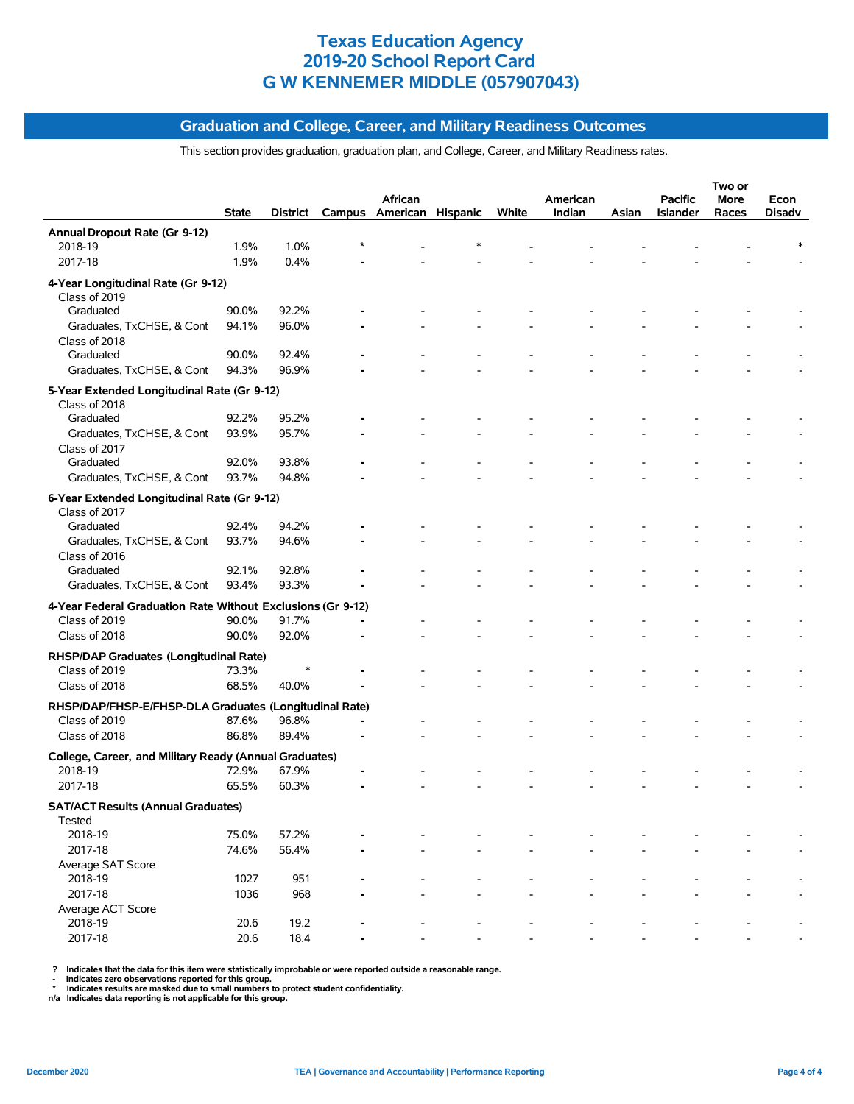# **Graduation and College, Career, and Military Readiness Outcomes**

This section provides graduation, graduation plan, and College, Career, and Military Readiness rates.

|                                                             |       |       |                |                                   |       |          |       |                | Two or |        |
|-------------------------------------------------------------|-------|-------|----------------|-----------------------------------|-------|----------|-------|----------------|--------|--------|
|                                                             |       |       |                | African                           |       | American |       | <b>Pacific</b> | More   | Econ   |
|                                                             | State |       |                | District Campus American Hispanic | White | Indian   | Asian | Islander       | Races  | Disadv |
| Annual Dropout Rate (Gr 9-12)                               |       |       |                |                                   |       |          |       |                |        |        |
| 2018-19                                                     | 1.9%  | 1.0%  |                |                                   |       |          |       |                |        |        |
| 2017-18                                                     | 1.9%  | 0.4%  |                |                                   |       |          |       |                |        |        |
| 4-Year Longitudinal Rate (Gr 9-12)                          |       |       |                |                                   |       |          |       |                |        |        |
| Class of 2019                                               |       |       |                |                                   |       |          |       |                |        |        |
| Graduated                                                   | 90.0% | 92.2% |                |                                   |       |          |       |                |        |        |
| Graduates, TxCHSE, & Cont                                   | 94.1% | 96.0% |                |                                   |       |          |       |                |        |        |
| Class of 2018                                               |       |       |                |                                   |       |          |       |                |        |        |
| Graduated                                                   | 90.0% | 92.4% |                |                                   |       |          |       |                |        |        |
| Graduates, TxCHSE, & Cont                                   | 94.3% | 96.9% |                |                                   |       |          |       |                |        |        |
| 5-Year Extended Longitudinal Rate (Gr 9-12)                 |       |       |                |                                   |       |          |       |                |        |        |
| Class of 2018                                               |       |       |                |                                   |       |          |       |                |        |        |
| Graduated                                                   | 92.2% | 95.2% |                |                                   |       |          |       |                |        |        |
| Graduates, TxCHSE, & Cont                                   | 93.9% | 95.7% |                |                                   |       |          |       |                |        |        |
| Class of 2017                                               |       |       |                |                                   |       |          |       |                |        |        |
| Graduated                                                   | 92.0% | 93.8% |                |                                   |       |          |       |                |        |        |
| Graduates, TxCHSE, & Cont                                   | 93.7% | 94.8% |                |                                   |       |          |       |                |        |        |
|                                                             |       |       |                |                                   |       |          |       |                |        |        |
| 6-Year Extended Longitudinal Rate (Gr 9-12)                 |       |       |                |                                   |       |          |       |                |        |        |
| Class of 2017<br>Graduated                                  | 92.4% | 94.2% |                |                                   |       |          |       |                |        |        |
|                                                             |       |       |                |                                   |       |          |       |                |        |        |
| Graduates, TxCHSE, & Cont                                   | 93.7% | 94.6% |                |                                   |       |          |       |                |        |        |
| Class of 2016<br>Graduated                                  | 92.1% | 92.8% |                |                                   |       |          |       |                |        |        |
|                                                             | 93.4% | 93.3% |                |                                   |       |          |       |                |        |        |
| Graduates, TxCHSE, & Cont                                   |       |       |                |                                   |       |          |       |                |        |        |
| 4-Year Federal Graduation Rate Without Exclusions (Gr 9-12) |       |       |                |                                   |       |          |       |                |        |        |
| Class of 2019                                               | 90.0% | 91.7% |                |                                   |       |          |       |                |        |        |
| Class of 2018                                               | 90.0% | 92.0% |                |                                   |       |          |       |                |        |        |
| RHSP/DAP Graduates (Longitudinal Rate)                      |       |       |                |                                   |       |          |       |                |        |        |
| Class of 2019                                               | 73.3% |       |                |                                   |       |          |       |                |        |        |
| Class of 2018                                               | 68.5% | 40.0% |                |                                   |       |          |       |                |        |        |
| RHSP/DAP/FHSP-E/FHSP-DLA Graduates (Longitudinal Rate)      |       |       |                |                                   |       |          |       |                |        |        |
| Class of 2019                                               | 87.6% | 96.8% | $\blacksquare$ |                                   |       |          |       |                |        |        |
| Class of 2018                                               | 86.8% | 89.4% |                |                                   |       |          |       |                |        |        |
|                                                             |       |       |                |                                   |       |          |       |                |        |        |
| College, Career, and Military Ready (Annual Graduates)      |       |       |                |                                   |       |          |       |                |        |        |
| 2018-19                                                     | 72.9% | 67.9% |                |                                   |       |          |       |                |        |        |
| 2017-18                                                     | 65.5% | 60.3% |                |                                   |       |          |       |                |        |        |
| <b>SAT/ACT Results (Annual Graduates)</b>                   |       |       |                |                                   |       |          |       |                |        |        |
| Tested                                                      |       |       |                |                                   |       |          |       |                |        |        |
| 2018-19                                                     | 75.0% | 57.2% |                |                                   |       |          |       |                |        |        |
| 2017-18                                                     | 74.6% | 56.4% |                |                                   |       |          |       |                |        |        |
| Average SAT Score                                           |       |       |                |                                   |       |          |       |                |        |        |
| 2018-19                                                     | 1027  | 951   |                |                                   |       |          |       |                |        |        |
| 2017-18                                                     | 1036  | 968   |                |                                   |       |          |       |                |        |        |
| Average ACT Score                                           |       |       |                |                                   |       |          |       |                |        |        |
| 2018-19                                                     | 20.6  | 19.2  |                |                                   |       |          |       |                |        |        |
| 2017-18                                                     | 20.6  | 18.4  |                |                                   |       |          |       |                |        |        |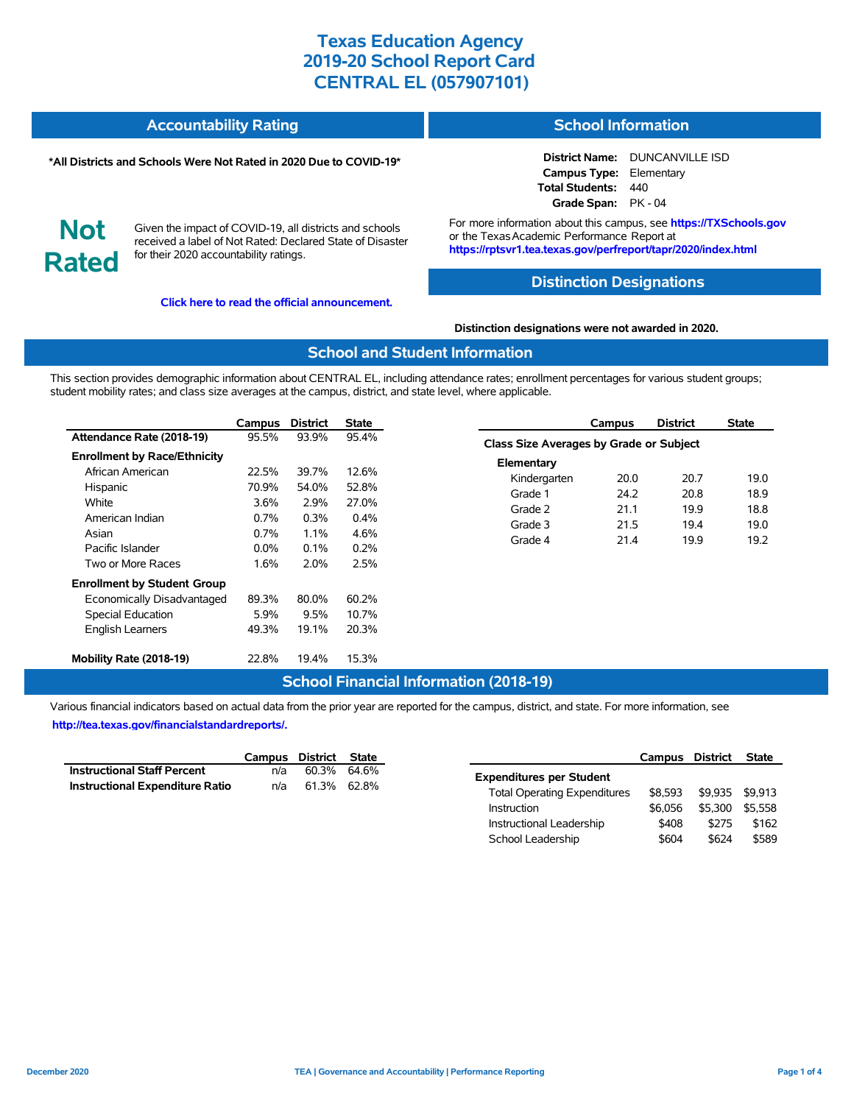| <b>Accountability Rating</b> | <b>School Information</b> |
|------------------------------|---------------------------|
|                              |                           |

#### **\*All Districts and Schools Were Not Rated in 2020 Due to COVID-19\***

#### **District Name:** DUNCANVILLE ISD **Campus Type:** Elementary **Total Students:** 440 **Grade Span:** PK - 04

**Not Rated**

Given the impact of COVID-19, all districts and schools received a label of Not Rated: Declared State of Disaster for their 2020 accountability ratings.

**[Click here to read the official announcement.](https://tea.texas.gov/about-tea/news-and-multimedia/correspondence/taa-letters/every-student-succeeds-act-essa-waiver-approval-2020-state-academic-accountability)**

For more information about this campus, see **https://TXSchools.gov** or the Texas Academic Performance Report at **https://rptsvr1.tea.texas.gov/perfreport/tapr/2020/index.html**

# **Distinction Designations**

**Distinction designations were not awarded in 2020.**

#### **School and Student Information**

This section provides demographic information about CENTRAL EL, including attendance rates; enrollment percentages for various student groups; student mobility rates; and class size averages at the campus, district, and state level, where applicable.

|                                     | Campus  | <b>District</b> | <b>State</b> |
|-------------------------------------|---------|-----------------|--------------|
| Attendance Rate (2018-19)           | 95.5%   | 93.9%           | 95.4%        |
| <b>Enrollment by Race/Ethnicity</b> |         |                 |              |
| African American                    | 22.5%   | 39.7%           | 12.6%        |
| Hispanic                            | 70.9%   | 54.0%           | 52.8%        |
| White                               | 3.6%    | 2.9%            | 27.0%        |
| American Indian                     | 0.7%    | 0.3%            | $0.4\%$      |
| Asian                               | $0.7\%$ | $1.1\%$         | 4.6%         |
| Pacific Islander                    | $0.0\%$ | $0.1\%$         | 0.2%         |
| Two or More Races                   | 1.6%    | 2.0%            | 2.5%         |
| <b>Enrollment by Student Group</b>  |         |                 |              |
| Economically Disadvantaged          | 89.3%   | 80.0%           | 60.2%        |
| <b>Special Education</b>            | 5.9%    | 9.5%            | 10.7%        |
| <b>English Learners</b>             | 49.3%   | 19.1%           | 20.3%        |
| Mobility Rate (2018-19)             | 22.8%   | 19.4%           | 15.3%        |

|                                                | Campus | <b>District</b> | <b>State</b> |
|------------------------------------------------|--------|-----------------|--------------|
| <b>Class Size Averages by Grade or Subject</b> |        |                 |              |
| Elementary                                     |        |                 |              |
| Kindergarten                                   | 20.0   | 20.7            | 19.0         |
| Grade 1                                        | 24.2   | 20.8            | 18.9         |
| Grade 2                                        | 21.1   | 19.9            | 18.8         |
| Grade 3                                        | 21.5   | 19.4            | 19.0         |
| Grade 4                                        | 214    | 19.9            | 19.2         |
|                                                |        |                 |              |

# **School Financial Information (2018-19)**

Various financial indicators based on actual data from the prior year are reported for the campus, district, and state. For more information, see **[http://tea.texas.gov/financialstandardreports/.](http://tea.texas.gov/financialstandardreports/)**

|                                        | Campus District State |             |  |
|----------------------------------------|-----------------------|-------------|--|
| <b>Instructional Staff Percent</b>     | n/a                   | 60.3% 64.6% |  |
| <b>Instructional Expenditure Ratio</b> | n/a                   | 61.3% 62.8% |  |

|                                     | Campus District |         | <b>State</b> |
|-------------------------------------|-----------------|---------|--------------|
| <b>Expenditures per Student</b>     |                 |         |              |
| <b>Total Operating Expenditures</b> | \$8.593         | \$9.935 | \$9.913      |
| Instruction                         | \$6,056         | \$5.300 | \$5.558      |
| Instructional Leadership            | \$408           | \$275   | \$162        |
| School Leadership                   | \$604           | \$624   | \$589        |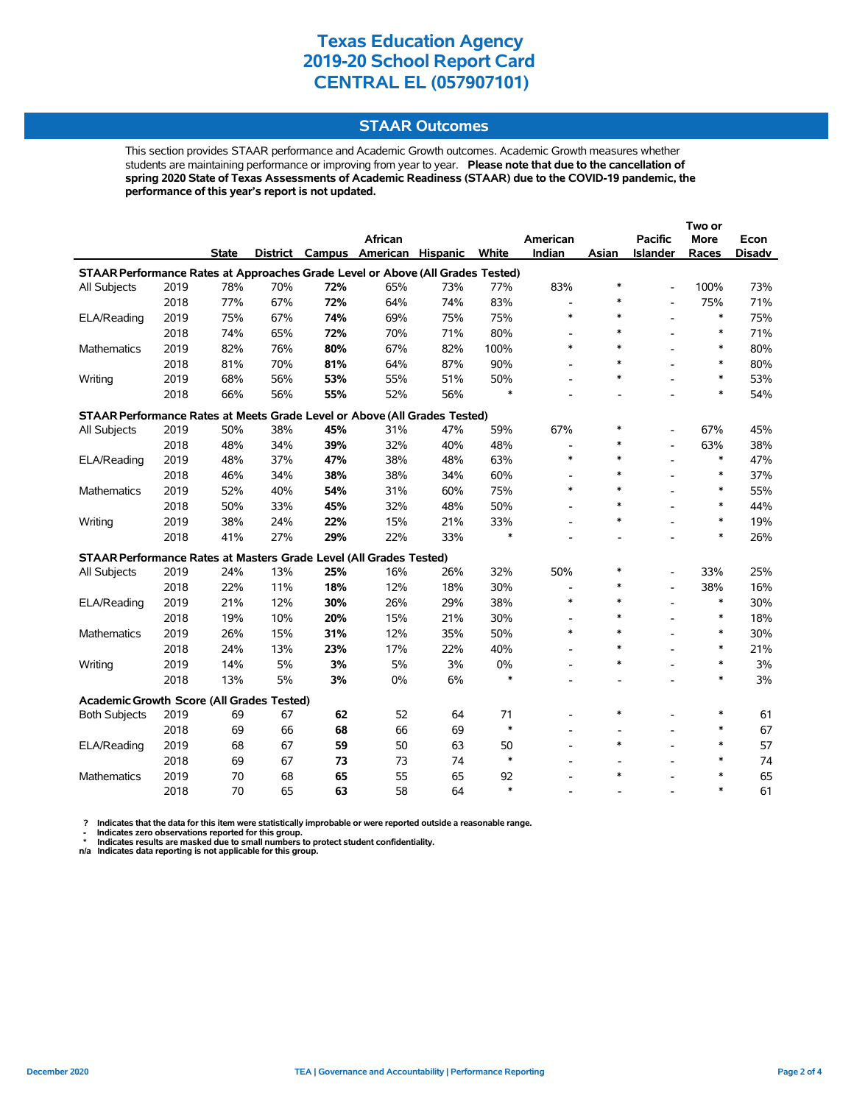# **STAAR Outcomes**

This section provides STAAR performance and Academic Growth outcomes. Academic Growth measures whether students are maintaining performance or improving from year to year. **Please note that due to the cancellation of spring 2020 State of Texas Assessments of Academic Readiness (STAAR) due to the COVID-19 pandemic, the performance of this year's report is not updated.**

|                                                                                |      |              |     |     |                                   |     |        |                          |                          |                          | Two or      |               |
|--------------------------------------------------------------------------------|------|--------------|-----|-----|-----------------------------------|-----|--------|--------------------------|--------------------------|--------------------------|-------------|---------------|
|                                                                                |      |              |     |     | African                           |     |        | American                 |                          | <b>Pacific</b>           | <b>More</b> | Econ          |
|                                                                                |      | <b>State</b> |     |     | District Campus American Hispanic |     | White  | Indian                   | Asian                    | Islander                 | Races       | <b>Disadv</b> |
| STAAR Performance Rates at Approaches Grade Level or Above (All Grades Tested) |      |              |     |     |                                   |     |        |                          |                          |                          |             |               |
| All Subjects                                                                   | 2019 | 78%          | 70% | 72% | 65%                               | 73% | 77%    | 83%                      | $\ast$                   | Ĭ.                       | 100%        | 73%           |
|                                                                                | 2018 | 77%          | 67% | 72% | 64%                               | 74% | 83%    | $\blacksquare$           | $\ast$                   | $\overline{a}$           | 75%         | 71%           |
| ELA/Reading                                                                    | 2019 | 75%          | 67% | 74% | 69%                               | 75% | 75%    | $\ast$                   | $\ast$                   | $\overline{\phantom{a}}$ | $\ast$      | 75%           |
|                                                                                | 2018 | 74%          | 65% | 72% | 70%                               | 71% | 80%    | $\overline{\phantom{a}}$ | $\ast$                   |                          | $\ast$      | 71%           |
| <b>Mathematics</b>                                                             | 2019 | 82%          | 76% | 80% | 67%                               | 82% | 100%   | $\ast$                   | $\ast$                   |                          | $\ast$      | 80%           |
|                                                                                | 2018 | 81%          | 70% | 81% | 64%                               | 87% | 90%    | $\overline{a}$           | *                        |                          | $\ast$      | 80%           |
| Writing                                                                        | 2019 | 68%          | 56% | 53% | 55%                               | 51% | 50%    |                          | $\ast$                   |                          | $\ast$      | 53%           |
|                                                                                | 2018 | 66%          | 56% | 55% | 52%                               | 56% | $\ast$ |                          |                          |                          | $\ast$      | 54%           |
| STAAR Performance Rates at Meets Grade Level or Above (All Grades Tested)      |      |              |     |     |                                   |     |        |                          |                          |                          |             |               |
| All Subjects                                                                   | 2019 | 50%          | 38% | 45% | 31%                               | 47% | 59%    | 67%                      | $\ast$                   |                          | 67%         | 45%           |
|                                                                                | 2018 | 48%          | 34% | 39% | 32%                               | 40% | 48%    | $\overline{\phantom{0}}$ | $\ast$                   |                          | 63%         | 38%           |
| ELA/Reading                                                                    | 2019 | 48%          | 37% | 47% | 38%                               | 48% | 63%    | $\ast$                   | $\ast$                   |                          | $\ast$      | 47%           |
|                                                                                | 2018 | 46%          | 34% | 38% | 38%                               | 34% | 60%    |                          | $\ast$                   |                          | $\ast$      | 37%           |
| Mathematics                                                                    | 2019 | 52%          | 40% | 54% | 31%                               | 60% | 75%    | $\ast$                   | $\ast$                   |                          | $\ast$      | 55%           |
|                                                                                | 2018 | 50%          | 33% | 45% | 32%                               | 48% | 50%    |                          | $\ast$                   |                          | $\ast$      | 44%           |
| Writing                                                                        | 2019 | 38%          | 24% | 22% | 15%                               | 21% | 33%    |                          | $\ast$                   |                          | $\ast$      | 19%           |
|                                                                                | 2018 | 41%          | 27% | 29% | 22%                               | 33% | $\ast$ |                          |                          |                          | $\ast$      | 26%           |
| STAAR Performance Rates at Masters Grade Level (All Grades Tested)             |      |              |     |     |                                   |     |        |                          |                          |                          |             |               |
| All Subjects                                                                   | 2019 | 24%          | 13% | 25% | 16%                               | 26% | 32%    | 50%                      | $\ast$                   |                          | 33%         | 25%           |
|                                                                                | 2018 | 22%          | 11% | 18% | 12%                               | 18% | 30%    |                          | *                        |                          | 38%         | 16%           |
| ELA/Reading                                                                    | 2019 | 21%          | 12% | 30% | 26%                               | 29% | 38%    | $\ast$                   | $\ast$                   |                          | $\ast$      | 30%           |
|                                                                                | 2018 | 19%          | 10% | 20% | 15%                               | 21% | 30%    |                          | $\ast$                   |                          | $\ast$      | 18%           |
| <b>Mathematics</b>                                                             | 2019 | 26%          | 15% | 31% | 12%                               | 35% | 50%    | $\ast$                   | $\ast$                   |                          | $\ast$      | 30%           |
|                                                                                | 2018 | 24%          | 13% | 23% | 17%                               | 22% | 40%    |                          | $\ast$                   |                          | $\ast$      | 21%           |
| Writing                                                                        | 2019 | 14%          | 5%  | 3%  | 5%                                | 3%  | 0%     |                          | $\ast$                   |                          | $\ast$      | 3%            |
|                                                                                | 2018 | 13%          | 5%  | 3%  | 0%                                | 6%  | $\ast$ |                          |                          |                          | $\ast$      | 3%            |
| Academic Growth Score (All Grades Tested)                                      |      |              |     |     |                                   |     |        |                          |                          |                          |             |               |
| <b>Both Subjects</b>                                                           | 2019 | 69           | 67  | 62  | 52                                | 64  | 71     |                          | $\ast$                   |                          | $\ast$      | 61            |
|                                                                                | 2018 | 69           | 66  | 68  | 66                                | 69  | $\ast$ | $\overline{a}$           | $\overline{\phantom{0}}$ |                          | $\ast$      | 67            |
| ELA/Reading                                                                    | 2019 | 68           | 67  | 59  | 50                                | 63  | 50     | $\overline{a}$           | $\ast$                   |                          | $\ast$      | 57            |
|                                                                                | 2018 | 69           | 67  | 73  | 73                                | 74  | $\ast$ |                          |                          |                          | $\ast$      | 74            |
| <b>Mathematics</b>                                                             | 2019 | 70           | 68  | 65  | 55                                | 65  | 92     |                          | $\ast$                   |                          | $\ast$      | 65            |
|                                                                                | 2018 | 70           | 65  | 63  | 58                                | 64  | $\ast$ |                          |                          |                          | $\ast$      | 61            |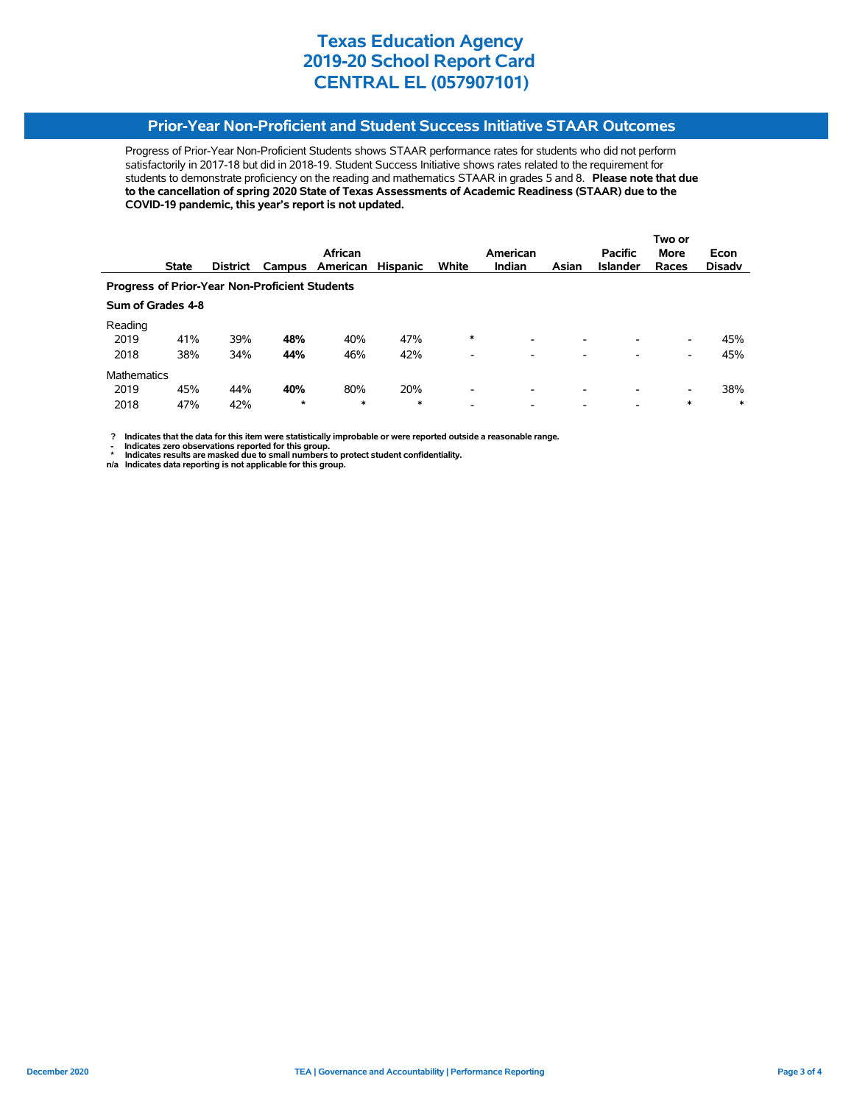# **Prior-Year Non-Proficient and Student Success Initiative STAAR Outcomes**

Progress of Prior-Year Non-Proficient Students shows STAAR performance rates for students who did not perform satisfactorily in 2017-18 but did in 2018-19. Student Success Initiative shows rates related to the requirement for students to demonstrate proficiency on the reading and mathematics STAAR in grades 5 and 8. **Please note that due to the cancellation of spring 2020 State of Texas Assessments of Academic Readiness (STAAR) due to the COVID-19 pandemic, this year's report is not updated.**

|                                                       |                   |                 |         |          |                 |                          |                          |                          |                 | Two or |               |
|-------------------------------------------------------|-------------------|-----------------|---------|----------|-----------------|--------------------------|--------------------------|--------------------------|-----------------|--------|---------------|
|                                                       |                   |                 |         | African  |                 |                          | American                 |                          | <b>Pacific</b>  | More   | Econ          |
|                                                       | <b>State</b>      | <b>District</b> | Campus  | American | <b>Hispanic</b> | White                    | <b>Indian</b>            | Asian                    | <b>Islander</b> | Races  | <b>Disady</b> |
| <b>Progress of Prior-Year Non-Proficient Students</b> |                   |                 |         |          |                 |                          |                          |                          |                 |        |               |
|                                                       | Sum of Grades 4-8 |                 |         |          |                 |                          |                          |                          |                 |        |               |
| Reading                                               |                   |                 |         |          |                 |                          |                          |                          |                 |        |               |
| 2019                                                  | 41%               | 39%             | 48%     | 40%      | 47%             | $\ast$                   | -                        | -                        |                 | -      | 45%           |
| 2018                                                  | 38%               | 34%             | 44%     | 46%      | 42%             | $\overline{\phantom{0}}$ | -                        | -                        |                 | -      | 45%           |
| <b>Mathematics</b>                                    |                   |                 |         |          |                 |                          |                          |                          |                 |        |               |
| 2019                                                  | 45%               | 44%             | 40%     | 80%      | 20%             | $\overline{\phantom{0}}$ | $\overline{\phantom{0}}$ | $\overline{\phantom{0}}$ |                 | -      | 38%           |
| 2018                                                  | 47%               | 42%             | $\star$ | *        | $\ast$          | $\overline{\phantom{a}}$ |                          |                          |                 | *      | $\ast$        |

 **? Indicates that the data for this item were statistically improbable or were reported outside a reasonable range.**

**1.** Indicates zero observations reported for this group.<br> **1.** Indicates zero the sex mealed for this group.

 **\* Indicates results are masked due to small numbers to protect student confidentiality. n/a Indicates data reporting is not applicable for this group.**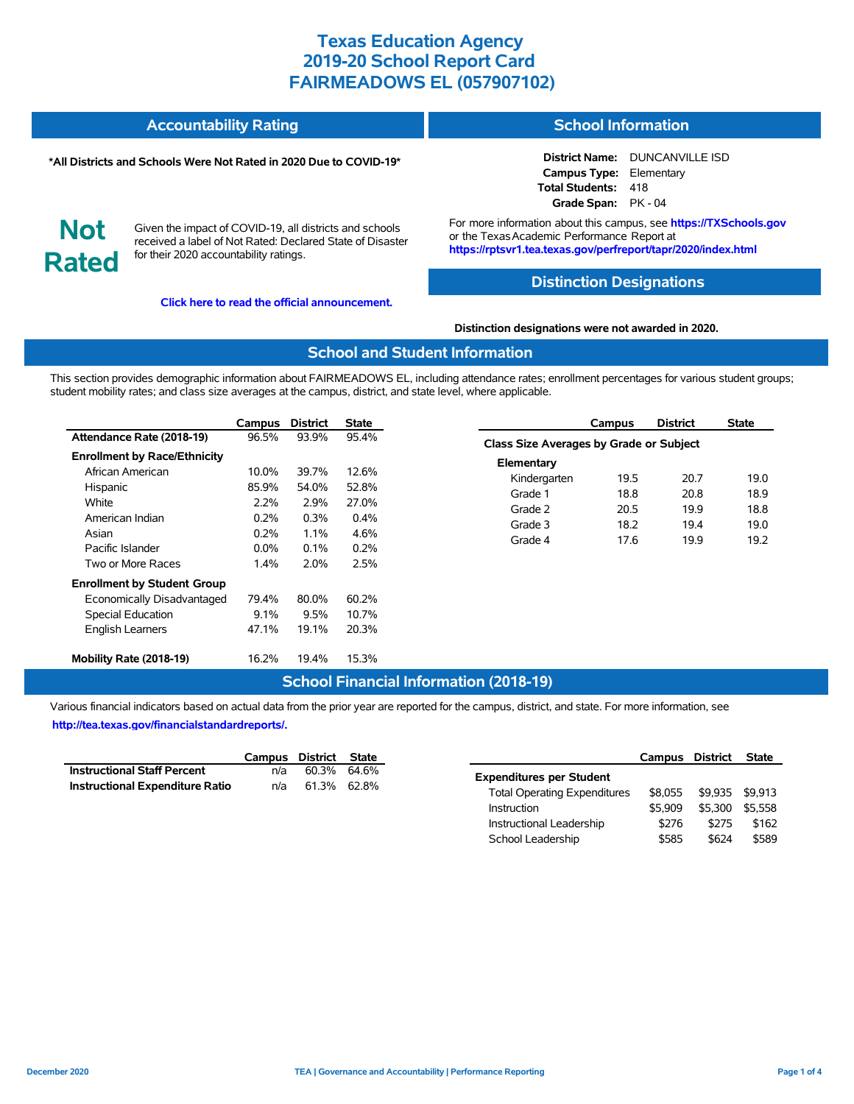#### **Accountability Rating School Information**

#### **\*All Districts and Schools Were Not Rated in 2020 Due to COVID-19\***

**District Name:** DUNCANVILLE ISD **Campus Type:** Elementary **Total Students:** 418 **Grade Span:** PK - 04

**Not Rated**

Given the impact of COVID-19, all districts and schools received a label of Not Rated: Declared State of Disaster for their 2020 accountability ratings.

**[Click here to read the official announcement.](https://tea.texas.gov/about-tea/news-and-multimedia/correspondence/taa-letters/every-student-succeeds-act-essa-waiver-approval-2020-state-academic-accountability)**

For more information about this campus, see **https://TXSchools.gov** or the Texas Academic Performance Report at **https://rptsvr1.tea.texas.gov/perfreport/tapr/2020/index.html**

#### **Distinction Designations**

**Distinction designations were not awarded in 2020.**

#### **School and Student Information**

This section provides demographic information about FAIRMEADOWS EL, including attendance rates; enrollment percentages for various student groups; student mobility rates; and class size averages at the campus, district, and state level, where applicable.

|                                     | Campus  | <b>District</b> | <b>State</b> |
|-------------------------------------|---------|-----------------|--------------|
| Attendance Rate (2018-19)           | 96.5%   | 93.9%           | 95.4%        |
| <b>Enrollment by Race/Ethnicity</b> |         |                 |              |
| African American                    | 10.0%   | 39.7%           | 12.6%        |
| Hispanic                            | 85.9%   | 54.0%           | 52.8%        |
| White                               | 2.2%    | 2.9%            | 27.0%        |
| American Indian                     | 0.2%    | 0.3%            | $0.4\%$      |
| Asian                               | 0.2%    | $1.1\%$         | 4.6%         |
| Pacific Islander                    | $0.0\%$ | $0.1\%$         | 0.2%         |
| Two or More Races                   | $1.4\%$ | 2.0%            | 2.5%         |
| <b>Enrollment by Student Group</b>  |         |                 |              |
| Economically Disadvantaged          | 79.4%   | 80.0%           | 60.2%        |
| <b>Special Education</b>            | $9.1\%$ | 9.5%            | 10.7%        |
| <b>English Learners</b>             | 47.1%   | 19.1%           | 20.3%        |
| Mobility Rate (2018-19)             | 16.2%   | 19.4%           | 15.3%        |

|                                         | Campus | <b>District</b> | <b>State</b> |
|-----------------------------------------|--------|-----------------|--------------|
| Class Size Averages by Grade or Subject |        |                 |              |
| Elementary                              |        |                 |              |
| Kindergarten                            | 19.5   | 20.7            | 19.0         |
| Grade 1                                 | 18.8   | 20.8            | 18.9         |
| Grade 2                                 | 20.5   | 19.9            | 18.8         |
| Grade 3                                 | 18.2   | 19.4            | 19.0         |
| Grade 4                                 | 176    | 19.9            | 19.2         |
|                                         |        |                 |              |

# **School Financial Information (2018-19)**

Various financial indicators based on actual data from the prior year are reported for the campus, district, and state. For more information, see **[http://tea.texas.gov/financialstandardreports/.](http://tea.texas.gov/financialstandardreports/)**

|                                        | Campus District State |             |  |
|----------------------------------------|-----------------------|-------------|--|
| <b>Instructional Staff Percent</b>     | n/a                   | 60.3% 64.6% |  |
| <b>Instructional Expenditure Ratio</b> | n/a                   | 61.3% 62.8% |  |

|                                     | Campus District |         | <b>State</b> |
|-------------------------------------|-----------------|---------|--------------|
| <b>Expenditures per Student</b>     |                 |         |              |
| <b>Total Operating Expenditures</b> | \$8.055         | \$9.935 | \$9.913      |
| Instruction                         | \$5.909         | \$5.300 | \$5.558      |
| Instructional Leadership            | \$276           | \$275   | \$162        |
| School Leadership                   | \$585           | \$624   | \$589        |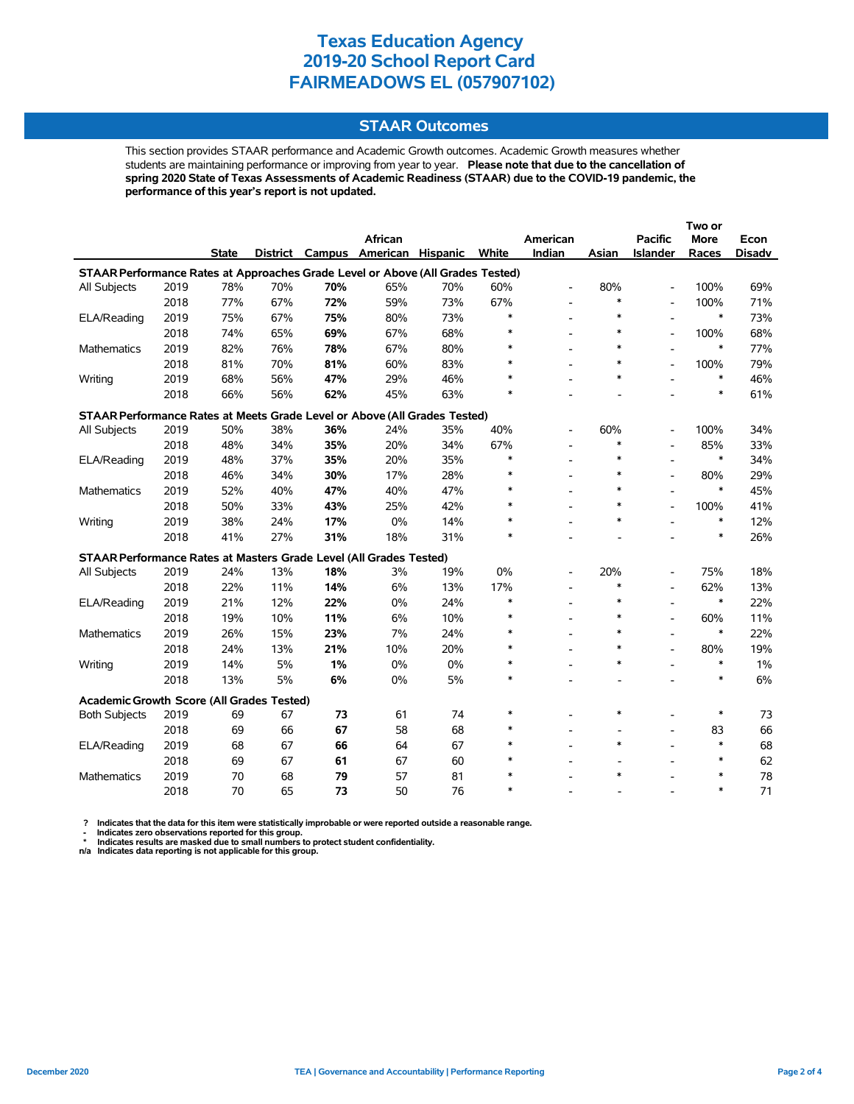## **STAAR Outcomes**

This section provides STAAR performance and Academic Growth outcomes. Academic Growth measures whether students are maintaining performance or improving from year to year. **Please note that due to the cancellation of spring 2020 State of Texas Assessments of Academic Readiness (STAAR) due to the COVID-19 pandemic, the performance of this year's report is not updated.**

|                                                                                |      |              |     |     |                          |                 |        |                          |        |                          | Two or      |               |
|--------------------------------------------------------------------------------|------|--------------|-----|-----|--------------------------|-----------------|--------|--------------------------|--------|--------------------------|-------------|---------------|
|                                                                                |      |              |     |     | African                  |                 |        | American                 |        | <b>Pacific</b>           | <b>More</b> | Econ          |
|                                                                                |      | <b>State</b> |     |     | District Campus American | <b>Hispanic</b> | White  | Indian                   | Asian  | <b>Islander</b>          | Races       | <b>Disadv</b> |
| STAAR Performance Rates at Approaches Grade Level or Above (All Grades Tested) |      |              |     |     |                          |                 |        |                          |        |                          |             |               |
| All Subjects                                                                   | 2019 | 78%          | 70% | 70% | 65%                      | 70%             | 60%    | $\overline{\phantom{a}}$ | 80%    | $\overline{\phantom{a}}$ | 100%        | 69%           |
|                                                                                | 2018 | 77%          | 67% | 72% | 59%                      | 73%             | 67%    | $\overline{\phantom{a}}$ | $\ast$ | $\overline{a}$           | 100%        | 71%           |
| ELA/Reading                                                                    | 2019 | 75%          | 67% | 75% | 80%                      | 73%             | $\ast$ | $\overline{\phantom{a}}$ | $\ast$ | $\overline{\phantom{a}}$ | $\ast$      | 73%           |
|                                                                                | 2018 | 74%          | 65% | 69% | 67%                      | 68%             |        |                          | $\ast$ | $\overline{a}$           | 100%        | 68%           |
| <b>Mathematics</b>                                                             | 2019 | 82%          | 76% | 78% | 67%                      | 80%             |        |                          | $\ast$ |                          | $\ast$      | 77%           |
|                                                                                | 2018 | 81%          | 70% | 81% | 60%                      | 83%             |        |                          | $\ast$ | $\overline{\phantom{a}}$ | 100%        | 79%           |
| Writing                                                                        | 2019 | 68%          | 56% | 47% | 29%                      | 46%             |        |                          | $\ast$ |                          | $\ast$      | 46%           |
|                                                                                | 2018 | 66%          | 56% | 62% | 45%                      | 63%             |        |                          |        |                          | $\ast$      | 61%           |
| STAAR Performance Rates at Meets Grade Level or Above (All Grades Tested)      |      |              |     |     |                          |                 |        |                          |        |                          |             |               |
| All Subjects                                                                   | 2019 | 50%          | 38% | 36% | 24%                      | 35%             | 40%    |                          | 60%    |                          | 100%        | 34%           |
|                                                                                | 2018 | 48%          | 34% | 35% | 20%                      | 34%             | 67%    |                          | $\ast$ |                          | 85%         | 33%           |
| ELA/Reading                                                                    | 2019 | 48%          | 37% | 35% | 20%                      | 35%             | $\ast$ |                          | $\ast$ |                          | $\ast$      | 34%           |
|                                                                                | 2018 | 46%          | 34% | 30% | 17%                      | 28%             | $\ast$ |                          | $\ast$ | $\overline{a}$           | 80%         | 29%           |
| Mathematics                                                                    | 2019 | 52%          | 40% | 47% | 40%                      | 47%             | $\ast$ |                          | $\ast$ |                          | $\ast$      | 45%           |
|                                                                                | 2018 | 50%          | 33% | 43% | 25%                      | 42%             | $\ast$ |                          | $\ast$ | $\overline{a}$           | 100%        | 41%           |
| Writing                                                                        | 2019 | 38%          | 24% | 17% | 0%                       | 14%             | $\ast$ |                          | $\ast$ |                          | $\ast$      | 12%           |
|                                                                                | 2018 | 41%          | 27% | 31% | 18%                      | 31%             | $\ast$ |                          |        |                          | $\ast$      | 26%           |
| STAAR Performance Rates at Masters Grade Level (All Grades Tested)             |      |              |     |     |                          |                 |        |                          |        |                          |             |               |
| All Subjects                                                                   | 2019 | 24%          | 13% | 18% | 3%                       | 19%             | 0%     |                          | 20%    | $\overline{\phantom{a}}$ | 75%         | 18%           |
|                                                                                | 2018 | 22%          | 11% | 14% | 6%                       | 13%             | 17%    | $\overline{a}$           | $\ast$ | $\overline{a}$           | 62%         | 13%           |
| ELA/Reading                                                                    | 2019 | 21%          | 12% | 22% | 0%                       | 24%             | $\ast$ |                          | $\ast$ | $\overline{a}$           | $\ast$      | 22%           |
|                                                                                | 2018 | 19%          | 10% | 11% | 6%                       | 10%             | $\ast$ |                          | $\ast$ | $\overline{\phantom{a}}$ | 60%         | 11%           |
| <b>Mathematics</b>                                                             | 2019 | 26%          | 15% | 23% | 7%                       | 24%             |        |                          | $\ast$ |                          | $\ast$      | 22%           |
|                                                                                | 2018 | 24%          | 13% | 21% | 10%                      | 20%             |        |                          | $\ast$ |                          | 80%         | 19%           |
| Writing                                                                        | 2019 | 14%          | 5%  | 1%  | 0%                       | 0%              |        |                          | $\ast$ |                          | $\ast$      | $1\%$         |
|                                                                                | 2018 | 13%          | 5%  | 6%  | 0%                       | 5%              |        |                          |        |                          | $\ast$      | 6%            |
| Academic Growth Score (All Grades Tested)                                      |      |              |     |     |                          |                 |        |                          |        |                          |             |               |
| <b>Both Subjects</b>                                                           | 2019 | 69           | 67  | 73  | 61                       | 74              | $\ast$ |                          | $\ast$ |                          | $\ast$      | 73            |
|                                                                                | 2018 | 69           | 66  | 67  | 58                       | 68              | $\ast$ |                          |        | $\overline{a}$           | 83          | 66            |
| ELA/Reading                                                                    | 2019 | 68           | 67  | 66  | 64                       | 67              | $\ast$ |                          | $\ast$ | $\overline{a}$           | $\ast$      | 68            |
|                                                                                | 2018 | 69           | 67  | 61  | 67                       | 60              |        |                          |        |                          | $\ast$      | 62            |
| Mathematics                                                                    | 2019 | 70           | 68  | 79  | 57                       | 81              |        |                          | $\ast$ |                          | $\ast$      | 78            |
|                                                                                | 2018 | 70           | 65  | 73  | 50                       | 76              | $\ast$ |                          |        |                          | $\ast$      | 71            |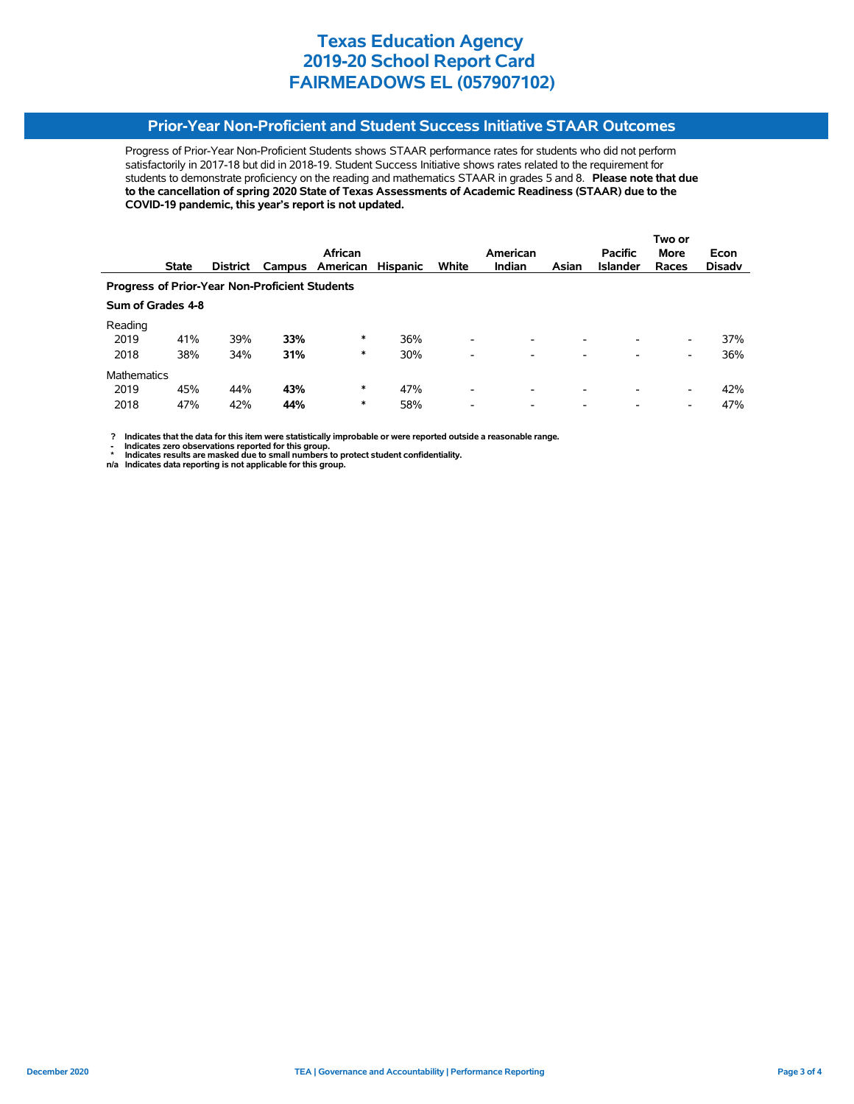# **Prior-Year Non-Proficient and Student Success Initiative STAAR Outcomes**

Progress of Prior-Year Non-Proficient Students shows STAAR performance rates for students who did not perform satisfactorily in 2017-18 but did in 2018-19. Student Success Initiative shows rates related to the requirement for students to demonstrate proficiency on the reading and mathematics STAAR in grades 5 and 8. **Please note that due to the cancellation of spring 2020 State of Texas Assessments of Academic Readiness (STAAR) due to the COVID-19 pandemic, this year's report is not updated.**

|                                                       |                   |                 |        |          |                 |                          |                          |                          |                          | Two or      |               |
|-------------------------------------------------------|-------------------|-----------------|--------|----------|-----------------|--------------------------|--------------------------|--------------------------|--------------------------|-------------|---------------|
|                                                       |                   |                 |        | African  |                 |                          | American                 |                          | <b>Pacific</b>           | <b>More</b> | Econ          |
|                                                       | <b>State</b>      | <b>District</b> | Campus | American | <b>Hispanic</b> | White                    | <b>Indian</b>            | Asian                    | <b>Islander</b>          | Races       | <b>Disady</b> |
| <b>Progress of Prior-Year Non-Proficient Students</b> |                   |                 |        |          |                 |                          |                          |                          |                          |             |               |
|                                                       | Sum of Grades 4-8 |                 |        |          |                 |                          |                          |                          |                          |             |               |
| Reading                                               |                   |                 |        |          |                 |                          |                          |                          |                          |             |               |
| 2019                                                  | 41%               | 39%             | 33%    | *        | 36%             | $\overline{\phantom{0}}$ | -                        | $\overline{\phantom{0}}$ | -                        | -           | 37%           |
| 2018                                                  | 38%               | 34%             | 31%    | *        | 30%             | $\overline{\phantom{0}}$ | -                        | -                        |                          | -           | 36%           |
| <b>Mathematics</b>                                    |                   |                 |        |          |                 |                          |                          |                          |                          |             |               |
| 2019                                                  | 45%               | 44%             | 43%    | *        | 47%             | $\overline{\phantom{0}}$ | $\overline{\phantom{a}}$ | $\overline{\phantom{a}}$ |                          | -           | 42%           |
| 2018                                                  | 47%               | 42%             | 44%    | *        | 58%             | $\overline{\phantom{0}}$ | $\overline{\phantom{a}}$ | $\overline{\phantom{0}}$ | $\overline{\phantom{0}}$ | -           | 47%           |

 **? Indicates that the data for this item were statistically improbable or were reported outside a reasonable range.**

**1.** Indicates zero observations reported for this group.<br> **1.** Indicates zero the sex mealed for this group.

 **\* Indicates results are masked due to small numbers to protect student confidentiality. n/a Indicates data reporting is not applicable for this group.**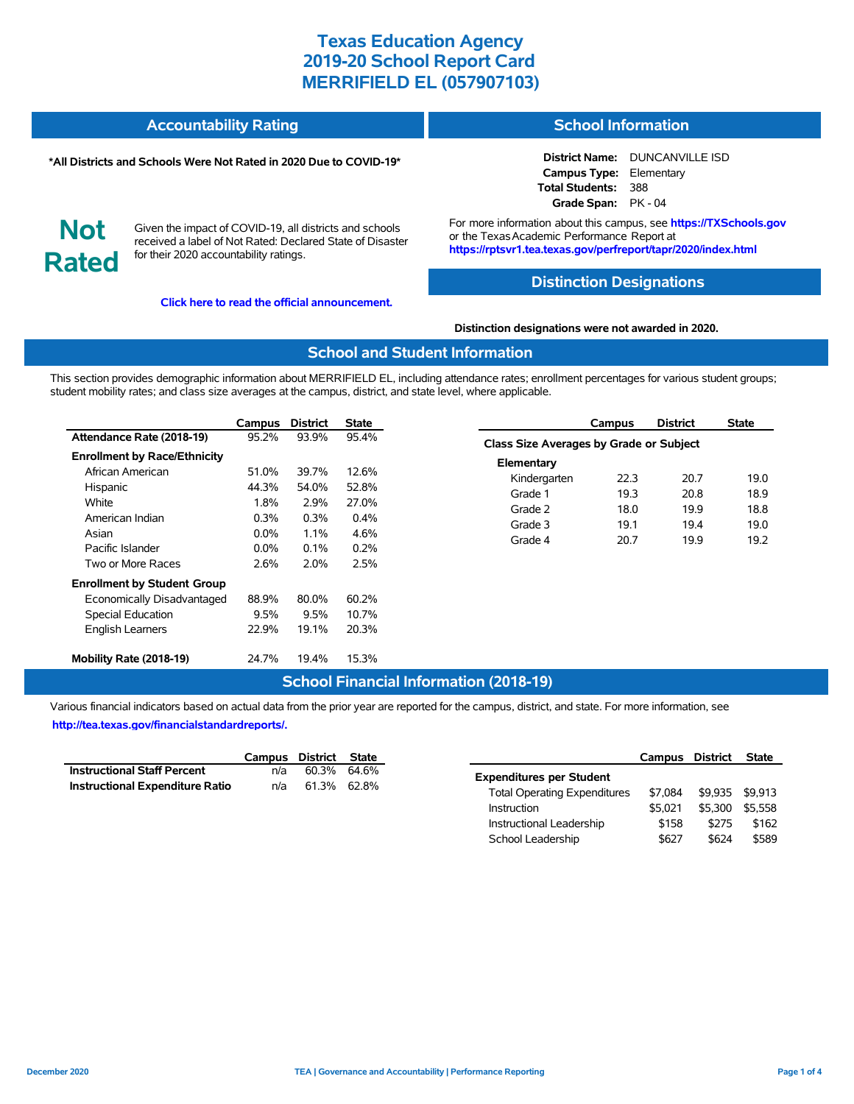| <b>Accountability Rating</b> | <b>School Information</b> |
|------------------------------|---------------------------|
|                              |                           |

#### **\*All Districts and Schools Were Not Rated in 2020 Due to COVID-19\***

**Not**

**Rated**

# Given the impact of COVID-19, all districts and schools

received a label of Not Rated: Declared State of Disaster for their 2020 accountability ratings.

**[Click here to read the official announcement.](https://tea.texas.gov/about-tea/news-and-multimedia/correspondence/taa-letters/every-student-succeeds-act-essa-waiver-approval-2020-state-academic-accountability)**

**District Name:** DUNCANVILLE ISD **Campus Type:** Elementary **Total Students:** 388 **Grade Span:** PK - 04

For more information about this campus, see **https://TXSchools.gov** or the Texas Academic Performance Report at **https://rptsvr1.tea.texas.gov/perfreport/tapr/2020/index.html**

## **Distinction Designations**

#### **Distinction designations were not awarded in 2020.**

#### **School and Student Information**

This section provides demographic information about MERRIFIELD EL, including attendance rates; enrollment percentages for various student groups; student mobility rates; and class size averages at the campus, district, and state level, where applicable.

|                                     | Campus  | <b>District</b> | State   |
|-------------------------------------|---------|-----------------|---------|
| Attendance Rate (2018-19)           | 95.2%   | 93.9%           | 95.4%   |
| <b>Enrollment by Race/Ethnicity</b> |         |                 |         |
| African American                    | 51.0%   | 39.7%           | 12.6%   |
| Hispanic                            | 44.3%   | 54.0%           | 52.8%   |
| White                               | 1.8%    | 2.9%            | 27.0%   |
| American Indian                     | $0.3\%$ | $0.3\%$         | $0.4\%$ |
| Asian                               | $0.0\%$ | $11\%$          | 4.6%    |
| Pacific Islander                    | $0.0\%$ | $0.1\%$         | 0.2%    |
| Two or More Races                   | 2.6%    | 2.0%            | 2.5%    |
| <b>Enrollment by Student Group</b>  |         |                 |         |
| Economically Disadvantaged          | 88.9%   | 80.0%           | 60.2%   |
| <b>Special Education</b>            | 9.5%    | 9.5%            | 10.7%   |
| <b>English Learners</b>             | 22.9%   | 19.1%           | 20.3%   |
| Mobility Rate (2018-19)             | 24.7%   | 19.4%           | 15.3%   |

|                                         | Campus | <b>District</b> | <b>State</b> |  |  |  |  |  |  |
|-----------------------------------------|--------|-----------------|--------------|--|--|--|--|--|--|
| Class Size Averages by Grade or Subject |        |                 |              |  |  |  |  |  |  |
| Elementary                              |        |                 |              |  |  |  |  |  |  |
| Kindergarten                            | 22.3   | 20.7            | 19.0         |  |  |  |  |  |  |
| Grade 1                                 | 19.3   | 20.8            | 18.9         |  |  |  |  |  |  |
| Grade 2                                 | 18.0   | 19.9            | 18.8         |  |  |  |  |  |  |
| Grade 3                                 | 19.1   | 19.4            | 19.0         |  |  |  |  |  |  |
| Grade 4                                 | 20.7   | 19.9            | 19.2         |  |  |  |  |  |  |
|                                         |        |                 |              |  |  |  |  |  |  |

# **School Financial Information (2018-19)**

Various financial indicators based on actual data from the prior year are reported for the campus, district, and state. For more information, see **[http://tea.texas.gov/financialstandardreports/.](http://tea.texas.gov/financialstandardreports/)**

|                                        | Campus District State |             |  |
|----------------------------------------|-----------------------|-------------|--|
| <b>Instructional Staff Percent</b>     | n/a                   | 60.3% 64.6% |  |
| <b>Instructional Expenditure Ratio</b> | n/a                   | 61.3% 62.8% |  |

|                                     | Campus District |         | <b>State</b> |
|-------------------------------------|-----------------|---------|--------------|
| <b>Expenditures per Student</b>     |                 |         |              |
| <b>Total Operating Expenditures</b> | \$7.084         | \$9.935 | \$9.913      |
| Instruction                         | \$5.021         | \$5.300 | \$5.558      |
| Instructional Leadership            | \$158           | \$275   | \$162        |
| School Leadership                   | \$627           | \$624   | \$589        |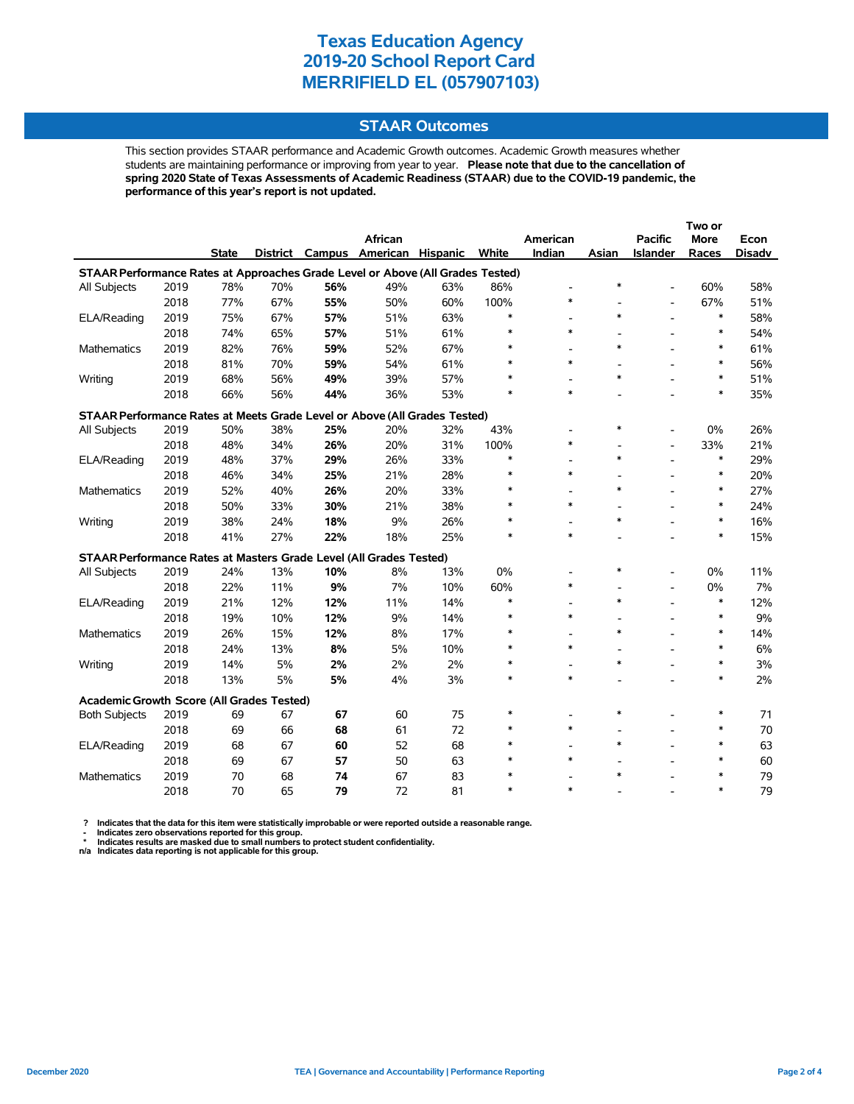## **STAAR Outcomes**

This section provides STAAR performance and Academic Growth outcomes. Academic Growth measures whether students are maintaining performance or improving from year to year. **Please note that due to the cancellation of spring 2020 State of Texas Assessments of Academic Readiness (STAAR) due to the COVID-19 pandemic, the performance of this year's report is not updated.**

|                                                                                |      |              |     |     |                          |          |        |                          |        |                          | Two or      |               |
|--------------------------------------------------------------------------------|------|--------------|-----|-----|--------------------------|----------|--------|--------------------------|--------|--------------------------|-------------|---------------|
|                                                                                |      |              |     |     | <b>African</b>           |          |        | American                 |        | <b>Pacific</b>           | <b>More</b> | Econ          |
|                                                                                |      | <b>State</b> |     |     | District Campus American | Hispanic | White  | Indian                   | Asian  | <b>Islander</b>          | Races       | <b>Disadv</b> |
| STAAR Performance Rates at Approaches Grade Level or Above (All Grades Tested) |      |              |     |     |                          |          |        |                          |        |                          |             |               |
| All Subjects                                                                   | 2019 | 78%          | 70% | 56% | 49%                      | 63%      | 86%    | $\overline{\phantom{a}}$ | $\ast$ | $\overline{a}$           | 60%         | 58%           |
|                                                                                | 2018 | 77%          | 67% | 55% | 50%                      | 60%      | 100%   | $\ast$                   |        | $\overline{\phantom{a}}$ | 67%         | 51%           |
| ELA/Reading                                                                    | 2019 | 75%          | 67% | 57% | 51%                      | 63%      | $\ast$ |                          | $\ast$ |                          | $\ast$      | 58%           |
|                                                                                | 2018 | 74%          | 65% | 57% | 51%                      | 61%      | $\ast$ | $\ast$                   |        |                          | $\ast$      | 54%           |
| <b>Mathematics</b>                                                             | 2019 | 82%          | 76% | 59% | 52%                      | 67%      |        |                          | $\ast$ |                          | $\ast$      | 61%           |
|                                                                                | 2018 | 81%          | 70% | 59% | 54%                      | 61%      |        | $\ast$                   |        |                          | $\ast$      | 56%           |
| Writing                                                                        | 2019 | 68%          | 56% | 49% | 39%                      | 57%      |        |                          | $\ast$ |                          | $\ast$      | 51%           |
|                                                                                | 2018 | 66%          | 56% | 44% | 36%                      | 53%      |        | $\ast$                   |        |                          | $\ast$      | 35%           |
| STAAR Performance Rates at Meets Grade Level or Above (All Grades Tested)      |      |              |     |     |                          |          |        |                          |        |                          |             |               |
| All Subjects                                                                   | 2019 | 50%          | 38% | 25% | 20%                      | 32%      | 43%    |                          | $\ast$ |                          | 0%          | 26%           |
|                                                                                | 2018 | 48%          | 34% | 26% | 20%                      | 31%      | 100%   | $\ast$                   |        | $\overline{a}$           | 33%         | 21%           |
| ELA/Reading                                                                    | 2019 | 48%          | 37% | 29% | 26%                      | 33%      | $\ast$ |                          | $\ast$ |                          | $\ast$      | 29%           |
|                                                                                | 2018 | 46%          | 34% | 25% | 21%                      | 28%      | $\ast$ | $\ast$                   |        |                          | $\ast$      | 20%           |
| Mathematics                                                                    | 2019 | 52%          | 40% | 26% | 20%                      | 33%      |        |                          | $\ast$ |                          | $\ast$      | 27%           |
|                                                                                | 2018 | 50%          | 33% | 30% | 21%                      | 38%      |        | $\ast$                   |        |                          | $\ast$      | 24%           |
| Writing                                                                        | 2019 | 38%          | 24% | 18% | 9%                       | 26%      |        |                          | $\ast$ |                          | $\ast$      | 16%           |
|                                                                                | 2018 | 41%          | 27% | 22% | 18%                      | 25%      | $\ast$ | $\ast$                   |        |                          | $\ast$      | 15%           |
| <b>STAAR Performance Rates at Masters Grade Level (All Grades Tested)</b>      |      |              |     |     |                          |          |        |                          |        |                          |             |               |
| All Subjects                                                                   | 2019 | 24%          | 13% | 10% | 8%                       | 13%      | 0%     |                          | $\ast$ |                          | 0%          | 11%           |
|                                                                                | 2018 | 22%          | 11% | 9%  | 7%                       | 10%      | 60%    | $\ast$                   |        | $\overline{\phantom{a}}$ | 0%          | 7%            |
| ELA/Reading                                                                    | 2019 | 21%          | 12% | 12% | 11%                      | 14%      | $\ast$ |                          | $\ast$ |                          | $\ast$      | 12%           |
|                                                                                | 2018 | 19%          | 10% | 12% | 9%                       | 14%      |        | $\ast$                   |        |                          | $\ast$      | 9%            |
| <b>Mathematics</b>                                                             | 2019 | 26%          | 15% | 12% | 8%                       | 17%      |        |                          | $\ast$ |                          | $\ast$      | 14%           |
|                                                                                | 2018 | 24%          | 13% | 8%  | 5%                       | 10%      |        | $\ast$                   |        |                          | $\ast$      | 6%            |
| Writing                                                                        | 2019 | 14%          | 5%  | 2%  | 2%                       | 2%       |        |                          | $\ast$ |                          | $\ast$      | 3%            |
|                                                                                | 2018 | 13%          | 5%  | 5%  | 4%                       | 3%       |        | $\ast$                   |        |                          | $\ast$      | 2%            |
| Academic Growth Score (All Grades Tested)                                      |      |              |     |     |                          |          |        |                          |        |                          |             |               |
| <b>Both Subjects</b>                                                           | 2019 | 69           | 67  | 67  | 60                       | 75       | $\ast$ |                          | $\ast$ |                          | $\ast$      | 71            |
|                                                                                | 2018 | 69           | 66  | 68  | 61                       | 72       |        | $\ast$                   |        |                          | $\ast$      | 70            |
| ELA/Reading                                                                    | 2019 | 68           | 67  | 60  | 52                       | 68       |        |                          | $\ast$ |                          | $\ast$      | 63            |
|                                                                                | 2018 | 69           | 67  | 57  | 50                       | 63       |        | $\ast$                   |        |                          | $\ast$      | 60            |
| Mathematics                                                                    | 2019 | 70           | 68  | 74  | 67                       | 83       |        |                          | $\ast$ |                          | $\ast$      | 79            |
|                                                                                | 2018 | 70           | 65  | 79  | 72                       | 81       | $\ast$ | $\ast$                   |        |                          | $\ast$      | 79            |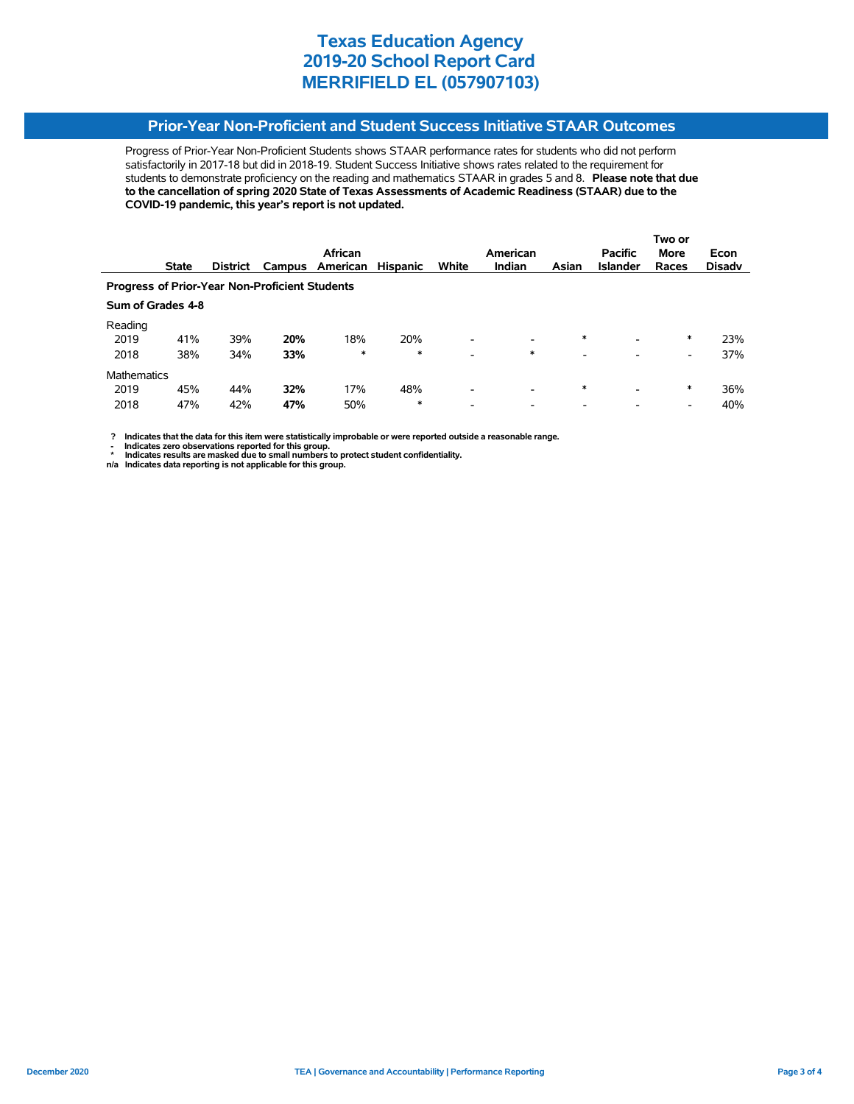# **Prior-Year Non-Proficient and Student Success Initiative STAAR Outcomes**

Progress of Prior-Year Non-Proficient Students shows STAAR performance rates for students who did not perform satisfactorily in 2017-18 but did in 2018-19. Student Success Initiative shows rates related to the requirement for students to demonstrate proficiency on the reading and mathematics STAAR in grades 5 and 8. **Please note that due to the cancellation of spring 2020 State of Texas Assessments of Academic Readiness (STAAR) due to the COVID-19 pandemic, this year's report is not updated.**

|                                                       |                   |                 |     |                 |                 |                          |                          |                          |                 | Two or      |               |
|-------------------------------------------------------|-------------------|-----------------|-----|-----------------|-----------------|--------------------------|--------------------------|--------------------------|-----------------|-------------|---------------|
|                                                       |                   |                 |     | African         |                 |                          | American                 |                          | <b>Pacific</b>  | <b>More</b> | Econ          |
|                                                       | <b>State</b>      | <b>District</b> |     | Campus American | <b>Hispanic</b> | White                    | <b>Indian</b>            | Asian                    | <b>Islander</b> | Races       | <b>Disady</b> |
| <b>Progress of Prior-Year Non-Proficient Students</b> |                   |                 |     |                 |                 |                          |                          |                          |                 |             |               |
|                                                       | Sum of Grades 4-8 |                 |     |                 |                 |                          |                          |                          |                 |             |               |
| Reading                                               |                   |                 |     |                 |                 |                          |                          |                          |                 |             |               |
| 2019                                                  | 41%               | 39%             | 20% | 18%             | 20%             | $\overline{\phantom{a}}$ | $\overline{\phantom{a}}$ | $\ast$                   | -               | ∗           | 23%           |
| 2018                                                  | 38%               | 34%             | 33% | $\ast$          | $\ast$          | $\overline{\phantom{a}}$ | $\ast$                   | $\overline{\phantom{0}}$ |                 | -           | 37%           |
| <b>Mathematics</b>                                    |                   |                 |     |                 |                 |                          |                          |                          |                 |             |               |
| 2019                                                  | 45%               | 44%             | 32% | 17%             | 48%             | $\overline{\phantom{a}}$ | $\overline{\phantom{a}}$ | $\ast$                   | -               | *           | 36%           |
| 2018                                                  | 47%               | 42%             | 47% | 50%             | $\ast$          | $\overline{\phantom{0}}$ | $\overline{\phantom{a}}$ | $\overline{\phantom{0}}$ |                 | -           | 40%           |

 **? Indicates that the data for this item were statistically improbable or were reported outside a reasonable range.**

**1.** Indicates zero observations reported for this group.<br> **1.** Indicates zero the sex mealed for this group.

 **\* Indicates results are masked due to small numbers to protect student confidentiality. n/a Indicates data reporting is not applicable for this group.**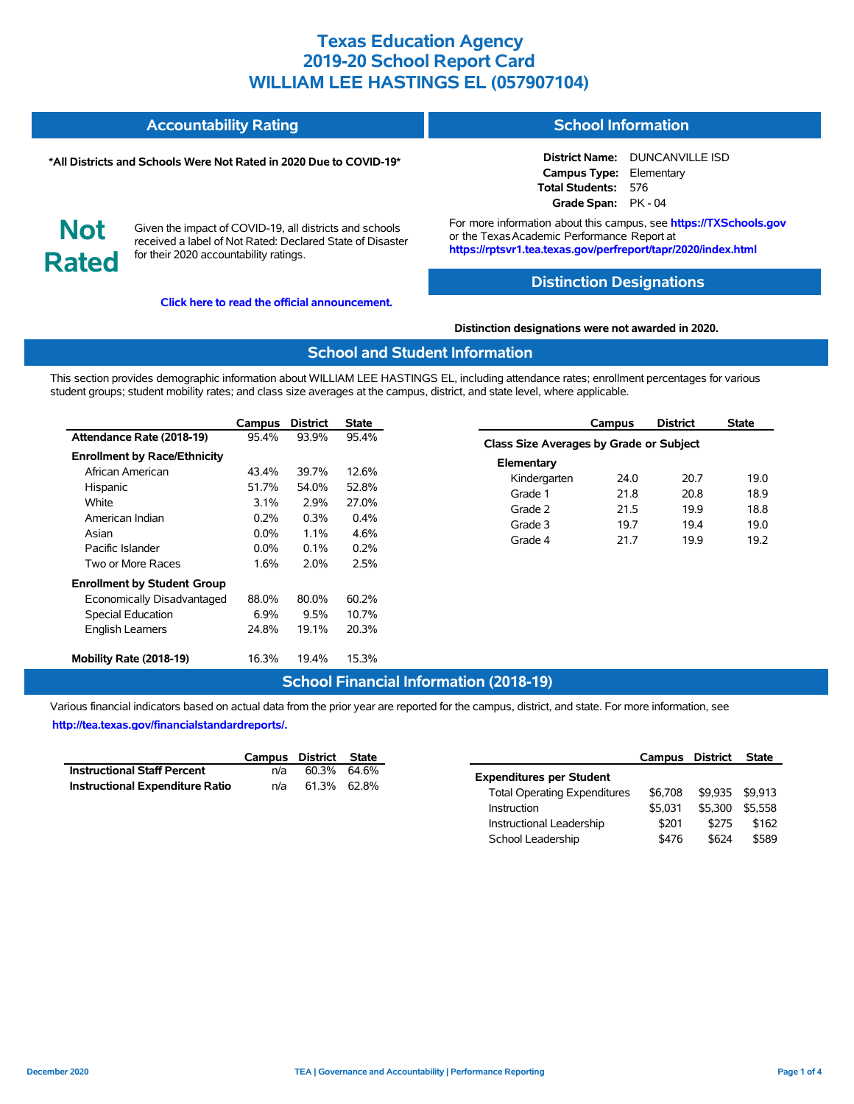#### **Accountability Rating School Information**

#### **\*All Districts and Schools Were Not Rated in 2020 Due to COVID-19\***

**District Name:** DUNCANVILLE ISD **Campus Type:** Elementary **Total Students:** 576 **Grade Span:** PK - 04

**Not Rated**

Given the impact of COVID-19, all districts and schools received a label of Not Rated: Declared State of Disaster for their 2020 accountability ratings.

**[Click here to read the official announcement.](https://tea.texas.gov/about-tea/news-and-multimedia/correspondence/taa-letters/every-student-succeeds-act-essa-waiver-approval-2020-state-academic-accountability)**

For more information about this campus, see **https://TXSchools.gov** or the TexasAcademic Performance Report at **https://rptsvr1.tea.texas.gov/perfreport/tapr/2020/index.html**

### **Distinction Designations**

#### **Distinction designations were not awarded in 2020.**

### **School and Student Information**

This section provides demographic information about WILLIAM LEE HASTINGS EL, including attendance rates; enrollment percentages for various student groups; student mobility rates; and class size averages at the campus, district, and state level, where applicable.

|                                     | Campus  | <b>District</b> | <b>State</b> |
|-------------------------------------|---------|-----------------|--------------|
| Attendance Rate (2018-19)           | 95.4%   | 93.9%           | 95.4%        |
| <b>Enrollment by Race/Ethnicity</b> |         |                 |              |
| African American                    | 43.4%   | 39.7%           | 12.6%        |
| Hispanic                            | 51.7%   | 54.0%           | 52.8%        |
| White                               | 3.1%    | 2.9%            | 27.0%        |
| American Indian                     | 0.2%    | 0.3%            | $0.4\%$      |
| Asian                               | $0.0\%$ | $1.1\%$         | 4.6%         |
| Pacific Islander                    | $0.0\%$ | $0.1\%$         | 0.2%         |
| Two or More Races                   | 1.6%    | 2.0%            | 2.5%         |
| <b>Enrollment by Student Group</b>  |         |                 |              |
| Economically Disadvantaged          | 88.0%   | 80.0%           | 60.2%        |
| <b>Special Education</b>            | $6.9\%$ | 9.5%            | 10.7%        |
| <b>English Learners</b>             | 24.8%   | 19.1%           | 20.3%        |
| Mobility Rate (2018-19)             | 16.3%   | 19.4%           | 15.3%        |

### **Campus District State Class Size Averages by Grade or Subject Elementary** Kindergarten 24.0 20.7 19.0 Grade 1 21.8 20.8 18.9 Grade 2 21.5 19.9 18.8 Grade 3 19.7 19.4 19.0 Grade 4 21.7 19.9 19.2

## **School Financial Information (2018-19)**

|                                        | Campus District State |             |  |
|----------------------------------------|-----------------------|-------------|--|
| <b>Instructional Staff Percent</b>     | n/a                   | 60.3% 64.6% |  |
| <b>Instructional Expenditure Ratio</b> | n/a                   | 61.3% 62.8% |  |

|                                     | Campus District |         | <b>State</b> |
|-------------------------------------|-----------------|---------|--------------|
| <b>Expenditures per Student</b>     |                 |         |              |
| <b>Total Operating Expenditures</b> | \$6.708         | \$9.935 | \$9.913      |
| Instruction                         | \$5.031         | \$5.300 | \$5.558      |
| Instructional Leadership            | \$201           | \$275   | \$162        |
| School Leadership                   | \$476           | \$624   | \$589        |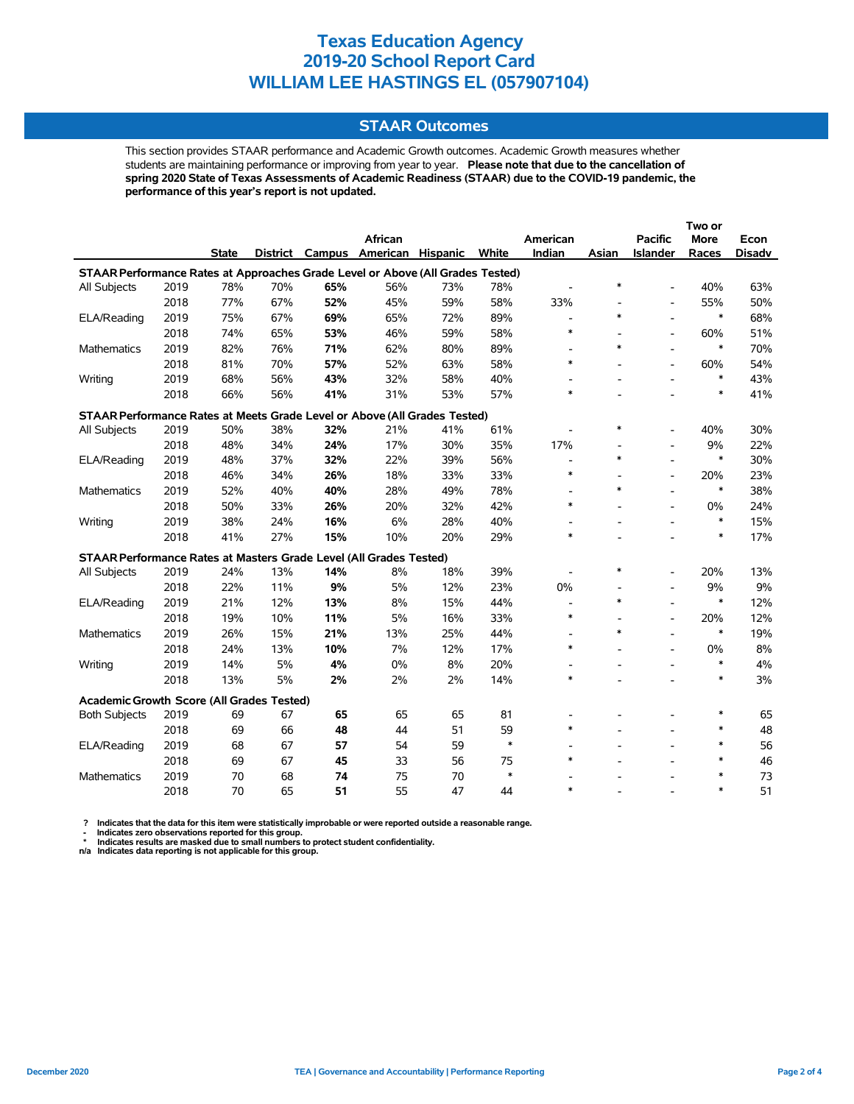### **STAAR Outcomes**

This section provides STAAR performance and Academic Growth outcomes. Academic Growth measures whether students are maintaining performance or improving from year to year. **Please note that due to the cancellation of spring 2020 State of Texas Assessments of Academic Readiness (STAAR) due to the COVID-19 pandemic, the performance of this year's report is not updated.**

|                                                                                |      |              |     |     |                          |          |        |                          |        |                          | Two or      |        |
|--------------------------------------------------------------------------------|------|--------------|-----|-----|--------------------------|----------|--------|--------------------------|--------|--------------------------|-------------|--------|
|                                                                                |      |              |     |     | African                  |          |        | American                 |        | <b>Pacific</b>           | <b>More</b> | Econ   |
|                                                                                |      | <b>State</b> |     |     | District Campus American | Hispanic | White  | Indian                   | Asian  | Islander                 | Races       | Disadv |
| STAAR Performance Rates at Approaches Grade Level or Above (All Grades Tested) |      |              |     |     |                          |          |        |                          |        |                          |             |        |
| All Subjects                                                                   | 2019 | 78%          | 70% | 65% | 56%                      | 73%      | 78%    |                          | $\ast$ | $\overline{a}$           | 40%         | 63%    |
|                                                                                | 2018 | 77%          | 67% | 52% | 45%                      | 59%      | 58%    | 33%                      |        | $\overline{a}$           | 55%         | 50%    |
| ELA/Reading                                                                    | 2019 | 75%          | 67% | 69% | 65%                      | 72%      | 89%    | $\blacksquare$           | $\ast$ | $\overline{a}$           | $\ast$      | 68%    |
|                                                                                | 2018 | 74%          | 65% | 53% | 46%                      | 59%      | 58%    | $\ast$                   |        | $\overline{a}$           | 60%         | 51%    |
| <b>Mathematics</b>                                                             | 2019 | 82%          | 76% | 71% | 62%                      | 80%      | 89%    | $\overline{\phantom{a}}$ | $\ast$ | $\overline{a}$           | $\ast$      | 70%    |
|                                                                                | 2018 | 81%          | 70% | 57% | 52%                      | 63%      | 58%    | $\ast$                   |        | $\overline{a}$           | 60%         | 54%    |
| Writing                                                                        | 2019 | 68%          | 56% | 43% | 32%                      | 58%      | 40%    | $\overline{a}$           |        | $\overline{a}$           | $\ast$      | 43%    |
|                                                                                | 2018 | 66%          | 56% | 41% | 31%                      | 53%      | 57%    | $\ast$                   |        |                          | $\ast$      | 41%    |
| STAAR Performance Rates at Meets Grade Level or Above (All Grades Tested)      |      |              |     |     |                          |          |        |                          |        |                          |             |        |
| All Subjects                                                                   | 2019 | 50%          | 38% | 32% | 21%                      | 41%      | 61%    |                          | $\ast$ |                          | 40%         | 30%    |
|                                                                                | 2018 | 48%          | 34% | 24% | 17%                      | 30%      | 35%    | 17%                      |        | $\blacksquare$           | 9%          | 22%    |
| ELA/Reading                                                                    | 2019 | 48%          | 37% | 32% | 22%                      | 39%      | 56%    | $\overline{a}$           | $\ast$ |                          | $\ast$      | 30%    |
|                                                                                | 2018 | 46%          | 34% | 26% | 18%                      | 33%      | 33%    | $\ast$                   |        | $\overline{a}$           | 20%         | 23%    |
| Mathematics                                                                    | 2019 | 52%          | 40% | 40% | 28%                      | 49%      | 78%    | $\overline{\phantom{a}}$ | $\ast$ |                          | $\ast$      | 38%    |
|                                                                                | 2018 | 50%          | 33% | 26% | 20%                      | 32%      | 42%    | $\ast$                   |        | $\overline{a}$           | 0%          | 24%    |
| Writing                                                                        | 2019 | 38%          | 24% | 16% | 6%                       | 28%      | 40%    |                          |        |                          | $\ast$      | 15%    |
|                                                                                | 2018 | 41%          | 27% | 15% | 10%                      | 20%      | 29%    | $\ast$                   |        |                          | $\ast$      | 17%    |
| STAAR Performance Rates at Masters Grade Level (All Grades Tested)             |      |              |     |     |                          |          |        |                          |        |                          |             |        |
| All Subjects                                                                   | 2019 | 24%          | 13% | 14% | 8%                       | 18%      | 39%    |                          | $\ast$ | $\overline{a}$           | 20%         | 13%    |
|                                                                                | 2018 | 22%          | 11% | 9%  | 5%                       | 12%      | 23%    | 0%                       |        | $\overline{\phantom{a}}$ | 9%          | 9%     |
| ELA/Reading                                                                    | 2019 | 21%          | 12% | 13% | 8%                       | 15%      | 44%    | $\overline{\phantom{a}}$ | $\ast$ | $\blacksquare$           | $\ast$      | 12%    |
|                                                                                | 2018 | 19%          | 10% | 11% | 5%                       | 16%      | 33%    | $\ast$                   |        | $\overline{\phantom{a}}$ | 20%         | 12%    |
| <b>Mathematics</b>                                                             | 2019 | 26%          | 15% | 21% | 13%                      | 25%      | 44%    | $\overline{\phantom{a}}$ | $\ast$ |                          | $\ast$      | 19%    |
|                                                                                | 2018 | 24%          | 13% | 10% | 7%                       | 12%      | 17%    | $\ast$                   |        | $\blacksquare$           | 0%          | 8%     |
| Writing                                                                        | 2019 | 14%          | 5%  | 4%  | 0%                       | 8%       | 20%    | $\overline{\phantom{a}}$ |        | $\blacksquare$           | $\ast$      | 4%     |
|                                                                                | 2018 | 13%          | 5%  | 2%  | 2%                       | 2%       | 14%    | $\ast$                   |        |                          | $\ast$      | 3%     |
| Academic Growth Score (All Grades Tested)                                      |      |              |     |     |                          |          |        |                          |        |                          |             |        |
| <b>Both Subjects</b>                                                           | 2019 | 69           | 67  | 65  | 65                       | 65       | 81     |                          |        |                          | $\ast$      | 65     |
|                                                                                | 2018 | 69           | 66  | 48  | 44                       | 51       | 59     | $\ast$                   |        |                          | $\ast$      | 48     |
| ELA/Reading                                                                    | 2019 | 68           | 67  | 57  | 54                       | 59       | $\ast$ |                          |        |                          | $\ast$      | 56     |
|                                                                                | 2018 | 69           | 67  | 45  | 33                       | 56       | 75     | $\ast$                   |        |                          | $\ast$      | 46     |
| <b>Mathematics</b>                                                             | 2019 | 70           | 68  | 74  | 75                       | 70       | $\ast$ |                          |        |                          | $\ast$      | 73     |
|                                                                                | 2018 | 70           | 65  | 51  | 55                       | 47       | 44     | $\ast$                   |        |                          | $\ast$      | 51     |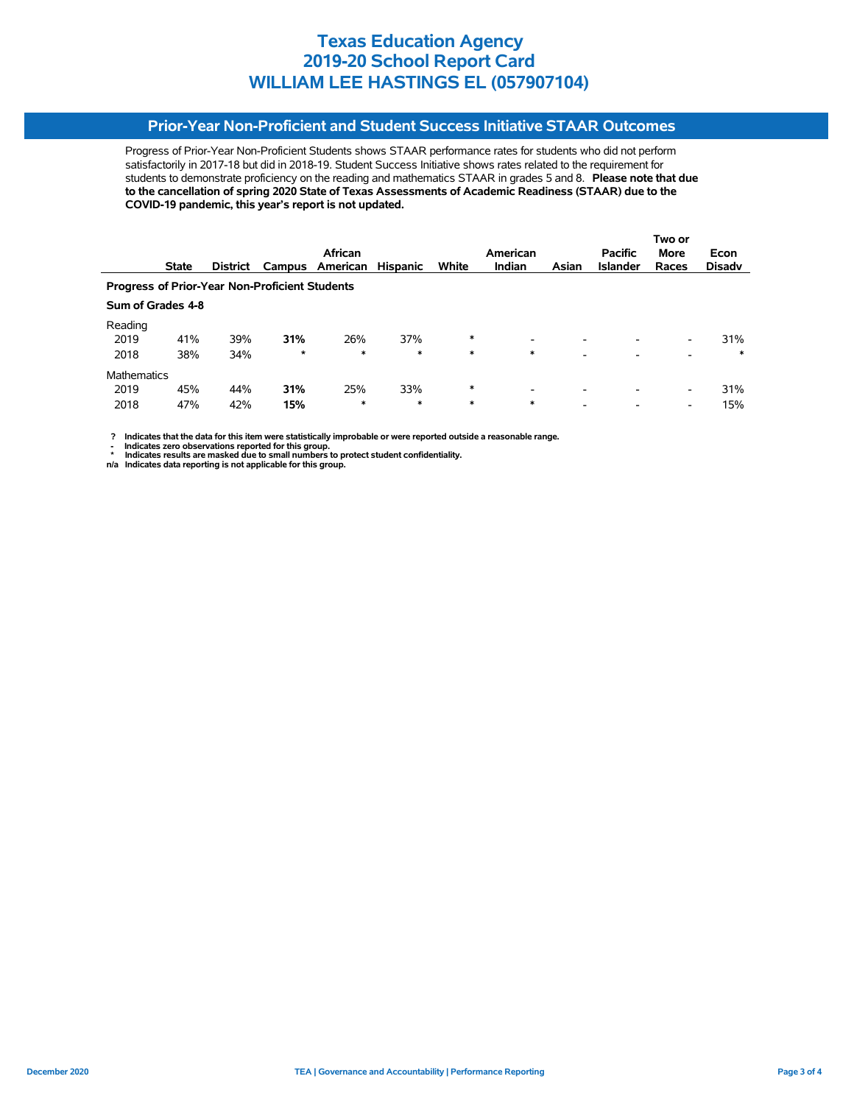## **Prior-Year Non-Proficient and Student Success Initiative STAAR Outcomes**

Progress of Prior-Year Non-Proficient Students shows STAAR performance rates for students who did not perform satisfactorily in 2017-18 but did in 2018-19. Student Success Initiative shows rates related to the requirement for students to demonstrate proficiency on the reading and mathematics STAAR in grades 5 and 8. **Please note that due to the cancellation of spring 2020 State of Texas Assessments of Academic Readiness (STAAR) due to the COVID-19 pandemic, this year's report is not updated.**

|                                                       |                   |                 |         |          |                 |        |                          |                          | Two or          |                          |               |  |
|-------------------------------------------------------|-------------------|-----------------|---------|----------|-----------------|--------|--------------------------|--------------------------|-----------------|--------------------------|---------------|--|
|                                                       |                   |                 |         | African  |                 |        | American                 |                          | <b>Pacific</b>  | <b>More</b>              | Econ          |  |
|                                                       | <b>State</b>      | <b>District</b> | Campus  | American | <b>Hispanic</b> | White  | <b>Indian</b>            | Asian                    | <b>Islander</b> | Races                    | <b>Disady</b> |  |
| <b>Progress of Prior-Year Non-Proficient Students</b> |                   |                 |         |          |                 |        |                          |                          |                 |                          |               |  |
|                                                       | Sum of Grades 4-8 |                 |         |          |                 |        |                          |                          |                 |                          |               |  |
| Reading                                               |                   |                 |         |          |                 |        |                          |                          |                 |                          |               |  |
| 2019                                                  | 41%               | 39%             | 31%     | 26%      | 37%             | $\ast$ | -                        | -                        |                 | -                        | 31%           |  |
| 2018                                                  | 38%               | 34%             | $\star$ | $\ast$   | $\ast$          | $\ast$ | $\ast$                   | -                        |                 | -                        | $\ast$        |  |
| <b>Mathematics</b>                                    |                   |                 |         |          |                 |        |                          |                          |                 |                          |               |  |
| 2019                                                  | 45%               | 44%             | 31%     | 25%      | 33%             | $\ast$ | $\overline{\phantom{0}}$ | $\overline{\phantom{0}}$ |                 | $\overline{\phantom{0}}$ | 31%           |  |
| 2018                                                  | 47%               | 42%             | 15%     | *        | $\ast$          | $\ast$ | $\ast$                   | $\overline{\phantom{a}}$ |                 | $\overline{\phantom{0}}$ | 15%           |  |

 **? Indicates that the data for this item were statistically improbable or were reported outside a reasonable range.**

**1.** Indicates zero observations reported for this group.<br> **1.** Indicates zero the sex mealed for this group.

 **\* Indicates results are masked due to small numbers to protect student confidentiality. n/a Indicates data reporting is not applicable for this group.**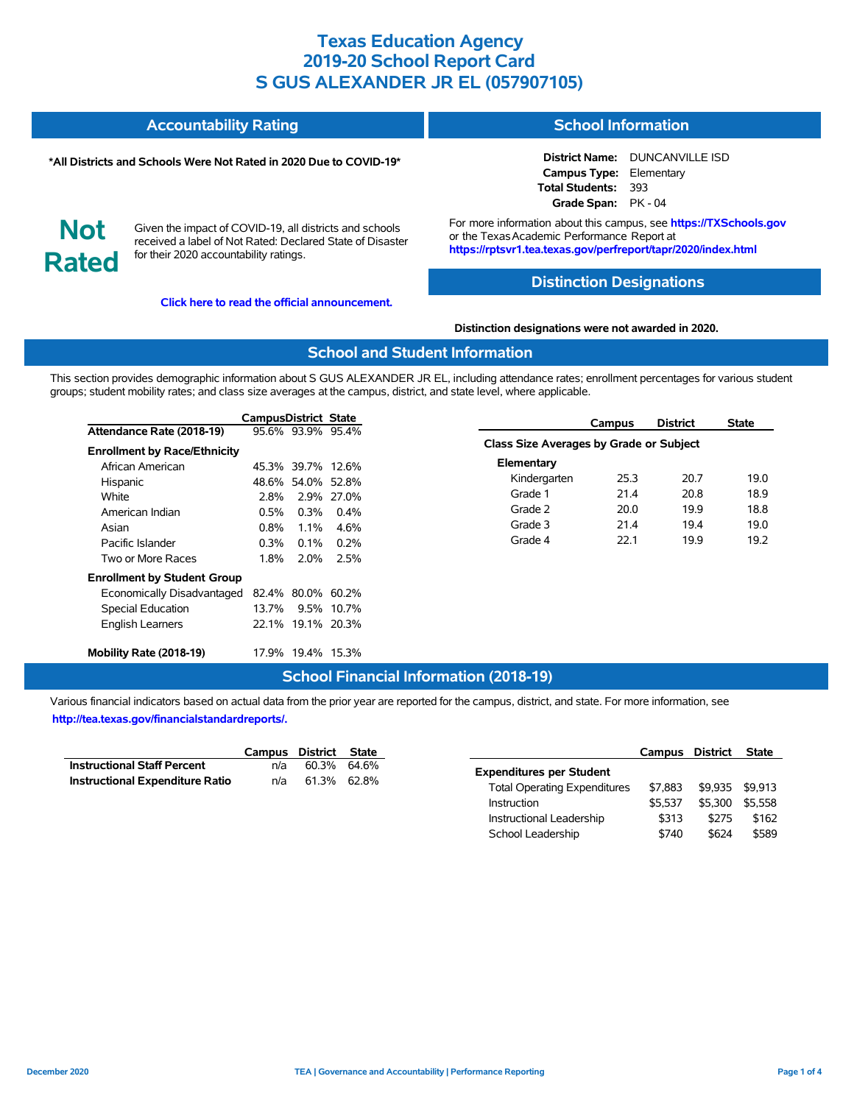| <b>Accountability Rating</b> | <b>School Information</b> |
|------------------------------|---------------------------|
|                              |                           |

#### **\*All Districts and Schools Were Not Rated in 2020 Due to COVID-19\***

**District Name:** DUNCANVILLE ISD **Campus Type:** Elementary **Total Students:** 393 **Grade Span:** PK - 04

**Not Rated**

Given the impact of COVID-19, all districts and schools received a label of Not Rated: Declared State of Disaster for their 2020 accountability ratings.

**[Click here to read the official announcement.](https://tea.texas.gov/about-tea/news-and-multimedia/correspondence/taa-letters/every-student-succeeds-act-essa-waiver-approval-2020-state-academic-accountability)**

For more information about this campus, see **https://TXSchools.gov** or the Texas Academic Performance Report at **https://rptsvr1.tea.texas.gov/perfreport/tapr/2020/index.html**

### **Distinction Designations**

**Distinction designations were not awarded in 2020.**

### **School and Student Information**

This section provides demographic information about S GUS ALEXANDER JR EL, including attendance rates; enrollment percentages for various student groups; student mobility rates; and class size averages at the campus, district, and state level, where applicable.

|                                     | CampusDistrict State |                   |            |                                         | Campus | <b>District</b> | <b>State</b> |
|-------------------------------------|----------------------|-------------------|------------|-----------------------------------------|--------|-----------------|--------------|
| Attendance Rate (2018-19)           |                      | 95.6% 93.9% 95.4% |            |                                         |        |                 |              |
| <b>Enrollment by Race/Ethnicity</b> |                      |                   |            | Class Size Averages by Grade or Subject |        |                 |              |
| African American                    |                      | 45.3% 39.7% 12.6% |            | Elementary                              |        |                 |              |
| Hispanic                            |                      | 48.6% 54.0% 52.8% |            | Kindergarten                            | 25.3   | 20.7            | 19.0         |
| White                               | 2.8%                 |                   | 2.9% 27.0% | Grade 1                                 | 21.4   | 20.8            | 18.9         |
| American Indian                     | $0.5\%$              | $0.3\%$           | $0.4\%$    | Grade 2                                 | 20.0   | 19.9            | 18.8         |
| Asian                               | 0.8%                 | 1.1%              | 4.6%       | Grade 3                                 | 21.4   | 19.4            | 19.0         |
| Pacific Islander                    | $0.3\%$              | $0.1\%$           | $0.2\%$    | Grade 4                                 | 22.1   | 19.9            | 19.2         |
| Two or More Races                   | 1.8%                 | 2.0%              | 2.5%       |                                         |        |                 |              |
| <b>Enrollment by Student Group</b>  |                      |                   |            |                                         |        |                 |              |
| Economically Disadvantaged          |                      | 82.4% 80.0% 60.2% |            |                                         |        |                 |              |
| Special Education                   | 13.7%                |                   | 9.5% 10.7% |                                         |        |                 |              |
| <b>English Learners</b>             |                      | 22.1% 19.1% 20.3% |            |                                         |        |                 |              |
| Mobility Rate (2018-19)             |                      | 17.9% 19.4% 15.3% |            |                                         |        |                 |              |

### **School Financial Information (2018-19)**

|                                        | Campus District State |             |  |
|----------------------------------------|-----------------------|-------------|--|
| <b>Instructional Staff Percent</b>     | n/a                   | 60.3% 64.6% |  |
| <b>Instructional Expenditure Ratio</b> | n/a                   | 61.3% 62.8% |  |

|                                     | Campus District |         | <b>State</b> |
|-------------------------------------|-----------------|---------|--------------|
| <b>Expenditures per Student</b>     |                 |         |              |
| <b>Total Operating Expenditures</b> | \$7.883         | \$9.935 | \$9.913      |
| Instruction                         | \$5.537         | \$5.300 | \$5.558      |
| Instructional Leadership            | \$313           | \$275   | \$162        |
| School Leadership                   | \$740           | \$624   | \$589        |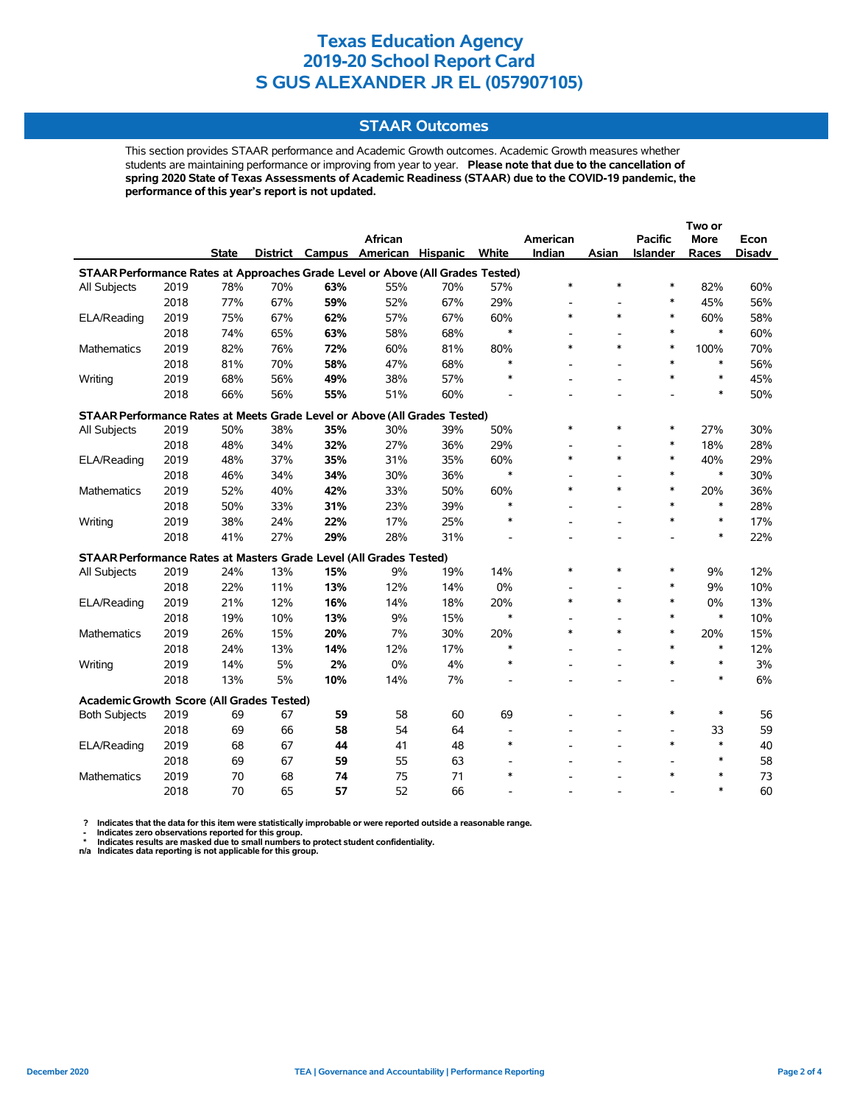### **STAAR Outcomes**

This section provides STAAR performance and Academic Growth outcomes. Academic Growth measures whether students are maintaining performance or improving from year to year. **Please note that due to the cancellation of spring 2020 State of Texas Assessments of Academic Readiness (STAAR) due to the COVID-19 pandemic, the performance of this year's report is not updated.**

|                                                                                |      |              |     |     | <b>African</b>           |                 |        | American                 |        | <b>Pacific</b> | More   | Econ          |
|--------------------------------------------------------------------------------|------|--------------|-----|-----|--------------------------|-----------------|--------|--------------------------|--------|----------------|--------|---------------|
|                                                                                |      | <b>State</b> |     |     | District Campus American | <b>Hispanic</b> | White  | Indian                   | Asian  | Islander       | Races  | <b>Disadv</b> |
| STAAR Performance Rates at Approaches Grade Level or Above (All Grades Tested) |      |              |     |     |                          |                 |        |                          |        |                |        |               |
| All Subjects                                                                   | 2019 | 78%          | 70% | 63% | 55%                      | 70%             | 57%    | $\ast$                   | $\ast$ | $\ast$         | 82%    | 60%           |
|                                                                                | 2018 | 77%          | 67% | 59% | 52%                      | 67%             | 29%    | $\overline{\phantom{a}}$ | ÷      | *              | 45%    | 56%           |
| ELA/Reading                                                                    | 2019 | 75%          | 67% | 62% | 57%                      | 67%             | 60%    | $\ast$                   | $\ast$ | $\ast$         | 60%    | 58%           |
|                                                                                | 2018 | 74%          | 65% | 63% | 58%                      | 68%             | $\ast$ |                          |        | $\ast$         | $\ast$ | 60%           |
| <b>Mathematics</b>                                                             | 2019 | 82%          | 76% | 72% | 60%                      | 81%             | 80%    | $\ast$                   | $\ast$ | $\ast$         | 100%   | 70%           |
|                                                                                | 2018 | 81%          | 70% | 58% | 47%                      | 68%             | $\ast$ |                          |        | $\ast$         | $\ast$ | 56%           |
| Writing                                                                        | 2019 | 68%          | 56% | 49% | 38%                      | 57%             | $\ast$ |                          |        | $\ast$         | $\ast$ | 45%           |
|                                                                                | 2018 | 66%          | 56% | 55% | 51%                      | 60%             |        |                          |        |                | $\ast$ | 50%           |
| STAAR Performance Rates at Meets Grade Level or Above (All Grades Tested)      |      |              |     |     |                          |                 |        |                          |        |                |        |               |
| All Subjects                                                                   | 2019 | 50%          | 38% | 35% | 30%                      | 39%             | 50%    | $\ast$                   | $\ast$ | *              | 27%    | 30%           |
|                                                                                | 2018 | 48%          | 34% | 32% | 27%                      | 36%             | 29%    | $\overline{a}$           |        | $\ast$         | 18%    | 28%           |
| ELA/Reading                                                                    | 2019 | 48%          | 37% | 35% | 31%                      | 35%             | 60%    | $\ast$                   | $\ast$ | $\ast$         | 40%    | 29%           |
|                                                                                | 2018 | 46%          | 34% | 34% | 30%                      | 36%             | $\ast$ |                          |        | $\ast$         | $\ast$ | 30%           |
| Mathematics                                                                    | 2019 | 52%          | 40% | 42% | 33%                      | 50%             | 60%    | $\ast$                   | $\ast$ | $\ast$         | 20%    | 36%           |
|                                                                                | 2018 | 50%          | 33% | 31% | 23%                      | 39%             | $\ast$ |                          |        | $\ast$         | $\ast$ | 28%           |
| Writing                                                                        | 2019 | 38%          | 24% | 22% | 17%                      | 25%             | *      |                          |        | $\ast$         | $\ast$ | 17%           |
|                                                                                | 2018 | 41%          | 27% | 29% | 28%                      | 31%             |        |                          |        |                | $\ast$ | 22%           |
| STAAR Performance Rates at Masters Grade Level (All Grades Tested)             |      |              |     |     |                          |                 |        |                          |        |                |        |               |
| All Subjects                                                                   | 2019 | 24%          | 13% | 15% | 9%                       | 19%             | 14%    | $\ast$                   | $\ast$ | $\ast$         | 9%     | 12%           |
|                                                                                | 2018 | 22%          | 11% | 13% | 12%                      | 14%             | 0%     |                          |        | *              | 9%     | 10%           |
| ELA/Reading                                                                    | 2019 | 21%          | 12% | 16% | 14%                      | 18%             | 20%    | $\ast$                   | $\ast$ | $\ast$         | 0%     | 13%           |
|                                                                                | 2018 | 19%          | 10% | 13% | 9%                       | 15%             | $\ast$ |                          |        | $\ast$         | $\ast$ | 10%           |
| <b>Mathematics</b>                                                             | 2019 | 26%          | 15% | 20% | 7%                       | 30%             | 20%    | $\ast$                   | $\ast$ | $\ast$         | 20%    | 15%           |
|                                                                                | 2018 | 24%          | 13% | 14% | 12%                      | 17%             | $\ast$ |                          |        | $\ast$         | $\ast$ | 12%           |
| Writing                                                                        | 2019 | 14%          | 5%  | 2%  | 0%                       | 4%              | ∗      |                          |        | $\ast$         | $\ast$ | 3%            |
|                                                                                | 2018 | 13%          | 5%  | 10% | 14%                      | 7%              |        |                          |        |                | $\ast$ | 6%            |
| Academic Growth Score (All Grades Tested)                                      |      |              |     |     |                          |                 |        |                          |        |                |        |               |
| <b>Both Subjects</b>                                                           | 2019 | 69           | 67  | 59  | 58                       | 60              | 69     |                          |        | $\ast$         | $\ast$ | 56            |
|                                                                                | 2018 | 69           | 66  | 58  | 54                       | 64              |        |                          |        | $\blacksquare$ | 33     | 59            |
| ELA/Reading                                                                    | 2019 | 68           | 67  | 44  | 41                       | 48              | $\ast$ |                          |        | $\ast$         | $\ast$ | 40            |
|                                                                                | 2018 | 69           | 67  | 59  | 55                       | 63              |        |                          |        |                | $\ast$ | 58            |
| <b>Mathematics</b>                                                             | 2019 | 70           | 68  | 74  | 75                       | 71              | $\ast$ |                          |        | $\ast$         | $\ast$ | 73            |
|                                                                                | 2018 | 70           | 65  | 57  | 52                       | 66              |        |                          |        |                | $\ast$ | 60            |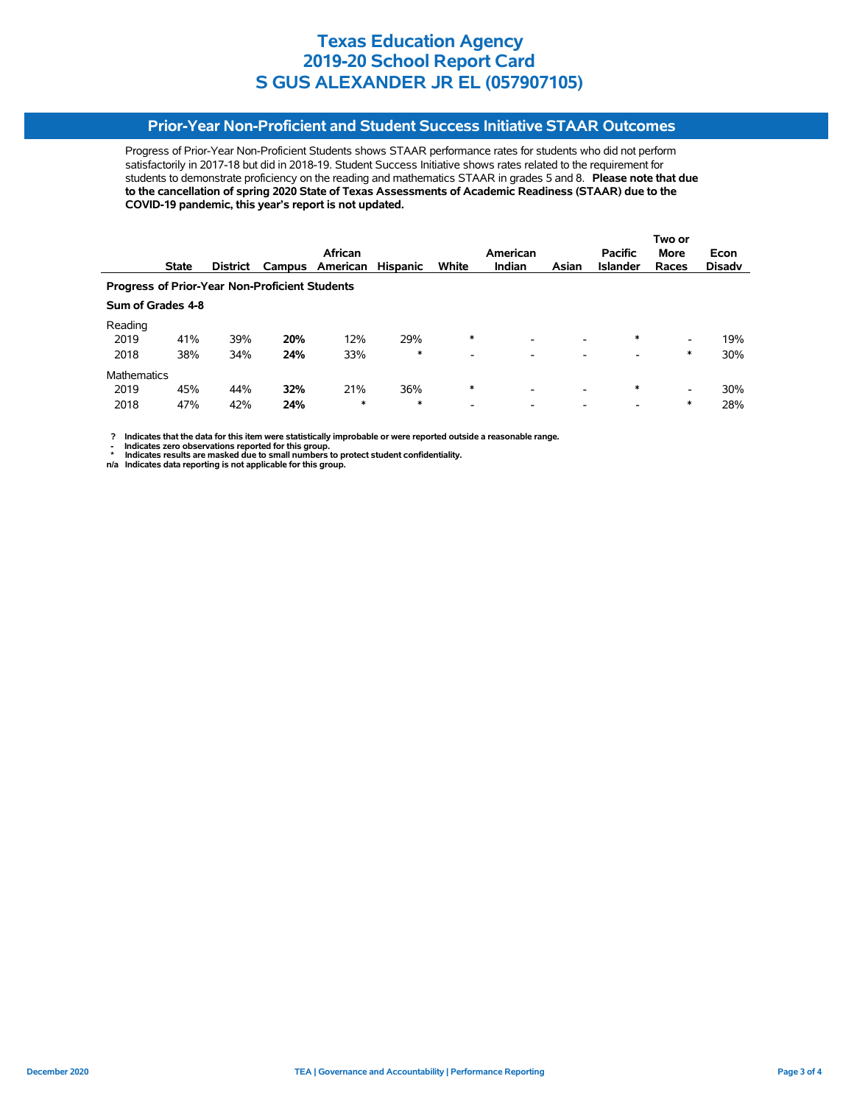## **Prior-Year Non-Proficient and Student Success Initiative STAAR Outcomes**

Progress of Prior-Year Non-Proficient Students shows STAAR performance rates for students who did not perform satisfactorily in 2017-18 but did in 2018-19. Student Success Initiative shows rates related to the requirement for students to demonstrate proficiency on the reading and mathematics STAAR in grades 5 and 8. **Please note that due to the cancellation of spring 2020 State of Texas Assessments of Academic Readiness (STAAR) due to the COVID-19 pandemic, this year's report is not updated.**

|                                                       |                   |                 |        |          |                 |                          |               |                          |                 | Two or                   |               |  |
|-------------------------------------------------------|-------------------|-----------------|--------|----------|-----------------|--------------------------|---------------|--------------------------|-----------------|--------------------------|---------------|--|
|                                                       |                   |                 |        | African  |                 |                          | American      |                          | <b>Pacific</b>  | <b>More</b>              | Econ          |  |
|                                                       | <b>State</b>      | <b>District</b> | Campus | American | <b>Hispanic</b> | White                    | <b>Indian</b> | Asian                    | <b>Islander</b> | Races                    | <b>Disadv</b> |  |
| <b>Progress of Prior-Year Non-Proficient Students</b> |                   |                 |        |          |                 |                          |               |                          |                 |                          |               |  |
|                                                       | Sum of Grades 4-8 |                 |        |          |                 |                          |               |                          |                 |                          |               |  |
| Reading                                               |                   |                 |        |          |                 |                          |               |                          |                 |                          |               |  |
| 2019                                                  | 41%               | 39%             | 20%    | 12%      | 29%             | $\ast$                   | ۰             | $\overline{\phantom{a}}$ | $\ast$          | $\overline{\phantom{0}}$ | 19%           |  |
| 2018                                                  | 38%               | 34%             | 24%    | 33%      | $\ast$          | $\overline{\phantom{0}}$ |               |                          |                 | *                        | 30%           |  |
| <b>Mathematics</b>                                    |                   |                 |        |          |                 |                          |               |                          |                 |                          |               |  |
| 2019                                                  | 45%               | 44%             | 32%    | 21%      | 36%             | $\ast$                   |               | $\overline{\phantom{a}}$ | $\ast$          | $\overline{\phantom{0}}$ | 30%           |  |
| 2018                                                  | 47%               | 42%             | 24%    | *        | *               | $\overline{\phantom{a}}$ |               |                          |                 | *                        | 28%           |  |

 **? Indicates that the data for this item were statistically improbable or were reported outside a reasonable range.**

**1.** Indicates zero observations reported for this group.<br> **1.** Indicates zero the sex mealed for this group.

 **\* Indicates results are masked due to small numbers to protect student confidentiality. n/a Indicates data reporting is not applicable for this group.**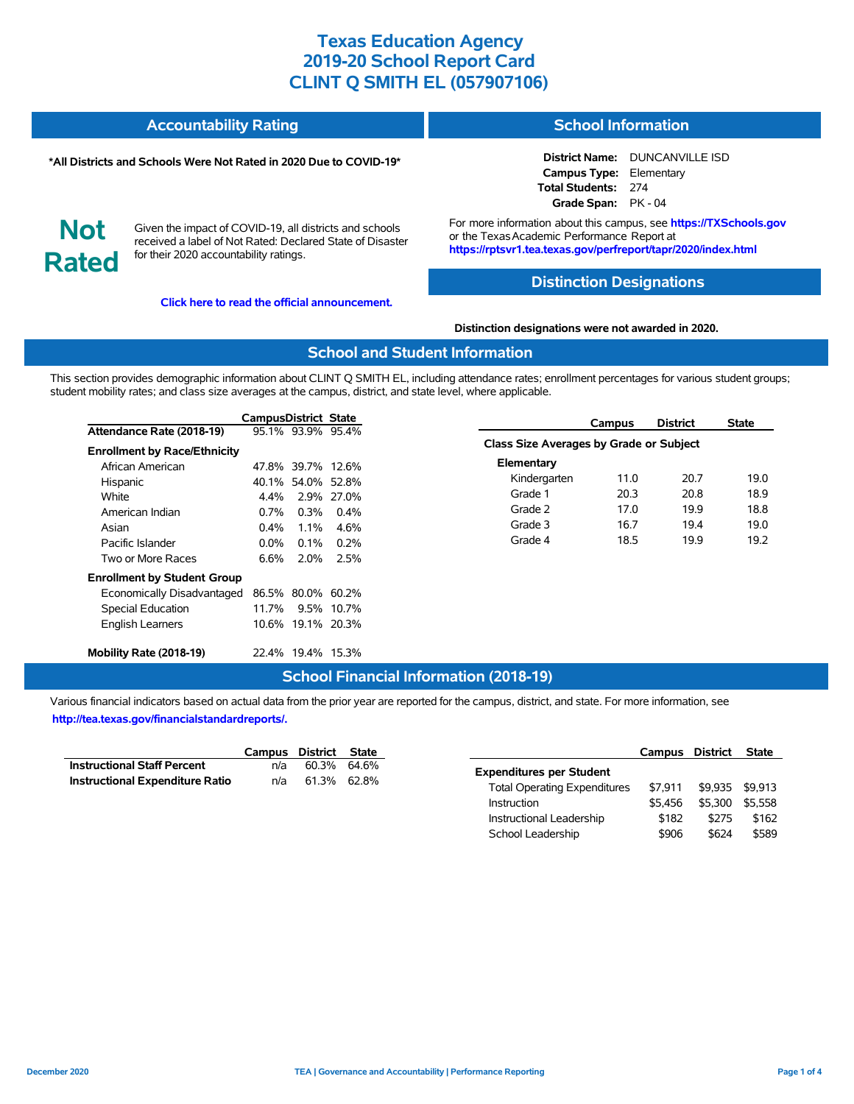#### **Accountability Rating School Information**

#### **\*All Districts and Schools Were Not Rated in 2020 Due to COVID-19\***

**District Name:** DUNCANVILLE ISD **Campus Type:** Elementary **Total Students:** 274 **Grade Span:** PK - 04

**Not Rated**

Given the impact of COVID-19, all districts and schools received a label of Not Rated: Declared State of Disaster for their 2020 accountability ratings.

**[Click here to read the official announcement.](https://tea.texas.gov/about-tea/news-and-multimedia/correspondence/taa-letters/every-student-succeeds-act-essa-waiver-approval-2020-state-academic-accountability)**

For more information about this campus, see **https://TXSchools.gov** or the Texas Academic Performance Report at **https://rptsvr1.tea.texas.gov/perfreport/tapr/2020/index.html**

### **Distinction Designations**

**Distinction designations were not awarded in 2020.**

### **School and Student Information**

This section provides demographic information about CLINT Q SMITH EL, including attendance rates; enrollment percentages for various student groups; student mobility rates; and class size averages at the campus, district, and state level, where applicable.

|                                     | CampusDistrict State |                   |            | Campus                                  | <b>District</b> | State |
|-------------------------------------|----------------------|-------------------|------------|-----------------------------------------|-----------------|-------|
| Attendance Rate (2018-19)           |                      | 95.1% 93.9% 95.4% |            |                                         |                 |       |
| <b>Enrollment by Race/Ethnicity</b> |                      |                   |            | Class Size Averages by Grade or Subject |                 |       |
| African American                    |                      | 47.8% 39.7% 12.6% |            | Elementary                              |                 |       |
| Hispanic                            |                      | 40.1% 54.0% 52.8% |            | Kindergarten<br>11.0                    | 20.7            | 19.0  |
| White                               | $4.4\%$              |                   | 2.9% 27.0% | 20.3<br>Grade 1                         | 20.8            | 18.9  |
| American Indian                     | $0.7\%$              | 0.3%              | $0.4\%$    | Grade 2<br>17.0                         | 19.9            | 18.8  |
| Asian                               | 0.4%                 | 1.1%              | 4.6%       | Grade 3<br>16.7                         | 19.4            | 19.0  |
| Pacific Islander                    | $0.0\%$              | $0.1\%$           | $0.2\%$    | Grade 4<br>18.5                         | 19.9            | 19.2  |
| Two or More Races                   | 6.6%                 | 2.0%              | 2.5%       |                                         |                 |       |
| <b>Enrollment by Student Group</b>  |                      |                   |            |                                         |                 |       |
| Economically Disadvantaged          |                      | 86.5% 80.0% 60.2% |            |                                         |                 |       |
| Special Education                   | 11.7%                |                   | 9.5% 10.7% |                                         |                 |       |
| <b>English Learners</b>             |                      | 10.6% 19.1% 20.3% |            |                                         |                 |       |
| Mobility Rate (2018-19)             |                      | 22.4% 19.4% 15.3% |            |                                         |                 |       |

### **School Financial Information (2018-19)**

|                                        | Campus District State |             |  |
|----------------------------------------|-----------------------|-------------|--|
| <b>Instructional Staff Percent</b>     | n/a                   | 60.3% 64.6% |  |
| <b>Instructional Expenditure Ratio</b> | n/a                   | 61.3% 62.8% |  |

|                                     | Campus District |         | <b>State</b> |
|-------------------------------------|-----------------|---------|--------------|
| <b>Expenditures per Student</b>     |                 |         |              |
| <b>Total Operating Expenditures</b> | \$7.911         | \$9.935 | \$9.913      |
| Instruction                         | \$5.456         | \$5.300 | \$5.558      |
| Instructional Leadership            | \$182           | \$275   | \$162        |
| School Leadership                   | \$906           | \$624   | \$589        |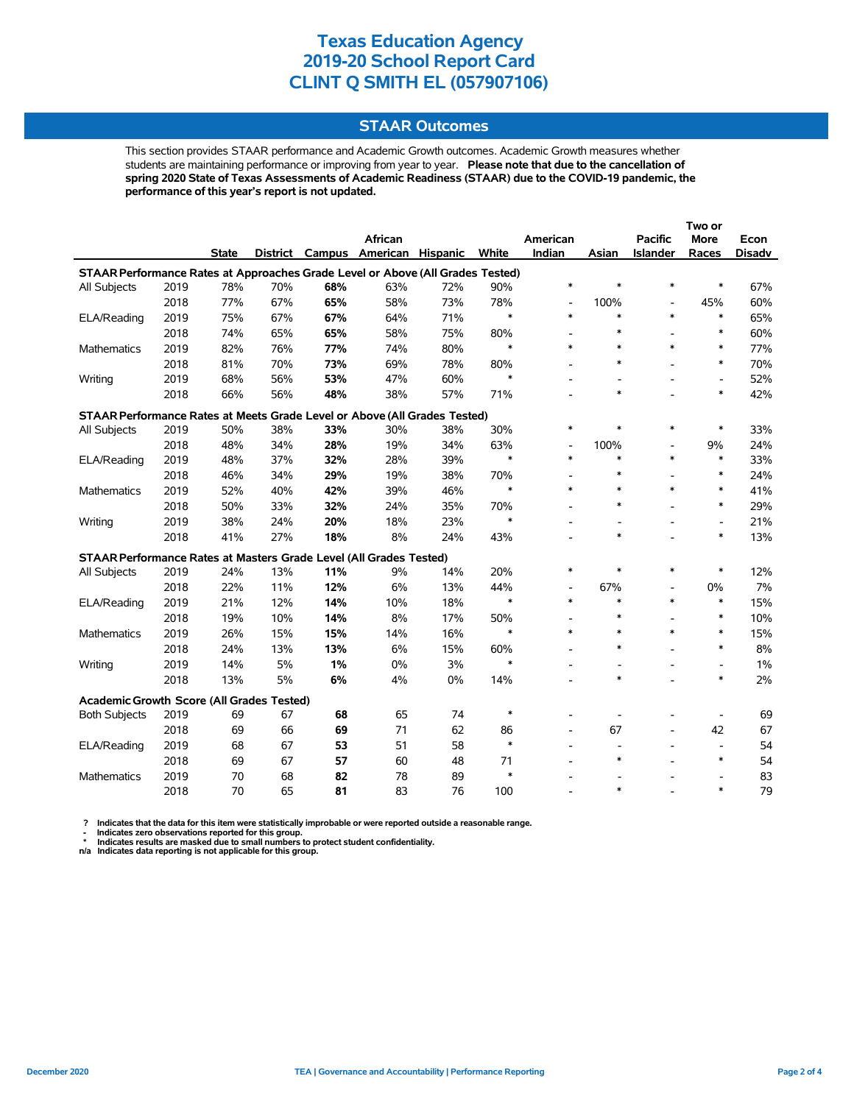### **STAAR Outcomes**

This section provides STAAR performance and Academic Growth outcomes. Academic Growth measures whether students are maintaining performance or improving from year to year. **Please note that due to the cancellation of spring 2020 State of Texas Assessments of Academic Readiness (STAAR) due to the COVID-19 pandemic, the performance of this year's report is not updated.**

|                                                                                |      |              |     |     |                          |          |        |                          |                          |                          | Two or                   |               |
|--------------------------------------------------------------------------------|------|--------------|-----|-----|--------------------------|----------|--------|--------------------------|--------------------------|--------------------------|--------------------------|---------------|
|                                                                                |      |              |     |     | African                  |          |        | American                 |                          | <b>Pacific</b>           | More                     | Econ          |
|                                                                                |      | <b>State</b> |     |     | District Campus American | Hispanic | White  | Indian                   | Asian                    | Islander                 | Races                    | <b>Disadv</b> |
| STAAR Performance Rates at Approaches Grade Level or Above (All Grades Tested) |      |              |     |     |                          |          |        |                          |                          |                          |                          |               |
| All Subjects                                                                   | 2019 | 78%          | 70% | 68% | 63%                      | 72%      | 90%    | $\ast$                   | $\ast$                   | $\ast$                   | $\ast$                   | 67%           |
|                                                                                | 2018 | 77%          | 67% | 65% | 58%                      | 73%      | 78%    | $\overline{\phantom{a}}$ | 100%                     | $\overline{a}$           | 45%                      | 60%           |
| ELA/Reading                                                                    | 2019 | 75%          | 67% | 67% | 64%                      | 71%      | $\ast$ | $\ast$                   | $\ast$                   | $\ast$                   | $\ast$                   | 65%           |
|                                                                                | 2018 | 74%          | 65% | 65% | 58%                      | 75%      | 80%    | $\overline{\phantom{a}}$ | $\ast$                   |                          | $\ast$                   | 60%           |
| <b>Mathematics</b>                                                             | 2019 | 82%          | 76% | 77% | 74%                      | 80%      | $\ast$ | $\ast$                   | $\ast$                   | $\ast$                   | $\ast$                   | 77%           |
|                                                                                | 2018 | 81%          | 70% | 73% | 69%                      | 78%      | 80%    |                          | $\ast$                   |                          | $\ast$                   | 70%           |
| Writing                                                                        | 2019 | 68%          | 56% | 53% | 47%                      | 60%      | $\ast$ |                          |                          |                          | $\overline{a}$           | 52%           |
|                                                                                | 2018 | 66%          | 56% | 48% | 38%                      | 57%      | 71%    |                          | $\ast$                   |                          | $\ast$                   | 42%           |
| STAAR Performance Rates at Meets Grade Level or Above (All Grades Tested)      |      |              |     |     |                          |          |        |                          |                          |                          |                          |               |
| All Subjects                                                                   | 2019 | 50%          | 38% | 33% | 30%                      | 38%      | 30%    | $\ast$                   | *                        | $\ast$                   | $\ast$                   | 33%           |
|                                                                                | 2018 | 48%          | 34% | 28% | 19%                      | 34%      | 63%    | $\overline{\phantom{a}}$ | 100%                     | $\overline{\phantom{a}}$ | 9%                       | 24%           |
| ELA/Reading                                                                    | 2019 | 48%          | 37% | 32% | 28%                      | 39%      | $\ast$ | $\ast$                   | $\ast$                   | $\ast$                   | $\ast$                   | 33%           |
|                                                                                | 2018 | 46%          | 34% | 29% | 19%                      | 38%      | 70%    |                          | $\ast$                   |                          | $\ast$                   | 24%           |
| Mathematics                                                                    | 2019 | 52%          | 40% | 42% | 39%                      | 46%      | $\ast$ | $\ast$                   | $\ast$                   | $\ast$                   | $\ast$                   | 41%           |
|                                                                                | 2018 | 50%          | 33% | 32% | 24%                      | 35%      | 70%    |                          | $\ast$                   |                          | $\ast$                   | 29%           |
| Writing                                                                        | 2019 | 38%          | 24% | 20% | 18%                      | 23%      | $\ast$ |                          |                          |                          | $\overline{\phantom{a}}$ | 21%           |
|                                                                                | 2018 | 41%          | 27% | 18% | 8%                       | 24%      | 43%    |                          | $\ast$                   |                          | $\ast$                   | 13%           |
| STAAR Performance Rates at Masters Grade Level (All Grades Tested)             |      |              |     |     |                          |          |        |                          |                          |                          |                          |               |
| All Subjects                                                                   | 2019 | 24%          | 13% | 11% | 9%                       | 14%      | 20%    | $\ast$                   | $\ast$                   | $\ast$                   | $\ast$                   | 12%           |
|                                                                                | 2018 | 22%          | 11% | 12% | 6%                       | 13%      | 44%    | $\overline{\phantom{a}}$ | 67%                      | $\overline{\phantom{a}}$ | 0%                       | 7%            |
| ELA/Reading                                                                    | 2019 | 21%          | 12% | 14% | 10%                      | 18%      | $\ast$ | $\ast$                   | $\ast$                   | *                        | $\ast$                   | 15%           |
|                                                                                | 2018 | 19%          | 10% | 14% | 8%                       | 17%      | 50%    |                          | $\ast$                   |                          | $\ast$                   | 10%           |
| <b>Mathematics</b>                                                             | 2019 | 26%          | 15% | 15% | 14%                      | 16%      | $\ast$ | $\ast$                   | $\ast$                   | $\ast$                   | $\ast$                   | 15%           |
|                                                                                | 2018 | 24%          | 13% | 13% | 6%                       | 15%      | 60%    |                          | $\ast$                   |                          | $\ast$                   | 8%            |
| Writing                                                                        | 2019 | 14%          | 5%  | 1%  | 0%                       | 3%       | $\ast$ |                          | $\overline{\phantom{0}}$ |                          | $\overline{\phantom{a}}$ | 1%            |
|                                                                                | 2018 | 13%          | 5%  | 6%  | 4%                       | 0%       | 14%    |                          | $\ast$                   |                          | $\ast$                   | 2%            |
| Academic Growth Score (All Grades Tested)                                      |      |              |     |     |                          |          |        |                          |                          |                          |                          |               |
| <b>Both Subjects</b>                                                           | 2019 | 69           | 67  | 68  | 65                       | 74       | $\ast$ |                          |                          |                          |                          | 69            |
|                                                                                | 2018 | 69           | 66  | 69  | 71                       | 62       | 86     |                          | 67                       |                          | 42                       | 67            |
| ELA/Reading                                                                    | 2019 | 68           | 67  | 53  | 51                       | 58       | $\ast$ |                          | $\overline{a}$           |                          | $\overline{a}$           | 54            |
|                                                                                | 2018 | 69           | 67  | 57  | 60                       | 48       | 71     |                          | $\ast$                   |                          | $\ast$                   | 54            |
| <b>Mathematics</b>                                                             | 2019 | 70           | 68  | 82  | 78                       | 89       | $\ast$ |                          |                          |                          |                          | 83            |
|                                                                                | 2018 | 70           | 65  | 81  | 83                       | 76       | 100    |                          | $\ast$                   |                          | $\ast$                   | 79            |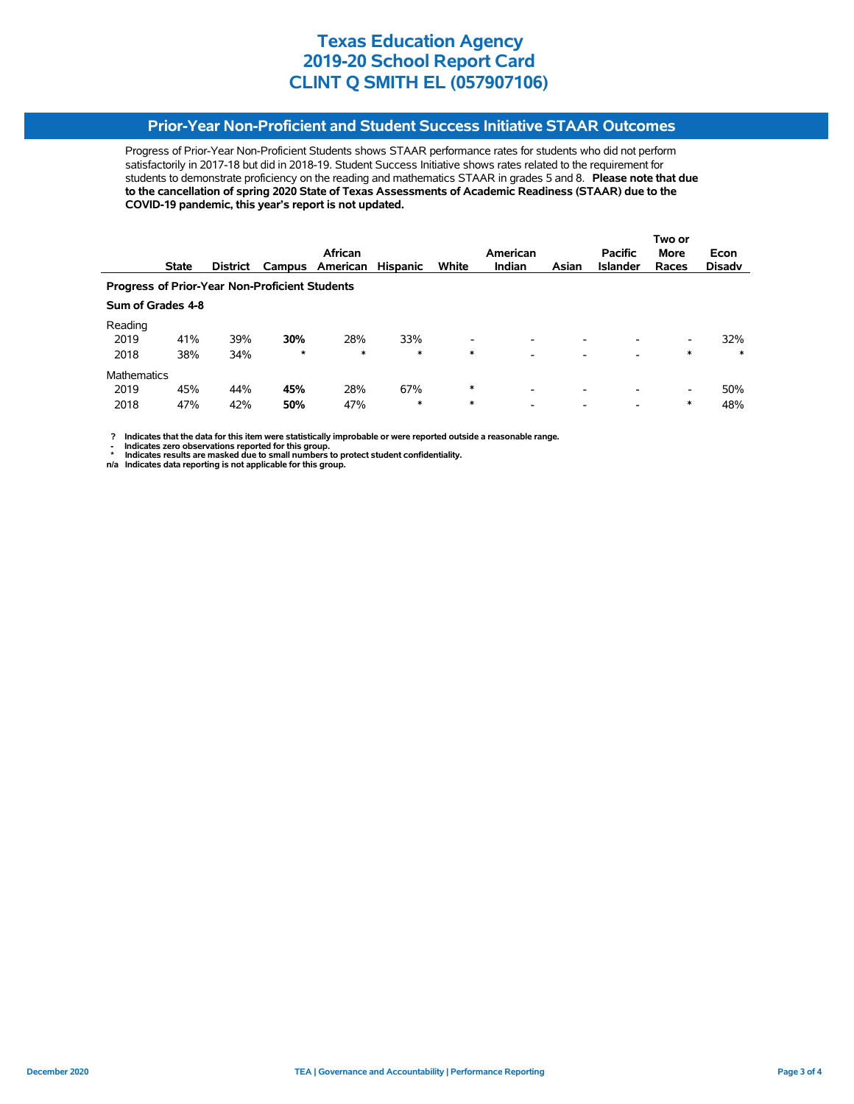## **Prior-Year Non-Proficient and Student Success Initiative STAAR Outcomes**

Progress of Prior-Year Non-Proficient Students shows STAAR performance rates for students who did not perform satisfactorily in 2017-18 but did in 2018-19. Student Success Initiative shows rates related to the requirement for students to demonstrate proficiency on the reading and mathematics STAAR in grades 5 and 8. **Please note that due to the cancellation of spring 2020 State of Texas Assessments of Academic Readiness (STAAR) due to the COVID-19 pandemic, this year's report is not updated.**

|                                                       |                   |                 |        |                 |                 |                          |                          |                          |                 | Two or                   |               |
|-------------------------------------------------------|-------------------|-----------------|--------|-----------------|-----------------|--------------------------|--------------------------|--------------------------|-----------------|--------------------------|---------------|
|                                                       |                   |                 |        | African         |                 |                          | American                 |                          | <b>Pacific</b>  | <b>More</b>              | Econ          |
|                                                       | <b>State</b>      | <b>District</b> |        | Campus American | <b>Hispanic</b> | White                    | <b>Indian</b>            | Asian                    | <b>Islander</b> | Races                    | <b>Disady</b> |
| <b>Progress of Prior-Year Non-Proficient Students</b> |                   |                 |        |                 |                 |                          |                          |                          |                 |                          |               |
|                                                       | Sum of Grades 4-8 |                 |        |                 |                 |                          |                          |                          |                 |                          |               |
| Reading                                               |                   |                 |        |                 |                 |                          |                          |                          |                 |                          |               |
| 2019                                                  | 41%               | 39%             | 30%    | 28%             | 33%             | $\overline{\phantom{a}}$ |                          | -                        |                 | -                        | 32%           |
| 2018                                                  | 38%               | 34%             | $\ast$ | $\ast$          | $\ast$          | $\ast$                   | $\overline{\phantom{a}}$ |                          |                 | $\ast$                   | $\ast$        |
| <b>Mathematics</b>                                    |                   |                 |        |                 |                 |                          |                          |                          |                 |                          |               |
| 2019                                                  | 45%               | 44%             | 45%    | 28%             | 67%             | $\ast$                   | $\overline{\phantom{0}}$ | $\overline{\phantom{0}}$ | -               | $\overline{\phantom{0}}$ | 50%           |
| 2018                                                  | 47%               | 42%             | 50%    | 47%             | $\ast$          | $\ast$                   | -                        | -                        | -               | *                        | 48%           |

 **? Indicates that the data for this item were statistically improbable or were reported outside a reasonable range.**

**1.** Indicates zero observations reported for this group.<br> **1.** Indicates zero the sex mealed for this group.

 **\* Indicates results are masked due to small numbers to protect student confidentiality. n/a Indicates data reporting is not applicable for this group.**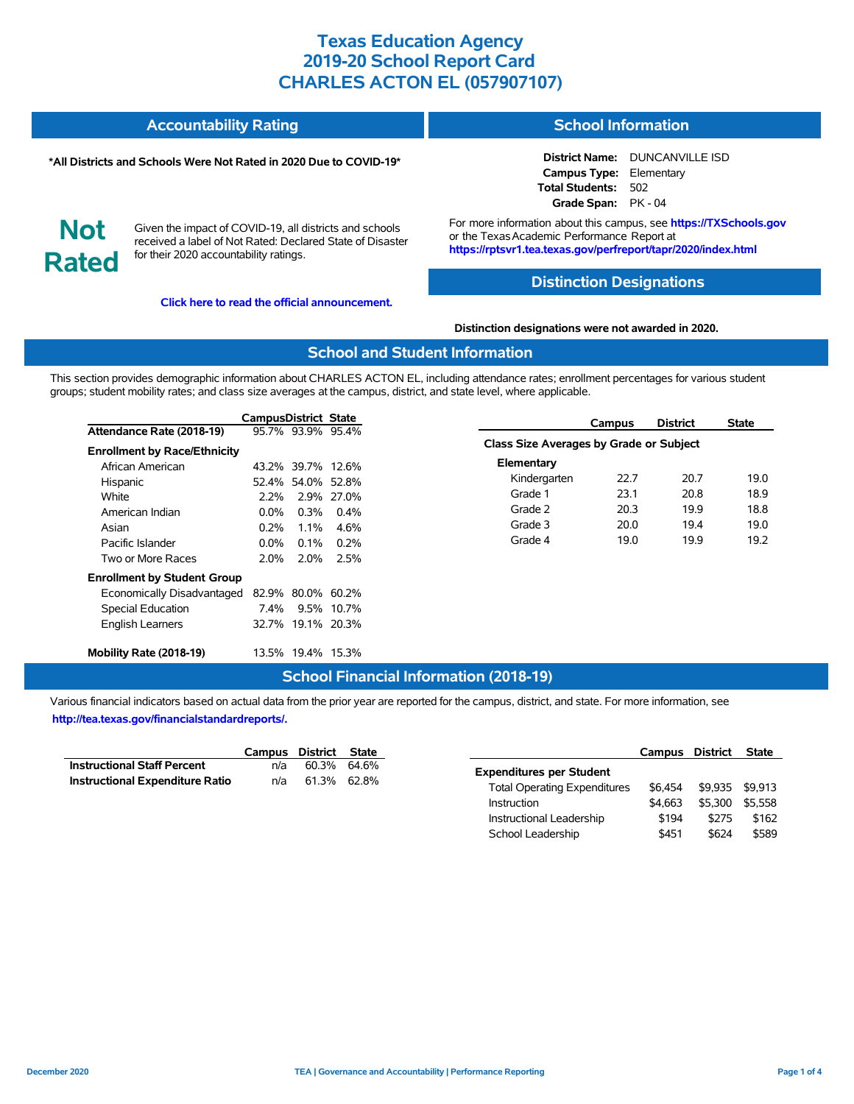#### **Accountability Rating School Information**

#### **\*All Districts and Schools Were Not Rated in 2020 Due to COVID-19\***

**District Name:** DUNCANVILLE ISD **Campus Type:** Elementary **Total Students:** 502 **Grade Span:** PK - 04

**Not Rated**

Given the impact of COVID-19, all districts and schools received a label of Not Rated: Declared State of Disaster for their 2020 accountability ratings.

**[Click here to read the official announcement.](https://tea.texas.gov/about-tea/news-and-multimedia/correspondence/taa-letters/every-student-succeeds-act-essa-waiver-approval-2020-state-academic-accountability)**

For more information about this campus, see **https://TXSchools.gov** or the Texas Academic Performance Report at **https://rptsvr1.tea.texas.gov/perfreport/tapr/2020/index.html**

### **Distinction Designations**

**Distinction designations were not awarded in 2020.**

### **School and Student Information**

This section provides demographic information about CHARLES ACTON EL, including attendance rates; enrollment percentages for various student groups; student mobility rates; and class size averages at the campus, district, and state level, where applicable.

|                                     | <b>CampusDistrict State</b> |                   |              | <b>Campus</b>                           | <b>District</b> | <b>State</b> |
|-------------------------------------|-----------------------------|-------------------|--------------|-----------------------------------------|-----------------|--------------|
| Attendance Rate (2018-19)           |                             | 95.7% 93.9% 95.4% |              | Class Size Averages by Grade or Subject |                 |              |
| <b>Enrollment by Race/Ethnicity</b> |                             |                   |              |                                         |                 |              |
| African American                    |                             | 43.2% 39.7% 12.6% |              | Elementary                              |                 |              |
| Hispanic                            |                             | 52.4% 54.0% 52.8% |              | Kindergarten<br>22.7                    | 20.7            | 19.0         |
| White                               | $2.2\%$                     |                   | 2.9% 27.0%   | Grade 1<br>23.1                         | 20.8            | 18.9         |
| American Indian                     | $0.0\%$                     |                   | $0.3\%$ 0.4% | Grade 2<br>20.3                         | 19.9            | 18.8         |
| Asian                               | 0.2%                        | $1.1\%$           | 4.6%         | Grade 3<br>20.0                         | 19.4            | 19.0         |
| Pacific Islander                    | $0.0\%$                     | $0.1\%$           | $0.2\%$      | Grade 4<br>19.0                         | 19.9            | 19.2         |
| Two or More Races                   | 2.0%                        |                   | 2.0% 2.5%    |                                         |                 |              |
| <b>Enrollment by Student Group</b>  |                             |                   |              |                                         |                 |              |
| Economically Disadvantaged          |                             | 82.9% 80.0% 60.2% |              |                                         |                 |              |
| Special Education                   | 7.4%                        |                   | 9.5% 10.7%   |                                         |                 |              |
| <b>English Learners</b>             |                             | 32.7% 19.1% 20.3% |              |                                         |                 |              |
| Mobility Rate (2018-19)             |                             | 13.5% 19.4% 15.3% |              |                                         |                 |              |

### **School Financial Information (2018-19)**

|                                        | Campus District State |             |  |
|----------------------------------------|-----------------------|-------------|--|
| <b>Instructional Staff Percent</b>     | n/a                   | 60.3% 64.6% |  |
| <b>Instructional Expenditure Ratio</b> | n/a                   | 61.3% 62.8% |  |

|                                     | Campus District |         | <b>State</b> |
|-------------------------------------|-----------------|---------|--------------|
| <b>Expenditures per Student</b>     |                 |         |              |
| <b>Total Operating Expenditures</b> | \$6.454         | \$9.935 | \$9.913      |
| Instruction                         | \$4.663         | \$5.300 | \$5.558      |
| Instructional Leadership            | \$194           | \$275   | \$162        |
| School Leadership                   | \$451           | \$624   | \$589        |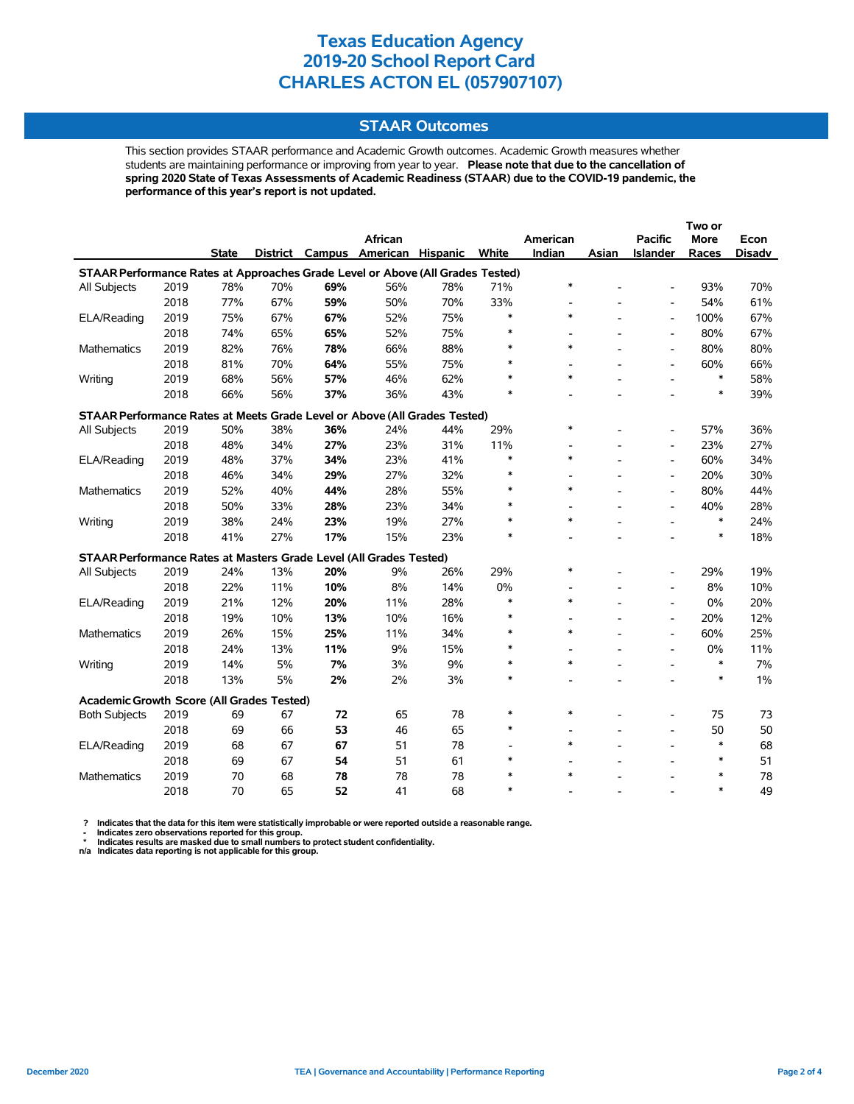### **STAAR Outcomes**

This section provides STAAR performance and Academic Growth outcomes. Academic Growth measures whether students are maintaining performance or improving from year to year. **Please note that due to the cancellation of spring 2020 State of Texas Assessments of Academic Readiness (STAAR) due to the COVID-19 pandemic, the performance of this year's report is not updated.**

|                                                                                |      |              |     |     |                          |                 |        |                          |       |                          | Two or      |        |
|--------------------------------------------------------------------------------|------|--------------|-----|-----|--------------------------|-----------------|--------|--------------------------|-------|--------------------------|-------------|--------|
|                                                                                |      |              |     |     | <b>African</b>           |                 |        | American                 |       | <b>Pacific</b>           | <b>More</b> | Econ   |
|                                                                                |      | <b>State</b> |     |     | District Campus American | <b>Hispanic</b> | White  | Indian                   | Asian | Islander                 | Races       | Disadv |
| STAAR Performance Rates at Approaches Grade Level or Above (All Grades Tested) |      |              |     |     |                          |                 |        |                          |       |                          |             |        |
| All Subjects                                                                   | 2019 | 78%          | 70% | 69% | 56%                      | 78%             | 71%    | $\ast$                   |       | $\overline{a}$           | 93%         | 70%    |
|                                                                                | 2018 | 77%          | 67% | 59% | 50%                      | 70%             | 33%    | $\overline{\phantom{a}}$ |       | $\overline{a}$           | 54%         | 61%    |
| ELA/Reading                                                                    | 2019 | 75%          | 67% | 67% | 52%                      | 75%             | ∗      | $\ast$                   |       | $\overline{a}$           | 100%        | 67%    |
|                                                                                | 2018 | 74%          | 65% | 65% | 52%                      | 75%             | $\ast$ | $\overline{\phantom{a}}$ |       | $\overline{a}$           | 80%         | 67%    |
| <b>Mathematics</b>                                                             | 2019 | 82%          | 76% | 78% | 66%                      | 88%             |        | $\ast$                   |       | $\overline{a}$           | 80%         | 80%    |
|                                                                                | 2018 | 81%          | 70% | 64% | 55%                      | 75%             |        | $\overline{\phantom{a}}$ |       | $\overline{a}$           | 60%         | 66%    |
| Writing                                                                        | 2019 | 68%          | 56% | 57% | 46%                      | 62%             |        | $\ast$                   |       | $\overline{a}$           | $\ast$      | 58%    |
|                                                                                | 2018 | 66%          | 56% | 37% | 36%                      | 43%             |        |                          |       |                          | $\ast$      | 39%    |
| STAAR Performance Rates at Meets Grade Level or Above (All Grades Tested)      |      |              |     |     |                          |                 |        |                          |       |                          |             |        |
| All Subjects                                                                   | 2019 | 50%          | 38% | 36% | 24%                      | 44%             | 29%    | $\ast$                   |       | $\overline{a}$           | 57%         | 36%    |
|                                                                                | 2018 | 48%          | 34% | 27% | 23%                      | 31%             | 11%    | $\overline{\phantom{a}}$ |       | $\overline{a}$           | 23%         | 27%    |
| ELA/Reading                                                                    | 2019 | 48%          | 37% | 34% | 23%                      | 41%             | $\ast$ | $\ast$                   |       | $\overline{a}$           | 60%         | 34%    |
|                                                                                | 2018 | 46%          | 34% | 29% | 27%                      | 32%             | $\ast$ |                          |       | $\overline{a}$           | 20%         | 30%    |
| Mathematics                                                                    | 2019 | 52%          | 40% | 44% | 28%                      | 55%             | $\ast$ | $\ast$                   |       | $\overline{a}$           | 80%         | 44%    |
|                                                                                | 2018 | 50%          | 33% | 28% | 23%                      | 34%             | $\ast$ |                          |       | $\overline{a}$           | 40%         | 28%    |
| Writing                                                                        | 2019 | 38%          | 24% | 23% | 19%                      | 27%             | $\ast$ | $\ast$                   |       |                          | $\ast$      | 24%    |
|                                                                                | 2018 | 41%          | 27% | 17% | 15%                      | 23%             | $\ast$ |                          |       |                          | $\ast$      | 18%    |
| STAAR Performance Rates at Masters Grade Level (All Grades Tested)             |      |              |     |     |                          |                 |        |                          |       |                          |             |        |
| All Subjects                                                                   | 2019 | 24%          | 13% | 20% | 9%                       | 26%             | 29%    | $\ast$                   |       | $\overline{a}$           | 29%         | 19%    |
|                                                                                | 2018 | 22%          | 11% | 10% | 8%                       | 14%             | 0%     |                          |       | $\overline{a}$           | 8%          | 10%    |
| ELA/Reading                                                                    | 2019 | 21%          | 12% | 20% | 11%                      | 28%             | $\ast$ | $\ast$                   |       | $\overline{a}$           | 0%          | 20%    |
|                                                                                | 2018 | 19%          | 10% | 13% | 10%                      | 16%             | $\ast$ |                          |       | $\overline{a}$           | 20%         | 12%    |
| <b>Mathematics</b>                                                             | 2019 | 26%          | 15% | 25% | 11%                      | 34%             |        | $\ast$                   |       | $\overline{a}$           | 60%         | 25%    |
|                                                                                | 2018 | 24%          | 13% | 11% | 9%                       | 15%             | $\ast$ |                          |       | $\overline{\phantom{a}}$ | 0%          | 11%    |
| Writing                                                                        | 2019 | 14%          | 5%  | 7%  | 3%                       | 9%              |        | $\ast$                   |       | $\blacksquare$           | $\ast$      | 7%     |
|                                                                                | 2018 | 13%          | 5%  | 2%  | 2%                       | 3%              | $\ast$ |                          |       |                          | $\ast$      | $1\%$  |
| Academic Growth Score (All Grades Tested)                                      |      |              |     |     |                          |                 |        |                          |       |                          |             |        |
| <b>Both Subjects</b>                                                           | 2019 | 69           | 67  | 72  | 65                       | 78              | $\ast$ | $\ast$                   |       |                          | 75          | 73     |
|                                                                                | 2018 | 69           | 66  | 53  | 46                       | 65              | $\ast$ |                          |       | $\overline{a}$           | 50          | 50     |
| ELA/Reading                                                                    | 2019 | 68           | 67  | 67  | 51                       | 78              |        | $\ast$                   |       |                          | $\ast$      | 68     |
|                                                                                | 2018 | 69           | 67  | 54  | 51                       | 61              | $\ast$ |                          |       |                          | $\ast$      | 51     |
| <b>Mathematics</b>                                                             | 2019 | 70           | 68  | 78  | 78                       | 78              | $\ast$ | $\ast$                   |       |                          | $\ast$      | 78     |
|                                                                                | 2018 | 70           | 65  | 52  | 41                       | 68              | $\ast$ |                          |       |                          | $\ast$      | 49     |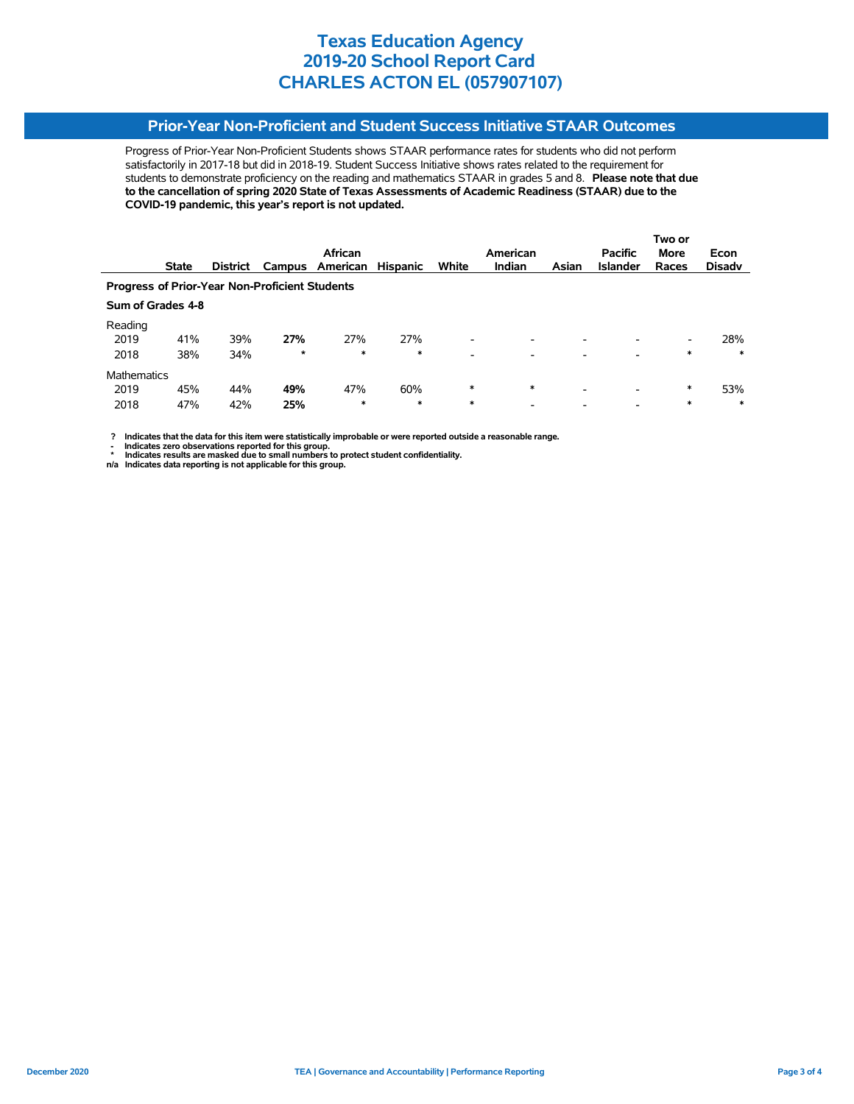## **Prior-Year Non-Proficient and Student Success Initiative STAAR Outcomes**

Progress of Prior-Year Non-Proficient Students shows STAAR performance rates for students who did not perform satisfactorily in 2017-18 but did in 2018-19. Student Success Initiative shows rates related to the requirement for students to demonstrate proficiency on the reading and mathematics STAAR in grades 5 and 8. **Please note that due to the cancellation of spring 2020 State of Texas Assessments of Academic Readiness (STAAR) due to the COVID-19 pandemic, this year's report is not updated.**

|                                                       |              |                 |         |                 |                 |                          |               |                          |                 | Two or |               |
|-------------------------------------------------------|--------------|-----------------|---------|-----------------|-----------------|--------------------------|---------------|--------------------------|-----------------|--------|---------------|
|                                                       |              |                 |         | African         |                 |                          | American      |                          | <b>Pacific</b>  | More   | Econ          |
|                                                       | <b>State</b> | <b>District</b> |         | Campus American | <b>Hispanic</b> | White                    | <b>Indian</b> | Asian                    | <b>Islander</b> | Races  | <b>Disady</b> |
| <b>Progress of Prior-Year Non-Proficient Students</b> |              |                 |         |                 |                 |                          |               |                          |                 |        |               |
| Sum of Grades 4-8                                     |              |                 |         |                 |                 |                          |               |                          |                 |        |               |
| Reading                                               |              |                 |         |                 |                 |                          |               |                          |                 |        |               |
| 2019                                                  | 41%          | 39%             | 27%     | 27%             | 27%             | $\overline{\phantom{a}}$ |               | -                        |                 | -      | 28%           |
| 2018                                                  | 38%          | 34%             | $\star$ | *               | $\ast$          | $\overline{\phantom{a}}$ |               |                          |                 | ∗      | $\ast$        |
| <b>Mathematics</b>                                    |              |                 |         |                 |                 |                          |               |                          |                 |        |               |
| 2019                                                  | 45%          | 44%             | 49%     | 47%             | 60%             | *                        | $\ast$        | $\overline{\phantom{0}}$ |                 | *      | 53%           |
| 2018                                                  | 47%          | 42%             | 25%     | *               | $\ast$          | $\ast$                   |               |                          |                 | *      | $\ast$        |

 **? Indicates that the data for this item were statistically improbable or were reported outside a reasonable range.**

**1.** Indicates zero observations reported for this group.<br> **1.** Indicates zero the sex mealed for this group.

 **\* Indicates results are masked due to small numbers to protect student confidentiality. n/a Indicates data reporting is not applicable for this group.**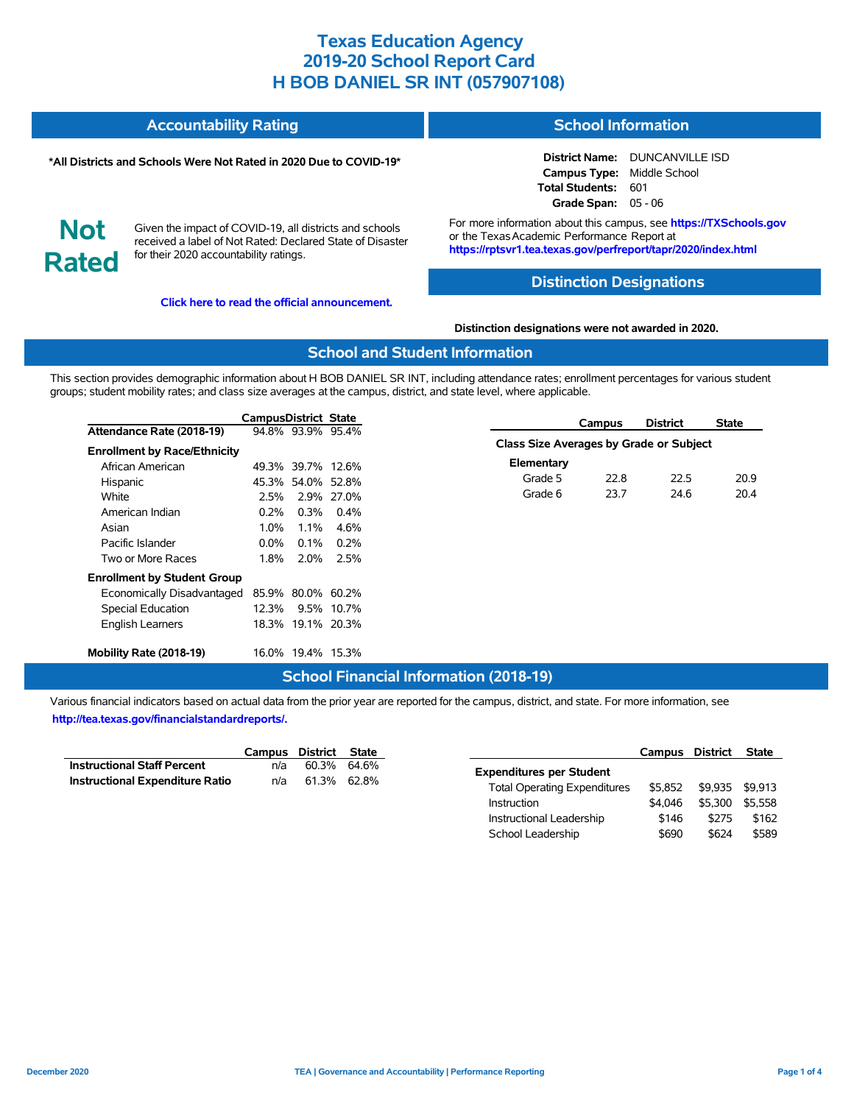| <b>Accountability Rating</b> | <b>School Information</b> |
|------------------------------|---------------------------|
|                              |                           |

#### **\*All Districts and Schools Were Not Rated in 2020 Due to COVID-19\***

**District Name:** DUNCANVILLE ISD **Campus Type:** Middle School **Total Students:** 601 **Grade Span:** 05 - 06

**Not Rated**

Given the impact of COVID-19, all districts and schools received a label of Not Rated: Declared State of Disaster for their 2020 accountability ratings.

**[Click here to read the official announcement.](https://tea.texas.gov/about-tea/news-and-multimedia/correspondence/taa-letters/every-student-succeeds-act-essa-waiver-approval-2020-state-academic-accountability)**

For more information about this campus, see **https://TXSchools.gov** or the Texas Academic Performance Report at **https://rptsvr1.tea.texas.gov/perfreport/tapr/2020/index.html**

## **Distinction Designations**

#### **Distinction designations were not awarded in 2020.**

### **School and Student Information**

This section provides demographic information about H BOB DANIEL SR INT, including attendance rates; enrollment percentages for various student groups; student mobility rates; and class size averages at the campus, district, and state level, where applicable.

|                                     | CampusDistrict State |                   |            |                                         | Campus | <b>District</b> | <b>State</b> |
|-------------------------------------|----------------------|-------------------|------------|-----------------------------------------|--------|-----------------|--------------|
| Attendance Rate (2018-19)           |                      | 94.8% 93.9% 95.4% |            |                                         |        |                 |              |
| <b>Enrollment by Race/Ethnicity</b> |                      |                   |            | Class Size Averages by Grade or Subject |        |                 |              |
| African American                    |                      | 49.3% 39.7% 12.6% |            | Elementary                              |        |                 |              |
| Hispanic                            |                      | 45.3% 54.0% 52.8% |            | Grade 5                                 | 22.8   | 22.5            | 20.9         |
| White                               | 2.5%                 |                   | 2.9% 27.0% | Grade 6                                 | 23.7   | 24.6            | 20.4         |
| American Indian                     | $0.2\%$              | 0.3%              | $0.4\%$    |                                         |        |                 |              |
| Asian                               | 1.0%                 | 1.1%              | 4.6%       |                                         |        |                 |              |
| Pacific Islander                    | $0.0\%$              | $0.1\%$           | $0.2\%$    |                                         |        |                 |              |
| Two or More Races                   | 1.8%                 | $2.0\%$           | 2.5%       |                                         |        |                 |              |
| <b>Enrollment by Student Group</b>  |                      |                   |            |                                         |        |                 |              |
| Economically Disadvantaged          |                      | 85.9% 80.0% 60.2% |            |                                         |        |                 |              |
| Special Education                   | 12.3%                |                   | 9.5% 10.7% |                                         |        |                 |              |
| <b>English Learners</b>             |                      | 18.3% 19.1% 20.3% |            |                                         |        |                 |              |
| Mobility Rate (2018-19)             |                      | 16.0% 19.4% 15.3% |            |                                         |        |                 |              |

### **School Financial Information (2018-19)**

|                                        | Campus District State |             |  |
|----------------------------------------|-----------------------|-------------|--|
| <b>Instructional Staff Percent</b>     | n/a                   | 60.3% 64.6% |  |
| <b>Instructional Expenditure Ratio</b> | n/a                   | 61.3% 62.8% |  |

|                                     | Campus District |         | <b>State</b> |
|-------------------------------------|-----------------|---------|--------------|
| <b>Expenditures per Student</b>     |                 |         |              |
| <b>Total Operating Expenditures</b> | \$5.852         | \$9.935 | \$9.913      |
| Instruction                         | \$4.046         | \$5.300 | \$5.558      |
| Instructional Leadership            | \$146           | \$275   | \$162        |
| School Leadership                   | \$690           | \$624   | \$589        |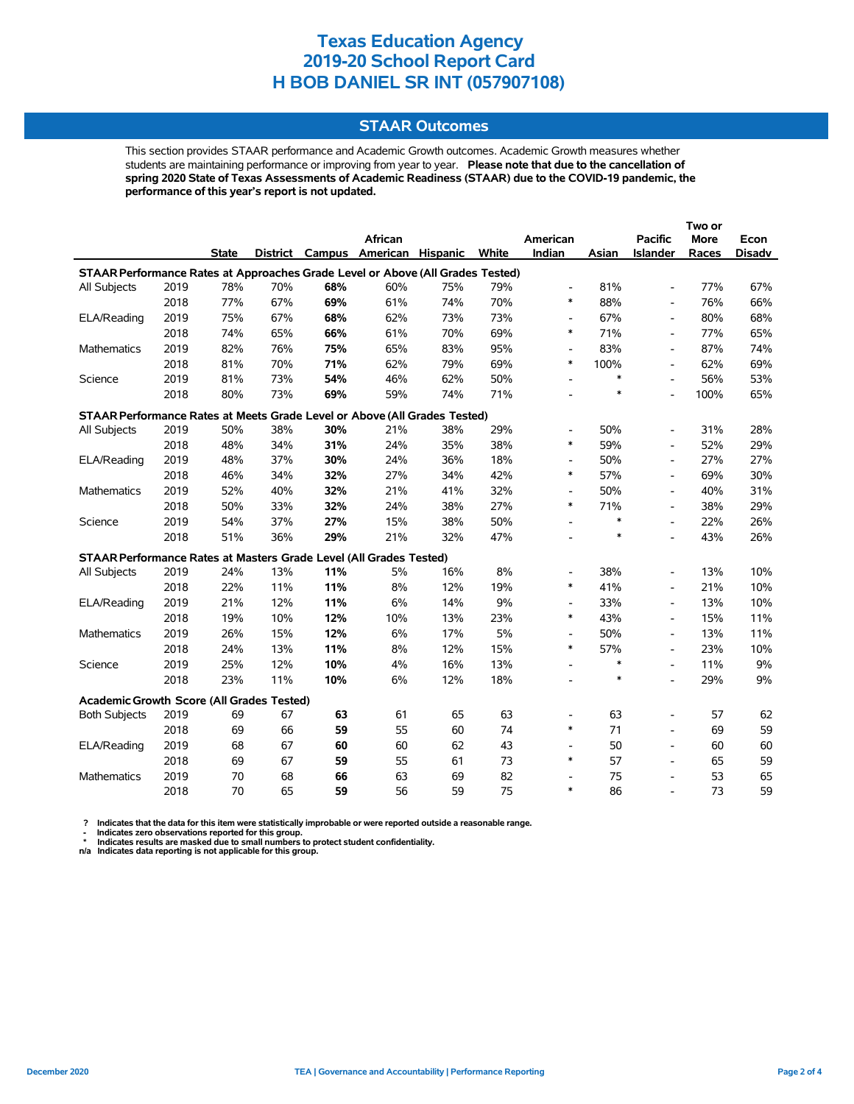### **STAAR Outcomes**

This section provides STAAR performance and Academic Growth outcomes. Academic Growth measures whether students are maintaining performance or improving from year to year. **Please note that due to the cancellation of spring 2020 State of Texas Assessments of Academic Readiness (STAAR) due to the COVID-19 pandemic, the performance of this year's report is not updated.**

|                                                                                |      |              |     |     |                                   |     |       |                          |        |                          | Two or |        |
|--------------------------------------------------------------------------------|------|--------------|-----|-----|-----------------------------------|-----|-------|--------------------------|--------|--------------------------|--------|--------|
|                                                                                |      |              |     |     | African                           |     |       | American                 |        | <b>Pacific</b>           | More   | Econ   |
|                                                                                |      | <b>State</b> |     |     | District Campus American Hispanic |     | White | Indian                   | Asian  | Islander                 | Races  | Disadv |
| STAAR Performance Rates at Approaches Grade Level or Above (All Grades Tested) |      |              |     |     |                                   |     |       |                          |        |                          |        |        |
| All Subjects                                                                   | 2019 | 78%          | 70% | 68% | 60%                               | 75% | 79%   | $\overline{\phantom{a}}$ | 81%    | $\overline{\phantom{a}}$ | 77%    | 67%    |
|                                                                                | 2018 | 77%          | 67% | 69% | 61%                               | 74% | 70%   | $\ast$                   | 88%    | $\overline{\phantom{a}}$ | 76%    | 66%    |
| ELA/Reading                                                                    | 2019 | 75%          | 67% | 68% | 62%                               | 73% | 73%   | $\overline{\phantom{a}}$ | 67%    | $\overline{\phantom{a}}$ | 80%    | 68%    |
|                                                                                | 2018 | 74%          | 65% | 66% | 61%                               | 70% | 69%   | $\ast$                   | 71%    | $\overline{\phantom{a}}$ | 77%    | 65%    |
| <b>Mathematics</b>                                                             | 2019 | 82%          | 76% | 75% | 65%                               | 83% | 95%   | $\overline{\phantom{a}}$ | 83%    | $\overline{\phantom{a}}$ | 87%    | 74%    |
|                                                                                | 2018 | 81%          | 70% | 71% | 62%                               | 79% | 69%   | $\ast$                   | 100%   | $\overline{\phantom{a}}$ | 62%    | 69%    |
| Science                                                                        | 2019 | 81%          | 73% | 54% | 46%                               | 62% | 50%   | $\overline{\phantom{0}}$ | $\ast$ | $\overline{\phantom{a}}$ | 56%    | 53%    |
|                                                                                | 2018 | 80%          | 73% | 69% | 59%                               | 74% | 71%   | $\overline{\phantom{a}}$ | $\ast$ | $\overline{a}$           | 100%   | 65%    |
| STAAR Performance Rates at Meets Grade Level or Above (All Grades Tested)      |      |              |     |     |                                   |     |       |                          |        |                          |        |        |
| All Subjects                                                                   | 2019 | 50%          | 38% | 30% | 21%                               | 38% | 29%   | $\overline{\phantom{0}}$ | 50%    | $\overline{\phantom{a}}$ | 31%    | 28%    |
|                                                                                | 2018 | 48%          | 34% | 31% | 24%                               | 35% | 38%   | $\ast$                   | 59%    | $\blacksquare$           | 52%    | 29%    |
| ELA/Reading                                                                    | 2019 | 48%          | 37% | 30% | 24%                               | 36% | 18%   | $\overline{\phantom{0}}$ | 50%    | $\overline{\phantom{a}}$ | 27%    | 27%    |
|                                                                                | 2018 | 46%          | 34% | 32% | 27%                               | 34% | 42%   | $\ast$                   | 57%    | $\blacksquare$           | 69%    | 30%    |
| Mathematics                                                                    | 2019 | 52%          | 40% | 32% | 21%                               | 41% | 32%   | $\overline{\phantom{0}}$ | 50%    | $\overline{\phantom{a}}$ | 40%    | 31%    |
|                                                                                | 2018 | 50%          | 33% | 32% | 24%                               | 38% | 27%   | $\ast$                   | 71%    | $\blacksquare$           | 38%    | 29%    |
| Science                                                                        | 2019 | 54%          | 37% | 27% | 15%                               | 38% | 50%   | $\overline{\phantom{a}}$ | $\ast$ | $\blacksquare$           | 22%    | 26%    |
|                                                                                | 2018 | 51%          | 36% | 29% | 21%                               | 32% | 47%   |                          | $\ast$ | $\overline{a}$           | 43%    | 26%    |
| STAAR Performance Rates at Masters Grade Level (All Grades Tested)             |      |              |     |     |                                   |     |       |                          |        |                          |        |        |
| All Subjects                                                                   | 2019 | 24%          | 13% | 11% | 5%                                | 16% | 8%    | $\overline{\phantom{0}}$ | 38%    | $\overline{\phantom{a}}$ | 13%    | 10%    |
|                                                                                | 2018 | 22%          | 11% | 11% | 8%                                | 12% | 19%   | $\ast$                   | 41%    | $\overline{\phantom{a}}$ | 21%    | 10%    |
| ELA/Reading                                                                    | 2019 | 21%          | 12% | 11% | 6%                                | 14% | 9%    | $\overline{\phantom{a}}$ | 33%    | $\overline{\phantom{a}}$ | 13%    | 10%    |
|                                                                                | 2018 | 19%          | 10% | 12% | 10%                               | 13% | 23%   | $\ast$                   | 43%    | $\overline{\phantom{a}}$ | 15%    | 11%    |
| <b>Mathematics</b>                                                             | 2019 | 26%          | 15% | 12% | 6%                                | 17% | 5%    | $\overline{\phantom{a}}$ | 50%    | $\overline{\phantom{a}}$ | 13%    | 11%    |
|                                                                                | 2018 | 24%          | 13% | 11% | 8%                                | 12% | 15%   | $\ast$                   | 57%    | $\overline{\phantom{a}}$ | 23%    | 10%    |
| Science                                                                        | 2019 | 25%          | 12% | 10% | 4%                                | 16% | 13%   | $\overline{\phantom{a}}$ | $\ast$ | $\overline{\phantom{a}}$ | 11%    | 9%     |
|                                                                                | 2018 | 23%          | 11% | 10% | 6%                                | 12% | 18%   |                          | $\ast$ | Ĭ.                       | 29%    | 9%     |
| Academic Growth Score (All Grades Tested)                                      |      |              |     |     |                                   |     |       |                          |        |                          |        |        |
| <b>Both Subjects</b>                                                           | 2019 | 69           | 67  | 63  | 61                                | 65  | 63    | $\overline{\phantom{a}}$ | 63     | $\overline{\phantom{a}}$ | 57     | 62     |
|                                                                                | 2018 | 69           | 66  | 59  | 55                                | 60  | 74    | $\ast$                   | 71     | $\blacksquare$           | 69     | 59     |
| ELA/Reading                                                                    | 2019 | 68           | 67  | 60  | 60                                | 62  | 43    | $\overline{\phantom{a}}$ | 50     | $\overline{a}$           | 60     | 60     |
|                                                                                | 2018 | 69           | 67  | 59  | 55                                | 61  | 73    | $\ast$                   | 57     | $\blacksquare$           | 65     | 59     |
| <b>Mathematics</b>                                                             | 2019 | 70           | 68  | 66  | 63                                | 69  | 82    |                          | 75     | $\overline{a}$           | 53     | 65     |
|                                                                                | 2018 | 70           | 65  | 59  | 56                                | 59  | 75    | $\ast$                   | 86     |                          | 73     | 59     |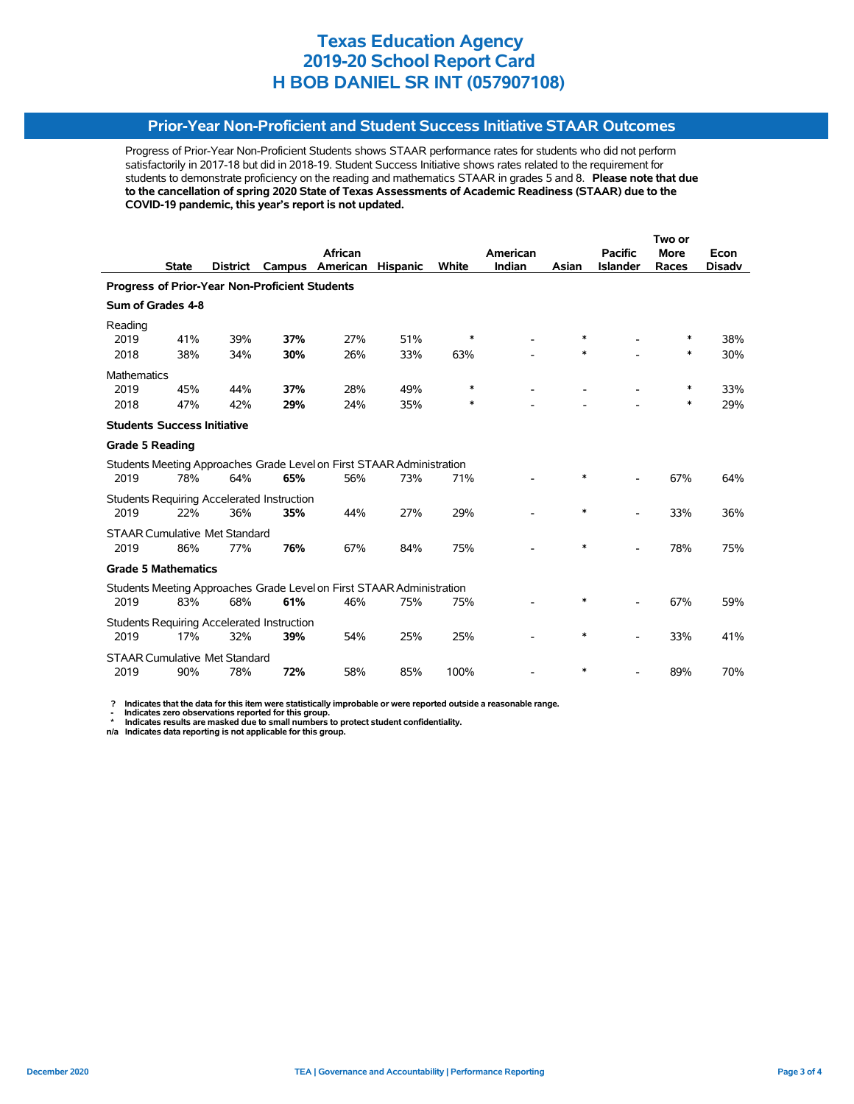## **Prior-Year Non-Proficient and Student Success Initiative STAAR Outcomes**

Progress of Prior-Year Non-Proficient Students shows STAAR performance rates for students who did not perform satisfactorily in 2017-18 but did in 2018-19. Student Success Initiative shows rates related to the requirement for students to demonstrate proficiency on the reading and mathematics STAAR in grades 5 and 8. **Please note that due to the cancellation of spring 2020 State of Texas Assessments of Academic Readiness (STAAR) due to the COVID-19 pandemic, this year's report is not updated.**

|                                      |                                                       |                 |                                                   |                                                                       |                 |        |          |        |                          | Two or      |               |  |  |
|--------------------------------------|-------------------------------------------------------|-----------------|---------------------------------------------------|-----------------------------------------------------------------------|-----------------|--------|----------|--------|--------------------------|-------------|---------------|--|--|
|                                      |                                                       |                 |                                                   | African                                                               |                 |        | American |        | <b>Pacific</b>           | <b>More</b> | Econ          |  |  |
|                                      | <b>State</b>                                          | <b>District</b> | Campus                                            | American                                                              | <b>Hispanic</b> | White  | Indian   | Asian  | <b>Islander</b>          | Races       | <b>Disadv</b> |  |  |
|                                      | <b>Progress of Prior-Year Non-Proficient Students</b> |                 |                                                   |                                                                       |                 |        |          |        |                          |             |               |  |  |
| Sum of Grades 4-8                    |                                                       |                 |                                                   |                                                                       |                 |        |          |        |                          |             |               |  |  |
| Reading                              |                                                       |                 |                                                   |                                                                       |                 |        |          |        |                          |             |               |  |  |
| 2019                                 | 41%                                                   | 39%             | 37%                                               | 27%                                                                   | 51%             | $\ast$ |          | $\ast$ |                          | ∗           | 38%           |  |  |
| 2018                                 | 38%                                                   | 34%             | 30%                                               | 26%                                                                   | 33%             | 63%    |          | *      |                          | $\ast$      | 30%           |  |  |
| <b>Mathematics</b>                   |                                                       |                 |                                                   |                                                                       |                 |        |          |        |                          |             |               |  |  |
| 2019                                 | 45%                                                   | 44%             | 37%                                               | 28%                                                                   | 49%             | *      |          |        |                          | $\ast$      | 33%           |  |  |
| 2018                                 | 47%                                                   | 42%             | 29%                                               | 24%                                                                   | 35%             | ∗      |          |        |                          | ∗           | 29%           |  |  |
| <b>Students Success Initiative</b>   |                                                       |                 |                                                   |                                                                       |                 |        |          |        |                          |             |               |  |  |
| <b>Grade 5 Reading</b>               |                                                       |                 |                                                   |                                                                       |                 |        |          |        |                          |             |               |  |  |
|                                      |                                                       |                 |                                                   | Students Meeting Approaches Grade Level on First STAAR Administration |                 |        |          |        |                          |             |               |  |  |
| 2019                                 | 78%                                                   | 64%             | 65%                                               | 56%                                                                   | 73%             | 71%    |          | $\ast$ |                          | 67%         | 64%           |  |  |
|                                      |                                                       |                 | <b>Students Requiring Accelerated Instruction</b> |                                                                       |                 |        |          |        |                          |             |               |  |  |
| 2019                                 | 22%                                                   | 36%             | 35%                                               | 44%                                                                   | 27%             | 29%    |          | $\ast$ |                          | 33%         | 36%           |  |  |
| <b>STAAR Cumulative Met Standard</b> |                                                       |                 |                                                   |                                                                       |                 |        |          |        |                          |             |               |  |  |
| 2019                                 | 86%                                                   | 77%             | 76%                                               | 67%                                                                   | 84%             | 75%    |          | *      | $\overline{\phantom{a}}$ | 78%         | 75%           |  |  |
| <b>Grade 5 Mathematics</b>           |                                                       |                 |                                                   |                                                                       |                 |        |          |        |                          |             |               |  |  |
|                                      |                                                       |                 |                                                   | Students Meeting Approaches Grade Level on First STAAR Administration |                 |        |          |        |                          |             |               |  |  |
| 2019                                 | 83%                                                   | 68%             | 61%                                               | 46%                                                                   | 75%             | 75%    |          | *      |                          | 67%         | 59%           |  |  |
|                                      |                                                       |                 | <b>Students Requiring Accelerated Instruction</b> |                                                                       |                 |        |          |        |                          |             |               |  |  |
| 2019                                 | 17%                                                   | 32%             | 39%                                               | 54%                                                                   | 25%             | 25%    |          | $\ast$ |                          | 33%         | 41%           |  |  |
| <b>STAAR Cumulative Met Standard</b> |                                                       |                 |                                                   |                                                                       |                 |        |          |        |                          |             |               |  |  |
| 2019                                 | 90%                                                   | 78%             | 72%                                               | 58%                                                                   | 85%             | 100%   |          | *      |                          | 89%         | 70%           |  |  |

 **? Indicates that the data for this item were statistically improbable or were reported outside a reasonable range.**

 **- Indicates zero observations reported for this group. \* Indicates results are masked due to small numbers to protect student confidentiality.**

**n/a Indicates data reporting is not applicable for this group.**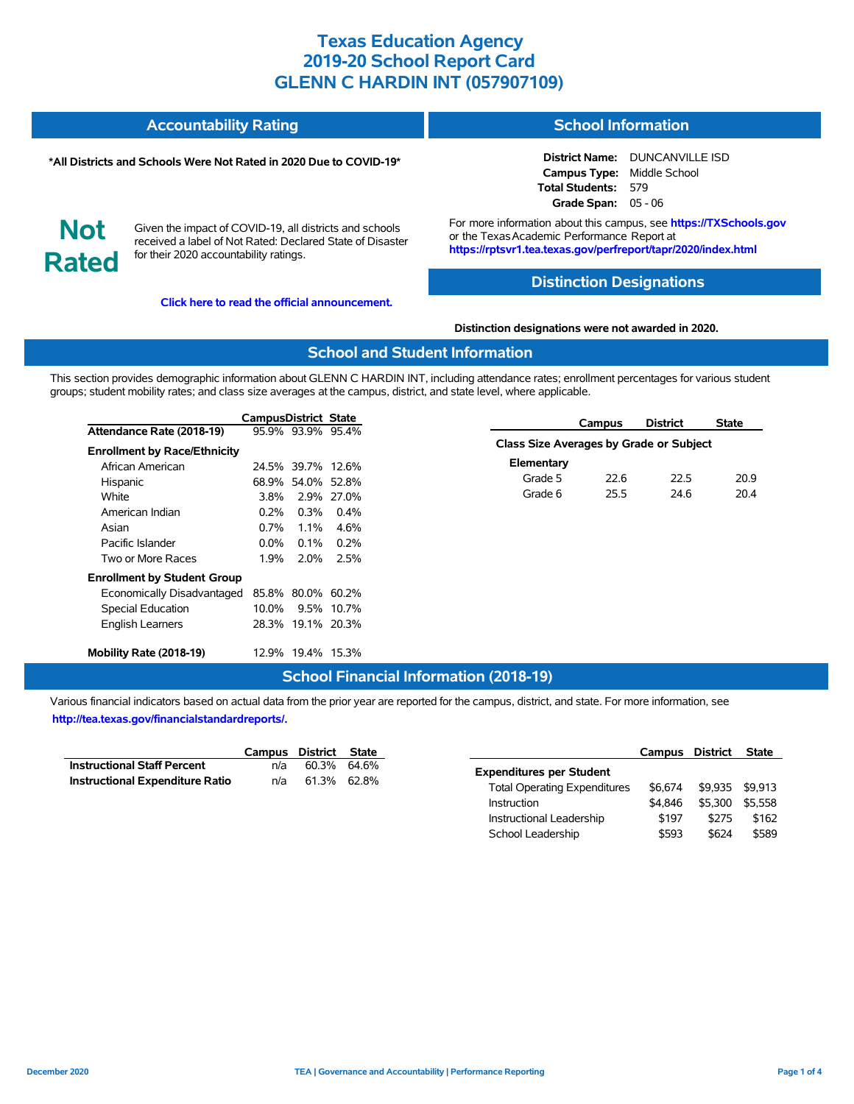#### **Accountability Rating School Information**

#### **\*All Districts and Schools Were Not Rated in 2020 Due to COVID-19\***

**District Name:** DUNCANVILLE ISD **Campus Type:** Middle School **Total Students:** 579 **Grade Span:** 05 - 06

**Not Rated**

Given the impact of COVID-19, all districts and schools received a label of Not Rated: Declared State of Disaster for their 2020 accountability ratings.

**[Click here to read the official announcement.](https://tea.texas.gov/about-tea/news-and-multimedia/correspondence/taa-letters/every-student-succeeds-act-essa-waiver-approval-2020-state-academic-accountability)**

For more information about this campus, see **https://TXSchools.gov** or the Texas Academic Performance Report at **https://rptsvr1.tea.texas.gov/perfreport/tapr/2020/index.html**

### **Distinction Designations**

#### **Distinction designations were not awarded in 2020.**

### **School and Student Information**

This section provides demographic information about GLENN C HARDIN INT, including attendance rates; enrollment percentages for various student groups; student mobility rates; and class size averages at the campus, district, and state level, where applicable.

|                                     | CampusDistrict State |                   |            |                                         | Campus | <b>District</b> | <b>State</b> |
|-------------------------------------|----------------------|-------------------|------------|-----------------------------------------|--------|-----------------|--------------|
| Attendance Rate (2018-19)           |                      | 95.9% 93.9% 95.4% |            |                                         |        |                 |              |
| <b>Enrollment by Race/Ethnicity</b> |                      |                   |            | Class Size Averages by Grade or Subject |        |                 |              |
| African American                    |                      | 24.5% 39.7% 12.6% |            | Elementary                              |        |                 |              |
| Hispanic                            |                      | 68.9% 54.0% 52.8% |            | Grade 5                                 | 22.6   | 22.5            | 20.9         |
| White                               | 3.8%                 |                   | 2.9% 27.0% | Grade 6                                 | 25.5   | 24.6            | 20.4         |
| American Indian                     | $0.2\%$              | 0.3%              | $0.4\%$    |                                         |        |                 |              |
| Asian                               | 0.7%                 | 1.1%              | 4.6%       |                                         |        |                 |              |
| Pacific Islander                    | $0.0\%$              | $0.1\%$           | $0.2\%$    |                                         |        |                 |              |
| Two or More Races                   | 1.9%                 | 2.0%              | 2.5%       |                                         |        |                 |              |
| <b>Enrollment by Student Group</b>  |                      |                   |            |                                         |        |                 |              |
| Economically Disadvantaged          |                      | 85.8% 80.0% 60.2% |            |                                         |        |                 |              |
| Special Education                   | 10.0%                |                   | 9.5% 10.7% |                                         |        |                 |              |
| <b>English Learners</b>             |                      | 28.3% 19.1% 20.3% |            |                                         |        |                 |              |
| Mobility Rate (2018-19)             |                      | 12.9% 19.4% 15.3% |            |                                         |        |                 |              |

### **School Financial Information (2018-19)**

|                                        | Campus District State |             |  |
|----------------------------------------|-----------------------|-------------|--|
| <b>Instructional Staff Percent</b>     | n/a                   | 60.3% 64.6% |  |
| <b>Instructional Expenditure Ratio</b> | n/a                   | 61.3% 62.8% |  |

|                                     | Campus District |         | <b>State</b> |
|-------------------------------------|-----------------|---------|--------------|
| <b>Expenditures per Student</b>     |                 |         |              |
| <b>Total Operating Expenditures</b> | \$6.674         | \$9.935 | \$9.913      |
| Instruction                         | \$4.846         | \$5.300 | \$5.558      |
| Instructional Leadership            | \$197           | \$275   | \$162        |
| School Leadership                   | \$593           | \$624   | \$589        |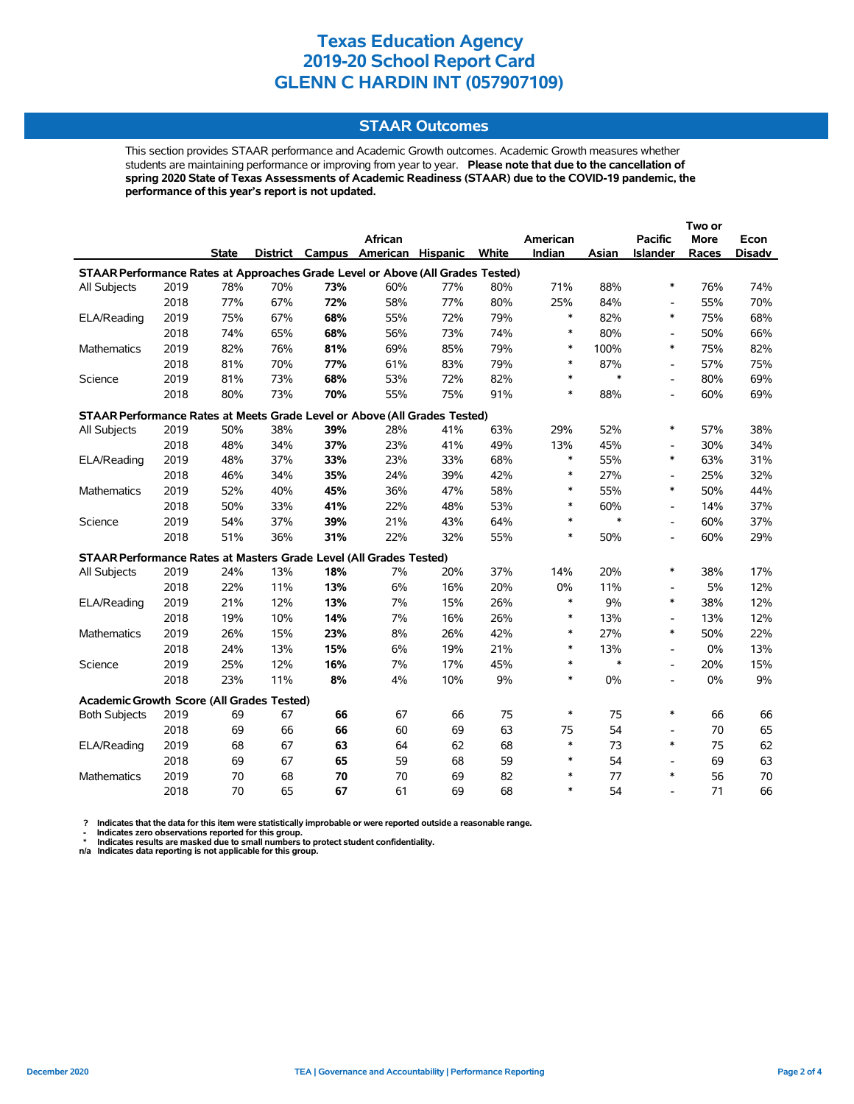### **STAAR Outcomes**

This section provides STAAR performance and Academic Growth outcomes. Academic Growth measures whether students are maintaining performance or improving from year to year. **Please note that due to the cancellation of spring 2020 State of Texas Assessments of Academic Readiness (STAAR) due to the COVID-19 pandemic, the performance of this year's report is not updated.**

|                                                                                |      |              |     |     |                                   |     |       |          |        |                          | Two or      |               |
|--------------------------------------------------------------------------------|------|--------------|-----|-----|-----------------------------------|-----|-------|----------|--------|--------------------------|-------------|---------------|
|                                                                                |      |              |     |     | African                           |     |       | American |        | <b>Pacific</b>           | <b>More</b> | Econ          |
|                                                                                |      | <b>State</b> |     |     | District Campus American Hispanic |     | White | Indian   | Asian  | Islander                 | Races       | <b>Disadv</b> |
| STAAR Performance Rates at Approaches Grade Level or Above (All Grades Tested) |      |              |     |     |                                   |     |       |          |        |                          |             |               |
| All Subjects                                                                   | 2019 | 78%          | 70% | 73% | 60%                               | 77% | 80%   | 71%      | 88%    | $\ast$                   | 76%         | 74%           |
|                                                                                | 2018 | 77%          | 67% | 72% | 58%                               | 77% | 80%   | 25%      | 84%    | $\overline{\phantom{a}}$ | 55%         | 70%           |
| ELA/Reading                                                                    | 2019 | 75%          | 67% | 68% | 55%                               | 72% | 79%   | $\ast$   | 82%    | $\ast$                   | 75%         | 68%           |
|                                                                                | 2018 | 74%          | 65% | 68% | 56%                               | 73% | 74%   | $\ast$   | 80%    | $\overline{\phantom{a}}$ | 50%         | 66%           |
| <b>Mathematics</b>                                                             | 2019 | 82%          | 76% | 81% | 69%                               | 85% | 79%   | $\ast$   | 100%   | $\ast$                   | 75%         | 82%           |
|                                                                                | 2018 | 81%          | 70% | 77% | 61%                               | 83% | 79%   | $\ast$   | 87%    | $\overline{\phantom{a}}$ | 57%         | 75%           |
| Science                                                                        | 2019 | 81%          | 73% | 68% | 53%                               | 72% | 82%   | $\ast$   | $\ast$ | $\overline{\phantom{a}}$ | 80%         | 69%           |
|                                                                                | 2018 | 80%          | 73% | 70% | 55%                               | 75% | 91%   | $\ast$   | 88%    | $\overline{\phantom{a}}$ | 60%         | 69%           |
| STAAR Performance Rates at Meets Grade Level or Above (All Grades Tested)      |      |              |     |     |                                   |     |       |          |        |                          |             |               |
| All Subjects                                                                   | 2019 | 50%          | 38% | 39% | 28%                               | 41% | 63%   | 29%      | 52%    | $\ast$                   | 57%         | 38%           |
|                                                                                | 2018 | 48%          | 34% | 37% | 23%                               | 41% | 49%   | 13%      | 45%    | $\overline{\phantom{a}}$ | 30%         | 34%           |
| ELA/Reading                                                                    | 2019 | 48%          | 37% | 33% | 23%                               | 33% | 68%   | $\ast$   | 55%    | $\ast$                   | 63%         | 31%           |
|                                                                                | 2018 | 46%          | 34% | 35% | 24%                               | 39% | 42%   | $\ast$   | 27%    | $\overline{\phantom{a}}$ | 25%         | 32%           |
| <b>Mathematics</b>                                                             | 2019 | 52%          | 40% | 45% | 36%                               | 47% | 58%   | $\ast$   | 55%    | $\ast$                   | 50%         | 44%           |
|                                                                                | 2018 | 50%          | 33% | 41% | 22%                               | 48% | 53%   | $\ast$   | 60%    | $\overline{\phantom{a}}$ | 14%         | 37%           |
| Science                                                                        | 2019 | 54%          | 37% | 39% | 21%                               | 43% | 64%   | $\ast$   | $\ast$ | $\overline{a}$           | 60%         | 37%           |
|                                                                                | 2018 | 51%          | 36% | 31% | 22%                               | 32% | 55%   | $\ast$   | 50%    | $\overline{a}$           | 60%         | 29%           |
| STAAR Performance Rates at Masters Grade Level (All Grades Tested)             |      |              |     |     |                                   |     |       |          |        |                          |             |               |
| All Subjects                                                                   | 2019 | 24%          | 13% | 18% | 7%                                | 20% | 37%   | 14%      | 20%    | $\ast$                   | 38%         | 17%           |
|                                                                                | 2018 | 22%          | 11% | 13% | 6%                                | 16% | 20%   | 0%       | 11%    | $\overline{\phantom{a}}$ | 5%          | 12%           |
| ELA/Reading                                                                    | 2019 | 21%          | 12% | 13% | 7%                                | 15% | 26%   | $\ast$   | 9%     | $\ast$                   | 38%         | 12%           |
|                                                                                | 2018 | 19%          | 10% | 14% | 7%                                | 16% | 26%   | $\ast$   | 13%    | $\overline{\phantom{a}}$ | 13%         | 12%           |
| <b>Mathematics</b>                                                             | 2019 | 26%          | 15% | 23% | 8%                                | 26% | 42%   | $\ast$   | 27%    | $\ast$                   | 50%         | 22%           |
|                                                                                | 2018 | 24%          | 13% | 15% | 6%                                | 19% | 21%   | $\ast$   | 13%    | $\overline{\phantom{a}}$ | $0\%$       | 13%           |
| Science                                                                        | 2019 | 25%          | 12% | 16% | 7%                                | 17% | 45%   | $\ast$   | $\ast$ | $\overline{a}$           | 20%         | 15%           |
|                                                                                | 2018 | 23%          | 11% | 8%  | 4%                                | 10% | 9%    | $\ast$   | $0\%$  | $\overline{a}$           | $0\%$       | 9%            |
| Academic Growth Score (All Grades Tested)                                      |      |              |     |     |                                   |     |       |          |        |                          |             |               |
| <b>Both Subjects</b>                                                           | 2019 | 69           | 67  | 66  | 67                                | 66  | 75    | $\ast$   | 75     | $\ast$                   | 66          | 66            |
|                                                                                | 2018 | 69           | 66  | 66  | 60                                | 69  | 63    | 75       | 54     | $\overline{a}$           | 70          | 65            |
| ELA/Reading                                                                    | 2019 | 68           | 67  | 63  | 64                                | 62  | 68    | $\ast$   | 73     | $\ast$                   | 75          | 62            |
|                                                                                | 2018 | 69           | 67  | 65  | 59                                | 68  | 59    | $\ast$   | 54     | $\overline{a}$           | 69          | 63            |
| <b>Mathematics</b>                                                             | 2019 | 70           | 68  | 70  | 70                                | 69  | 82    | $\ast$   | 77     | $\ast$                   | 56          | 70            |
|                                                                                | 2018 | 70           | 65  | 67  | 61                                | 69  | 68    | $\ast$   | 54     | $\overline{a}$           | 71          | 66            |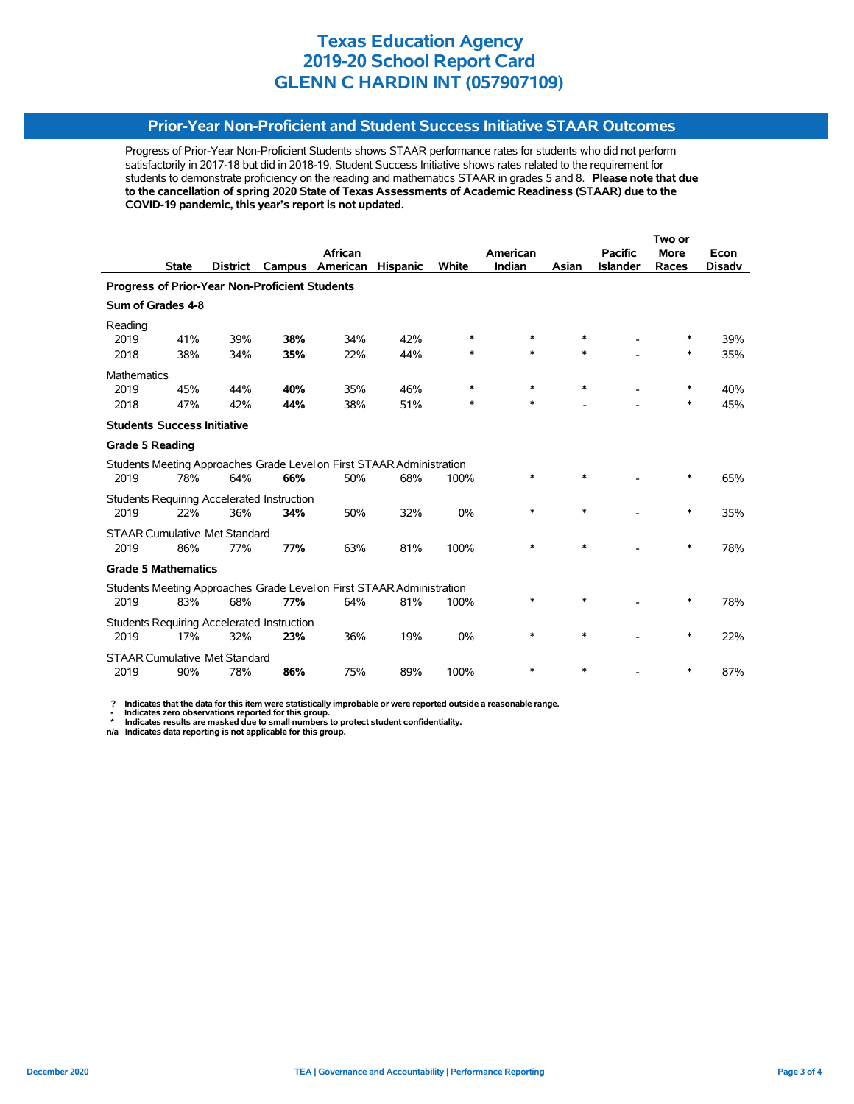## **Prior-Year Non-Proficient and Student Success Initiative STAAR Outcomes**

Progress of Prior-Year Non-Proficient Students shows STAAR performance rates for students who did not perform satisfactorily in 2017-18 but did in 2018-19. Student Success Initiative shows rates related to the requirement for students to demonstrate proficiency on the reading and mathematics STAAR in grades 5 and 8. **Please note that due to the cancellation of spring 2020 State of Texas Assessments of Academic Readiness (STAAR) due to the COVID-19 pandemic, this year's report is not updated.**

|                                                |              |                                      |                                                   |                                                                       |                 |              |          |        |                 | Two or      |               |  |
|------------------------------------------------|--------------|--------------------------------------|---------------------------------------------------|-----------------------------------------------------------------------|-----------------|--------------|----------|--------|-----------------|-------------|---------------|--|
|                                                |              |                                      |                                                   | African                                                               |                 |              | American |        | <b>Pacific</b>  | <b>More</b> | Econ          |  |
|                                                | <b>State</b> | <b>District</b>                      | Campus                                            | American                                                              | <b>Hispanic</b> | <b>White</b> | Indian   | Asian  | <b>Islander</b> | Races       | <b>Disady</b> |  |
| Progress of Prior-Year Non-Proficient Students |              |                                      |                                                   |                                                                       |                 |              |          |        |                 |             |               |  |
| Sum of Grades 4-8                              |              |                                      |                                                   |                                                                       |                 |              |          |        |                 |             |               |  |
| Reading                                        |              |                                      |                                                   |                                                                       |                 |              |          |        |                 |             |               |  |
| 2019                                           | 41%          | 39%                                  | 38%                                               | 34%                                                                   | 42%             | $\ast$       | $\ast$   | $\ast$ |                 | ∗           | 39%           |  |
| 2018                                           | 38%          | 34%                                  | 35%                                               | 22%                                                                   | 44%             | $\ast$       | $\ast$   | $\ast$ |                 | $\ast$      | 35%           |  |
| <b>Mathematics</b>                             |              |                                      |                                                   |                                                                       |                 |              |          |        |                 |             |               |  |
| 2019                                           | 45%          | 44%                                  | 40%                                               | 35%                                                                   | 46%             | $\ast$       | $\ast$   | $\ast$ |                 | $\ast$      | 40%           |  |
| 2018                                           | 47%          | 42%                                  | 44%                                               | 38%                                                                   | 51%             | $\ast$       | *        |        |                 | $\ast$      | 45%           |  |
| <b>Students Success Initiative</b>             |              |                                      |                                                   |                                                                       |                 |              |          |        |                 |             |               |  |
| <b>Grade 5 Reading</b>                         |              |                                      |                                                   |                                                                       |                 |              |          |        |                 |             |               |  |
|                                                |              |                                      |                                                   | Students Meeting Approaches Grade Level on First STAAR Administration |                 |              |          |        |                 |             |               |  |
| 2019                                           | 78%          | 64%                                  | 66%                                               | 50%                                                                   | 68%             | 100%         | *        | $\ast$ |                 | $\ast$      | 65%           |  |
|                                                |              |                                      | <b>Students Requiring Accelerated Instruction</b> |                                                                       |                 |              |          |        |                 |             |               |  |
| 2019                                           | 22%          | 36%                                  | 34%                                               | 50%                                                                   | 32%             | 0%           | $\ast$   | $\ast$ |                 | ∗           | 35%           |  |
|                                                |              | <b>STAAR Cumulative Met Standard</b> |                                                   |                                                                       |                 |              |          |        |                 |             |               |  |
| 2019                                           | 86%          | 77%                                  | 77%                                               | 63%                                                                   | 81%             | 100%         | $\ast$   | $\ast$ |                 | $\ast$      | 78%           |  |
| <b>Grade 5 Mathematics</b>                     |              |                                      |                                                   |                                                                       |                 |              |          |        |                 |             |               |  |
|                                                |              |                                      |                                                   | Students Meeting Approaches Grade Level on First STAAR Administration |                 |              |          |        |                 |             |               |  |
| 2019                                           | 83%          | 68%                                  | 77%                                               | 64%                                                                   | 81%             | 100%         | *        | *      |                 | ∗           | 78%           |  |
|                                                |              |                                      | <b>Students Requiring Accelerated Instruction</b> |                                                                       |                 |              |          |        |                 |             |               |  |
| 2019                                           | 17%          | 32%                                  | 23%                                               | 36%                                                                   | 19%             | 0%           | *        | $\ast$ |                 | ∗           | 22%           |  |
|                                                |              | <b>STAAR Cumulative Met Standard</b> |                                                   |                                                                       |                 |              |          |        |                 |             |               |  |
| 2019                                           | 90%          | 78%                                  | 86%                                               | 75%                                                                   | 89%             | 100%         | $\ast$   | $\ast$ |                 | ∗           | 87%           |  |

 **? Indicates that the data for this item were statistically improbable or were reported outside a reasonable range.**

 **- Indicates zero observations reported for this group. \* Indicates results are masked due to small numbers to protect student confidentiality.**

**n/a Indicates data reporting is not applicable for this group.**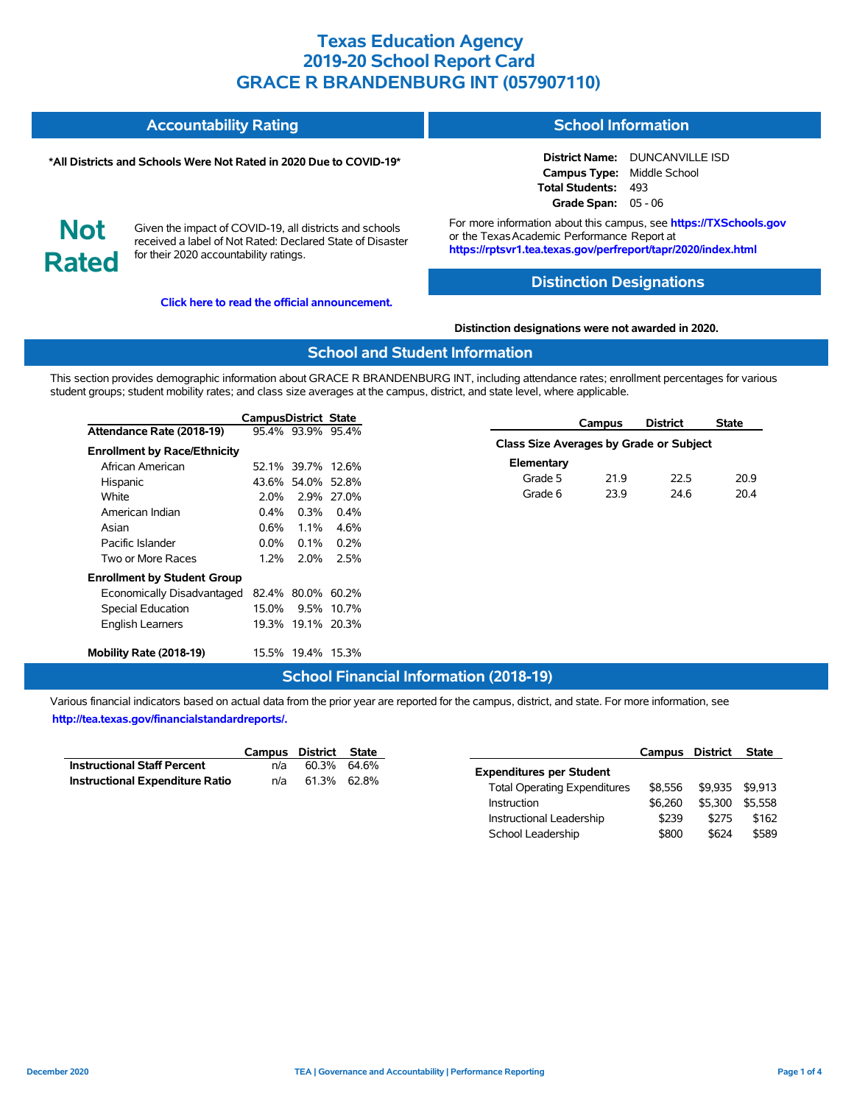| <b>Accountability Rating</b> | <b>School Information</b> |
|------------------------------|---------------------------|
|                              |                           |

#### **\*All Districts and Schools Were Not Rated in 2020 Due to COVID-19\***

**District Name:** DUNCANVILLE ISD **Campus Type:** Middle School **Total Students:** 493 **Grade Span:** 05 - 06

**Not Rated**

Given the impact of COVID-19, all districts and schools received a label of Not Rated: Declared State of Disaster for their 2020 accountability ratings.

**[Click here to read the official announcement.](https://tea.texas.gov/about-tea/news-and-multimedia/correspondence/taa-letters/every-student-succeeds-act-essa-waiver-approval-2020-state-academic-accountability)**

For more information about this campus, see **https://TXSchools.gov** or the Texas Academic Performance Report at **https://rptsvr1.tea.texas.gov/perfreport/tapr/2020/index.html**

### **Distinction Designations**

#### **Distinction designations were not awarded in 2020.**

### **School and Student Information**

This section provides demographic information about GRACE R BRANDENBURG INT, including attendance rates; enrollment percentages for various student groups; student mobility rates; and class size averages at the campus, district, and state level, where applicable.

|                                     | CampusDistrict State |                   |            | Campus                                  | <b>District</b> | <b>State</b> |
|-------------------------------------|----------------------|-------------------|------------|-----------------------------------------|-----------------|--------------|
| Attendance Rate (2018-19)           |                      | 95.4% 93.9% 95.4% |            | Class Size Averages by Grade or Subject |                 |              |
| <b>Enrollment by Race/Ethnicity</b> |                      |                   |            |                                         |                 |              |
| African American                    |                      | 52.1% 39.7% 12.6% |            | Elementary                              |                 |              |
| Hispanic                            |                      | 43.6% 54.0% 52.8% |            | Grade 5<br>21.9                         | 22.5            | 20.9         |
| White                               | 2.0%                 |                   | 2.9% 27.0% | Grade 6<br>23.9                         | 24.6            | 20.4         |
| American Indian                     | $0.4\%$              | 0.3%              | $0.4\%$    |                                         |                 |              |
| Asian                               | 0.6%                 | $1.1\%$           | 4.6%       |                                         |                 |              |
| Pacific Islander                    | $0.0\%$              | $0.1\%$           | 0.2%       |                                         |                 |              |
| Two or More Races                   | $1.2\%$              | $2.0\%$           | 2.5%       |                                         |                 |              |
| <b>Enrollment by Student Group</b>  |                      |                   |            |                                         |                 |              |
| Economically Disadvantaged          |                      | 82.4% 80.0% 60.2% |            |                                         |                 |              |
| Special Education                   | 15.0%                |                   | 9.5% 10.7% |                                         |                 |              |
| English Learners                    |                      | 19.3% 19.1% 20.3% |            |                                         |                 |              |
| Mobility Rate (2018-19)             |                      | 15.5% 19.4% 15.3% |            |                                         |                 |              |

### **School Financial Information (2018-19)**

|                                        | Campus District State |             |  |
|----------------------------------------|-----------------------|-------------|--|
| <b>Instructional Staff Percent</b>     | n/a                   | 60.3% 64.6% |  |
| <b>Instructional Expenditure Ratio</b> | n/a                   | 61.3% 62.8% |  |

|                                     | Campus District |         | <b>State</b> |
|-------------------------------------|-----------------|---------|--------------|
| <b>Expenditures per Student</b>     |                 |         |              |
| <b>Total Operating Expenditures</b> | \$8.556         | \$9.935 | \$9.913      |
| Instruction                         | \$6.260         | \$5.300 | \$5.558      |
| Instructional Leadership            | \$239           | \$275   | \$162        |
| School Leadership                   | \$800           | \$624   | \$589        |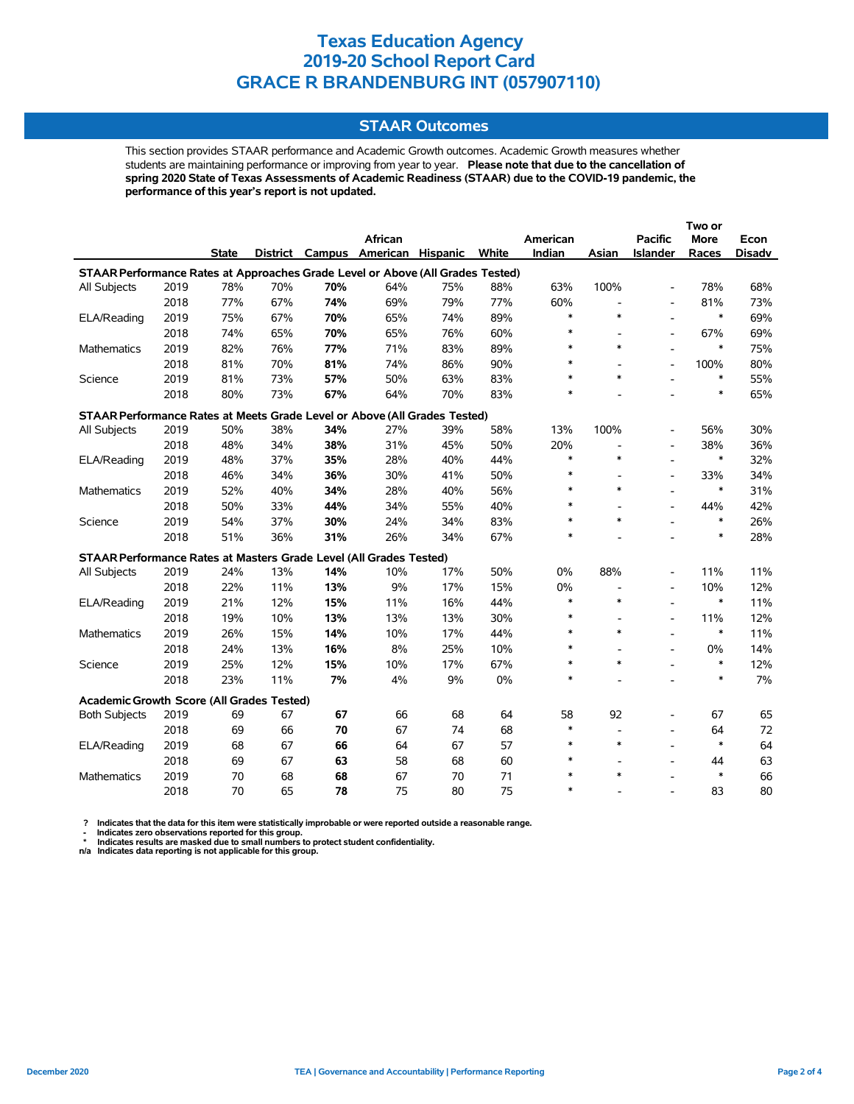### **STAAR Outcomes**

This section provides STAAR performance and Academic Growth outcomes. Academic Growth measures whether students are maintaining performance or improving from year to year. **Please note that due to the cancellation of spring 2020 State of Texas Assessments of Academic Readiness (STAAR) due to the COVID-19 pandemic, the performance of this year's report is not updated.**

|                                                                                |      |              |     |     |                                   |     |       |          |                |                          | Two or |               |
|--------------------------------------------------------------------------------|------|--------------|-----|-----|-----------------------------------|-----|-------|----------|----------------|--------------------------|--------|---------------|
|                                                                                |      |              |     |     | African                           |     |       | American |                | <b>Pacific</b>           | More   | Econ          |
|                                                                                |      | <b>State</b> |     |     | District Campus American Hispanic |     | White | Indian   | Asian          | Islander                 | Races  | <b>Disadv</b> |
| STAAR Performance Rates at Approaches Grade Level or Above (All Grades Tested) |      |              |     |     |                                   |     |       |          |                |                          |        |               |
| All Subjects                                                                   | 2019 | 78%          | 70% | 70% | 64%                               | 75% | 88%   | 63%      | 100%           | $\overline{a}$           | 78%    | 68%           |
|                                                                                | 2018 | 77%          | 67% | 74% | 69%                               | 79% | 77%   | 60%      | $\blacksquare$ | $\overline{a}$           | 81%    | 73%           |
| ELA/Reading                                                                    | 2019 | 75%          | 67% | 70% | 65%                               | 74% | 89%   | $\ast$   | $\ast$         | $\overline{a}$           | $\ast$ | 69%           |
|                                                                                | 2018 | 74%          | 65% | 70% | 65%                               | 76% | 60%   | $\ast$   |                | $\overline{a}$           | 67%    | 69%           |
| <b>Mathematics</b>                                                             | 2019 | 82%          | 76% | 77% | 71%                               | 83% | 89%   | $\ast$   | $\ast$         | ÷,                       | $\ast$ | 75%           |
|                                                                                | 2018 | 81%          | 70% | 81% | 74%                               | 86% | 90%   | $\ast$   |                | $\overline{a}$           | 100%   | 80%           |
| Science                                                                        | 2019 | 81%          | 73% | 57% | 50%                               | 63% | 83%   | $\ast$   | $\ast$         |                          | $\ast$ | 55%           |
|                                                                                | 2018 | 80%          | 73% | 67% | 64%                               | 70% | 83%   | $\ast$   |                |                          | $\ast$ | 65%           |
| STAAR Performance Rates at Meets Grade Level or Above (All Grades Tested)      |      |              |     |     |                                   |     |       |          |                |                          |        |               |
| All Subjects                                                                   | 2019 | 50%          | 38% | 34% | 27%                               | 39% | 58%   | 13%      | 100%           |                          | 56%    | 30%           |
|                                                                                | 2018 | 48%          | 34% | 38% | 31%                               | 45% | 50%   | 20%      |                | $\overline{\phantom{a}}$ | 38%    | 36%           |
| ELA/Reading                                                                    | 2019 | 48%          | 37% | 35% | 28%                               | 40% | 44%   | $\ast$   | $\ast$         |                          | $\ast$ | 32%           |
|                                                                                | 2018 | 46%          | 34% | 36% | 30%                               | 41% | 50%   | $\ast$   |                | $\overline{a}$           | 33%    | 34%           |
| Mathematics                                                                    | 2019 | 52%          | 40% | 34% | 28%                               | 40% | 56%   | $\ast$   | $\ast$         |                          | $\ast$ | 31%           |
|                                                                                | 2018 | 50%          | 33% | 44% | 34%                               | 55% | 40%   | $\ast$   |                |                          | 44%    | 42%           |
| Science                                                                        | 2019 | 54%          | 37% | 30% | 24%                               | 34% | 83%   | $\ast$   | $\ast$         |                          | $\ast$ | 26%           |
|                                                                                | 2018 | 51%          | 36% | 31% | 26%                               | 34% | 67%   | $\ast$   |                |                          | $\ast$ | 28%           |
| STAAR Performance Rates at Masters Grade Level (All Grades Tested)             |      |              |     |     |                                   |     |       |          |                |                          |        |               |
| All Subjects                                                                   | 2019 | 24%          | 13% | 14% | 10%                               | 17% | 50%   | 0%       | 88%            | $\overline{\phantom{a}}$ | 11%    | 11%           |
|                                                                                | 2018 | 22%          | 11% | 13% | 9%                                | 17% | 15%   | 0%       |                | $\overline{\phantom{a}}$ | 10%    | 12%           |
| ELA/Reading                                                                    | 2019 | 21%          | 12% | 15% | 11%                               | 16% | 44%   | $\ast$   | $\ast$         |                          | $\ast$ | 11%           |
|                                                                                | 2018 | 19%          | 10% | 13% | 13%                               | 13% | 30%   | $\ast$   |                | $\overline{\phantom{a}}$ | 11%    | 12%           |
| <b>Mathematics</b>                                                             | 2019 | 26%          | 15% | 14% | 10%                               | 17% | 44%   | $\ast$   | $\ast$         |                          | $\ast$ | 11%           |
|                                                                                | 2018 | 24%          | 13% | 16% | 8%                                | 25% | 10%   | $\ast$   |                | $\blacksquare$           | $0\%$  | 14%           |
| Science                                                                        | 2019 | 25%          | 12% | 15% | 10%                               | 17% | 67%   | $\ast$   | $\ast$         |                          | $\ast$ | 12%           |
|                                                                                | 2018 | 23%          | 11% | 7%  | 4%                                | 9%  | 0%    | $\ast$   |                |                          | $\ast$ | 7%            |
| Academic Growth Score (All Grades Tested)                                      |      |              |     |     |                                   |     |       |          |                |                          |        |               |
| <b>Both Subjects</b>                                                           | 2019 | 69           | 67  | 67  | 66                                | 68  | 64    | 58       | 92             |                          | 67     | 65            |
|                                                                                | 2018 | 69           | 66  | 70  | 67                                | 74  | 68    | $\ast$   | $\blacksquare$ | $\overline{a}$           | 64     | 72            |
| ELA/Reading                                                                    | 2019 | 68           | 67  | 66  | 64                                | 67  | 57    | $\ast$   | $\ast$         | $\overline{a}$           | $\ast$ | 64            |
|                                                                                | 2018 | 69           | 67  | 63  | 58                                | 68  | 60    | $\ast$   |                | $\overline{a}$           | 44     | 63            |
| <b>Mathematics</b>                                                             | 2019 | 70           | 68  | 68  | 67                                | 70  | 71    | $\ast$   | $\ast$         |                          | $\ast$ | 66            |
|                                                                                | 2018 | 70           | 65  | 78  | 75                                | 80  | 75    | $\ast$   |                | $\overline{a}$           | 83     | 80            |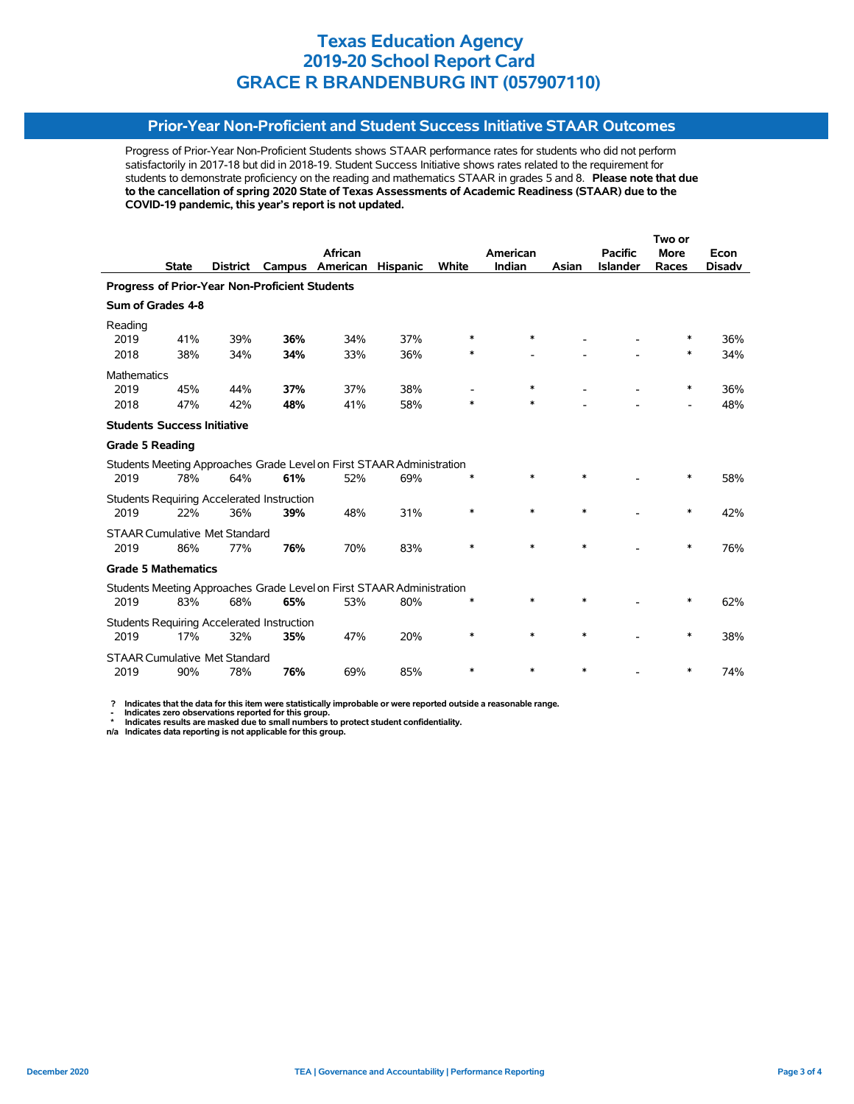## **Prior-Year Non-Proficient and Student Success Initiative STAAR Outcomes**

Progress of Prior-Year Non-Proficient Students shows STAAR performance rates for students who did not perform satisfactorily in 2017-18 but did in 2018-19. Student Success Initiative shows rates related to the requirement for students to demonstrate proficiency on the reading and mathematics STAAR in grades 5 and 8. **Please note that due to the cancellation of spring 2020 State of Texas Assessments of Academic Readiness (STAAR) due to the COVID-19 pandemic, this year's report is not updated.**

|                                                |              |                                      |                                                   |                                                                       |                 |        |          |        |                 | Two or                   |               |  |
|------------------------------------------------|--------------|--------------------------------------|---------------------------------------------------|-----------------------------------------------------------------------|-----------------|--------|----------|--------|-----------------|--------------------------|---------------|--|
|                                                |              |                                      |                                                   | African                                                               |                 |        | American |        | <b>Pacific</b>  | <b>More</b>              | Econ          |  |
|                                                | <b>State</b> | <b>District</b>                      | Campus                                            | American                                                              | <b>Hispanic</b> | White  | Indian   | Asian  | <b>Islander</b> | Races                    | <b>Disady</b> |  |
| Progress of Prior-Year Non-Proficient Students |              |                                      |                                                   |                                                                       |                 |        |          |        |                 |                          |               |  |
| Sum of Grades 4-8                              |              |                                      |                                                   |                                                                       |                 |        |          |        |                 |                          |               |  |
| Reading                                        |              |                                      |                                                   |                                                                       |                 |        |          |        |                 |                          |               |  |
| 2019                                           | 41%          | 39%                                  | 36%                                               | 34%                                                                   | 37%             | $\ast$ | *        |        |                 | ∗                        | 36%           |  |
| 2018                                           | 38%          | 34%                                  | 34%                                               | 33%                                                                   | 36%             | $\ast$ |          |        |                 | $\ast$                   | 34%           |  |
| <b>Mathematics</b>                             |              |                                      |                                                   |                                                                       |                 |        |          |        |                 |                          |               |  |
| 2019                                           | 45%          | 44%                                  | 37%                                               | 37%                                                                   | 38%             |        | $\ast$   |        |                 | $\ast$                   | 36%           |  |
| 2018                                           | 47%          | 42%                                  | 48%                                               | 41%                                                                   | 58%             | $\ast$ | *        |        |                 | $\overline{\phantom{0}}$ | 48%           |  |
| <b>Students Success Initiative</b>             |              |                                      |                                                   |                                                                       |                 |        |          |        |                 |                          |               |  |
| <b>Grade 5 Reading</b>                         |              |                                      |                                                   |                                                                       |                 |        |          |        |                 |                          |               |  |
|                                                |              |                                      |                                                   | Students Meeting Approaches Grade Level on First STAAR Administration |                 |        |          |        |                 |                          |               |  |
| 2019                                           | 78%          | 64%                                  | 61%                                               | 52%                                                                   | 69%             | $\ast$ | $\ast$   | $\ast$ |                 | $\ast$                   | 58%           |  |
|                                                |              |                                      | <b>Students Requiring Accelerated Instruction</b> |                                                                       |                 |        |          |        |                 |                          |               |  |
| 2019                                           | 22%          | 36%                                  | 39%                                               | 48%                                                                   | 31%             | $\ast$ | $\ast$   | $\ast$ |                 | $\ast$                   | 42%           |  |
|                                                |              | <b>STAAR Cumulative Met Standard</b> |                                                   |                                                                       |                 |        |          |        |                 |                          |               |  |
| 2019                                           | 86%          | 77%                                  | 76%                                               | 70%                                                                   | 83%             | $\ast$ | $\ast$   | $\ast$ |                 | $\ast$                   | 76%           |  |
| <b>Grade 5 Mathematics</b>                     |              |                                      |                                                   |                                                                       |                 |        |          |        |                 |                          |               |  |
|                                                |              |                                      |                                                   | Students Meeting Approaches Grade Level on First STAAR Administration |                 |        |          |        |                 |                          |               |  |
| 2019                                           | 83%          | 68%                                  | 65%                                               | 53%                                                                   | 80%             | ∗      | *        | *      |                 | ∗                        | 62%           |  |
|                                                |              |                                      | <b>Students Requiring Accelerated Instruction</b> |                                                                       |                 |        |          |        |                 |                          |               |  |
| 2019                                           | 17%          | 32%                                  | 35%                                               | 47%                                                                   | 20%             | $\ast$ | $\ast$   | $\ast$ |                 | ∗                        | 38%           |  |
|                                                |              | <b>STAAR Cumulative Met Standard</b> |                                                   |                                                                       |                 |        |          |        |                 |                          |               |  |
| 2019                                           | 90%          | 78%                                  | 76%                                               | 69%                                                                   | 85%             | $\ast$ | $\ast$   | $\ast$ |                 | ∗                        | 74%           |  |

 **? Indicates that the data for this item were statistically improbable or were reported outside a reasonable range.**

 **- Indicates zero observations reported for this group. \* Indicates results are masked due to small numbers to protect student confidentiality.**

**n/a Indicates data reporting is not applicable for this group.**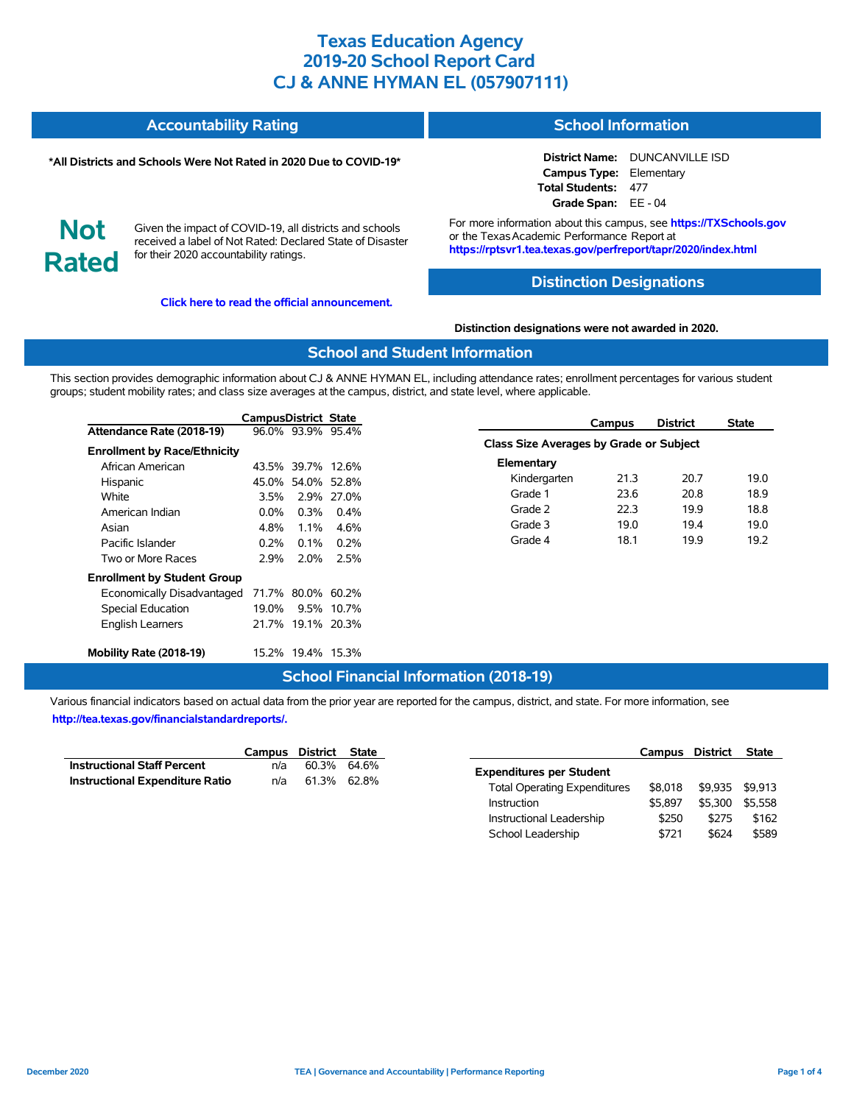| Accountability Rating | <b>School Information</b> |
|-----------------------|---------------------------|
|-----------------------|---------------------------|

#### **\*All Districts and Schools Were Not Rated in 2020 Due to COVID-19\***

**District Name:** DUNCANVILLE ISD **Campus Type:** Elementary **Total Students:** 477 **Grade Span:** EE - 04

**Not Rated**

Given the impact of COVID-19, all districts and schools received a label of Not Rated: Declared State of Disaster for their 2020 accountability ratings.

**[Click here to read the official announcement.](https://tea.texas.gov/about-tea/news-and-multimedia/correspondence/taa-letters/every-student-succeeds-act-essa-waiver-approval-2020-state-academic-accountability)**

For more information about this campus, see **https://TXSchools.gov** or the Texas Academic Performance Report at **https://rptsvr1.tea.texas.gov/perfreport/tapr/2020/index.html**

### **Distinction Designations**

**Distinction designations were not awarded in 2020.**

### **School and Student Information**

This section provides demographic information about CJ & ANNE HYMAN EL, including attendance rates; enrollment percentages for various student groups; student mobility rates; and class size averages at the campus, district, and state level, where applicable.

|                                     | CampusDistrict State |                   |             | <b>Campus</b>                           | <b>District</b> | <b>State</b> |
|-------------------------------------|----------------------|-------------------|-------------|-----------------------------------------|-----------------|--------------|
| Attendance Rate (2018-19)           |                      | 96.0% 93.9% 95.4% |             |                                         |                 |              |
| <b>Enrollment by Race/Ethnicity</b> |                      |                   |             | Class Size Averages by Grade or Subject |                 |              |
| African American                    |                      | 43.5% 39.7% 12.6% |             | Elementary                              |                 |              |
| Hispanic                            | 45.0%                |                   | 54.0% 52.8% | Kindergarten<br>21.3                    | 20.7            | 19.0         |
| White                               | 3.5%                 |                   | 2.9% 27.0%  | 23.6<br>Grade 1                         | 20.8            | 18.9         |
| American Indian                     | $0.0\%$              | 0.3%              | $0.4\%$     | Grade 2<br>22.3                         | 19.9            | 18.8         |
| Asian                               | 4.8%                 | 1.1%              | 4.6%        | 19.0<br>Grade 3                         | 19.4            | 19.0         |
| Pacific Islander                    | 0.2%                 | $0.1\%$           | $0.2\%$     | Grade 4<br>18.1                         | 19.9            | 19.2         |
| Two or More Races                   | 2.9%                 | 2.0%              | 2.5%        |                                         |                 |              |
| <b>Enrollment by Student Group</b>  |                      |                   |             |                                         |                 |              |
| Economically Disadvantaged          |                      | 71.7% 80.0% 60.2% |             |                                         |                 |              |
| Special Education                   | 19.0%                |                   | 9.5% 10.7%  |                                         |                 |              |
| English Learners                    |                      | 21.7% 19.1% 20.3% |             |                                         |                 |              |
| Mobility Rate (2018-19)             |                      | 15.2% 19.4% 15.3% |             |                                         |                 |              |

### **School Financial Information (2018-19)**

|                                        | Campus District State |             |  |
|----------------------------------------|-----------------------|-------------|--|
| <b>Instructional Staff Percent</b>     | n/a                   | 60.3% 64.6% |  |
| <b>Instructional Expenditure Ratio</b> | n/a                   | 61.3% 62.8% |  |

|                                     | Campus District |         | <b>State</b> |
|-------------------------------------|-----------------|---------|--------------|
| <b>Expenditures per Student</b>     |                 |         |              |
| <b>Total Operating Expenditures</b> | \$8.018         | \$9.935 | \$9.913      |
| Instruction                         | \$5.897         | \$5.300 | \$5.558      |
| Instructional Leadership            | \$250           | \$275   | \$162        |
| School Leadership                   | \$721           | \$624   | \$589        |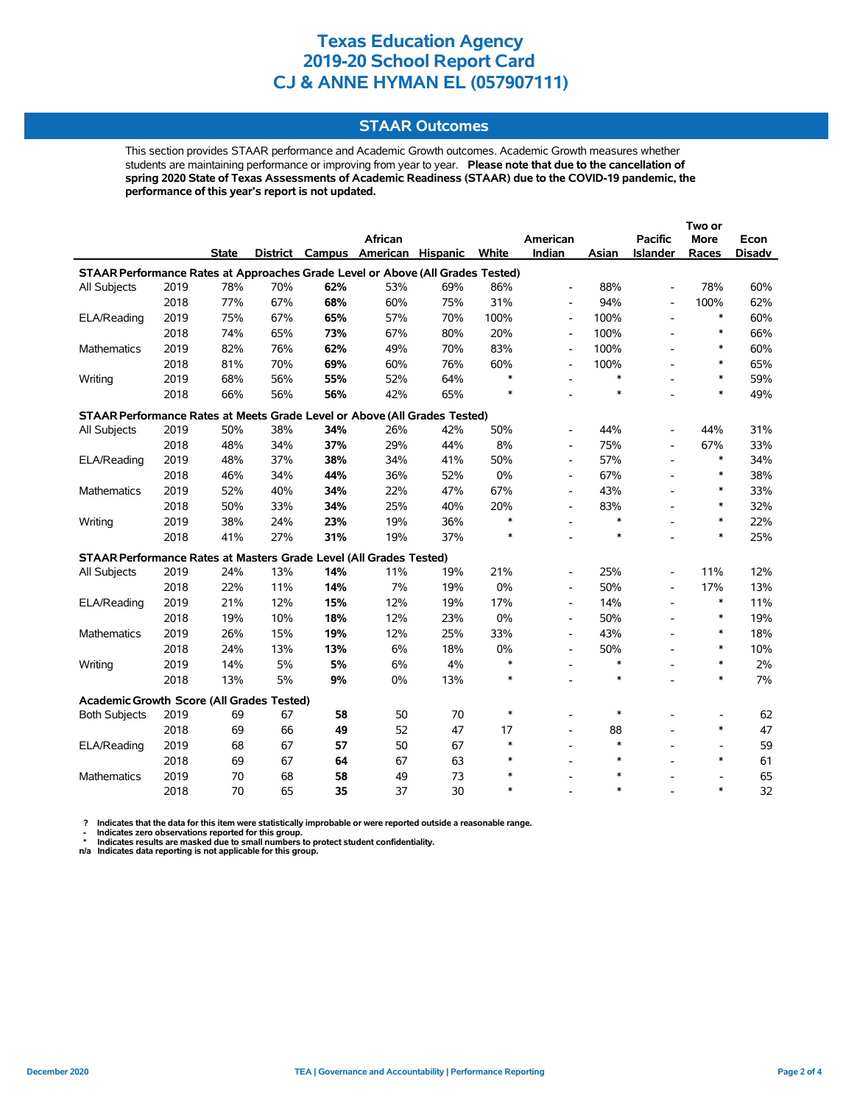### **STAAR Outcomes**

This section provides STAAR performance and Academic Growth outcomes. Academic Growth measures whether students are maintaining performance or improving from year to year. **Please note that due to the cancellation of spring 2020 State of Texas Assessments of Academic Readiness (STAAR) due to the COVID-19 pandemic, the performance of this year's report is not updated.**

|                                                                                |      |              |     |     |                                   |     |        |                          |        |                          | Two or                   |               |
|--------------------------------------------------------------------------------|------|--------------|-----|-----|-----------------------------------|-----|--------|--------------------------|--------|--------------------------|--------------------------|---------------|
|                                                                                |      |              |     |     | African                           |     |        | American                 |        | <b>Pacific</b>           | <b>More</b>              | Econ          |
|                                                                                |      | <b>State</b> |     |     | District Campus American Hispanic |     | White  | Indian                   | Asian  | <b>Islander</b>          | Races                    | <b>Disadv</b> |
| STAAR Performance Rates at Approaches Grade Level or Above (All Grades Tested) |      |              |     |     |                                   |     |        |                          |        |                          |                          |               |
| All Subjects                                                                   | 2019 | 78%          | 70% | 62% | 53%                               | 69% | 86%    | $\overline{\phantom{a}}$ | 88%    |                          | 78%                      | 60%           |
|                                                                                | 2018 | 77%          | 67% | 68% | 60%                               | 75% | 31%    | $\overline{\phantom{a}}$ | 94%    |                          | 100%                     | 62%           |
| ELA/Reading                                                                    | 2019 | 75%          | 67% | 65% | 57%                               | 70% | 100%   | $\overline{\phantom{a}}$ | 100%   |                          | $\ast$                   | 60%           |
|                                                                                | 2018 | 74%          | 65% | 73% | 67%                               | 80% | 20%    | $\overline{\phantom{a}}$ | 100%   |                          | $\ast$                   | 66%           |
| Mathematics                                                                    | 2019 | 82%          | 76% | 62% | 49%                               | 70% | 83%    | $\blacksquare$           | 100%   |                          | $\ast$                   | 60%           |
|                                                                                | 2018 | 81%          | 70% | 69% | 60%                               | 76% | 60%    | $\overline{\phantom{0}}$ | 100%   |                          | $\ast$                   | 65%           |
| Writing                                                                        | 2019 | 68%          | 56% | 55% | 52%                               | 64% | $\ast$ | $\overline{a}$           | $\ast$ |                          | $\ast$                   | 59%           |
|                                                                                | 2018 | 66%          | 56% | 56% | 42%                               | 65% | $\ast$ |                          | $\ast$ |                          | $\ast$                   | 49%           |
| STAAR Performance Rates at Meets Grade Level or Above (All Grades Tested)      |      |              |     |     |                                   |     |        |                          |        |                          |                          |               |
| All Subjects                                                                   | 2019 | 50%          | 38% | 34% | 26%                               | 42% | 50%    |                          | 44%    |                          | 44%                      | 31%           |
|                                                                                | 2018 | 48%          | 34% | 37% | 29%                               | 44% | 8%     | $\overline{\phantom{a}}$ | 75%    |                          | 67%                      | 33%           |
| ELA/Reading                                                                    | 2019 | 48%          | 37% | 38% | 34%                               | 41% | 50%    | $\overline{\phantom{a}}$ | 57%    |                          | $\ast$                   | 34%           |
|                                                                                | 2018 | 46%          | 34% | 44% | 36%                               | 52% | 0%     | $\overline{\phantom{a}}$ | 67%    |                          | $\ast$                   | 38%           |
| <b>Mathematics</b>                                                             | 2019 | 52%          | 40% | 34% | 22%                               | 47% | 67%    | $\overline{a}$           | 43%    |                          | $\ast$                   | 33%           |
|                                                                                | 2018 | 50%          | 33% | 34% | 25%                               | 40% | 20%    | $\overline{\phantom{a}}$ | 83%    |                          | $\ast$                   | 32%           |
| Writing                                                                        | 2019 | 38%          | 24% | 23% | 19%                               | 36% | $\ast$ |                          | $\ast$ |                          | $\ast$                   | 22%           |
|                                                                                | 2018 | 41%          | 27% | 31% | 19%                               | 37% | $\ast$ |                          | $\ast$ |                          | $\ast$                   | 25%           |
| STAAR Performance Rates at Masters Grade Level (All Grades Tested)             |      |              |     |     |                                   |     |        |                          |        |                          |                          |               |
| All Subjects                                                                   | 2019 | 24%          | 13% | 14% | 11%                               | 19% | 21%    |                          | 25%    |                          | 11%                      | 12%           |
|                                                                                | 2018 | 22%          | 11% | 14% | 7%                                | 19% | 0%     | $\overline{\phantom{0}}$ | 50%    | $\overline{a}$           | 17%                      | 13%           |
| ELA/Reading                                                                    | 2019 | 21%          | 12% | 15% | 12%                               | 19% | 17%    | $\blacksquare$           | 14%    | $\overline{\phantom{a}}$ | $\ast$                   | 11%           |
|                                                                                | 2018 | 19%          | 10% | 18% | 12%                               | 23% | 0%     | $\overline{\phantom{a}}$ | 50%    | $\overline{\phantom{a}}$ | $\ast$                   | 19%           |
| <b>Mathematics</b>                                                             | 2019 | 26%          | 15% | 19% | 12%                               | 25% | 33%    | $\overline{\phantom{0}}$ | 43%    | $\overline{\phantom{a}}$ | $\ast$                   | 18%           |
|                                                                                | 2018 | 24%          | 13% | 13% | 6%                                | 18% | 0%     | $\overline{\phantom{a}}$ | 50%    | ÷.                       | $\ast$                   | 10%           |
| Writing                                                                        | 2019 | 14%          | 5%  | 5%  | 6%                                | 4%  | $\ast$ | $\overline{\phantom{0}}$ | $\ast$ |                          | $\ast$                   | 2%            |
|                                                                                | 2018 | 13%          | 5%  | 9%  | 0%                                | 13% | $\ast$ |                          | $\ast$ |                          | $\ast$                   | 7%            |
| Academic Growth Score (All Grades Tested)                                      |      |              |     |     |                                   |     |        |                          |        |                          |                          |               |
| <b>Both Subjects</b>                                                           | 2019 | 69           | 67  | 58  | 50                                | 70  | $\ast$ |                          | $\ast$ |                          |                          | 62            |
|                                                                                | 2018 | 69           | 66  | 49  | 52                                | 47  | 17     | $\overline{a}$           | 88     |                          | $\ast$                   | 47            |
| ELA/Reading                                                                    | 2019 | 68           | 67  | 57  | 50                                | 67  | $\ast$ | $\overline{\phantom{a}}$ | $\ast$ |                          | $\overline{\phantom{a}}$ | 59            |
|                                                                                | 2018 | 69           | 67  | 64  | 67                                | 63  | $\ast$ | $\overline{a}$           | $\ast$ |                          | $\ast$                   | 61            |
| Mathematics                                                                    | 2019 | 70           | 68  | 58  | 49                                | 73  | $\ast$ |                          | $\ast$ |                          |                          | 65            |
|                                                                                | 2018 | 70           | 65  | 35  | 37                                | 30  | $\ast$ |                          | $\ast$ |                          | $\ast$                   | 32            |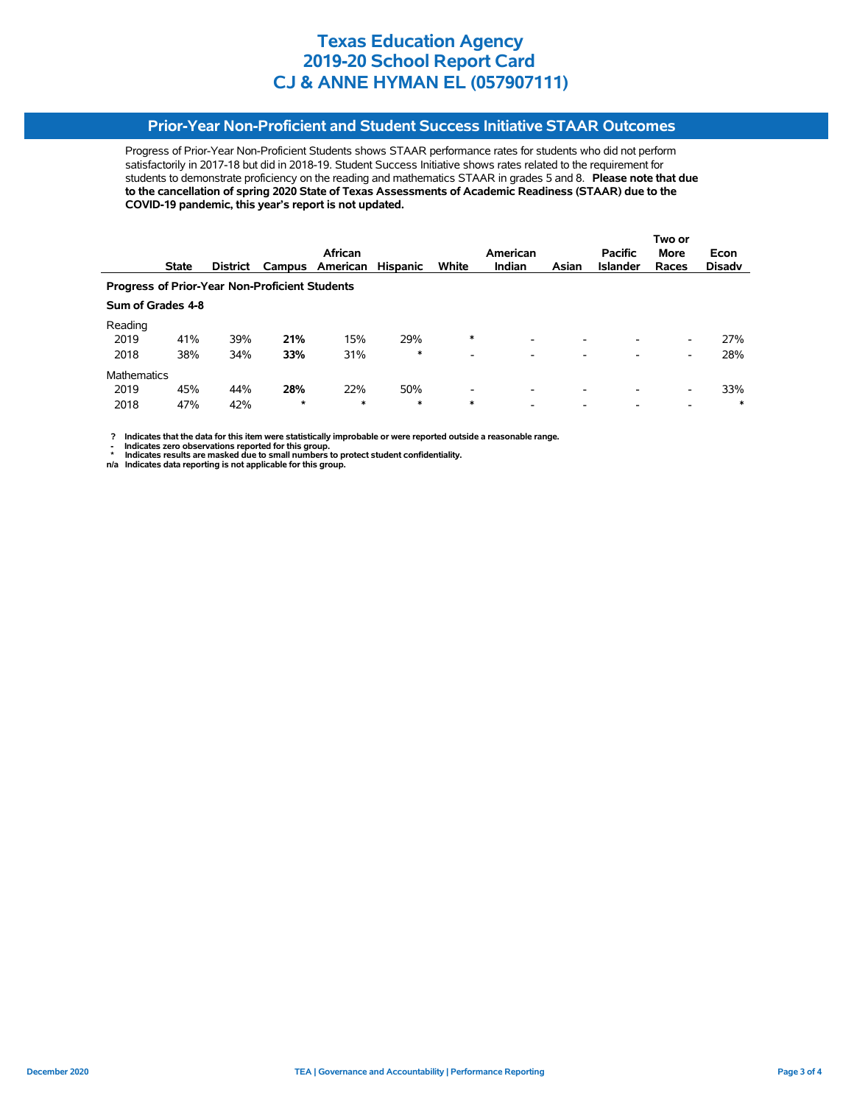## **Prior-Year Non-Proficient and Student Success Initiative STAAR Outcomes**

Progress of Prior-Year Non-Proficient Students shows STAAR performance rates for students who did not perform satisfactorily in 2017-18 but did in 2018-19. Student Success Initiative shows rates related to the requirement for students to demonstrate proficiency on the reading and mathematics STAAR in grades 5 and 8. **Please note that due to the cancellation of spring 2020 State of Texas Assessments of Academic Readiness (STAAR) due to the COVID-19 pandemic, this year's report is not updated.**

|                                                       |                   |                 |        |                 |                 |                          |                          |                          |                 | Two or                   |               |  |
|-------------------------------------------------------|-------------------|-----------------|--------|-----------------|-----------------|--------------------------|--------------------------|--------------------------|-----------------|--------------------------|---------------|--|
|                                                       |                   |                 |        | African         |                 |                          | American                 |                          | <b>Pacific</b>  | <b>More</b>              | Econ          |  |
|                                                       | <b>State</b>      | <b>District</b> |        | Campus American | <b>Hispanic</b> | White                    | Indian                   | Asian                    | <b>Islander</b> | Races                    | <b>Disady</b> |  |
| <b>Progress of Prior-Year Non-Proficient Students</b> |                   |                 |        |                 |                 |                          |                          |                          |                 |                          |               |  |
|                                                       | Sum of Grades 4-8 |                 |        |                 |                 |                          |                          |                          |                 |                          |               |  |
| Reading                                               |                   |                 |        |                 |                 |                          |                          |                          |                 |                          |               |  |
| 2019                                                  | 41%               | 39%             | 21%    | 15%             | 29%             | $\ast$                   |                          | -                        |                 | -                        | 27%           |  |
| 2018                                                  | 38%               | 34%             | 33%    | 31%             | $\ast$          | $\overline{\phantom{0}}$ | $\overline{\phantom{a}}$ | $\overline{\phantom{0}}$ | -               | -                        | 28%           |  |
| <b>Mathematics</b>                                    |                   |                 |        |                 |                 |                          |                          |                          |                 |                          |               |  |
| 2019                                                  | 45%               | 44%             | 28%    | 22%             | 50%             | $\overline{\phantom{0}}$ | $\overline{\phantom{a}}$ | $\overline{\phantom{0}}$ | -               | -                        | 33%           |  |
| 2018                                                  | 47%               | 42%             | $\ast$ | $\ast$          | $\ast$          | $\ast$                   | $\overline{\phantom{0}}$ | -                        |                 | $\overline{\phantom{0}}$ | $\ast$        |  |

 **? Indicates that the data for this item were statistically improbable or were reported outside a reasonable range.**

**1.** Indicates zero observations reported for this group.<br> **1.** Indicates zero the sex mealed for this group.

 **\* Indicates results are masked due to small numbers to protect student confidentiality. n/a Indicates data reporting is not applicable for this group.**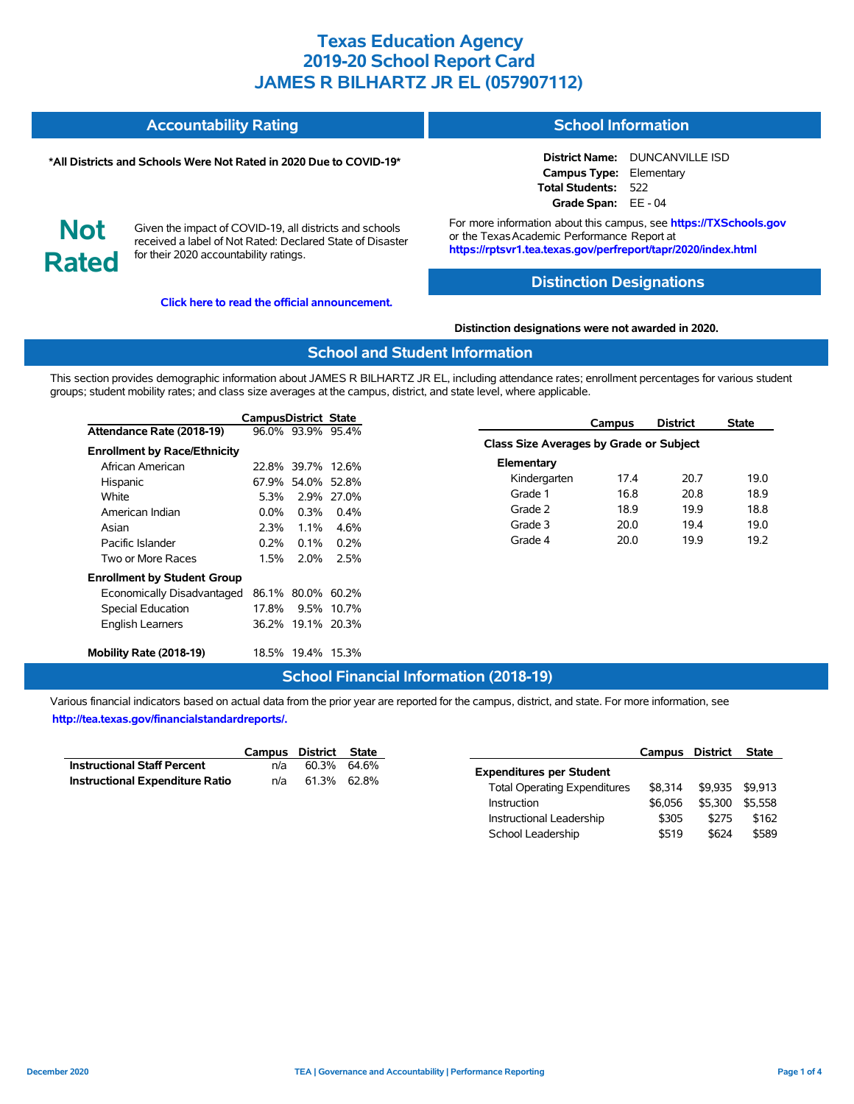| <b>Accountability Rating</b> | <b>School Information</b> |
|------------------------------|---------------------------|
|                              |                           |

#### **\*All Districts and Schools Were Not Rated in 2020 Due to COVID-19\***

**District Name:** DUNCANVILLE ISD **Campus Type:** Elementary **Total Students:** 522 **Grade Span:** EE - 04

**Not Rated**

Given the impact of COVID-19, all districts and schools received a label of Not Rated: Declared State of Disaster for their 2020 accountability ratings.

**[Click here to read the official announcement.](https://tea.texas.gov/about-tea/news-and-multimedia/correspondence/taa-letters/every-student-succeeds-act-essa-waiver-approval-2020-state-academic-accountability)**

For more information about this campus, see **https://TXSchools.gov** or the Texas Academic Performance Report at **https://rptsvr1.tea.texas.gov/perfreport/tapr/2020/index.html**

### **Distinction Designations**

**Distinction designations were not awarded in 2020.**

### **School and Student Information**

This section provides demographic information about JAMES R BILHARTZ JR EL, including attendance rates; enrollment percentages for various student groups; student mobility rates; and class size averages at the campus, district, and state level, where applicable.

|                                     | <b>CampusDistrict State</b> |                   |            |                                         | <b>Campus</b> | <b>District</b> | <b>State</b> |
|-------------------------------------|-----------------------------|-------------------|------------|-----------------------------------------|---------------|-----------------|--------------|
| Attendance Rate (2018-19)           |                             | 96.0% 93.9% 95.4% |            |                                         |               |                 |              |
| <b>Enrollment by Race/Ethnicity</b> |                             |                   |            | Class Size Averages by Grade or Subject |               |                 |              |
| African American                    |                             | 22.8% 39.7% 12.6% |            | Elementary                              |               |                 |              |
| Hispanic                            |                             | 67.9% 54.0% 52.8% |            | Kindergarten                            | 17.4          | 20.7            | 19.0         |
| White                               | 5.3%                        |                   | 2.9% 27.0% | Grade 1                                 | 16.8          | 20.8            | 18.9         |
| American Indian                     | $0.0\%$                     | 0.3%              | $0.4\%$    | Grade 2                                 | 18.9          | 19.9            | 18.8         |
| Asian                               | 2.3%                        | 1.1%              | 4.6%       | Grade 3                                 | 20.0          | 19.4            | 19.0         |
| Pacific Islander                    | 0.2%                        | $0.1\%$           | 0.2%       | Grade 4                                 | 20.0          | 19.9            | 19.2         |
| Two or More Races                   | 1.5%                        | 2.0%              | 2.5%       |                                         |               |                 |              |
| <b>Enrollment by Student Group</b>  |                             |                   |            |                                         |               |                 |              |
| Economically Disadvantaged          |                             | 86.1% 80.0% 60.2% |            |                                         |               |                 |              |
| Special Education                   | 17.8%                       |                   | 9.5% 10.7% |                                         |               |                 |              |
| English Learners                    |                             | 36.2% 19.1% 20.3% |            |                                         |               |                 |              |
| Mobility Rate (2018-19)             |                             | 18.5% 19.4% 15.3% |            |                                         |               |                 |              |

#### **School Financial Information (2018-19)**

|                                        | Campus District State |             |  |
|----------------------------------------|-----------------------|-------------|--|
| <b>Instructional Staff Percent</b>     | n/a                   | 60.3% 64.6% |  |
| <b>Instructional Expenditure Ratio</b> | n/a                   | 61.3% 62.8% |  |

|                                     | Campus District |         | State   |
|-------------------------------------|-----------------|---------|---------|
| <b>Expenditures per Student</b>     |                 |         |         |
| <b>Total Operating Expenditures</b> | \$8,314         | \$9.935 | \$9.913 |
| Instruction                         | \$6.056         | \$5.300 | \$5.558 |
| Instructional Leadership            | \$305           | \$275   | \$162   |
| School Leadership                   | \$519           | \$624   | \$589   |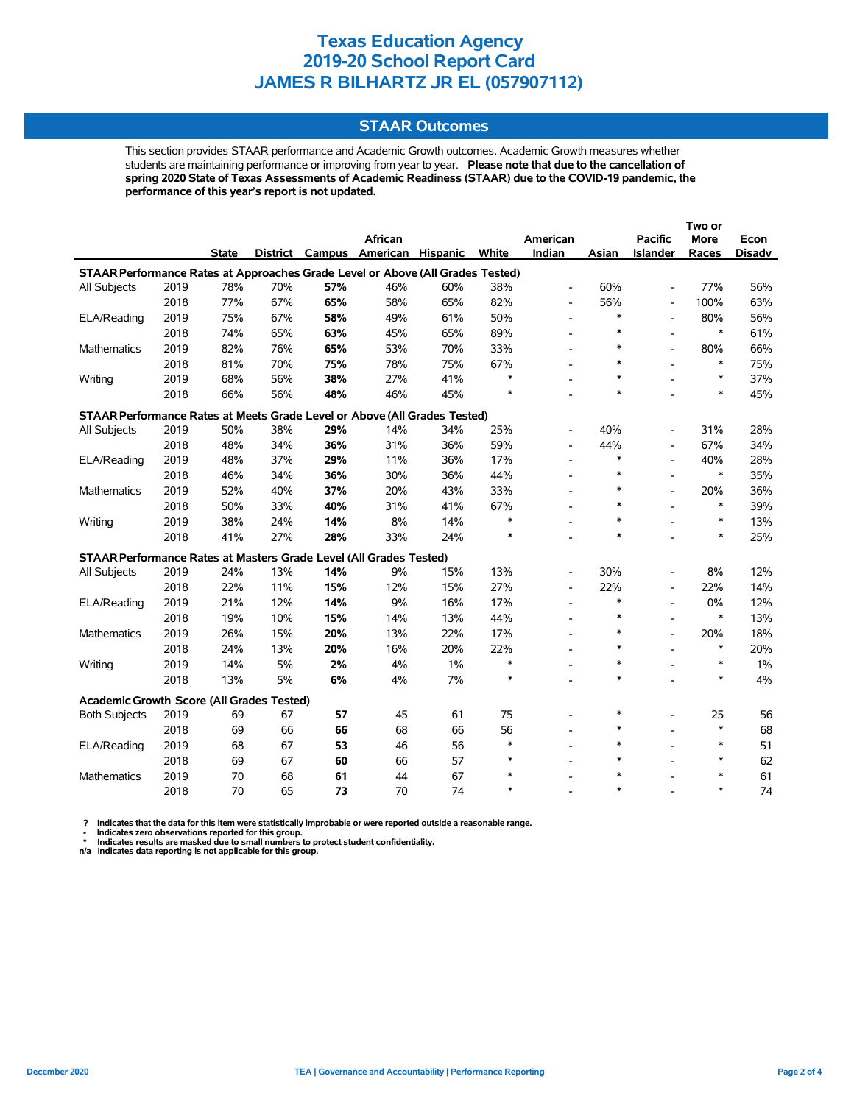### **STAAR Outcomes**

This section provides STAAR performance and Academic Growth outcomes. Academic Growth measures whether students are maintaining performance or improving from year to year. **Please note that due to the cancellation of spring 2020 State of Texas Assessments of Academic Readiness (STAAR) due to the COVID-19 pandemic, the performance of this year's report is not updated.**

|                                                                                |      |              |     |     |                          |          |        |                          |        |                          | Two or      |               |  |  |
|--------------------------------------------------------------------------------|------|--------------|-----|-----|--------------------------|----------|--------|--------------------------|--------|--------------------------|-------------|---------------|--|--|
|                                                                                |      |              |     |     | African                  |          |        | American                 |        | <b>Pacific</b>           | <b>More</b> | Econ          |  |  |
|                                                                                |      | <b>State</b> |     |     | District Campus American | Hispanic | White  | Indian                   | Asian  | Islander                 | Races       | <b>Disadv</b> |  |  |
| STAAR Performance Rates at Approaches Grade Level or Above (All Grades Tested) |      |              |     |     |                          |          |        |                          |        |                          |             |               |  |  |
| All Subjects                                                                   | 2019 | 78%          | 70% | 57% | 46%                      | 60%      | 38%    | $\overline{\phantom{a}}$ | 60%    | $\overline{a}$           | 77%         | 56%           |  |  |
|                                                                                | 2018 | 77%          | 67% | 65% | 58%                      | 65%      | 82%    | $\overline{\phantom{a}}$ | 56%    | $\overline{a}$           | 100%        | 63%           |  |  |
| ELA/Reading                                                                    | 2019 | 75%          | 67% | 58% | 49%                      | 61%      | 50%    | $\overline{\phantom{a}}$ | $\ast$ | $\overline{a}$           | 80%         | 56%           |  |  |
|                                                                                | 2018 | 74%          | 65% | 63% | 45%                      | 65%      | 89%    | $\overline{\phantom{a}}$ | $\ast$ | $\overline{a}$           | $\ast$      | 61%           |  |  |
| <b>Mathematics</b>                                                             | 2019 | 82%          | 76% | 65% | 53%                      | 70%      | 33%    | $\overline{\phantom{a}}$ | $\ast$ | $\overline{\phantom{a}}$ | 80%         | 66%           |  |  |
|                                                                                | 2018 | 81%          | 70% | 75% | 78%                      | 75%      | 67%    | $\overline{\phantom{a}}$ | $\ast$ |                          | $\ast$      | 75%           |  |  |
| Writing                                                                        | 2019 | 68%          | 56% | 38% | 27%                      | 41%      | $\ast$ |                          | $\ast$ |                          | $\ast$      | 37%           |  |  |
|                                                                                | 2018 | 66%          | 56% | 48% | 46%                      | 45%      |        |                          | $\ast$ |                          | $\ast$      | 45%           |  |  |
| STAAR Performance Rates at Meets Grade Level or Above (All Grades Tested)      |      |              |     |     |                          |          |        |                          |        |                          |             |               |  |  |
| All Subjects                                                                   | 2019 | 50%          | 38% | 29% | 14%                      | 34%      | 25%    |                          | 40%    |                          | 31%         | 28%           |  |  |
|                                                                                | 2018 | 48%          | 34% | 36% | 31%                      | 36%      | 59%    | $\overline{\phantom{a}}$ | 44%    |                          | 67%         | 34%           |  |  |
| ELA/Reading                                                                    | 2019 | 48%          | 37% | 29% | 11%                      | 36%      | 17%    | $\overline{\phantom{a}}$ | $\ast$ | $\blacksquare$           | 40%         | 28%           |  |  |
|                                                                                | 2018 | 46%          | 34% | 36% | 30%                      | 36%      | 44%    | $\overline{\phantom{a}}$ | $\ast$ | $\overline{a}$           | $\ast$      | 35%           |  |  |
| Mathematics                                                                    | 2019 | 52%          | 40% | 37% | 20%                      | 43%      | 33%    |                          | $\ast$ | $\overline{a}$           | 20%         | 36%           |  |  |
|                                                                                | 2018 | 50%          | 33% | 40% | 31%                      | 41%      | 67%    |                          | $\ast$ |                          | $\ast$      | 39%           |  |  |
| Writing                                                                        | 2019 | 38%          | 24% | 14% | 8%                       | 14%      | $\ast$ |                          | $\ast$ |                          | $\ast$      | 13%           |  |  |
|                                                                                | 2018 | 41%          | 27% | 28% | 33%                      | 24%      | $\ast$ |                          | $\ast$ |                          | $\ast$      | 25%           |  |  |
| STAAR Performance Rates at Masters Grade Level (All Grades Tested)             |      |              |     |     |                          |          |        |                          |        |                          |             |               |  |  |
| All Subjects                                                                   | 2019 | 24%          | 13% | 14% | 9%                       | 15%      | 13%    | $\overline{\phantom{a}}$ | 30%    | $\overline{\phantom{a}}$ | 8%          | 12%           |  |  |
|                                                                                | 2018 | 22%          | 11% | 15% | 12%                      | 15%      | 27%    | $\overline{\phantom{a}}$ | 22%    | $\overline{\phantom{a}}$ | 22%         | 14%           |  |  |
| ELA/Reading                                                                    | 2019 | 21%          | 12% | 14% | 9%                       | 16%      | 17%    | $\overline{\phantom{a}}$ | $\ast$ | $\blacksquare$           | 0%          | 12%           |  |  |
|                                                                                | 2018 | 19%          | 10% | 15% | 14%                      | 13%      | 44%    | $\overline{\phantom{a}}$ | $\ast$ |                          | $\ast$      | 13%           |  |  |
| <b>Mathematics</b>                                                             | 2019 | 26%          | 15% | 20% | 13%                      | 22%      | 17%    | $\overline{\phantom{a}}$ | $\ast$ | $\overline{\phantom{a}}$ | 20%         | 18%           |  |  |
|                                                                                | 2018 | 24%          | 13% | 20% | 16%                      | 20%      | 22%    | $\overline{\phantom{a}}$ | $\ast$ |                          | $\ast$      | 20%           |  |  |
| Writing                                                                        | 2019 | 14%          | 5%  | 2%  | 4%                       | 1%       | $\ast$ |                          | $\ast$ |                          | $\ast$      | $1\%$         |  |  |
|                                                                                | 2018 | 13%          | 5%  | 6%  | 4%                       | 7%       | $\ast$ |                          | $\ast$ |                          | $\ast$      | 4%            |  |  |
| Academic Growth Score (All Grades Tested)                                      |      |              |     |     |                          |          |        |                          |        |                          |             |               |  |  |
| <b>Both Subjects</b>                                                           | 2019 | 69           | 67  | 57  | 45                       | 61       | 75     |                          | $\ast$ | $\overline{\phantom{a}}$ | 25          | 56            |  |  |
|                                                                                | 2018 | 69           | 66  | 66  | 68                       | 66       | 56     | $\overline{a}$           | $\ast$ | $\overline{a}$           | $\ast$      | 68            |  |  |
| ELA/Reading                                                                    | 2019 | 68           | 67  | 53  | 46                       | 56       | $\ast$ | $\overline{\phantom{a}}$ | $\ast$ | $\overline{a}$           | $\ast$      | 51            |  |  |
|                                                                                | 2018 | 69           | 67  | 60  | 66                       | 57       | $\ast$ |                          | $\ast$ |                          | $\ast$      | 62            |  |  |
| Mathematics                                                                    | 2019 | 70           | 68  | 61  | 44                       | 67       | $\ast$ |                          | $\ast$ |                          | $\ast$      | 61            |  |  |
|                                                                                | 2018 | 70           | 65  | 73  | 70                       | 74       | $\ast$ |                          | $\ast$ |                          | $\ast$      | 74            |  |  |